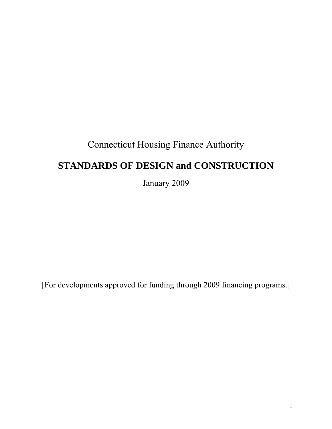# Connecticut Housing Finance Authority

# **STANDARDS OF DESIGN and CONSTRUCTION**

January 2009

[For developments approved for funding through 2009 financing programs.]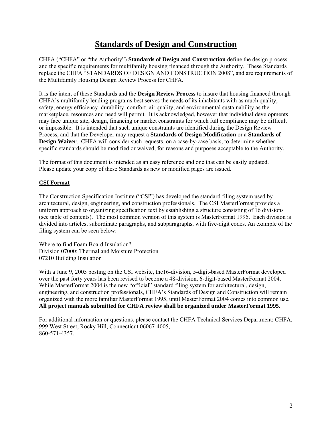## **Standards of Design and Construction**

CHFA ("CHFA" or "the Authority") **Standards of Design and Construction** define the design process and the specific requirements for multifamily housing financed through the Authority. These Standards replace the CHFA "STANDARDS OF DESIGN AND CONSTRUCTION 2008", and are requirements of the Multifamily Housing Design Review Process for CHFA.

It is the intent of these Standards and the **Design Review Process** to insure that housing financed through CHFA's multifamily lending programs best serves the needs of its inhabitants with as much quality, safety, energy efficiency, durability, comfort, air quality, and environmental sustainability as the marketplace, resources and need will permit. It is acknowledged, however that individual developments may face unique site, design, financing or market constraints for which full compliance may be difficult or impossible. It is intended that such unique constraints are identified during the Design Review Process, and that the Developer may request a **Standards of Design Modification** or a **Standards of Design Waiver**. CHFA will consider such requests, on a case-by-case basis, to determine whether specific standards should be modified or waived, for reasons and purposes acceptable to the Authority.

The format of this document is intended as an easy reference and one that can be easily updated. Please update your copy of these Standards as new or modified pages are issued.

## **CSI Format**

The Construction Specification Institute ("CSI") has developed the standard filing system used by architectural, design, engineering, and construction professionals. The CSI MasterFormat provides a uniform approach to organizing specification text by establishing a structure consisting of 16 divisions (see table of contents). The most common version of this system is MasterFormat 1995. Each division is divided into articles, subordinate paragraphs, and subparagraphs, with five-digit codes. An example of the filing system can be seen below:

Where to find Foam Board Insulation? Division 07000: Thermal and Moisture Protection 07210 Building Insulation

With a June 9, 2005 posting on the CSI website, the16-division, 5-digit-based MasterFormat developed over the past forty years has been revised to become a 48-division, 6-digit-based MasterFormat 2004. While MasterFormat 2004 is the new "official" standard filing system for architectural, design, engineering, and construction professionals, CHFA's Standards of Design and Construction will remain organized with the more familiar MasterFormat 1995, until MasterFormat 2004 comes into common use. **All project manuals submitted for CHFA review shall be organized under MasterFormat 1995**.

For additional information or questions, please contact the CHFA Technical Services Department: CHFA, 999 West Street, Rocky Hill, Connecticut 06067-4005, 860-571-4357.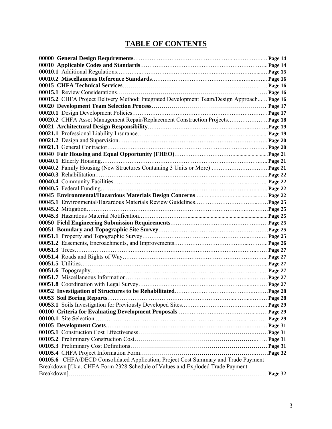## **TABLE OF CONTENTS**

|                                                                                           | Page16           |
|-------------------------------------------------------------------------------------------|------------------|
| 00015.2 CHFA Project Delivery Method: Integrated Development Team/Design Approach Page 16 |                  |
|                                                                                           |                  |
|                                                                                           |                  |
| 00020.2 CHFA Asset Management Repair/Replacement Construction Projects Page 18            |                  |
|                                                                                           |                  |
|                                                                                           |                  |
|                                                                                           |                  |
|                                                                                           |                  |
|                                                                                           |                  |
|                                                                                           |                  |
| 00040.2 Family Housing (New Structures Containing 3 Units or More)  Page 21               |                  |
|                                                                                           |                  |
|                                                                                           |                  |
|                                                                                           |                  |
|                                                                                           |                  |
|                                                                                           |                  |
|                                                                                           |                  |
|                                                                                           |                  |
|                                                                                           |                  |
|                                                                                           |                  |
|                                                                                           |                  |
|                                                                                           |                  |
|                                                                                           |                  |
|                                                                                           |                  |
|                                                                                           |                  |
|                                                                                           | Page 27          |
|                                                                                           | Page 27          |
|                                                                                           |                  |
|                                                                                           |                  |
|                                                                                           | $\ldots$ Page 28 |
|                                                                                           |                  |
|                                                                                           |                  |
|                                                                                           |                  |
|                                                                                           |                  |
|                                                                                           |                  |
|                                                                                           |                  |
|                                                                                           |                  |
|                                                                                           |                  |
| 00105.6 CHFA/DECD Consolidated Application, Project Cost Summary and Trade Payment        |                  |
| Breakdown [f.k.a. CHFA Form 2328 Schedule of Values and Exploded Trade Payment            |                  |
|                                                                                           |                  |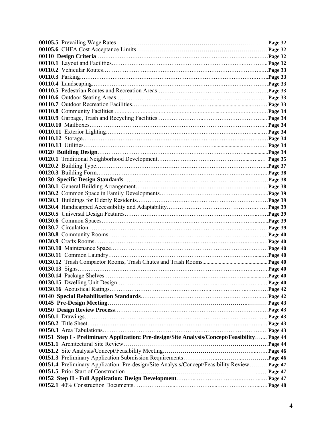| 00151 Step I - Preliminary Application: Pre-design/Site Analysis/Concept/Feasibility Page 44 |  |
|----------------------------------------------------------------------------------------------|--|
|                                                                                              |  |
|                                                                                              |  |
|                                                                                              |  |
| 00151.4 Preliminary Application: Pre-design/Site Analysis/Concept/Feasibility Review Page 47 |  |
|                                                                                              |  |
|                                                                                              |  |
|                                                                                              |  |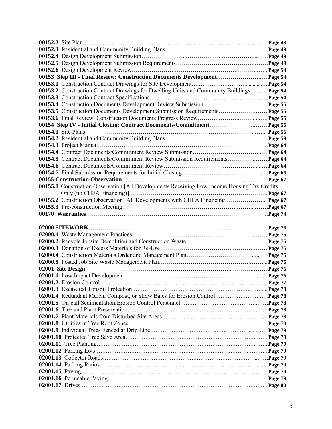| 00153 Step III - Final Review: Construction Documents Development Page 54                   |  |
|---------------------------------------------------------------------------------------------|--|
|                                                                                             |  |
| 00153.2 Construction Contract Drawings for Dwelling Units and Community Buildings Page 54   |  |
|                                                                                             |  |
|                                                                                             |  |
| 00153.5 Construction Documents Development Submission Requirements Page 55                  |  |
|                                                                                             |  |
|                                                                                             |  |
|                                                                                             |  |
|                                                                                             |  |
|                                                                                             |  |
|                                                                                             |  |
| 00154.5 Contract Documents/Commitment Review Submission Requirements Page 64                |  |
|                                                                                             |  |
|                                                                                             |  |
|                                                                                             |  |
| 00155.1 Construction Observation [All Developments Receiving Low Income Housing Tax Credits |  |
|                                                                                             |  |
| 00155.2 Construction Observation [All Developments with CHFA Financing] Page 67             |  |
|                                                                                             |  |
|                                                                                             |  |
|                                                                                             |  |
|                                                                                             |  |
| 02000 SITEWORK                                                                              |  |
|                                                                                             |  |
|                                                                                             |  |
|                                                                                             |  |
|                                                                                             |  |
|                                                                                             |  |
|                                                                                             |  |
|                                                                                             |  |
|                                                                                             |  |
|                                                                                             |  |
|                                                                                             |  |
|                                                                                             |  |
|                                                                                             |  |
|                                                                                             |  |
|                                                                                             |  |
|                                                                                             |  |
|                                                                                             |  |
|                                                                                             |  |
|                                                                                             |  |
|                                                                                             |  |
|                                                                                             |  |
|                                                                                             |  |
|                                                                                             |  |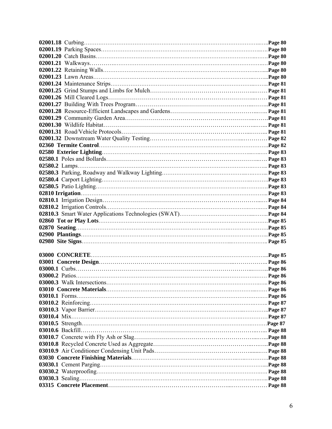|  | Page 85 |
|--|---------|
|  |         |
|  |         |
|  |         |
|  |         |
|  |         |
|  |         |
|  |         |
|  |         |
|  |         |
|  |         |
|  |         |
|  |         |
|  |         |
|  |         |
|  |         |
|  |         |
|  |         |
|  |         |
|  |         |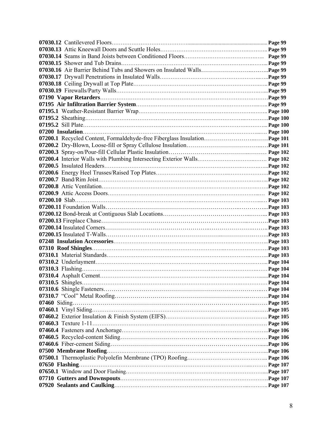| 07200.1 Recycled Content, Formaldehyde-free Fiberglass Insulation Page 101 |  |
|----------------------------------------------------------------------------|--|
|                                                                            |  |
|                                                                            |  |
|                                                                            |  |
|                                                                            |  |
|                                                                            |  |
|                                                                            |  |
|                                                                            |  |
|                                                                            |  |
|                                                                            |  |
|                                                                            |  |
|                                                                            |  |
|                                                                            |  |
|                                                                            |  |
|                                                                            |  |
|                                                                            |  |
|                                                                            |  |
|                                                                            |  |
|                                                                            |  |
|                                                                            |  |
|                                                                            |  |
|                                                                            |  |
|                                                                            |  |
|                                                                            |  |
|                                                                            |  |
|                                                                            |  |
|                                                                            |  |
|                                                                            |  |
|                                                                            |  |
|                                                                            |  |
|                                                                            |  |
|                                                                            |  |
|                                                                            |  |
|                                                                            |  |
|                                                                            |  |
|                                                                            |  |
|                                                                            |  |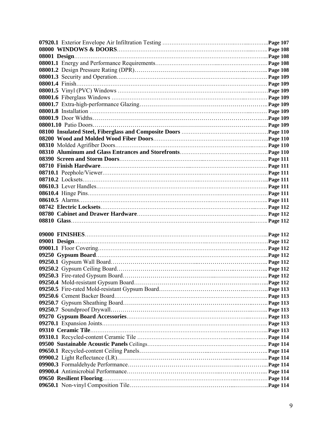| 08001 Design. |  |
|---------------|--|
|               |  |
|               |  |
|               |  |
|               |  |
|               |  |
|               |  |
|               |  |
|               |  |
|               |  |
|               |  |
|               |  |
|               |  |
|               |  |
|               |  |
|               |  |
|               |  |
|               |  |
|               |  |
|               |  |
|               |  |
|               |  |
|               |  |
|               |  |
|               |  |
|               |  |
|               |  |
|               |  |
|               |  |
|               |  |
|               |  |
|               |  |
|               |  |
|               |  |
|               |  |
|               |  |
|               |  |
|               |  |
|               |  |
|               |  |
|               |  |
|               |  |
|               |  |
|               |  |
|               |  |
|               |  |
|               |  |
|               |  |
|               |  |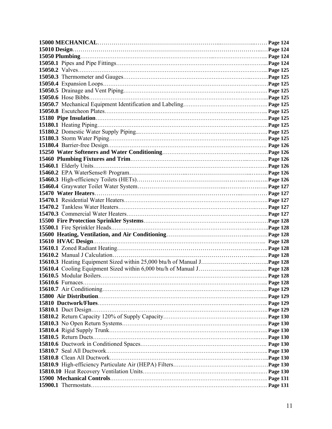|                          | . Page 124 |
|--------------------------|------------|
|                          |            |
|                          |            |
|                          |            |
|                          |            |
|                          |            |
|                          |            |
|                          |            |
|                          |            |
|                          |            |
|                          |            |
|                          |            |
|                          |            |
|                          |            |
|                          |            |
|                          |            |
|                          |            |
|                          |            |
|                          |            |
|                          |            |
|                          |            |
|                          |            |
|                          |            |
|                          |            |
|                          |            |
|                          |            |
|                          |            |
|                          |            |
|                          |            |
|                          |            |
|                          |            |
|                          |            |
|                          |            |
|                          |            |
|                          |            |
| <b>15610.6</b> Furnaces. |            |
| Page 128                 |            |
|                          |            |
|                          |            |
|                          |            |
|                          |            |
|                          |            |
|                          |            |
|                          |            |
|                          |            |
|                          |            |
|                          |            |
|                          |            |
|                          |            |
|                          |            |
|                          |            |
|                          |            |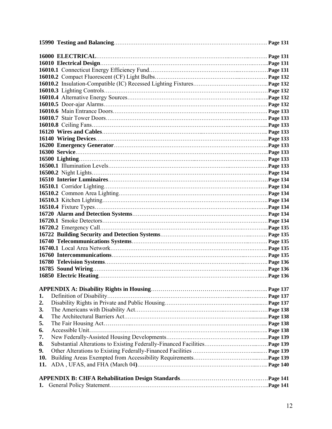|     | Page 131        |
|-----|-----------------|
|     | <b>Page 131</b> |
|     |                 |
|     |                 |
|     |                 |
|     |                 |
|     |                 |
|     |                 |
|     |                 |
|     |                 |
|     |                 |
|     |                 |
|     |                 |
|     |                 |
|     |                 |
|     |                 |
|     |                 |
|     |                 |
|     |                 |
|     |                 |
|     |                 |
|     |                 |
|     |                 |
|     |                 |
|     |                 |
|     |                 |
|     |                 |
|     |                 |
|     |                 |
|     |                 |
|     |                 |
|     |                 |
|     |                 |
|     |                 |
|     |                 |
|     |                 |
| 1.  |                 |
| 2.  |                 |
| 3.  |                 |
| 4.  |                 |
| 5.  |                 |
| 6.  |                 |
| 7.  |                 |
| 8.  |                 |
| 9.  |                 |
| 10. |                 |
| 11. |                 |
|     |                 |
|     |                 |
| 1.  |                 |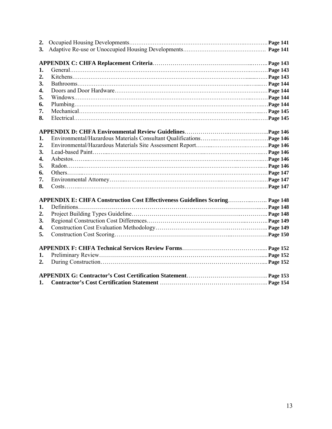| 2. |  |
|----|--|
| 3. |  |
|    |  |
| 1. |  |
| 2. |  |
| 3. |  |
| 4. |  |
| 5. |  |
| 6. |  |
| 7. |  |
| 8. |  |
|    |  |
|    |  |
| 1. |  |
| 2. |  |
| 3. |  |
| 4. |  |
| 5. |  |
| 6. |  |
| 7. |  |
| 8. |  |
|    |  |
| 1. |  |
| 2. |  |
| 3. |  |
| 4. |  |
| 5. |  |
|    |  |
|    |  |
| 1. |  |
| 2. |  |
|    |  |
| 1. |  |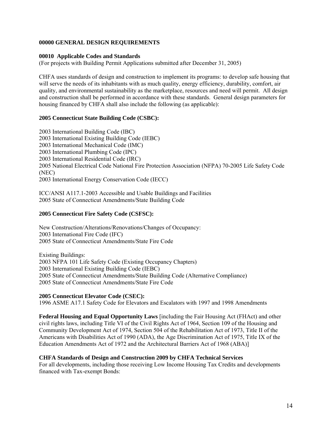#### **00000 GENERAL DESIGN REQUIREMENTS**

#### **00010 Applicable Codes and Standards**

(For projects with Building Permit Applications submitted after December 31, 2005)

CHFA uses standards of design and construction to implement its programs: to develop safe housing that will serve the needs of its inhabitants with as much quality, energy efficiency, durability, comfort, air quality, and environmental sustainability as the marketplace, resources and need will permit. All design and construction shall be performed in accordance with these standards. General design parameters for housing financed by CHFA shall also include the following (as applicable):

#### **2005 Connecticut State Building Code (CSBC):**

2003 International Building Code (IBC) 2003 International Existing Building Code (IEBC) 2003 International Mechanical Code (IMC) 2003 International Plumbing Code (IPC) 2003 International Residential Code (IRC) 2005 National Electrical Code National Fire Protection Association (NFPA) 70-2005 Life Safety Code (NEC) 2003 International Energy Conservation Code (IECC)

ICC/ANSI A117.1-2003 Accessible and Usable Buildings and Facilities 2005 State of Connecticut Amendments/State Building Code

#### **2005 Connecticut Fire Safety Code (CSFSC):**

New Construction/Alterations/Renovations/Changes of Occupancy: 2003 International Fire Code (IFC) 2005 State of Connecticut Amendments/State Fire Code

Existing Buildings: 2003 NFPA 101 Life Safety Code (Existing Occupancy Chapters) 2003 International Existing Building Code (IEBC) 2005 State of Connecticut Amendments/State Building Code (Alternative Compliance) 2005 State of Connecticut Amendments/State Fire Code

#### **2005 Connecticut Elevator Code (CSEC):**

1996 ASME A17.1 Safety Code for Elevators and Escalators with 1997 and 1998 Amendments

**Federal Housing and Equal Opportunity Laws** [including the Fair Housing Act (FHAct) and other civil rights laws, including Title VI of the Civil Rights Act of 1964, Section 109 of the Housing and Community Development Act of 1974, Section 504 of the Rehabilitation Act of 1973, Title II of the Americans with Disabilities Act of 1990 (ADA), the Age Discrimination Act of 1975, Title IX of the Education Amendments Act of 1972 and the Architectural Barriers Act of 1968 (ABA)]

#### **CHFA Standards of Design and Construction 2009 by CHFA Technical Services**

For all developments, including those receiving Low Income Housing Tax Credits and developments financed with Tax-exempt Bonds: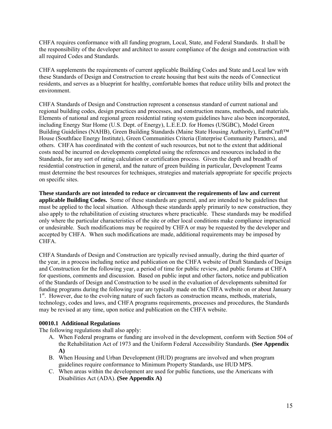CHFA requires conformance with all funding program, Local, State, and Federal Standards. It shall be the responsibility of the developer and architect to assure compliance of the design and construction with all required Codes and Standards.

CHFA supplements the requirements of current applicable Building Codes and State and Local law with these Standards of Design and Construction to create housing that best suits the needs of Connecticut residents, and serves as a blueprint for healthy, comfortable homes that reduce utility bills and protect the environment.

CHFA Standards of Design and Construction represent a consensus standard of current national and regional building codes, design practices and processes, and construction means, methods, and materials. Elements of national and regional green residential rating system guidelines have also been incorporated, including Energy Star Home (U.S. Dept. of Energy), L.E.E.D. for Homes (USGBC), Model Green Building Guidelines (NAHB), Green Building Standards (Maine State Housing Authority), EarthCraft™ House (Southface Energy Institute), Green Communities Criteria (Enterprise Community Partners), and others. CHFA has coordinated with the content of such resources, but not to the extent that additional costs need be incurred on developments completed using the references and resources included in the Standards, for any sort of rating calculation or certification process. Given the depth and breadth of residential construction in general, and the nature of green building in particular, Development Teams must determine the best resources for techniques, strategies and materials appropriate for specific projects on specific sites.

**These standards are not intended to reduce or circumvent the requirements of law and current applicable Building Codes.** Some of these standards are general, and are intended to be guidelines that must be applied to the local situation. Although these standards apply primarily to new construction, they also apply to the rehabilitation of existing structures where practicable. These standards may be modified only where the particular characteristics of the site or other local conditions make compliance impractical or undesirable. Such modifications may be required by CHFA or may be requested by the developer and accepted by CHFA. When such modifications are made, additional requirements may be imposed by CHFA.

CHFA Standards of Design and Construction are typically revised annually, during the third quarter of the year, in a process including notice and publication on the CHFA website of Draft Standards of Design and Construction for the following year, a period of time for public review, and public forums at CHFA for questions, comments and discussion. Based on public input and other factors, notice and publication of the Standards of Design and Construction to be used in the evaluation of developments submitted for funding programs during the following year are typically made on the CHFA website on or about January  $1<sup>st</sup>$ . However, due to the evolving nature of such factors as construction means, methods, materials, technology, codes and laws, and CHFA programs requirements, processes and procedures, the Standards may be revised at any time, upon notice and publication on the CHFA website.

## **00010.1 Additional Regulations**

The following regulations shall also apply:

- A. When Federal programs or funding are involved in the development, conform with Section 504 of the Rehabilitation Act of 1973 and the Uniform Federal Accessibility Standards. **(See Appendix A)**
- B. When Housing and Urban Development (HUD) programs are involved and when program guidelines require conformance to Minimum Property Standards, use HUD MPS.
- C. When areas within the development are used for public functions, use the Americans with Disabilities Act (ADA). **(See Appendix A)**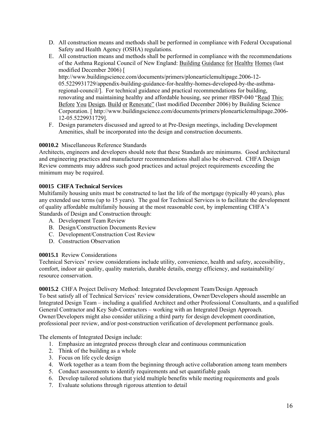- D. All construction means and methods shall be performed in compliance with Federal Occupational Safety and Health Agency (OSHA) regulations.
- E. All construction means and methods shall be performed in compliance with the recommendations of the Asthma Regional Council of New England: Building Guidance for Healthy Homes (last modified December 2006) [ http://www.buildingscience.com/documents/primers/plonearticlemultipage.2006-12- 05.5229931729/appendix-building-guidance-for-healthy-homes-developed-by-the-asthmaregional-council/]. For technical guidance and practical recommendations for building, renovating and maintaining healthy and affordable housing, see primer #BSP-040 "Read This:
	- Before You Design, Build or Renovate" (last modified December 2006) by Building Science Corporation. [ http://www.buildingscience.com/documents/primers/plonearticlemultipage.2006- 12-05.5229931729].
- F. Design parameters discussed and agreed to at Pre-Design meetings, including Development Amenities, shall be incorporated into the design and construction documents.

## **00010.2** Miscellaneous Reference Standards

Architects, engineers and developers should note that these Standards are minimums. Good architectural and engineering practices and manufacturer recommendations shall also be observed. CHFA Design Review comments may address such good practices and actual project requirements exceeding the minimum may be required.

## **00015 CHFA Technical Services**

Multifamily housing units must be constructed to last the life of the mortgage (typically 40 years), plus any extended use terms (up to 15 years). The goal for Technical Services is to facilitate the development of quality affordable multifamily housing at the most reasonable cost, by implementing CHFA's Standards of Design and Construction through:

- A. Development Team Review
- B. Design/Construction Documents Review
- C. Development/Construction Cost Review
- D. Construction Observation

## **00015.1** Review Considerations

Technical Services' review considerations include utility, convenience, health and safety, accessibility, comfort, indoor air quality, quality materials, durable details, energy efficiency, and sustainability/ resource conservation.

**00015.2** CHFA Project Delivery Method: Integrated Development Team/Design Approach To best satisfy all of Technical Services' review considerations, Owner/Developers should assemble an Integrated Design Team – including a qualified Architect and other Professional Consultants, and a qualified General Contractor and Key Sub-Contractors – working with an Integrated Design Approach. Owner/Developers might also consider utilizing a third party for design development coordination, professional peer review, and/or post-construction verification of development performance goals.

The elements of Integrated Design include:

- 1. Emphasize an integrated process through clear and continuous communication
- 2. Think of the building as a whole
- 3. Focus on life cycle design
- 4. Work together as a team from the beginning through active collaboration among team members
- 5. Conduct assessments to identify requirements and set quantifiable goals
- 6. Develop tailored solutions that yield multiple benefits while meeting requirements and goals
- 7. Evaluate solutions through rigorous attention to detail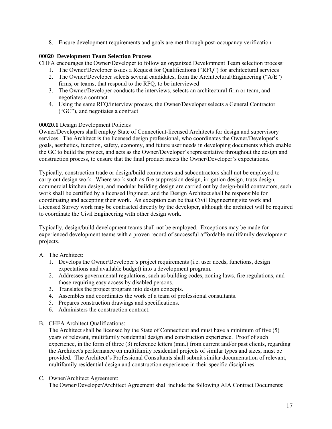8. Ensure development requirements and goals are met through post-occupancy verification

## **00020 Development Team Selection Process**

CHFA encourages the Owner/Developer to follow an organized Development Team selection process:

- 1. The Owner/Developer issues a Request for Qualifications ("RFQ") for architectural services
- 2. The Owner/Developer selects several candidates, from the Architectural/Engineering ("A/E") firms, or teams, that respond to the RFQ, to be interviewed
- 3. The Owner/Developer conducts the interviews, selects an architectural firm or team, and negotiates a contract
- 4. Using the same RFQ/interview process, the Owner/Developer selects a General Contractor ("GC"), and negotiates a contract

## **00020.1** Design Development Policies

Owner/Developers shall employ State of Connecticut-licensed Architects for design and supervisory services. The Architect is the licensed design professional, who coordinates the Owner/Developer's goals, aesthetics, function, safety, economy, and future user needs in developing documents which enable the GC to build the project, and acts as the Owner/Developer's representative throughout the design and construction process, to ensure that the final product meets the Owner/Developer's expectations.

Typically, construction trade or design/build contractors and subcontractors shall not be employed to carry out design work. Where work such as fire suppression design, irrigation design, truss design, commercial kitchen design, and modular building design are carried out by design-build contractors, such work shall be certified by a licensed Engineer, and the Design Architect shall be responsible for coordinating and accepting their work. An exception can be that Civil Engineering site work and Licensed Survey work may be contracted directly by the developer, although the architect will be required to coordinate the Civil Engineering with other design work.

Typically, design/build development teams shall not be employed. Exceptions may be made for experienced development teams with a proven record of successful affordable multifamily development projects.

## A. The Architect:

- 1. Develops the Owner/Developer's project requirements (i.e. user needs, functions, design expectations and available budget) into a development program.
- 2. Addresses governmental regulations, such as building codes, zoning laws, fire regulations, and those requiring easy access by disabled persons.
- 3. Translates the project program into design concepts.
- 4. Assembles and coordinates the work of a team of professional consultants.
- 5. Prepares construction drawings and specifications.
- 6. Administers the construction contract.
- B. CHFA Architect Qualifications:

The Architect shall be licensed by the State of Connecticut and must have a minimum of five (5) years of relevant, multifamily residential design and construction experience. Proof of such experience, in the form of three (3) reference letters (min.) from current and/or past clients, regarding the Architect's performance on multifamily residential projects of similar types and sizes, must be provided. The Architect's Professional Consultants shall submit similar documentation of relevant, multifamily residential design and construction experience in their specific disciplines.

## C. Owner/Architect Agreement:

The Owner/Developer**/**Architect Agreement shall include the following AIA Contract Documents: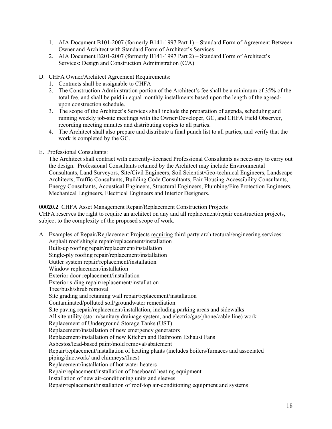- 1. AIA Document B101-2007 (formerly B141-1997 Part 1) Standard Form of Agreement Between Owner and Architect with Standard Form of Architect's Services
- 2. AIA Document B201-2007 (formerly B141-1997 Part 2) Standard Form of Architect's Services: Design and Construction Administration (C/A)
- D. CHFA Owner/Architect Agreement Requirements:
	- 1. Contracts shall be assignable to CHFA
	- 2. The Construction Administration portion of the Architect's fee shall be a minimum of 35% of the total fee, and shall be paid in equal monthly installments based upon the length of the agreedupon construction schedule.
	- 3. The scope of the Architect's Services shall include the preparation of agenda, scheduling and running weekly job-site meetings with the Owner/Developer, GC, and CHFA Field Observer, recording meeting minutes and distributing copies to all parties.
	- 4. The Architect shall also prepare and distribute a final punch list to all parties, and verify that the work is completed by the GC.
- E. Professional Consultants:

The Architect shall contract with currently-licensed Professional Consultants as necessary to carry out the design. Professional Consultants retained by the Architect may include Environmental Consultants, Land Surveyors, Site/Civil Engineers, Soil Scientist/Geo-technical Engineers, Landscape Architects, Traffic Consultants, Building Code Consultants, Fair Housing Accessibility Consultants, Energy Consultants, Acoustical Engineers, Structural Engineers, Plumbing/Fire Protection Engineers, Mechanical Engineers, Electrical Engineers and Interior Designers.

### **00020.2** CHFA Asset Management Repair/Replacement Construction Projects

CHFA reserves the right to require an architect on any and all replacement/repair construction projects, subject to the complexity of the proposed scope of work.

A. Examples of Repair/Replacement Projects requiring third party architectural/engineering services: Asphalt roof shingle repair/replacement/installation Built-up roofing repair/replacement/installation Single-ply roofing repair/replacement/installation Gutter system repair/replacement/installation Window replacement/installation Exterior door replacement/installation Exterior siding repair/replacement/installation Tree/bush/shrub removal Site grading and retaining wall repair/replacement/installation Contaminated/polluted soil/groundwater remediation Site paving repair/replacement/installation, including parking areas and sidewalks All site utility (storm/sanitary drainage system, and electric/gas/phone/cable line) work Replacement of Underground Storage Tanks (UST) Replacement/installation of new emergency generators Replacement/installation of new Kitchen and Bathroom Exhaust Fans Asbestos/lead-based paint/mold removal/abatement Repair/replacement/installation of heating plants (includes boilers/furnaces and associated piping/ductwork/ and chimneys/flues) Replacement/installation of hot water heaters Repair/replacement/installation of baseboard heating equipment Installation of new air-conditioning units and sleeves Repair/replacement/installation of roof-top air-conditioning equipment and systems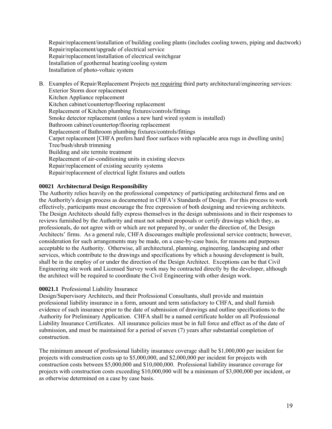Repair/replacement/installation of building cooling plants (includes cooling towers, piping and ductwork) Repair/replacement/upgrade of electrical service Repair/replacement/installation of electrical switchgear Installation of geothermal heating/cooling system Installation of photo-voltaic system

B. Examples of Repair/Replacement Projects not requiring third party architectural/engineering services: Exterior Storm door replacement Kitchen Appliance replacement Kitchen cabinet/countertop/flooring replacement Replacement of Kitchen plumbing fixtures/controls/fittings Smoke detector replacement (unless a new hard wired system is installed) Bathroom cabinet/countertop/flooring replacement Replacement of Bathroom plumbing fixtures/controls/fittings Carpet replacement [CHFA prefers hard floor surfaces with replacable area rugs in dwelling units] Tree/bush/shrub trimming Building and site termite treatment Replacement of air-conditioning units in existing sleeves Repair/replacement of existing security systems Repair/replacement of electrical light fixtures and outlets

### **00021 Architectural Design Responsibility**

The Authority relies heavily on the professional competency of participating architectural firms and on the Authority's design process as documented in CHFA's Standards of Design.For this process to work effectively, participants must encourage the free expression of both designing and reviewing architects. The Design Architects should fully express themselves in the design submissions and in their responses to reviews furnished by the Authority and must not submit proposals or certify drawings which they, as professionals, do not agree with or which are not prepared by, or under the direction of, the Design Architects' firms. As a general rule, CHFA discourages multiple professional service contracts; however, consideration for such arrangements may be made, on a case-by-case basis, for reasons and purposes acceptable to the Authority. Otherwise, all architectural, planning, engineering, landscaping and other services, which contribute to the drawings and specifications by which a housing development is built, shall be in the employ of or under the direction of the Design Architect. Exceptions can be that Civil Engineering site work and Licensed Survey work may be contracted directly by the developer, although the architect will be required to coordinate the Civil Engineering with other design work.

## **00021.1** Professional Liability Insurance

Design/Supervisory Architects, and their Professional Consultants, shall provide and maintain professional liability insurance in a form, amount and term satisfactory to CHFA, and shall furnish evidence of such insurance prior to the date of submission of drawings and outline specifications to the Authority for Preliminary Application. CHFA shall be a named certificate holder on all Professional Liability Insurance Certificates. All insurance policies must be in full force and effect as of the date of submission, and must be maintained for a period of seven (7) years after substantial completion of construction.

The minimum amount of professional liability insurance coverage shall be \$1,000,000 per incident for projects with construction costs up to \$5,000,000, and \$2,000,000 per incident for projects with construction costs between \$5,000,000 and \$10,000,000. Professional liability insurance coverage for projects with construction costs exceeding \$10,000,000 will be a minimum of \$3,000,000 per incident, or as otherwise determined on a case by case basis.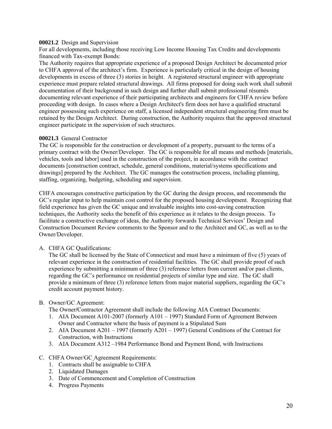#### **00021.2** Design and Supervision

For all developments, including those receiving Low Income Housing Tax Credits and developments financed with Tax-exempt Bonds:

The Authority requires that appropriate experience of a proposed Design Architect be documented prior to CHFA approval of the architect's firm. Experience is particularly critical in the design of housing developments in excess of three (3) stories in height. A registered structural engineer with appropriate experience must prepare related structural drawings. All firms proposed for doing such work shall submit documentation of their background in such design and further shall submit professional résumés documenting relevant experience of their participating architects and engineers for CHFA review before proceeding with design. In cases where a Design Architect's firm does not have a qualified structural engineer possessing such experience on staff, a licensed independent structural engineering firm must be retained by the Design Architect. During construction, the Authority requires that the approved structural engineer participate in the supervision of such structures.

#### **00021.3** General Contractor

The GC is responsible for the construction or development of a property, pursuant to the terms of a primary contract with the Owner/Developer. The GC is responsible for all means and methods [materials, vehicles, tools and labor] used in the construction of the project, in accordance with the contract documents [construction contract, schedule, general conditions, material/systems specifications and drawings] prepared by the Architect. The GC manages the construction process, including planning, staffing, organizing, budgeting, scheduling and supervision.

CHFA encourages constructive participation by the GC during the design process, and recommends the GC's regular input to help maintain cost control for the proposed housing development. Recognizing that field experience has given the GC unique and invaluable insights into cost-saving construction techniques, the Authority seeks the benefit of this experience as it relates to the design process. To facilitate a constructive exchange of ideas, the Authority forwards Technical Services' Design and Construction Document Review comments to the Sponsor and to the Architect and GC, as well as to the Owner/Developer.

#### A. CHFA GC Qualifications:

The GC shall be licensed by the State of Connecticut and must have a minimum of five (5) years of relevant experience in the construction of residential facilities. The GC shall provide proof of such experience by submitting a minimum of three (3) reference letters from current and/or past clients, regarding the GC's performance on residential projects of similar type and size. The GC shall provide a minimum of three (3) reference letters from major material suppliers, regarding the GC's credit account payment history.

#### B. Owner/GC Agreement:

The Owner**/**Contractor Agreement shall include the following AIA Contract Documents:

- 1. AIA Document A101-2007 (formerly A101 1997) Standard Form of Agreement Between Owner and Contractor where the basis of payment is a Stipulated Sum
- 2. AIA Document A201 1997 (formerly A201 1997) General Conditions of the Contract for Construction, with Instructions
- 3. AIA Document A312 –1984 Performance Bond and Payment Bond, with Instructions

#### C. CHFA Owner/GC Agreement Requirements:

- 1. Contracts shall be assignable to CHFA
- 2. Liquidated Damages
- 3. Date of Commencement and Completion of Construction
- 4. Progress Payments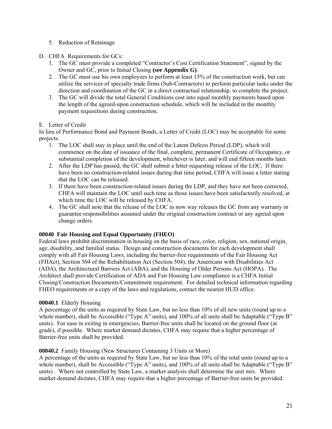- 5. Reduction of Retainage
- D. CHFA Requirements for GCs:
	- 1. The GC must provide a completed "Contractor's Cost Certification Statement", signed by the Owner and GC, prior to Initial Closing **(see Appendix G)**.
	- 2. The GC must use his own employees to perform at least 15% of the construction work, but can utilize the services of specialty trade firms (Sub-Contractors) to perform particular tasks under the direction and coordination of the GC in a direct contractual relationship, to complete the project.
	- 3. The GC will divide the total General Conditions cost into equal monthly payments based upon the length of the agreed-upon construction schedule, which will be included in the monthly payment requisitions during construction.

### E. Letter of Credit

In lieu of Performance Bond and Payment Bonds, a Letter of Credit (LOC) may be acceptable for some projects.

- 1. The LOC shall stay in place until the end of the Latent Defects Period (LDP), which will commence on the date of issuance of the final, complete, permanent Certificate of Occupancy, or substantial completion of the development, whichever is later, and will end fifteen months later.
- 2. After the LDP has passed, the GC shall submit a letter requesting release of the LOC. If there have been no construction-related issues during that time period, CHFA will issue a letter stating that the LOC can be released.
- 3. If there have been construction-related issues during the LDP, and they have not been corrected, CHFA will maintain the LOC until such time as those issues have been satisfactorily resolved, at which time the LOC will be released by CHFA.
- 4. The GC shall note that the release of the LOC in now way releases the GC from any warranty or guarantee responsibilities assumed under the original construction contract or any agreed upon change orders.

## **00040 Fair Housing and Equal Opportunity (FHEO)**

Federal laws prohibit discrimination in housing on the basis of race, color, religion, sex, national origin, age, disability, and familial status. Design and construction documents for each development shall comply with all Fair Housing Laws, including the barrier-free requirements of the Fair Housing Act (FHAct), Section 504 of the Rehabilitation Act (Section 504), the Americans with Disabilities Act (ADA), the Architectural Barriers Act (ABA), and the Housing of Older Persons Act (HOPA). The Architect shall provide Certification of ADA and Fair Housing Law compliance is a CHFA Initial Closing/Construction Documents/Commitment requirement. For detailed technical information regarding FHEO requirements or a copy of the laws and regulations, contact the nearest HUD office.

## **00040.1** Elderly Housing

A percentage of the units as required by State Law, but no less than 10% of all new units (round up to a whole number), shall be Accessible ("Type A" units), and 100% of all units shall be Adaptable ("Type B" units). For ease in exiting in emergencies, Barrier-free units shall be located on the ground floor (at grade), if possible. Where market demand dictates, CHFA may require that a higher percentage of Barrier-free units shall be provided.

## **00040.2** Family Housing (New Structures Containing 3 Units or More)

A percentage of the units as required by State Law, but no less than 10% of the total units (round up to a whole number), shall be Accessible ("Type A" units), and 100% of all units shall be Adaptable ("Type B" units) . Where not controlled by State Law, a market analysis shall determine the unit mix. Where market demand dictates, CHFA may require that a higher percentage of Barrier-free units be provided.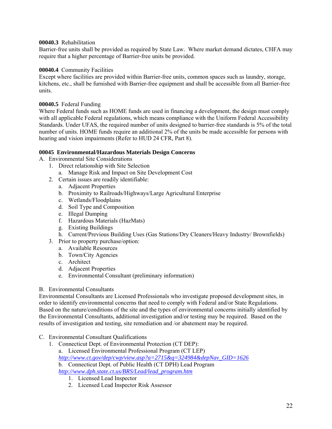#### **00040.3** Rehabilitation

Barrier-free units shall be provided as required by State Law. Where market demand dictates, CHFA may require that a higher percentage of Barrier-free units be provided.

#### **00040.4** Community Facilities

Except where facilities are provided within Barrier-free units, common spaces such as laundry, storage, kitchens, etc., shall be furnished with Barrier-free equipment and shall be accessible from all Barrier-free units.

### **00040.5** Federal Funding

Where Federal funds such as HOME funds are used in financing a development, the design must comply with all applicable Federal regulations, which means compliance with the Uniform Federal Accessibility Standards. Under UFAS, the required number of units designed to barrier-free standards is 5% of the total number of units. HOME funds require an additional 2% of the units be made accessible for persons with hearing and vision impairments (Refer to HUD 24 CFR, Part 8).

### **00045 Environmental/Hazardous Materials Design Concerns**

A. Environmental Site Considerations

- 1. Direct relationship with Site Selection
	- a. Manage Risk and Impact on Site Development Cost
- 2. Certain issues are readily identifiable:
	- a. Adjacent Properties
	- b. Proximity to Railroads/Highways/Large Agricultural Enterprise
	- c. Wetlands/Floodplains
	- d. Soil Type and Composition
	- e. Illegal Dumping
	- f. Hazardous Materials (HazMats)
	- g. Existing Buildings
	- h. Current/Previous Building Uses (Gas Stations/Dry Cleaners/Heavy Industry/ Brownfields)
- 3. Prior to property purchase/option:
	- a. Available Resources
		- b. Town/City Agencies
		- c. Architect
		- d. Adjacent Properties
		- e. Environmental Consultant (preliminary information)

#### B. Environmental Consultants

Environmental Consultants are Licensed Professionals who investigate proposed development sites, in order to identify environmental concerns that need to comply with Federal and/or State Regulations. Based on the nature/conditions of the site and the types of environmental concerns initially identified by the Environmental Consultants, additional investigation and/or testing may be required. Based on the results of investigation and testing, site remediation and /or abatement may be required.

- C. Environmental Consultant Qualifications
	- 1. Connecticut Dept. of Environmental Protection (CT DEP): a. Licensed Environmental Professional Program (CT LEP) *[http://www.ct.gov/dep/cwp/view.asp?a=2715&q=324984&depNav\\_GID=1626](http://www.ct.gov/dep/cwp/view.asp?a=2715&q=324984&depNav_GID=1626)* b. Connecticut Dept. of Public Health (CT DPH) Lead Program *[http://www.dph.state.ct.us/BRS/Lead/lead\\_program.htm](http://www.dph.state.ct.us/BRS/Lead/lead_program.htm)*
		- 1. Licensed Lead Inspector
		- 2. Licensed Lead Inspector Risk Assessor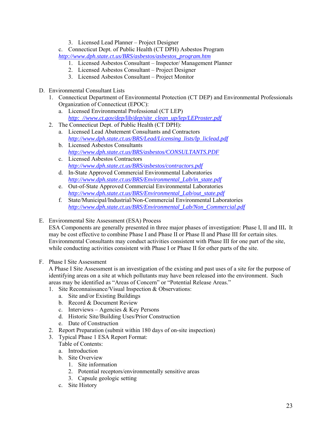3. Licensed Lead Planner – Project Designer

c. Connecticut Dept. of Public Health (CT DPH) Asbestos Program *[http://www.dph.state.ct.us/BRS/asbestos/asbestos\\_program.htm](http://www.dph.state.ct.us/BRS/asbestos/asbestos_program.htm)*

- 1. Licensed Asbestos Consultant Inspector/ Management Planner
- 2. Licensed Asbestos Consultant Project Designer
- 3. Licensed Asbestos Consultant Project Monitor
- D. Environmental Consultant Lists
	- 1. Connecticut Department of Environmental Protection (CT DEP) and Environmental Professionals Organization of Connecticut (EPOC):
		- a. Licensed Environmental Professional (CT LEP) *[http: //www.ct.gov/dep/lib/dep/site\\_clean\\_up/lep/LEProster.pdf](http://www.ct.gov/dep/lib/dep/site_clean_up/lep/LEProster.pdf)*
	- 2. The Connecticut Dept. of Public Health (CT DPH):
		- a. Licensed Lead Abatement Consultants and Contractors *[http://www.dph.state.ct.us/BRS/Lead/Licensing\\_lists/lp\\_liclead.pdf](http://www.dph.state.ct.us/BRS/Lead/Licensing_lists/lp_liclead.pdf)*
		- b. Licensed Asbestos Consultants *<http://www.dph.state.ct.us/BRS/asbestos/CONSULTANTS.PDF>*
		- c. Licensed Asbestos Contractors *<http://www.dph.state.ct.us/BRS/asbestos/contractors.pdf>*
		- d. In-State Approved Commercial Environmental Laboratories *[http://www.dph.state.ct.us/BRS/Environmental\\_Lab/in\\_state.pdf](http://www.dph.state.ct.us/BRS/Environmental_Lab/in_state.pdf)*
		- e. Out-of-State Approved Commercial Environmental Laboratories *[http://www.dph.state.ct.us/BRS/Environmental\\_Lab/out\\_state.pdf](http://www.dph.state.ct.us/BRS/Environmental_Lab/out_state.pdf)*
		- f. State/Municipal/Industrial/Non-Commercial Environmental Laboratories *[http://www.dph.state.ct.us/BRS/Environmental\\_Lab/Non\\_Commercial.pdf](http://www.dph.state.ct.us/BRS/Environmental_Lab/Non_Commercial.pdf)*
- E. Environmental Site Assessment (ESA) Process

ESA Components are generally presented in three major phases of investigation: Phase I, II and III**.** It may be cost effective to combine Phase I and Phase II or Phase II and Phase III for certain sites. Environmental Consultants may conduct activities consistent with Phase III for one part of the site, while conducting activities consistent with Phase I or Phase II for other parts of the site.

## F. Phase I Site Assessment

A Phase I Site Assessment is an investigation of the existing and past uses of a site for the purpose of identifying areas on a site at which pollutants may have been released into the environment. Such areas may be identified as "Areas of Concern" or "Potential Release Areas."

- 1. Site Reconnaissance/Visual Inspection & Observations:
	- a. Site and/or Existing Buildings
	- b. Record & Document Review
	- c. Interviews Agencies & Key Persons
	- d. Historic Site/Building Uses/Prior Construction
	- e. Date of Construction
- 2. Report Preparation (submit within 180 days of on-site inspection)
- 3. Typical Phase 1 ESA Report Format:
	- Table of Contents:
	- a. Introduction
	- b. Site Overview
		- 1. Site information
		- 2. Potential receptors/environmentally sensitive areas
		- 3. Capsule geologic setting
	- c. Site History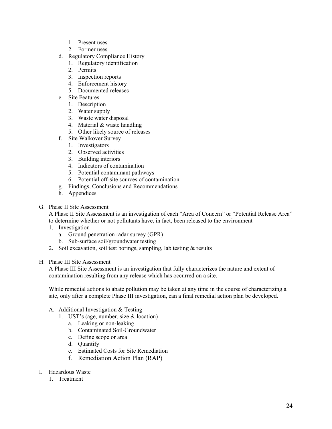- 1. Present uses
- 2. Former uses
- d. Regulatory Compliance History
	- 1. Regulatory identification
	- 2. Permits
	- 3. Inspection reports
	- 4. Enforcement history
	- 5. Documented releases
- e. Site Features
	- 1. Description
	- 2. Water supply
	- 3. Waste water disposal
	- 4. Material & waste handling
	- 5. Other likely source of releases
- f. Site Walkover Survey
	- 1. Investigators
	- 2. Observed activities
	- 3. Building interiors
	- 4. Indicators of contamination
	- 5. Potential contaminant pathways
	- 6. Potential off-site sources of contamination
- g. Findings, Conclusions and Recommendations
- h. Appendices

## G. Phase II Site Assessment

A Phase II Site Assessment is an investigation of each "Area of Concern" or "Potential Release Area" to determine whether or not pollutants have, in fact, been released to the environment

- 1. Investigation
	- a. Ground penetration radar survey (GPR)
	- b. Sub-surface soil/groundwater testing
- 2. Soil excavation, soil test borings, sampling, lab testing  $\&$  results

## H. Phase III Site Assessment

A Phase III Site Assessment is an investigation that fully characterizes the nature and extent of contamination resulting from any release which has occurred on a site.

While remedial actions to abate pollution may be taken at any time in the course of characterizing a site, only after a complete Phase III investigation, can a final remedial action plan be developed.

## A. Additional Investigation & Testing

- 1. UST's (age, number, size & location)
	- a. Leaking or non-leaking
	- b. Contaminated Soil-Groundwater
	- c. Define scope or area
	- d. Quantify
	- e. Estimated Costs for Site Remediation
	- f. Remediation Action Plan (RAP)

## I. Hazardous Waste

1. Treatment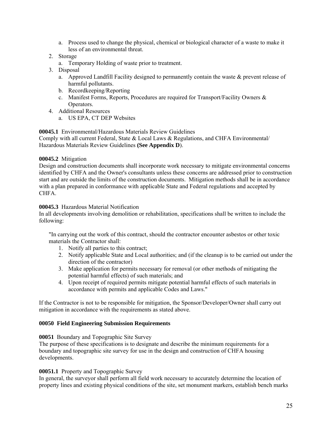a. Process used to change the physical, chemical or biological character of a waste to make it less of an environmental threat.

## 2. Storage

- a. Temporary Holding of waste prior to treatment.
- 3. Disposal
	- a. Approved Landfill Facility designed to permanently contain the waste & prevent release of harmful pollutants.
	- b. Recordkeeping/Reporting
	- c. Manifest Forms, Reports, Procedures are required for Transport/Facility Owners & Operators.
- 4. Additional Resources
	- a. US EPA, CT DEP Websites

## **00045.1** Environmental/Hazardous Materials Review Guidelines

Comply with all current Federal, State & Local Laws & Regulations, and CHFA Environmental/ Hazardous Materials Review Guidelines **(See Appendix D**).

### **00045.2** Mitigation

Design and construction documents shall incorporate work necessary to mitigate environmental concerns identified by CHFA and the Owner's consultants unless these concerns are addressed prior to construction start and are outside the limits of the construction documents. Mitigation methods shall be in accordance with a plan prepared in conformance with applicable State and Federal regulations and accepted by CHFA.

### **00045.3** Hazardous Material Notification

In all developments involving demolition or rehabilitation, specifications shall be written to include the following:

"In carrying out the work of this contract, should the contractor encounter asbestos or other toxic materials the Contractor shall:

- 1. Notify all parties to this contract;
- 2. Notify applicable State and Local authorities; and (if the cleanup is to be carried out under the direction of the contractor)
- 3. Make application for permits necessary for removal (or other methods of mitigating the potential harmful effects) of such materials; and
- 4. Upon receipt of required permits mitigate potential harmful effects of such materials in accordance with permits and applicable Codes and Laws."

If the Contractor is not to be responsible for mitigation, the Sponsor/Developer/Owner shall carry out mitigation in accordance with the requirements as stated above.

#### **00050 Field Engineering Submission Requirements**

#### **00051** Boundary and Topographic Site Survey

The purpose of these specifications is to designate and describe the minimum requirements for a boundary and topographic site survey for use in the design and construction of CHFA housing developments.

#### **00051.1** Property and Topographic Survey

In general, the surveyor shall perform all field work necessary to accurately determine the location of property lines and existing physical conditions of the site, set monument markers, establish bench marks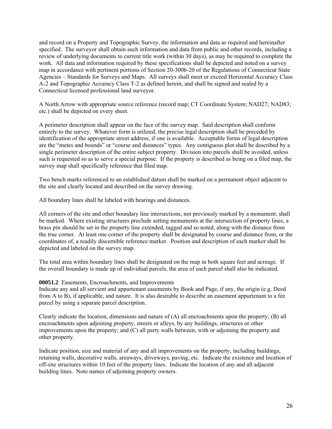and record on a Property and Topographic Survey, the information and data as required and hereinafter specified. The surveyor shall obtain such information and data from public and other records, including a review of underlying documents to current title work (within 30 days), as may be required to complete the work. All data and information required by these specifications shall be depicted and noted on a survey map in accordance with pertinent portions of Section 20-300b-20 of the Regulations of Connecticut State Agencies – Standards for Surveys and Maps. All surveys shall meet or exceed Horizontal Accuracy Class A-2 and Topographic Accuracy Class T-2 as defined herein, and shall be signed and sealed by a Connecticut licensed professional land surveyor.

A North Arrow with appropriate source reference (record map; CT Coordinate System; NAD27; NAD83; etc.) shall be depicted on every sheet.

A perimeter description shall appear on the face of the survey map. Said description shall conform entirely to the survey. Whatever form is utilized, the precise legal description shall be preceded by identification of the appropriate street address, if one is available. Acceptable forms of legal description are the "metes and bounds" or "course and distances" types. Any contiguous plot shall be described by a single perimeter description of the entire subject property. Division into parcels shall be avoided, unless such is requested so as to serve a special purpose. If the property is described as being on a filed map, the survey map shall specifically reference that filed map.

Two bench marks referenced to an established datum shall be marked on a permanent object adjacent to the site and clearly located and described on the survey drawing.

All boundary lines shall be labeled with bearings and distances.

All corners of the site and other boundary line intersections, not previously marked by a monument, shall be marked. Where existing structures preclude setting monuments at the intersection of property lines, a brass pin should be set in the property line extended, tagged and so noted, along with the distance from the true corner. At least one corner of the property shall be designated by course and distance from, or the coordinates of, a readily discernible reference marker. Position and description of each marker shall be depicted and labeled on the survey map.

The total area within boundary lines shall be designated on the map in both square feet and acreage. If the overall boundary is made up of individual parcels, the area of each parcel shall also be indicated.

#### **00051.2** Easements, Encroachments, and Improvements

Indicate any and all servient and appurtenant easements by Book and Page, if any, the origin (e.g. Deed from A to B), if applicable, and nature. It is also desirable to describe an easement appurtenant to a fee parcel by using a separate parcel description.

Clearly indicate the location, dimensions and nature of  $(A)$  all encroachments upon the property;  $(B)$  all encroachments upon adjoining property, streets or alleys, by any buildings, structures or other improvements upon the property; and (C) all party walls between, with or adjoining the property and other property.

Indicate position, size and material of any and all improvements on the property, including buildings, retaining walls, decorative walls, areaways, driveways, paving, etc. Indicate the existence and location of off-site structures within 10 feet of the property lines. Indicate the location of any and all adjacent building lines. Note names of adjoining property owners.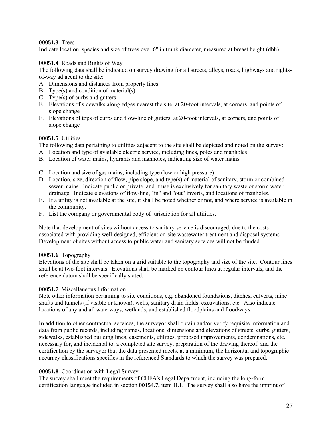### **00051.3** Trees

Indicate location, species and size of trees over 6" in trunk diameter, measured at breast height (dbh).

### **00051.4** Roads and Rights of Way

The following data shall be indicated on survey drawing for all streets, alleys, roads, highways and rightsof-way adjacent to the site:

- A. Dimensions and distances from property lines
- B. Type(s) and condition of material(s)
- C. Type(s) of curbs and gutters
- E. Elevations of sidewalks along edges nearest the site, at 20-foot intervals, at corners, and points of slope change
- F. Elevations of tops of curbs and flow-line of gutters, at 20-foot intervals, at corners, and points of slope change

### **00051.5** Utilities

The following data pertaining to utilities adjacent to the site shall be depicted and noted on the survey:

- A. Location and type of available electric service, including lines, poles and manholes
- B. Location of water mains, hydrants and manholes, indicating size of water mains
- C. Location and size of gas mains, including type (low or high pressure)
- D. Location, size, direction of flow, pipe slope, and type(s) of material of sanitary, storm or combined sewer mains. Indicate public or private, and if use is exclusively for sanitary waste or storm water drainage. Indicate elevations of flow-line, "in" and "out" inverts, and locations of manholes.
- E. If a utility is not available at the site, it shall be noted whether or not, and where service is available in the community.
- F. List the company or governmental body of jurisdiction for all utilities.

Note that development of sites without access to sanitary service is discouraged, due to the costs associated with providing well-designed, efficient on-site wastewater treatment and disposal systems. Development of sites without access to public water and sanitary services will not be funded.

#### **00051.6** Topography

Elevations of the site shall be taken on a grid suitable to the topography and size of the site. Contour lines shall be at two-foot intervals. Elevations shall be marked on contour lines at regular intervals, and the reference datum shall be specifically stated.

#### **00051.7** Miscellaneous Information

Note other information pertaining to site conditions, e.g. abandoned foundations, ditches, culverts, mine shafts and tunnels (if visible or known), wells, sanitary drain fields, excavations, etc. Also indicate locations of any and all waterways, wetlands, and established floodplains and floodways.

In addition to other contractual services, the surveyor shall obtain and/or verify requisite information and data from public records, including names, locations, dimensions and elevations of streets, curbs, gutters, sidewalks, established building lines, easements, utilities, proposed improvements, condemnations, etc., necessary for, and incidental to, a completed site survey, preparation of the drawing thereof, and the certification by the surveyor that the data presented meets, at a minimum, the horizontal and topographic accuracy classifications specifies in the referenced Standards to which the survey was prepared.

## **00051.8** Coordination with Legal Survey

The survey shall meet the requirements of CHFA's Legal Department, including the long-form certification language included in section **00154.7,** item H.1. The survey shall also have the imprint of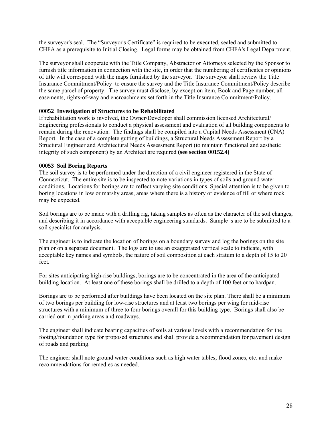the surveyor's seal. The "Surveyor's Certificate" is required to be executed, sealed and submitted to CHFA as a prerequisite to Initial Closing. Legal forms may be obtained from CHFA's Legal Department.

The surveyor shall cooperate with the Title Company, Abstractor or Attorneys selected by the Sponsor to furnish title information in connection with the site, in order that the numbering of certificates or opinions of title will correspond with the maps furnished by the surveyor. The surveyor shall review the Title Insurance Commitment/Policy to ensure the survey and the Title Insurance Commitment/Policy describe the same parcel of property. The survey must disclose, by exception item, Book and Page number, all easements, rights-of-way and encroachments set forth in the Title Insurance Commitment/Policy.

#### **00052 Investigation of Structures to be Rehabilitated**

If rehabilitation work is involved, the Owner/Developer shall commission licensed Architectural/ Engineering professionals to conduct a physical assessment and evaluation of all building components to remain during the renovation. The findings shall be compiled into a Capital Needs Assessment (CNA) Report. In the case of a complete gutting of buildings, a Structural Needs Assessment Report by a Structural Engineer and Architectural Needs Assessment Report (to maintain functional and aesthetic integrity of such component) by an Architect are required **(see section 00152.4)** 

#### **00053 Soil Boring Reports**

The soil survey is to be performed under the direction of a civil engineer registered in the State of Connecticut. The entire site is to be inspected to note variations in types of soils and ground water conditions. Locations for borings are to reflect varying site conditions. Special attention is to be given to boring locations in low or marshy areas, areas where there is a history or evidence of fill or where rock may be expected.

Soil borings are to be made with a drilling rig, taking samples as often as the character of the soil changes, and describing it in accordance with acceptable engineering standards. Sample s are to be submitted to a soil specialist for analysis.

The engineer is to indicate the location of borings on a boundary survey and log the borings on the site plan or on a separate document. The logs are to use an exaggerated vertical scale to indicate, with acceptable key names and symbols, the nature of soil composition at each stratum to a depth of 15 to 20 feet.

For sites anticipating high-rise buildings, borings are to be concentrated in the area of the anticipated building location. At least one of these borings shall be drilled to a depth of 100 feet or to hardpan.

Borings are to be performed after buildings have been located on the site plan. There shall be a minimum of two borings per building for low-rise structures and at least two borings per wing for mid-rise structures with a minimum of three to four borings overall for this building type. Borings shall also be carried out in parking areas and roadways.

The engineer shall indicate bearing capacities of soils at various levels with a recommendation for the footing/foundation type for proposed structures and shall provide a recommendation for pavement design of roads and parking.

The engineer shall note ground water conditions such as high water tables, flood zones, etc. and make recommendations for remedies as needed.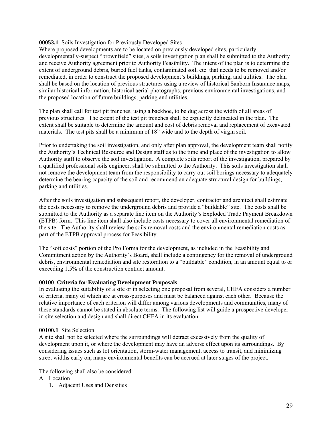#### **00053.1** Soils Investigation for Previously Developed Sites

Where proposed developments are to be located on previously developed sites, particularly developmentally-suspect "brownfield" sites, a soils investigation plan shall be submitted to the Authority and receive Authority agreement prior to Authority Feasibility. The intent of the plan is to determine the extent of underground debris, buried fuel tanks, contaminated soil, etc. that needs to be removed and/or remediated, in order to construct the proposed development's buildings, parking, and utilities. The plan shall be based on the location of previous structures using a review of historical Sanborn Insurance maps, similar historical information, historical aerial photographs, previous environmental investigations, and the proposed location of future buildings, parking and utilities.

The plan shall call for test pit trenches, using a backhoe, to be dug across the width of all areas of previous structures. The extent of the test pit trenches shall be explicitly delineated in the plan. The extent shall be suitable to determine the amount and cost of debris removal and replacement of excavated materials. The test pits shall be a minimum of 18" wide and to the depth of virgin soil.

Prior to undertaking the soil investigation, and only after plan approval, the development team shall notify the Authority's Technical Resource and Design staff as to the time and place of the investigation to allow Authority staff to observe the soil investigation. A complete soils report of the investigation, prepared by a qualified professional soils engineer, shall be submitted to the Authority. This soils investigation shall not remove the development team from the responsibility to carry out soil borings necessary to adequately determine the bearing capacity of the soil and recommend an adequate structural design for buildings, parking and utilities.

After the soils investigation and subsequent report, the developer, contractor and architect shall estimate the costs necessary to remove the underground debris and provide a "buildable" site. The costs shall be submitted to the Authority as a separate line item on the Authority's Exploded Trade Payment Breakdown (ETPB) form. This line item shall also include costs necessary to cover all environmental remediation of the site. The Authority shall review the soils removal costs and the environmental remediation costs as part of the ETPB approval process for Feasibility.

The "soft costs" portion of the Pro Forma for the development, as included in the Feasibility and Commitment action by the Authority's Board, shall include a contingency for the removal of underground debris, environmental remediation and site restoration to a "buildable" condition, in an amount equal to or exceeding 1.5% of the construction contract amount.

#### **00100 Criteria for Evaluating Development Proposals**

In evaluating the suitability of a site or in selecting one proposal from several, CHFA considers a number of criteria, many of which are at cross-purposes and must be balanced against each other. Because the relative importance of each criterion will differ among various developments and communities, many of these standards cannot be stated in absolute terms. The following list will guide a prospective developer in site selection and design and shall direct CHFA in its evaluation:

#### **00100.1** Site Selection

A site shall not be selected where the surroundings will detract excessively from the quality of development upon it, or where the development may have an adverse effect upon its surroundings. By considering issues such as lot orientation, storm-water management, access to transit, and minimizing street widths early on, many environmental benefits can be accrued at later stages of the project.

The following shall also be considered:

- A. Location
	- 1. Adjacent Uses and Densities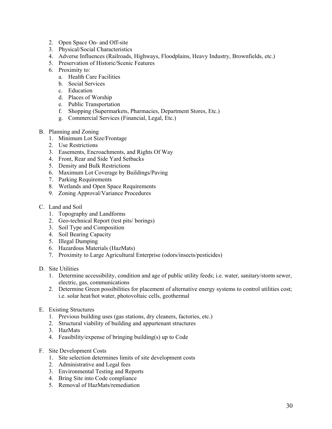- 2. Open Space On- and Off-site
- 3. Physical/Social Characteristics
- 4. Adverse Influences (Railroads, Highways, Floodplains, Heavy Industry, Brownfields, etc.)
- 5. Preservation of Historic/Scenic Features
- 6. Proximity to:
	- a. Health Care Facilities
	- b. Social Services
	- c. Education
	- d. Places of Worship
	- e. Public Transportation
	- f. Shopping (Supermarkets, Pharmacies, Department Stores, Etc.)
	- g. Commercial Services (Financial, Legal, Etc.)
- B. Planning and Zoning
	- 1. Minimum Lot Size/Frontage
	- 2. Use Restrictions
	- 3. Easements, Encroachments, and Rights Of Way
	- 4. Front, Rear and Side Yard Setbacks
	- 5. Density and Bulk Restrictions
	- 6. Maximum Lot Coverage by Buildings/Paving
	- 7. Parking Requirements
	- 8. Wetlands and Open Space Requirements
	- 9. Zoning Approval/Variance Procedures
- C. Land and Soil
	- 1. Topography and Landforms
	- 2. Geo-technical Report (test pits/ borings)
	- 3. Soil Type and Composition
	- 4. Soil Bearing Capacity
	- 5. Illegal Dumping
	- 6. Hazardous Materials (HazMats)
	- 7. Proximity to Large Agricultural Enterprise (odors/insects/pesticides)
- D. Site Utilities
	- 1. Determine accessibility, condition and age of public utility feeds; i.e. water, sanitary/storm sewer, electric, gas, communications
	- 2. Determine Green possibilities for placement of alternative energy systems to control utilities cost; i.e. solar heat/hot water, photovoltaic cells, geothermal
- E. Existing Structures
	- 1. Previous building uses (gas stations, dry cleaners, factories, etc.)
	- 2. Structural viability of building and appurtenant structures
	- 3. HazMats
	- 4. Feasibility/expense of bringing building(s) up to Code
- F. Site Development Costs
	- 1. Site selection determines limits of site development costs
	- 2. Administrative and Legal fees
	- 3. Environmental Testing and Reports
	- 4. Bring Site into Code compliance
	- 5. Removal of HazMats/remediation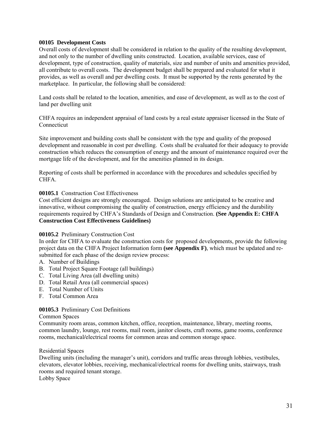#### **00105 Development Costs**

Overall costs of development shall be considered in relation to the quality of the resulting development, and not only to the number of dwelling units constructed. Location, available services, ease of development, type of construction, quality of materials, size and number of units and amenities provided, all contribute to overall costs. The development budget shall be prepared and evaluated for what it provides, as well as overall and per dwelling costs. It must be supported by the rents generated by the marketplace. In particular, the following shall be considered:

Land costs shall be related to the location, amenities, and ease of development, as well as to the cost of land per dwelling unit

CHFA requires an independent appraisal of land costs by a real estate appraiser licensed in the State of Connecticut

Site improvement and building costs shall be consistent with the type and quality of the proposed development and reasonable in cost per dwelling. Costs shall be evaluated for their adequacy to provide construction which reduces the consumption of energy and the amount of maintenance required over the mortgage life of the development, and for the amenities planned in its design.

Reporting of costs shall be performed in accordance with the procedures and schedules specified by CHFA.

#### **00105.1** Construction Cost Effectiveness

Cost efficient designs are strongly encouraged. Design solutions are anticipated to be creative and innovative, without compromising the quality of construction, energy efficiency and the durability requirements required by CHFA's Standards of Design and Construction. **(See Appendix E: CHFA Construction Cost Effectiveness Guidelines)** 

#### **00105.2** Preliminary Construction Cost

In order for CHFA to evaluate the construction costs for proposed developments, provide the following project data on the CHFA Project Information form **(see Appendix F)**, which must be updated and resubmitted for each phase of the design review process:

- A. Number of Buildings
- B. Total Project Square Footage (all buildings)
- C. Total Living Area (all dwelling units)
- D. Total Retail Area (all commercial spaces)
- E. Total Number of Units
- F. Total Common Area

## **00105.3** Preliminary Cost Definitions

#### Common Spaces

Community room areas, common kitchen, office, reception, maintenance, library, meeting rooms, common laundry, lounge, rest rooms, mail room, janitor closets, craft rooms, game rooms, conference rooms, mechanical**/**electrical rooms for common areas and common storage space.

#### Residential Spaces

Dwelling units (including the manager's unit), corridors and traffic areas through lobbies, vestibules, elevators, elevator lobbies, receiving, mechanical/electrical rooms for dwelling units, stairways, trash rooms and required tenant storage.

Lobby Space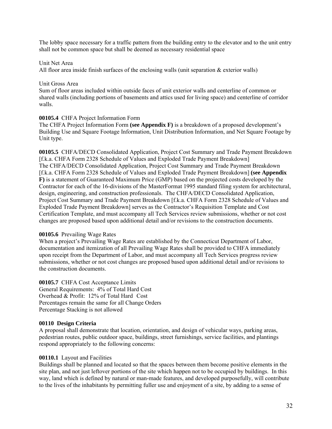The lobby space necessary for a traffic pattern from the building entry to the elevator and to the unit entry shall not be common space but shall be deemed as necessary residential space

#### Unit Net Area

All floor area inside finish surfaces of the enclosing walls (unit separation & exterior walls)

#### Unit Gross Area

Sum of floor areas included within outside faces of unit exterior walls and centerline of common or shared walls (including portions of basements and attics used for living space) and centerline of corridor walls.

#### **00105.4** CHFA Project Information Form

The CHFA Project Information Form **(see Appendix F)** is a breakdown of a proposed development's Building Use and Square Footage Information, Unit Distribution Information, and Net Square Footage by Unit type.

**00105.5** CHFA/DECD Consolidated Application, Project Cost Summary and Trade Payment Breakdown [f.k.a. CHFA Form 2328 Schedule of Values and Exploded Trade Payment Breakdown] The CHFA/DECD Consolidated Application, Project Cost Summary and Trade Payment Breakdown [f.k.a. CHFA Form 2328 Schedule of Values and Exploded Trade Payment Breakdown] **(see Appendix F)** is a statement of Guaranteed Maximum Price (GMP) based on the projected costs developed by the Contractor for each of the 16-divisions of the MasterFormat 1995 standard filing system for architectural, design, engineering, and construction professionals. The CHFA/DECD Consolidated Application, Project Cost Summary and Trade Payment Breakdown [f.k.a. CHFA Form 2328 Schedule of Values and Exploded Trade Payment Breakdown] serves as the Contractor's Requisition Template and Cost Certification Template, and must accompany all Tech Services review submissions, whether or not cost changes are proposed based upon additional detail and/or revisions to the construction documents.

#### **00105.6** Prevailing Wage Rates

When a project's Prevailing Wage Rates are established by the Connecticut Department of Labor, documentation and itemization of all Prevailing Wage Rates shall be provided to CHFA immediately upon receipt from the Department of Labor, and must accompany all Tech Services progress review submissions, whether or not cost changes are proposed based upon additional detail and/or revisions to the construction documents.

#### **00105.7** CHFA Cost Acceptance Limits

General Requirements: 4% of Total Hard Cost Overhead & Profit: 12% of Total Hard Cost Percentages remain the same for all Change Orders Percentage Stacking is not allowed

#### **00110 Design Criteria**

A proposal shall demonstrate that location, orientation, and design of vehicular ways, parking areas, pedestrian routes, public outdoor space, buildings, street furnishings, service facilities, and plantings respond appropriately to the following concerns:

#### **00110.1** Layout and Facilities

Buildings shall be planned and located so that the spaces between them become positive elements in the site plan, and not just leftover portions of the site which happen not to be occupied by buildings. In this way, land which is defined by natural or man-made features, and developed purposefully, will contribute to the lives of the inhabitants by permitting fuller use and enjoyment of a site, by adding to a sense of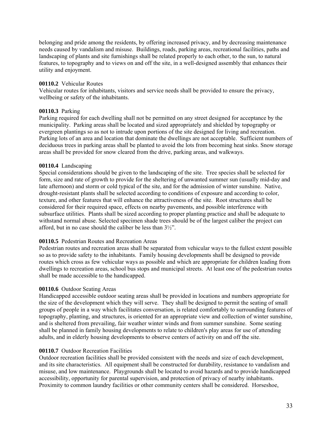belonging and pride among the residents, by offering increased privacy, and by decreasing maintenance needs caused by vandalism and misuse. Buildings, roads, parking areas, recreational facilities, paths and landscaping of plants and site furnishings shall be related properly to each other, to the sun, to natural features, to topography and to views on and off the site, in a well-designed assembly that enhances their utility and enjoyment.

#### **00110.2** Vehicular Routes

Vehicular routes for inhabitants, visitors and service needs shall be provided to ensure the privacy, wellbeing or safety of the inhabitants.

#### **00110.3** Parking

Parking required for each dwelling shall not be permitted on any street designed for acceptance by the municipality. Parking areas shall be located and sized appropriately and shielded by topography or evergreen plantings so as not to intrude upon portions of the site designed for living and recreation. Parking lots of an area and location that dominate the dwellings are not acceptable. Sufficient numbers of deciduous trees in parking areas shall be planted to avoid the lots from becoming heat sinks. Snow storage areas shall be provided for snow cleared from the drive, parking areas, and walkways.

#### **00110.4** Landscaping

Special considerations should be given to the landscaping of the site. Tree species shall be selected for form, size and rate of growth to provide for the sheltering of unwanted summer sun (usually mid-day and late afternoon) and storm or cold typical of the site, and for the admission of winter sunshine. Native, drought-resistant plants shall be selected according to conditions of exposure and according to color, texture, and other features that will enhance the attractiveness of the site. Root structures shall be considered for their required space, effects on nearby pavements, and possible interference with subsurface utilities. Plants shall be sized according to proper planting practice and shall be adequate to withstand normal abuse. Selected specimen shade trees should be of the largest caliber the project can afford, but in no case should the caliber be less than 3½".

## **00110.5** Pedestrian Routes and Recreation Areas

Pedestrian routes and recreation areas shall be separated from vehicular ways to the fullest extent possible so as to provide safety to the inhabitants. Family housing developments shall be designed to provide routes which cross as few vehicular ways as possible and which are appropriate for children leading from dwellings to recreation areas, school bus stops and municipal streets. At least one of the pedestrian routes shall be made accessible to the handicapped.

#### **00110.6** Outdoor Seating Areas

Handicapped accessible outdoor seating areas shall be provided in locations and numbers appropriate for the size of the development which they will serve. They shall be designed to permit the seating of small groups of people in a way which facilitates conversation, is related comfortably to surrounding features of topography, planting, and structures, is oriented for an appropriate view and collection of winter sunshine, and is sheltered from prevailing, fair weather winter winds and from summer sunshine. Some seating shall be planned in family housing developments to relate to children's play areas for use of attending adults, and in elderly housing developments to observe centers of activity on and off the site.

#### **00110.7** Outdoor Recreation Facilities

Outdoor recreation facilities shall be provided consistent with the needs and size of each development, and its site characteristics. All equipment shall be constructed for durability, resistance to vandalism and misuse, and low maintenance. Playgrounds shall be located to avoid hazards and to provide handicapped accessibility, opportunity for parental supervision, and protection of privacy of nearby inhabitants. Proximity to common laundry facilities or other community centers shall be considered. Horseshoe,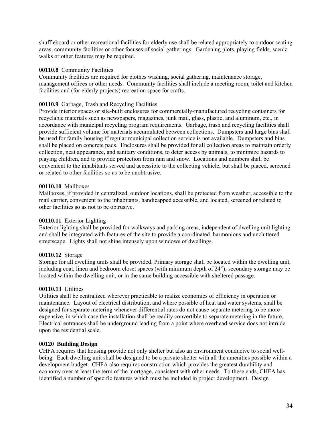shuffleboard or other recreational facilities for elderly use shall be related appropriately to outdoor seating areas, community facilities or other focuses of social gatherings. Gardening plots, playing fields, scenic walks or other features may be required.

#### **00110.8** Community Facilities

Community facilities are required for clothes washing, social gathering, maintenance storage, management offices or other needs. Community facilities shall include a meeting room, toilet and kitchen facilities and (for elderly projects) recreation space for crafts.

## **00110.9** Garbage, Trash and Recycling Facilities

Provide interior spaces or site-built enclosures for commercially-manufactured recycling containers for recyclable materials such as newspapers, magazines, junk mail, glass, plastic, and aluminum, etc., in accordance with municipal recycling program requirements. Garbage, trash and recycling facilities shall provide sufficient volume for materials accumulated between collections. Dumpsters and large bins shall be used for family housing if regular municipal collection service is not available. Dumpsters and bins shall be placed on concrete pads. Enclosures shall be provided for all collection areas to maintain orderly collection, neat appearance, and sanitary conditions, to deter access by animals, to minimize hazards to playing children, and to provide protection from rain and snow. Locations and numbers shall be convenient to the inhabitants served and accessible to the collecting vehicle, but shall be placed, screened or related to other facilities so as to be unobtrusive.

## **00110.10** Mailboxes

Mailboxes, if provided in centralized, outdoor locations, shall be protected from weather, accessible to the mail carrier, convenient to the inhabitants, handicapped accessible, and located, screened or related to other facilities so as not to be obtrusive.

## **00110.11** Exterior Lighting

Exterior lighting shall be provided for walkways and parking areas, independent of dwelling unit lighting and shall be integrated with features of the site to provide a coordinated, harmonious and uncluttered streetscape. Lights shall not shine intensely upon windows of dwellings.

## **00110.12** Storage

Storage for all dwelling units shall be provided. Primary storage shall be located within the dwelling unit, including coat, linen and bedroom closet spaces (with minimum depth of 24"); secondary storage may be located within the dwelling unit, or in the same building accessible with sheltered passage.

## **00110.13** Utilities

Utilities shall be centralized wherever practicable to realize economies of efficiency in operation or maintenance. Layout of electrical distribution, and where possible of heat and water systems, shall be designed for separate metering whenever differential rates do not cause separate metering to be more expensive, in which case the installation shall be readily convertible to separate metering in the future. Electrical entrances shall be underground leading from a point where overhead service does not intrude upon the residential scale.

#### **00120 Building Design**

CHFA requires that housing provide not only shelter but also an environment conducive to social wellbeing. Each dwelling unit shall be designed to be a private shelter with all the amenities possible within a development budget. CHFA also requires construction which provides the greatest durability and economy over at least the term of the mortgage, consistent with other needs. To these ends, CHFA has identified a number of specific features which must be included in project development. Design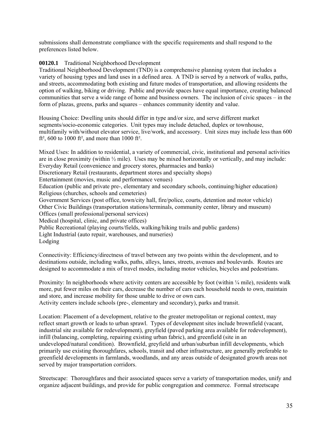submissions shall demonstrate compliance with the specific requirements and shall respond to the preferences listed below.

### **00120.1** Traditional Neighborhood Development

Traditional Neighborhood Development (TND) is a comprehensive planning system that includes a variety of housing types and land uses in a defined area. A TND is served by a network of walks, paths, and streets, accommodating both existing and future modes of transportation, and allowing residents the option of walking, biking or driving. Public and provide spaces have equal importance, creating balanced communities that serve a wide range of home and business owners. The inclusion of civic spaces – in the form of plazas, greens, parks and squares – enhances community identity and value.

Housing Choice: Dwelling units should differ in type and/or size, and serve different market segments/socio-economic categories. Unit types may include detached, duplex or townhouse, multifamily with/without elevator service, live/work, and accessory. Unit sizes may include less than 600 ft<sup>2</sup>, 600 to 1000 ft<sup>2</sup>, and more than 1000 ft<sup>2</sup>.

Mixed Uses: In addition to residential, a variety of commercial, civic, institutional and personal activities are in close proximity (within  $\frac{1}{2}$  mile). Uses may be mixed horizontally or vertically, and may include: Everyday Retail (convenience and grocery stores, pharmacies and banks) Discretionary Retail (restaurants, department stores and specialty shops) Entertainment (movies, music and performance venues) Education (public and private pre-, elementary and secondary schools, continuing/higher education) Religious (churches, schools and cemeteries) Government Services (post office, town/city hall, fire/police, courts, detention and motor vehicle) Other Civic Buildings (transportation stations/terminals, community center, library and museum) Offices (small professional/personal services) Medical (hospital, clinic, and private offices) Public Recreational (playing courts/fields, walking/hiking trails and public gardens) Light Industrial (auto repair, warehouses, and nurseries) Lodging

Connectivity: Efficiency/directness of travel between any two points within the development, and to destinations outside, including walks, paths, alleys, lanes, streets, avenues and boulevards. Routes are designed to accommodate a mix of travel modes, including motor vehicles, bicycles and pedestrians.

Proximity: In neighborhoods where activity centers are accessible by foot (within ¼ mile), residents walk more, put fewer miles on their cars, decrease the number of cars each household needs to own, maintain and store, and increase mobility for those unable to drive or own cars.

Activity centers include schools (pre-, elementary and secondary), parks and transit.

Location: Placement of a development, relative to the greater metropolitan or regional context, may reflect smart growth or leads to urban sprawl. Types of development sites include brownfield (vacant, industrial site available for redevelopment), greyfield (paved parking area available for redevelopment), infill (balancing, completing, repairing existing urban fabric), and greenfield (site in an undeveloped/natural condition). Brownfield, greyfield and urban/suburban infill developments, which primarily use existing thoroughfares, schools, transit and other infrastructure, are generally preferable to greenfield developments in farmlands, woodlands, and any areas outside of designated growth areas not served by major transportation corridors.

Streetscape: Thoroughfares and their associated spaces serve a variety of transportation modes, unify and organize adjacent buildings, and provide for public congregation and commerce. Formal streetscape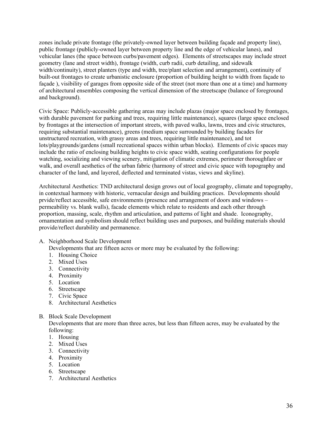zones include private frontage (the privately-owned layer between building façade and property line), public frontage (publicly-owned layer between property line and the edge of vehicular lanes), and vehicular lanes (the space between curbs/pavement edges). Elements of streetscapes may include street geometry (lane and street width), frontage (width, curb radii, curb detailing, and sidewalk width/continuity), street planters (type and width, tree/plant selection and arrangement), continuity of built-out frontages to create urbanistic enclosure (proportion of building height to width from façade to façade ), visibility of garages from opposite side of the street (not more than one at a time) and harmony of architectural ensembles composing the vertical dimension of the streetscape (balance of foreground and background).

Civic Space: Publicly-accessible gathering areas may include plazas (major space enclosed by frontages, with durable pavement for parking and trees, requiring little maintenance), squares (large space enclosed by frontages at the intersection of important streets, with paved walks, lawns, trees and civic structures, requiring substantial maintenance), greens (medium space surrounded by building facades for unstructured recreation, with grassy areas and trees, requiring little maintenance), and tot lots/playgrounds/gardens (small recreational spaces within urban blocks). Elements of civic spaces may include the ratio of enclosing building heights to civic space width, seating configurations for people watching, socializing and viewing scenery, mitigation of climatic extremes, perimeter thoroughfare or walk, and overall aesthetics of the urban fabric (harmony of street and civic space with topography and character of the land, and layered, deflected and terminated vistas, views and skyline).

Architectural Aesthetics: TND architectural design grows out of local geography, climate and topography, in contextual harmony with historic, vernacular design and building practices. Developments should prvide/reflect accessible, safe environments (presence and arrangement of doors and windows – permeability vs. blank walls), facade elements which relate to residents and each other through proportion, massing, scale, rhythm and articulation, and patterns of light and shade. Iconography, ornamentation and symbolism should reflect building uses and purposes, and building materials should provide/reflect durability and permanence.

A. Neighborhood Scale Development

Developments that are fifteen acres or more may be evaluated by the following:

- 1. Housing Choice
- 2. Mixed Uses
- 3. Connectivity
- 4. Proximity
- 5. Location
- 6. Streetscape
- 7. Civic Space
- 8. Architectural Aesthetics
- B. Block Scale Development

Developments that are more than three acres, but less than fifteen acres, may be evaluated by the following:

- 1. Housing
- 2. Mixed Uses
- 3. Connectivity
- 4. Proximity
- 5. Location
- 6. Streetscape
- 7. Architectural Aesthetics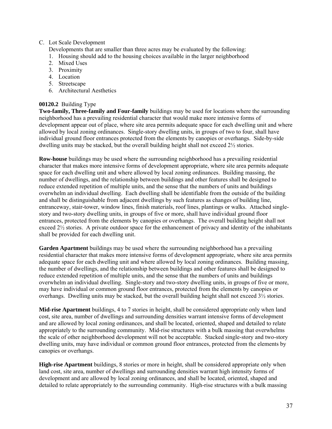# C. Lot Scale Development

Developments that are smaller than three acres may be evaluated by the following:

- 1. Housing should add to the housing choices available in the larger neighborhood
- 2. Mixed Uses
- 3. Proximity
- 4. Location
- 5. Streetscape
- 6. Architectural Aesthetics

# **00120.2** Building Type

**Two-family, Three-family and Four-family** buildings may be used for locations where the surrounding neighborhood has a prevailing residential character that would make more intensive forms of development appear out of place, where site area permits adequate space for each dwelling unit and where allowed by local zoning ordinances. Single-story dwelling units, in groups of two to four, shall have individual ground floor entrances protected from the elements by canopies or overhangs. Side-by-side dwelling units may be stacked, but the overall building height shall not exceed 2½ stories.

**Row-house** buildings may be used where the surrounding neighborhood has a prevailing residential character that makes more intensive forms of development appropriate, where site area permits adequate space for each dwelling unit and where allowed by local zoning ordinances. Building massing, the number of dwellings, and the relationship between buildings and other features shall be designed to reduce extended repetition of multiple units, and the sense that the numbers of units and buildings overwhelm an individual dwelling. Each dwelling shall be identifiable from the outside of the building and shall be distinguishable from adjacent dwellings by such features as changes of building line, entranceway, stair-tower, window lines, finish materials, roof lines, plantings or walks. Attached singlestory and two-story dwelling units, in groups of five or more, shall have individual ground floor entrances, protected from the elements by canopies or overhangs. The overall building height shall not exceed 2½ stories. A private outdoor space for the enhancement of privacy and identity of the inhabitants shall be provided for each dwelling unit.

**Garden Apartment** buildings may be used where the surrounding neighborhood has a prevailing residential character that makes more intensive forms of development appropriate, where site area permits adequate space for each dwelling unit and where allowed by local zoning ordinances. Building massing, the number of dwellings, and the relationship between buildings and other features shall be designed to reduce extended repetition of multiple units, and the sense that the numbers of units and buildings overwhelm an individual dwelling. Single-story and two-story dwelling units, in groups of five or more, may have individual or common ground floor entrances, protected from the elements by canopies or overhangs. Dwelling units may be stacked, but the overall building height shall not exceed 3½ stories.

**Mid-rise Apartment** buildings, 4 to 7 stories in height, shall be considered appropriate only when land cost, site area, number of dwellings and surrounding densities warrant intensive forms of development and are allowed by local zoning ordinances, and shall be located, oriented, shaped and detailed to relate appropriately to the surrounding community. Mid-rise structures with a bulk massing that overwhelms the scale of other neighborhood development will not be acceptable. Stacked single-story and two-story dwelling units, may have individual or common ground floor entrances, protected from the elements by canopies or overhangs.

**High-rise Apartment** buildings, 8 stories or more in height, shall be considered appropriate only when land cost, site area, number of dwellings and surrounding densities warrant high intensity forms of development and are allowed by local zoning ordinances, and shall be located, oriented, shaped and detailed to relate appropriately to the surrounding community. High-rise structures with a bulk massing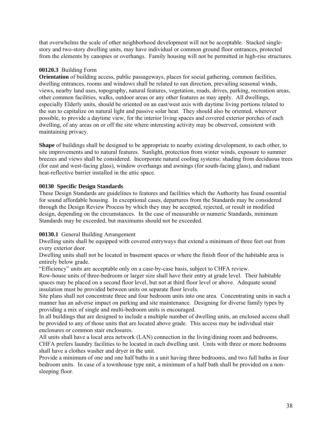that overwhelms the scale of other neighborhood development will not be acceptable. Stacked singlestory and two-story dwelling units, may have individual or common ground floor entrances, protected from the elements by canopies or overhangs. Family housing will not be permitted in high-rise structures.

# **00120.3** Building Form

**Orientation** of building access, public passageways, places for social gathering, common facilities, dwelling entrances, rooms and windows shall be related to sun direction, prevailing seasonal winds, views, nearby land uses, topography, natural features, vegetation, roads, drives, parking, recreation areas, other common facilities, walks, outdoor areas or any other features as may apply. All dwellings, especially Elderly units, should be oriented on an east/west axis with daytime living portions related to the sun to capitalize on natural light and passive solar heat. They should also be oriented, wherever possible, to provide a daytime view, for the interior living spaces and covered exterior porches of each dwelling, of any areas on or off the site where interesting activity may be observed, consistent with maintaining privacy.

**Shape** of buildings shall be designed to be appropriate to nearby existing development, to each other, to site improvements and to natural features. Sunlight, protection from winter winds, exposure to summer breezes and views shall be considered. Incorporate natural cooling systems: shading from deciduous trees (for east and west-facing glass), window overhangs and awnings (for south-facing glass), and radiant heat-reflective barrier installed in the attic space.

# **00130 Specific Design Standards**

These Design Standards are guidelines to features and facilities which the Authority has found essential for sound affordable housing. In exceptional cases, departures from the Standards may be considered through the Design Review Process by which they may be accepted, rejected, or result in modified design, depending on the circumstances. In the case of measurable or numeric Standards, minimum Standards may be exceeded, but maximums should not be exceeded.

# **00130.1** General Building Arrangement

Dwelling units shall be equipped with covered entryways that extend a minimum of three feet out from every exterior door.

Dwelling units shall not be located in basement spaces or where the finish floor of the habitable area is entirely below grade.

"Efficiency" units are acceptable only on a case-by-case basis, subject to CHFA review.

Row-house units of three-bedroom or larger size shall have their entry at grade level. Their habitable spaces may be placed on a second floor level, but not at third floor level or above. Adequate sound insulation must be provided between units on separate floor levels.

Site plans shall not concentrate three and four bedroom units into one area. Concentrating units in such a manner has an adverse impact on parking and site maintenance. Designing for diverse family types by providing a mix of single and multi-bedroom units is encouraged.

In all buildings that are designed to include a multiple number of dwelling units, an enclosed access shall be provided to any of those units that are located above grade. This access may be individual stair enclosures or common stair enclosures.

All units shall have a local area network (LAN) connection in the living/dining room and bedrooms. CHFA prefers laundry facilities to be located in each dwelling unit. Units with three or more bedrooms shall have a clothes washer and dryer in the unit.

Provide a minimum of one and one half baths in a unit having three bedrooms, and two full baths in four bedroom units. In case of a townhouse type unit, a minimum of a half bath shall be provided on a nonsleeping floor.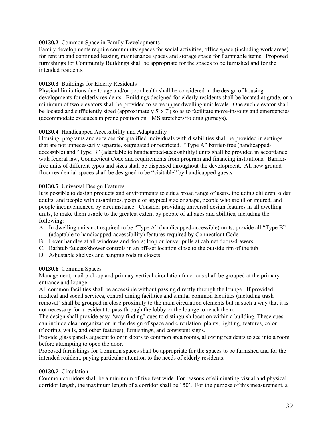# **00130.2** Common Space in Family Developments

Family developments require community spaces for social activities, office space (including work areas) for rent up and continued leasing, maintenance spaces and storage space for flammable items. Proposed furnishings for Community Buildings shall be appropriate for the spaces to be furnished and for the intended residents.

#### **00130.3** Buildings for Elderly Residents

Physical limitations due to age and/or poor health shall be considered in the design of housing developments for elderly residents. Buildings designed for elderly residents shall be located at grade, or a minimum of two elevators shall be provided to serve upper dwelling unit levels. One such elevator shall be located and sufficiently sized (approximately  $5' \times 7'$ ) so as to facilitate move-ins/outs and emergencies (accommodate evacuees in prone position on EMS stretchers/folding gurneys).

#### **00130.4** Handicapped Accessibility and Adaptability

Housing, programs and services for qualified individuals with disabilities shall be provided in settings that are not unnecessarily separate, segregated or restricted. "Type A" barrier-free (handicappedaccessible) and "Type B" (adaptable to handicapped-accessibility) units shall be provided in accordance with federal law, Connecticut Code and requirements from program and financing institutions. Barrierfree units of different types and sizes shall be dispersed throughout the development. All new ground floor residential spaces shall be designed to be "visitable" by handicapped guests.

#### **00130.5** Universal Design Features

It is possible to design products and environments to suit a broad range of users, including children, older adults, and people with disabilities, people of atypical size or shape, people who are ill or injured, and people inconvenienced by circumstance. Consider providing universal design features in all dwelling units, to make them usable to the greatest extent by people of all ages and abilities, including the following:

- A. In dwelling units not required to be "Type A" (handicapped-accessible) units, provide all "Type B" (adaptable to handicapped-accessibility) features required by Connecticut Code
- B. Lever handles at all windows and doors; loop or louver pulls at cabinet doors/drawers
- C. Bathtub faucets/shower controls in an off-set location close to the outside rim of the tub
- D. Adjustable shelves and hanging rods in closets

#### **00130.6** Common Spaces

Management, mail pick-up and primary vertical circulation functions shall be grouped at the primary entrance and lounge.

All common facilities shall be accessible without passing directly through the lounge. If provided, medical and social services, central dining facilities and similar common facilities (including trash removal) shall be grouped in close proximity to the main circulation elements but in such a way that it is not necessary for a resident to pass through the lobby or the lounge to reach them.

The design shall provide easy "way finding" cues to distinguish location within a building. These cues can include clear organization in the design of space and circulation, plants, lighting, features, color (flooring, walls, and other features), furnishings, and consistent signs.

Provide glass panels adjacent to or in doors to common area rooms, allowing residents to see into a room before attempting to open the door.

Proposed furnishings for Common spaces shall be appropriate for the spaces to be furnished and for the intended resident, paying particular attention to the needs of elderly residents.

# **00130.7** Circulation

Common corridors shall be a minimum of five feet wide. For reasons of eliminating visual and physical corridor length, the maximum length of a corridor shall be 150'. For the purpose of this measurement, a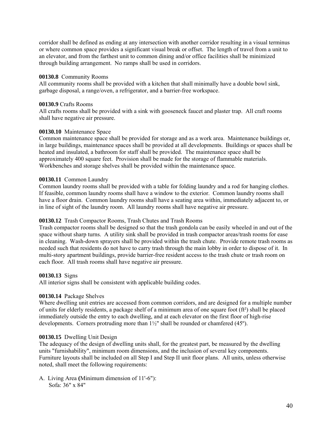corridor shall be defined as ending at any intersection with another corridor resulting in a visual terminus or where common space provides a significant visual break or offset. The length of travel from a unit to an elevator, and from the farthest unit to common dining and/or office facilities shall be minimized through building arrangement. No ramps shall be used in corridors.

#### **00130.8** Community Rooms

All community rooms shall be provided with a kitchen that shall minimally have a double bowl sink, garbage disposal, a range/oven, a refrigerator, and a barrier-free workspace.

#### **00130.9** Crafts Rooms

All crafts rooms shall be provided with a sink with gooseneck faucet and plaster trap. All craft rooms shall have negative air pressure.

#### **00130.10** Maintenance Space

Common maintenance space shall be provided for storage and as a work area. Maintenance buildings or, in large buildings, maintenance spaces shall be provided at all developments. Buildings or spaces shall be heated and insulated, a bathroom for staff shall be provided. The maintenance space shall be approximately 400 square feet. Provision shall be made for the storage of flammable materials. Workbenches and storage shelves shall be provided within the maintenance space.

#### **00130.11** Common Laundry

Common laundry rooms shall be provided with a table for folding laundry and a rod for hanging clothes. If feasible, common laundry rooms shall have a window to the exterior. Common laundry rooms shall have a floor drain. Common laundry rooms shall have a seating area within, immediately adjacent to, or in line of sight of the laundry room. All laundry rooms shall have negative air pressure.

# **00130.12** Trash Compactor Rooms, Trash Chutes and Trash Rooms

Trash compactor rooms shall be designed so that the trash gondola can be easily wheeled in and out of the space without sharp turns. A utility sink shall be provided in trash compactor areas/trash rooms for ease in cleaning. Wash-down sprayers shall be provided within the trash chute. Provide remote trash rooms as needed such that residents do not have to carry trash through the main lobby in order to dispose of it. In multi-story apartment buildings, provide barrier-free resident access to the trash chute or trash room on each floor. All trash rooms shall have negative air pressure.

#### **00130.13** Signs

All interior signs shall be consistent with applicable building codes.

#### **00130.14** Package Shelves

Where dwelling unit entries are accessed from common corridors, and are designed for a multiple number of units for elderly residents, a package shelf of a minimum area of one square foot (ft²) shall be placed immediately outside the entry to each dwelling, and at each elevator on the first floor of high-rise developments. Corners protruding more than  $1\frac{1}{2}$ " shall be rounded or chamfered (45°).

#### **00130.15** Dwelling Unit Design

The adequacy of the design of dwelling units shall, for the greatest part, be measured by the dwelling units "furnishability", minimum room dimensions, and the inclusion of several key components. Furniture layouts shall be included on all Step I and Step II unit floor plans. All units, unless otherwise noted, shall meet the following requirements:

A.Living Area **(**Minimum dimension of 11'-6"): Sofa: 36" x 84"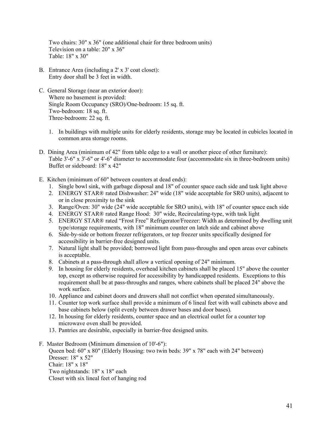Two chairs: 30" x 36" (one additional chair for three bedroom units) Television on a table: 20" x 36" Table: 18" x 30"

- B. Entrance Area (including a 2' x 3' coat closet): Entry door shall be 3 feet in width.
- C.General Storage (near an exterior door): Where no basement is provided: Single Room Occupancy (SRO)/One-bedroom: 15 sq. ft. Two-bedroom: 18 sq. ft. Three-bedroom: 22 sq. ft.
	- 1. In buildings with multiple units for elderly residents, storage may be located in cubicles located in common area storage rooms.
- D.Dining Area (minimum of 42" from table edge to a wall or another piece of other furniture): Table 3'-6" x 3'-6" or 4'-6" diameter to accommodate four (accommodate six in three-bedroom units) Buffet or sideboard: 18" x 42"
- E.Kitchen (minimum of 60" between counters at dead ends):
	- 1. Single bowl sink, with garbage disposal and 18" of counter space each side and task light above
	- 2. ENERGY STAR® rated Dishwasher: 24" wide (18" wide acceptable for SRO units), adjacent to or in close proximity to the sink
	- 3. Range/Oven: 30" wide (24" wide acceptable for SRO units), with 18" of counter space each side
	- 4. ENERGY STAR® rated Range Hood: 30" wide, Recirculating-type, with task light
	- 5. ENERGY STAR® rated "Frost Free" Refrigerator/Freezer: Width as determined by dwelling unit type/storage requirements, with 18" minimum counter on latch side and cabinet above
	- 6. Side-by-side or bottom freezer refrigerators, or top freezer units specifically designed for accessibility in barrier-free designed units.
	- 7. Natural light shall be provided; borrowed light from pass-throughs and open areas over cabinets is acceptable.
	- 8. Cabinets at a pass-through shall allow a vertical opening of 24" minimum.
	- 9. In housing for elderly residents, overhead kitchen cabinets shall be placed 15" above the counter top, except as otherwise required for accessibility by handicapped residents. Exceptions to this requirement shall be at pass-throughs and ranges, where cabinets shall be placed 24" above the work surface.
	- 10. Appliance and cabinet doors and drawers shall not conflict when operated simultaneously.
	- 11. Counter top work surface shall provide a minimum of 6 lineal feet with wall cabinets above and base cabinets below (split evenly between drawer bases and door bases).
	- 12. In housing for elderly residents, counter space and an electrical outlet for a counter top microwave oven shall be provided.
	- 13. Pantries are desirable, especially in barrier-free designed units.
- F.Master Bedroom (Minimum dimension of 10'-6"):

Queen bed: 60" x 80" (Elderly Housing: two twin beds: 39" x 78" each with 24" between) Dresser: 18" x 52" Chair: 18" x 18" Two nightstands: 18" x 18" each Closet with six lineal feet of hanging rod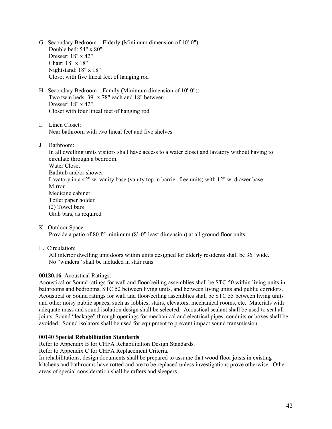- G.Secondary Bedroom Elderly **(**Minimum dimension of 10'-0"): Double bed: 54" x 80" Dresser: 18" x 42" Chair: 18" x 18" Nightstand: 18" x 18" Closet with five lineal feet of hanging rod
- H.Secondary Bedroom Family **(**Minimum dimension of 10'-0"): Two twin beds: 39" x 78" each and 18" between Dresser: 18" x 42" Closet with four lineal feet of hanging rod
- I. Linen Closet: Near bathroom with two lineal feet and five shelves
- J. Bathroom:

In all dwelling units visitors shall have access to a water closet and lavatory without having to circulate through a bedroom. Water Closet Bathtub and/or shower Lavatory in a 42" w. vanity base (vanity top in barrier-free units) with 12" w. drawer base Mirror Medicine cabinet Toilet paper holder (2) Towel bars Grab bars, as required

K.Outdoor Space:

Provide a patio of 80 ft² minimum (8'-0" least dimension) at all ground floor units.

L.Circulation:

All interior dwelling unit doors within units designed for elderly residents shall be 36" wide. No "winders" shall be included in stair runs.

# **00130.16** Acoustical Ratings:

Acoustical or Sound ratings for wall and floor/ceiling assemblies shall be STC 50 within living units in bathrooms and bedrooms, STC 52 between living units, and between living units and public corridors. Acoustical or Sound ratings for wall and floor/ceiling assemblies shall be STC 55 between living units and other noisy public spaces, such as lobbies, stairs, elevators, mechanical rooms, etc. Materials with adequate mass and sound isolation design shall be selected. Acoustical sealant shall be used to seal all joints. Sound "leakage" through openings for mechanical and electrical pipes, conduits or boxes shall be avoided. Sound isolators shall be used for equipment to prevent impact sound transmission.

# **00140 Special Rehabilitation Standards**

Refer to Appendix B for CHFA Rehabilitation Design Standards.

Refer to Appendix C for CHFA Replacement Criteria.

In rehabilitations, design documents shall be prepared to assume that wood floor joists in existing kitchens and bathrooms have rotted and are to be replaced unless investigations prove otherwise. Other areas of special consideration shall be rafters and sleepers.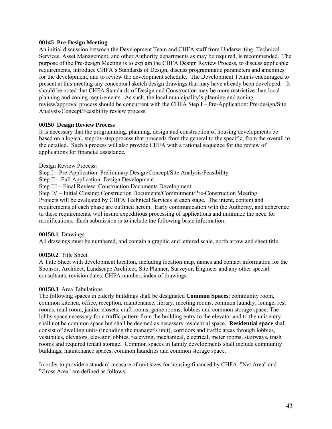#### **00145 Pre-Design Meeting**

An initial discussion between the Development Team and CHFA staff from Underwriting, Technical Services, Asset Management, and other Authority departments as may be required, is recommended. The purpose of the Pre-design Meeting is to explain the CHFA Design Review Process, to discuss applicable requirements, introduce CHFA's Standards of Design, discuss programmatic parameters and amenities for the development, and to review the development schedule. The Development Team is encouraged to present at this meeting any conceptual sketch design drawings that may have already been developed. It should be noted that CHFA Standards of Design and Construction may be more restrictive than local planning and zoning requirements. As such, the local municipality's planning and zoning review/approval process should be concurrent with the CHFA Step I – Pre-Application: Pre-design/Site Analysis/Concept/Feasibility review process.

#### **00150 Design Review Process**

It is necessary that the programming, planning, design and construction of housing developments be based on a logical, step-by-step process that proceeds from the general to the specific, from the overall to the detailed. Such a process will also provide CHFA with a rational sequence for the review of applications for financial assistance.

Design Review Process:

Step I – Pre-Application: Preliminary Design/Concept/Site Analysis/Feasibility

Step II – Full Application: Design Development

Step III – Final Review: Construction Documents Development

Step IV – Initial Closing: Construction Documents/Commitment/Pre-Construction Meeting Projects will be evaluated by CHFA Technical Services at each stage. The intent, content and requirements of each phase are outlined herein. Early communication with the Authority, and adherence to these requirements, will insure expeditious processing of applications and minimize the need for modifications. Each submission is to include the following basic information:

# **00150.1** Drawings

All drawings must be numbered, and contain a graphic and lettered scale, north arrow and sheet title.

# **00150.2** Title Sheet

A Title Sheet with development location, including location map, names and contact information for the Sponsor, Architect, Landscape Architect, Site Planner, Surveyor, Engineer and any other special consultants, revision dates, CHFA number, index of drawings.

#### **00150.3** Area Tabulations

The following spaces in elderly buildings shall be designated **Common Spaces**: community room, common kitchen, office, reception, maintenance, library, meeting rooms, common laundry, lounge, rest rooms, mail room, janitor closets, craft rooms, game rooms, lobbies and common storage space. The lobby space necessary for a traffic pattern from the building entry to the elevator and to the unit entry shall not be common space but shall be deemed as necessary residential space. **Residential space** shall consist of dwelling units (including the manager's unit), corridors and traffic areas through lobbies, vestibules, elevators, elevator lobbies, receiving, mechanical, electrical, meter rooms, stairways, trash rooms and required tenant storage. Common spaces in family developments shall include community buildings, maintenance spaces, common laundries and common storage space.

In order to provide a standard measure of unit sizes for housing financed by CHFA, "Net Area" and "Gross Area" are defined as follows: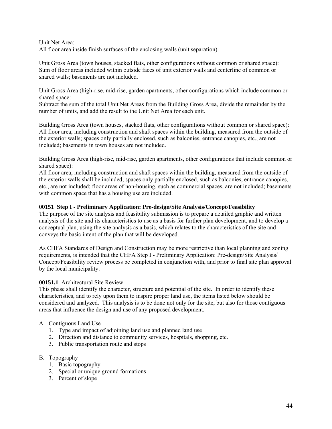Unit Net Area: All floor area inside finish surfaces of the enclosing walls (unit separation).

Unit Gross Area (town houses, stacked flats, other configurations without common or shared space): Sum of floor areas included within outside faces of unit exterior walls and centerline of common or shared walls; basements are not included.

Unit Gross Area (high-rise, mid-rise, garden apartments, other configurations which include common or shared space:

Subtract the sum of the total Unit Net Areas from the Building Gross Area, divide the remainder by the number of units, and add the result to the Unit Net Area for each unit.

Building Gross Area (town houses, stacked flats, other configurations without common or shared space): All floor area, including construction and shaft spaces within the building, measured from the outside of the exterior walls; spaces only partially enclosed, such as balconies, entrance canopies, etc., are not included; basements in town houses are not included.

Building Gross Area (high-rise, mid-rise, garden apartments, other configurations that include common or shared space):

All floor area, including construction and shaft spaces within the building, measured from the outside of the exterior walls shall be included; spaces only partially enclosed, such as balconies, entrance canopies, etc., are not included; floor areas of non-housing, such as commercial spaces, are not included; basements with common space that has a housing use are included.

# **00151 Step I - Preliminary Application: Pre-design/Site Analysis/Concept/Feasibility**

The purpose of the site analysis and feasibility submission is to prepare a detailed graphic and written analysis of the site and its characteristics to use as a basis for further plan development, and to develop a conceptual plan, using the site analysis as a basis, which relates to the characteristics of the site and conveys the basic intent of the plan that will be developed.

As CHFA Standards of Design and Construction may be more restrictive than local planning and zoning requirements, is intended that the CHFA Step I - Preliminary Application: Pre-design/Site Analysis/ Concept/Feasibility review process be completed in conjunction with, and prior to final site plan approval by the local municipality.

# **00151.1** Architectural Site Review

This phase shall identify the character, structure and potential of the site. In order to identify these characteristics, and to rely upon them to inspire proper land use, the items listed below should be considered and analyzed. This analysis is to be done not only for the site, but also for those contiguous areas that influence the design and use of any proposed development.

# A. Contiguous Land Use

- 1. Type and impact of adjoining land use and planned land use
- 2. Direction and distance to community services, hospitals, shopping, etc.
- 3. Public transportation route and stops

# B. Topography

- 1. Basic topography
- 2. Special or unique ground formations
- 3. Percent of slope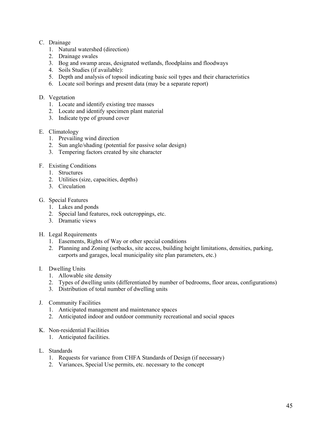# C. Drainage

- 1. Natural watershed (direction)
- 2. Drainage swales
- 3. Bog and swamp areas, designated wetlands, floodplains and floodways
- 4. Soils Studies (if available):
- 5. Depth and analysis of topsoil indicating basic soil types and their characteristics
- 6. Locate soil borings and present data (may be a separate report)

# D. Vegetation

- 1. Locate and identify existing tree masses
- 2. Locate and identify specimen plant material
- 3. Indicate type of ground cover

# E. Climatology

- 1. Prevailing wind direction
- 2. Sun angle/shading (potential for passive solar design)
- 3. Tempering factors created by site character

# F. Existing Conditions

- 1. Structures
- 2. Utilities (size, capacities, depths)
- 3. Circulation

# G. Special Features

- 1. Lakes and ponds
- 2. Special land features, rock outcroppings, etc.
- 3. Dramatic views
- H. Legal Requirements
	- 1. Easements, Rights of Way or other special conditions
	- 2. Planning and Zoning (setbacks, site access, building height limitations, densities, parking, carports and garages, local municipality site plan parameters, etc.)

# I. Dwelling Units

- 1. Allowable site density
- 2. Types of dwelling units (differentiated by number of bedrooms, floor areas, configurations)
- 3. Distribution of total number of dwelling units
- J. Community Facilities
	- 1. Anticipated management and maintenance spaces
	- 2. Anticipated indoor and outdoor community recreational and social spaces
- K. Non-residential Facilities
	- 1. Anticipated facilities.

# L. Standards

- 1. Requests for variance from CHFA Standards of Design (if necessary)
- 2. Variances, Special Use permits, etc. necessary to the concept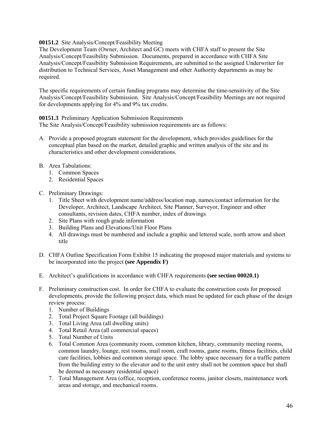# **00151.2** Site Analysis/Concept/Feasibility Meeting

The Development Team (Owner, Architect and GC) meets with CHFA staff to present the Site Analysis/Concept/Feasibility Submission. Documents, prepared in accordance with CHFA Site Analysis/Concept/Feasibility Submission Requirements, are submitted to the assigned Underwriter for distribution to Technical Services, Asset Management and other Authority departments as may be required.

The specific requirements of certain funding programs may determine the time-sensitivity of the Site Analysis/Concept/Feasibility Submission. Site Analysis/Concept/Feasibility Meetings are not required for developments applying for 4% and 9% tax credits.

# **00151.3** Preliminary Application Submission Requirements

The Site Analysis/Concept/Feasibility submission requirements are as follows:

- A. Provide a proposed program statement for the development, which provides guidelines for the conceptual plan based on the market, detailed graphic and written analysis of the site and its characteristics and other development considerations.
- B. Area Tabulations:
	- 1. Common Spaces
	- 2. Residential Spaces
- C. Preliminary Drawings:
	- 1. Title Sheet with development name/address/location map, names/contact information for the Developer, Architect, Landscape Architect, Site Planner, Surveyor, Engineer and other consultants, revision dates, CHFA number, index of drawings
	- 2. Site Plans with rough grade information
	- 3. Building Plans and Elevations/Unit Floor Plans
	- 4. All drawings must be numbered and include a graphic and lettered scale, north arrow and sheet title
- D. CHFA Outline Specification Form Exhibit 15 indicating the proposed major materials and systems to be incorporated into the project **(see Appendix F)**
- E. Architect's qualifications in accordance with CHFA requirements **(see section 00020.1)**
- F. Preliminary construction cost. In order for CHFA to evaluate the construction costs for proposed developments, provide the following project data, which must be updated for each phase of the design review process:
	- 1. Number of Buildings
	- 2. Total Project Square Footage (all buildings)
	- 3. Total Living Area (all dwelling units)
	- 4. Total Retail Area (all commercial spaces)
	- 5. Total Number of Units
	- 6. Total Common Area (community room, common kitchen, library, community meeting rooms, common laundry, lounge, rest rooms, mail room, craft rooms, game rooms, fitness facilities, child care facilities, lobbies and common storage space. The lobby space necessary for a traffic pattern from the building entry to the elevator and to the unit entry shall not be common space but shall be deemed as necessary residential space)
	- 7. Total Management Area (office, reception, conference rooms, janitor closets, maintenance work areas and storage, and mechanical rooms.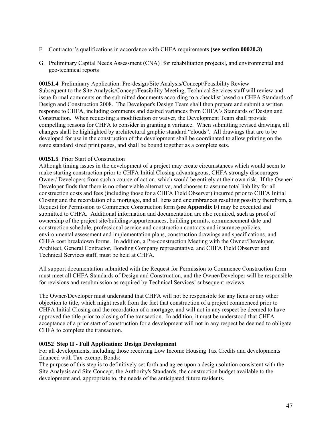- F. Contractor's qualifications in accordance with CHFA requirements **(see section 00020.3)**
- G. Preliminary Capital Needs Assessment (CNA) [for rehabilitation projects], and environmental and geo-technical reports

**00151.4** Preliminary Application: Pre-design/Site Analysis/Concept/Feasibility Review Subsequent to the Site Analysis/Concept/Feasibility Meeting, Technical Services staff will review and issue formal comments on the submitted documents according to a checklist based on CHFA Standards of Design and Construction 2008. The Developer's Design Team shall then prepare and submit a written response to CHFA, including comments and desired variances from CHFA's Standards of Design and Construction. When requesting a modification or waiver, the Development Team shall provide compelling reasons for CHFA to consider in granting a variance. When submitting revised drawings, all changes shall be highlighted by architectural graphic standard "clouds". All drawings that are to be developed for use in the construction of the development shall be coordinated to allow printing on the same standard sized print pages, and shall be bound together as a complete sets.

# **00151.5** Prior Start of Construction

Although timing issues in the development of a project may create circumstances which would seem to make starting construction prior to CHFA Initial Closing advantageous, CHFA strongly discourages Owner/ Developers from such a course of action, which would be entirely at their own risk. If the Owner/ Developer finds that there is no other viable alternative, and chooses to assume total liability for all construction costs and fees (including those for a CHFA Field Observer) incurred prior to CHFA Initial Closing and the recordation of a mortgage, and all liens and encumbrances resulting possibly therefrom, a Request for Permission to Commence Construction form **(see Appendix F)** may be executed and submitted to CHFA. Additional information and documentation are also required, such as proof of ownership of the project site/buildings/appurtenances, building permits, commencement date and construction schedule, professional service and construction contracts and insurance policies, environmental assessment and implementation plans, construction drawings and specifications, and CHFA cost breakdown forms. In addition, a Pre-construction Meeting with the Owner/Developer, Architect, General Contractor, Bonding Company representative, and CHFA Field Observer and Technical Services staff, must be held at CHFA.

All support documentation submitted with the Request for Permission to Commence Construction form must meet all CHFA Standards of Design and Construction, and the Owner/Developer will be responsible for revisions and resubmission as required by Technical Services' subsequent reviews.

The Owner/Developer must understand that CHFA will not be responsible for any liens or any other objection to title, which might result from the fact that construction of a project commenced prior to CHFA Initial Closing and the recordation of a mortgage, and will not in any respect be deemed to have approved the title prior to closing of the transaction. In addition, it must be understood that CHFA acceptance of a prior start of construction for a development will not in any respect be deemed to obligate CHFA to complete the transaction.

# **00152 Step II - Full Application: Design Development**

For all developments, including those receiving Low Income Housing Tax Credits and developments financed with Tax-exempt Bonds:

The purpose of this step is to definitively set forth and agree upon a design solution consistent with the Site Analysis and Site Concept, the Authority's Standards, the construction budget available to the development and, appropriate to, the needs of the anticipated future residents.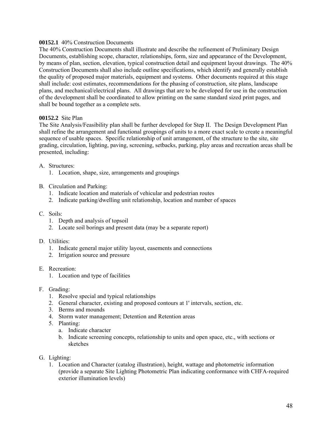# **00152.1** 40% Construction Documents

The 40% Construction Documents shall illustrate and describe the refinement of Preliminary Design Documents, establishing scope, character, relationships, form, size and appearance of the Development, by means of plan, section, elevation, typical construction detail and equipment layout drawings. The 40% Construction Documents shall also include outline specifications, which identify and generally establish the quality of proposed major materials, equipment and systems. Other documents required at this stage shall include: cost estimates, recommendations for the phasing of construction, site plans, landscape plans, and mechanical/electrical plans. All drawings that are to be developed for use in the construction of the development shall be coordinated to allow printing on the same standard sized print pages, and shall be bound together as a complete sets.

# **00152.2** Site Plan

The Site Analysis/Feasibility plan shall be further developed for Step II. The Design Development Plan shall refine the arrangement and functional groupings of units to a more exact scale to create a meaningful sequence of usable spaces. Specific relationship of unit arrangement, of the structure to the site, site grading, circulation, lighting, paving, screening, setbacks, parking, play areas and recreation areas shall be presented, including:

# A. Structures:

- 1. Location, shape, size, arrangements and groupings
- B. Circulation and Parking:
	- 1. Indicate location and materials of vehicular and pedestrian routes
	- 2. Indicate parking/dwelling unit relationship, location and number of spaces

# C. Soils:

- 1. Depth and analysis of topsoil
- 2. Locate soil borings and present data (may be a separate report)

# D. Utilities:

- 1. Indicate general major utility layout, easements and connections
- 2. Irrigation source and pressure
- E. Recreation:
	- 1. Location and type of facilities
- F. Grading:
	- 1. Resolve special and typical relationships
	- 2. General character, existing and proposed contours at 1' intervals, section, etc.
	- 3. Berms and mounds
	- 4. Storm water management; Detention and Retention areas
	- 5. Planting:
		- a. Indicate character
		- b. Indicate screening concepts, relationship to units and open space, etc., with sections or sketches
- G. Lighting:
	- 1. Location and Character (catalog illustration), height, wattage and photometric information (provide a separate Site Lighting Photometric Plan indicating conformance with CHFA-required exterior illumination levels)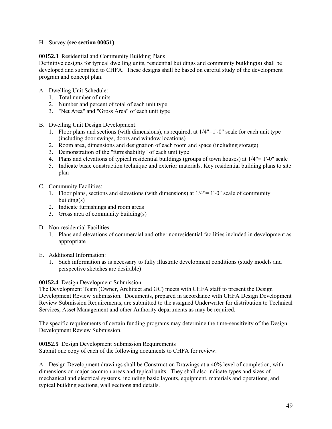# H. Survey **(see section 00051)**

# **00152.3** Residential and Community Building Plans

Definitive designs for typical dwelling units, residential buildings and community building(s) shall be developed and submitted to CHFA. These designs shall be based on careful study of the development program and concept plan.

# A. Dwelling Unit Schedule:

- 1. Total number of units
- 2. Number and percent of total of each unit type
- 3. "Net Area" and "Gross Area" of each unit type
- B. Dwelling Unit Design Development:
	- 1. Floor plans and sections (with dimensions), as required, at  $1/4"$ =1'-0" scale for each unit type (including door swings, doors and window locations)
	- 2. Room area, dimensions and designation of each room and space (including storage).
	- 3. Demonstration of the "furnishability" of each unit type
	- 4. Plans and elevations of typical residential buildings (groups of town houses) at 1/4"= 1'-0" scale
	- 5. Indicate basic construction technique and exterior materials. Key residential building plans to site plan
- C. Community Facilities:
	- 1. Floor plans, sections and elevations (with dimensions) at 1/4"= 1'-0" scale of community building(s)
	- 2. Indicate furnishings and room areas
	- 3. Gross area of community building(s)
- D. Non-residential Facilities:
	- 1. Plans and elevations of commercial and other nonresidential facilities included in development as appropriate
- E. Additional Information:
	- 1. Such information as is necessary to fully illustrate development conditions (study models and perspective sketches are desirable)

# **00152.4** Design Development Submission

The Development Team (Owner, Architect and GC) meets with CHFA staff to present the Design Development Review Submission. Documents, prepared in accordance with CHFA Design Development Review Submission Requirements, are submitted to the assigned Underwriter for distribution to Technical Services, Asset Management and other Authority departments as may be required.

The specific requirements of certain funding programs may determine the time-sensitivity of the Design Development Review Submission.

**00152.5** Design Development Submission Requirements Submit one copy of each of the following documents to CHFA for review:

A. Design Development drawings shall be Construction Drawings at a 40% level of completion, with dimensions on major common areas and typical units. They shall also indicate types and sizes of mechanical and electrical systems, including basic layouts, equipment, materials and operations, and typical building sections, wall sections and details.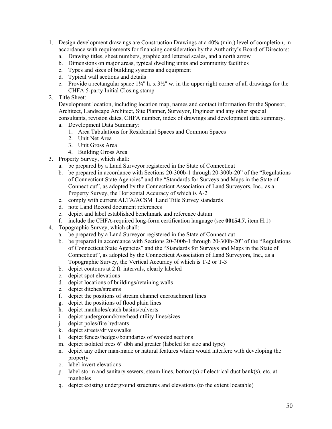- 1. Design development drawings are Construction Drawings at a 40% (min.) level of completion, in accordance with requirements for financing consideration by the Authority's Board of Directors:
	- a. Drawing titles, sheet numbers, graphic and lettered scales, and a north arrow
	- b. Dimensions on major areas, typical dwelling units and community facilities
	- c. Types and sizes of building systems and equipment
	- d. Typical wall sections and details
	- e. Provide a rectangular space  $1\frac{1}{4}$ " h. x  $3\frac{1}{2}$ " w. in the upper right corner of all drawings for the CHFA 5-party Initial Closing stamp
- 2. Title Sheet:

Development location, including location map, names and contact information for the Sponsor, Architect, Landscape Architect, Site Planner, Surveyor, Engineer and any other special consultants, revision dates, CHFA number, index of drawings and development data summary.

- a. Development Data Summary:
	- 1. Area Tabulations for Residential Spaces and Common Spaces
	- 2. Unit Net Area
	- 3. Unit Gross Area
	- 4. Building Gross Area
- 3. Property Survey, which shall:
	- a. be prepared by a Land Surveyor registered in the State of Connecticut
	- b. be prepared in accordance with Sections 20-300b-1 through 20-300b-20" of the "Regulations of Connecticut State Agencies" and the "Standards for Surveys and Maps in the State of Connecticut", as adopted by the Connecticut Association of Land Surveyors, Inc., as a Property Survey, the Horizontal Accuracy of which is A-2
	- c. comply with current ALTA/ACSM Land Title Survey standards
	- d. note Land Record document references
	- e. depict and label established benchmark and reference datum
	- f. include the CHFA-required long-form certification language (see **00154.7,** item H.1)
- 4. Topographic Survey, which shall:
	- a. be prepared by a Land Surveyor registered in the State of Connecticut
	- b. be prepared in accordance with Sections 20-300b-1 through 20-300b-20" of the "Regulations of Connecticut State Agencies" and the "Standards for Surveys and Maps in the State of Connecticut", as adopted by the Connecticut Association of Land Surveyors, Inc., as a Topographic Survey, the Vertical Accuracy of which is T-2 or T-3
	- b. depict contours at 2 ft. intervals, clearly labeled
	- c. depict spot elevations
	- d. depict locations of buildings/retaining walls
	- e. depict ditches/streams
	- f. depict the positions of stream channel encroachment lines
	- g. depict the positions of flood plain lines
	- h. depict manholes/catch basins/culverts
	- i. depict underground/overhead utility lines/sizes
	- j. depict poles/fire hydrants
	- k. depict streets/drives/walks
	- l. depict fences/hedges/boundaries of wooded sections
	- m. depict isolated trees 6" dbh and greater (labeled for size and type)
	- n. depict any other man-made or natural features which would interfere with developing the property
	- o. label invert elevations
	- p. label storm and sanitary sewers, steam lines, bottom(s) of electrical duct bank(s), etc. at manholes
	- q. depict existing underground structures and elevations (to the extent locatable)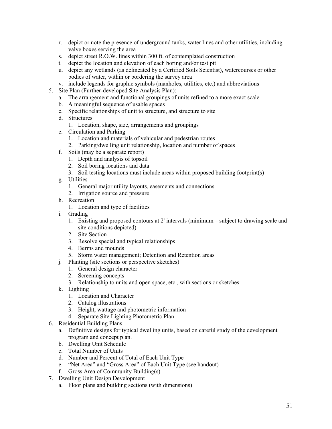- r. depict or note the presence of underground tanks, water lines and other utilities, including valve boxes serving the area
- s. depict street R.O.W. lines within 300 ft. of contemplated construction
- t. depict the location and elevation of each boring and/or test pit
- u. depict any wetlands (as delineated by a Certified Soils Scientist), watercourses or other bodies of water, within or bordering the survey area
- v. include legends for graphic symbols (manholes, utilities, etc.) and abbreviations
- 5. Site Plan (Further-developed Site Analysis Plan):
	- a. The arrangement and functional groupings of units refined to a more exact scale
	- b. A meaningful sequence of usable spaces
	- c. Specific relationships of unit to structure, and structure to site
	- d. Structures
		- 1. Location, shape, size, arrangements and groupings
	- e. Circulation and Parking
		- 1. Location and materials of vehicular and pedestrian routes
		- 2. Parking/dwelling unit relationship, location and number of spaces
	- f. Soils (may be a separate report)
		- 1. Depth and analysis of topsoil
		- 2. Soil boring locations and data
		- 3. Soil testing locations must include areas within proposed building footprint(s)
	- g. Utilities
		- 1. General major utility layouts, easements and connections
		- 2. Irrigation source and pressure
	- h. Recreation
		- 1. Location and type of facilities
	- i. Grading
		- 1. Existing and proposed contours at 2' intervals (minimum subject to drawing scale and site conditions depicted)
		- 2. Site Section
		- 3. Resolve special and typical relationships
		- 4. Berms and mounds
		- 5. Storm water management; Detention and Retention areas
	- j. Planting (site sections or perspective sketches)
		- 1. General design character
		- 2. Screening concepts
		- 3. Relationship to units and open space, etc., with sections or sketches
	- k. Lighting
		- 1. Location and Character
		- 2. Catalog illustrations
		- 3. Height, wattage and photometric information
		- 4. Separate Site Lighting Photometric Plan
- 6. Residential Building Plans
	- a. Definitive designs for typical dwelling units, based on careful study of the development program and concept plan.
	- b. Dwelling Unit Schedule
	- c. Total Number of Units
	- d. Number and Percent of Total of Each Unit Type
	- e. "Net Area" and "Gross Area" of Each Unit Type (see handout)
	- f. Gross Area of Community Building(s)
- 7. Dwelling Unit Design Development
	- a. Floor plans and building sections (with dimensions)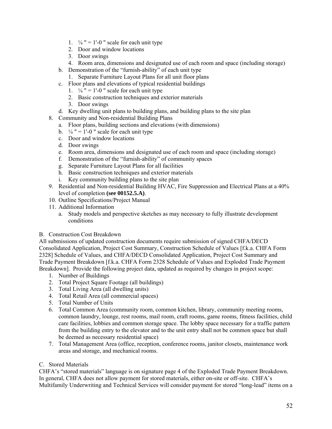- 1.  $\frac{1}{4}$  " = 1'-0 " scale for each unit type
- 2. Door and window locations
- 3. Door swings
- 4. Room area, dimensions and designated use of each room and space (including storage)
- b. Demonstration of the "furnish-ability" of each unit type
	- 1. Separate Furniture Layout Plans for all unit floor plans
- c. Floor plans and elevations of typical residential buildings
	- 1.  $\frac{1}{4}$  " = 1'-0 " scale for each unit type
	- 2. Basic construction techniques and exterior materials
	- 3. Door swings
- d. Key dwelling unit plans to building plans, and building plans to the site plan
- 8. Community and Non-residential Building Plans
	- a. Floor plans, building sections and elevations (with dimensions)
	- b.  $\frac{1}{4}$  " = 1'-0 " scale for each unit type
	- c. Door and window locations
	- d. Door swings
	- e. Room area, dimensions and designated use of each room and space (including storage)
	- f. Demonstration of the "furnish-ability" of community spaces
	- g. Separate Furniture Layout Plans for all facilities
	- h. Basic construction techniques and exterior materials
	- i. Key community building plans to the site plan
- 9. Residential and Non-residential Building HVAC, Fire Suppression and Electrical Plans at a 40% level of completion **(see 00152.5.A)**.
- 10. Outline Specifications/Project Manual
- 11. Additional Information
	- a. Study models and perspective sketches as may necessary to fully illustrate development conditions
- B. Construction Cost Breakdown

All submissions of updated construction documents require submission of signed CHFA/DECD Consolidated Application, Project Cost Summary, Construction Schedule of Values [f.k.a. CHFA Form 2328] Schedule of Values, and CHFA/DECD Consolidated Application, Project Cost Summary and Trade Payment Breakdown [f.k.a. CHFA Form 2328 Schedule of Values and Exploded Trade Payment Breakdown]. Provide the following project data, updated as required by changes in project scope:

- 1. Number of Buildings
- 2. Total Project Square Footage (all buildings)
- 3. Total Living Area (all dwelling units)
- 4. Total Retail Area (all commercial spaces)
- 5. Total Number of Units
- 6. Total Common Area (community room, common kitchen, library, community meeting rooms, common laundry, lounge, rest rooms, mail room, craft rooms, game rooms, fitness facilities, child care facilities, lobbies and common storage space. The lobby space necessary for a traffic pattern from the building entry to the elevator and to the unit entry shall not be common space but shall be deemed as necessary residential space)
- 7. Total Management Area (office, reception, conference rooms, janitor closets, maintenance work areas and storage, and mechanical rooms.

# C. Stored Materials

CHFA's "stored materials" language is on signature page 4 of the Exploded Trade Payment Breakdown. In general, CHFA does not allow payment for stored materials, either on-site or off-site. CHFA's Multifamily Underwriting and Technical Services will consider payment for stored "long-lead" items on a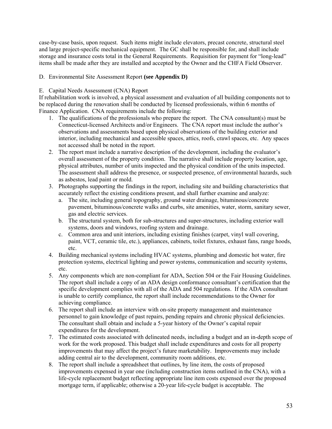case-by-case basis, upon request. Such items might include elevators, precast concrete, structural steel and large project-specific mechanical equipment. The GC shall be responsible for, and shall include storage and insurance costs total in the General Requirements. Requisition for payment for "long-lead" items shall be made after they are installed and accepted by the Owner and the CHFA Field Observer.

# D. Environmental Site Assessment Report **(see Appendix D)**

# E. Capital Needs Assessment (CNA) Report

If rehabilitation work is involved, a physical assessment and evaluation of all building components not to be replaced during the renovation shall be conducted by licensed professionals, within 6 months of Finance Application. CNA requirements include the following:

- 1. The qualifications of the professionals who prepare the report. The CNA consultant(s) must be Connecticut-licensed Architects and/or Engineers. The CNA report must include the author's observations and assessments based upon physical observations of the building exterior and interior, including mechanical and accessible spaces, attics, roofs, crawl spaces, etc. Any spaces not accessed shall be noted in the report.
- 2. The report must include a narrative description of the development, including the evaluator's overall assessment of the property condition. The narrative shall include property location, age, physical attributes, number of units inspected and the physical condition of the units inspected. The assessment shall address the presence, or suspected presence, of environmental hazards, such as asbestos, lead paint or mold.
- 3. Photographs supporting the findings in the report, including site and building characteristics that accurately reflect the existing conditions present, and shall further examine and analyze:
	- a. The site, including general topography, ground water drainage, bituminous/concrete pavement, bituminous/concrete walks and curbs, site amenities, water, storm, sanitary sewer, gas and electric services.
	- b. The structural system, both for sub-structures and super-structures, including exterior wall systems, doors and windows, roofing system and drainage.
	- c. Common area and unit interiors, including existing finishes (carpet, vinyl wall covering, paint, VCT, ceramic tile, etc.), appliances, cabinets, toilet fixtures, exhaust fans, range hoods, etc.
- 4. Building mechanical systems including HVAC systems, plumbing and domestic hot water, fire protection systems, electrical lighting and power systems, communication and security systems, etc.
- 5. Any components which are non-compliant for ADA, Section 504 or the Fair Housing Guidelines. The report shall include a copy of an ADA design conformance consultant's certification that the specific development complies with all of the ADA and 504 regulations. If the ADA consultant is unable to certify compliance, the report shall include recommendations to the Owner for achieving compliance.
- 6. The report shall include an interview with on-site property management and maintenance personnel to gain knowledge of past repairs, pending repairs and chronic physical deficiencies. The consultant shall obtain and include a 5-year history of the Owner's capital repair expenditures for the development.
- 7. The estimated costs associated with delineated needs, including a budget and an in-depth scope of work for the work proposed. This budget shall include expenditures and costs for all property improvements that may affect the project's future marketability. Improvements may include adding central air to the development, community room additions, etc.
- 8. The report shall include a spreadsheet that outlines, by line item, the costs of proposed improvements expensed in year one (including construction items outlined in the CNA), with a life-cycle replacement budget reflecting appropriate line item costs expensed over the proposed mortgage term, if applicable; otherwise a 20-year life-cycle budget is acceptable. The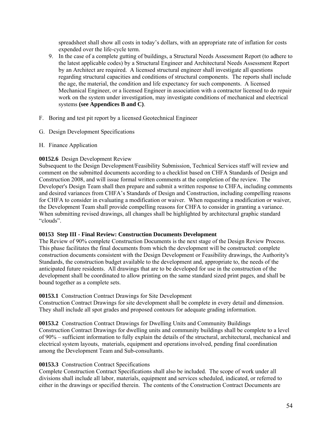spreadsheet shall show all costs in today's dollars, with an appropriate rate of inflation for costs expended over the life-cycle term.

- 9. In the case of a complete gutting of buildings, a Structural Needs Assessment Report (to adhere to the latest applicable codes) by a Structural Engineer and Architectural Needs Assessment Report by an Architect are required. A licensed structural engineer shall investigate all questions regarding structural capacities and conditions of structural components. The reports shall include the age, the material, the condition and life expectancy for such components. A licensed Mechanical Engineer, or a licensed Engineer in association with a contractor licensed to do repair work on the system under investigation, may investigate conditions of mechanical and electrical systems **(see Appendices B and C)**.
- F. Boring and test pit report by a licensed Geotechnical Engineer
- G. Design Development Specifications
- H. Finance Application

# **00152.6** Design Development Review

Subsequent to the Design Development/Feasibility Submission, Technical Services staff will review and comment on the submitted documents according to a checklist based on CHFA Standards of Design and Construction 2008, and will issue formal written comments at the completion of the review. The Developer's Design Team shall then prepare and submit a written response to CHFA, including comments and desired variances from CHFA's Standards of Design and Construction, including compelling reasons for CHFA to consider in evaluating a modification or waiver. When requesting a modification or waiver, the Development Team shall provide compelling reasons for CHFA to consider in granting a variance. When submitting revised drawings, all changes shall be highlighted by architectural graphic standard "clouds".

# **00153 Step III - Final Review: Construction Documents Development**

The Review of 90% complete Construction Documents is the next stage of the Design Review Process. This phase facilitates the final documents from which the development will be constructed: complete construction documents consistent with the Design Development or Feasibility drawings, the Authority's Standards, the construction budget available to the development and, appropriate to, the needs of the anticipated future residents. All drawings that are to be developed for use in the construction of the development shall be coordinated to allow printing on the same standard sized print pages, and shall be bound together as a complete sets.

# **00153.1** Construction Contract Drawings for Site Development

Construction Contract Drawings for site development shall be complete in every detail and dimension. They shall include all spot grades and proposed contours for adequate grading information.

**00153.2** Construction Contract Drawings for Dwelling Units and Community Buildings Construction Contract Drawings for dwelling units and community buildings shall be complete to a level of 90% – sufficient information to fully explain the details of the structural, architectural, mechanical and electrical system layouts, materials, equipment and operations involved, pending final coordination among the Development Team and Sub-consultants.

# **00153.3** Construction Contract Specifications

Complete Construction Contract Specifications shall also be included. The scope of work under all divisions shall include all labor, materials, equipment and services scheduled, indicated, or referred to either in the drawings or specified therein. The contents of the Construction Contract Documents are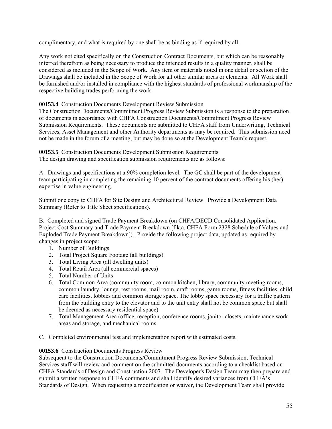complimentary, and what is required by one shall be as binding as if required by all.

Any work not cited specifically on the Construction Contract Documents, but which can be reasonably inferred therefrom as being necessary to produce the intended results in a quality manner, shall be considered as included in the Scope of Work. Any item or materials noted in one detail or section of the Drawings shall be included in the Scope of Work for all other similar areas or elements. All Work shall be furnished and/or installed in compliance with the highest standards of professional workmanship of the respective building trades performing the work.

# **00153.4** Construction Documents Development Review Submission

The Construction Documents/Commitment Progress Review Submission is a response to the preparation of documents in accordance with CHFA Construction Documents/Commitment Progress Review Submission Requirements. These documents are submitted to CHFA staff from Underwriting, Technical Services, Asset Management and other Authority departments as may be required. This submission need not be made in the forum of a meeting, but may be done so at the Development Team's request.

**00153.5** Construction Documents Development Submission Requirements The design drawing and specification submission requirements are as follows:

A. Drawings and specifications at a 90% completion level. The GC shall be part of the development team participating in completing the remaining 10 percent of the contract documents offering his (her) expertise in value engineering.

Submit one copy to CHFA for Site Design and Architectural Review. Provide a Development Data Summary (Refer to Title Sheet specifications).

B. Completed and signed Trade Payment Breakdown (on CHFA/DECD Consolidated Application, Project Cost Summary and Trade Payment Breakdown [f.k.a. CHFA Form 2328 Schedule of Values and Exploded Trade Payment Breakdown]). Provide the following project data, updated as required by changes in project scope:

- 1. Number of Buildings
- 2. Total Project Square Footage (all buildings)
- 3. Total Living Area (all dwelling units)
- 4. Total Retail Area (all commercial spaces)
- 5. Total Number of Units
- 6. Total Common Area (community room, common kitchen, library, community meeting rooms, common laundry, lounge, rest rooms, mail room, craft rooms, game rooms, fitness facilities, child care facilities, lobbies and common storage space. The lobby space necessary for a traffic pattern from the building entry to the elevator and to the unit entry shall not be common space but shall be deemed as necessary residential space)
- 7. Total Management Area (office, reception, conference rooms, janitor closets, maintenance work areas and storage, and mechanical rooms
- C. Completed environmental test and implementation report with estimated costs.

# **00153.6** Construction Documents Progress Review

Subsequent to the Construction Documents/Commitment Progress Review Submission, Technical Services staff will review and comment on the submitted documents according to a checklist based on CHFA Standards of Design and Construction 2007. The Developer's Design Team may then prepare and submit a written response to CHFA comments and shall identify desired variances from CHFA's Standards of Design. When requesting a modification or waiver, the Development Team shall provide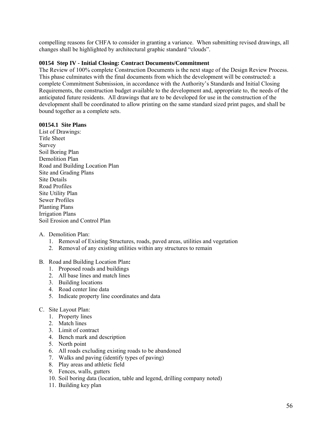compelling reasons for CHFA to consider in granting a variance. When submitting revised drawings, all changes shall be highlighted by architectural graphic standard "clouds".

# **00154 Step IV - Initial Closing: Contract Documents/Commitment**

The Review of 100% complete Construction Documents is the next stage of the Design Review Process. This phase culminates with the final documents from which the development will be constructed: a complete Commitment Submission, in accordance with the Authority's Standards and Initial Closing Requirements, the construction budget available to the development and, appropriate to, the needs of the anticipated future residents. All drawings that are to be developed for use in the construction of the development shall be coordinated to allow printing on the same standard sized print pages, and shall be bound together as a complete sets.

# **00154.1 Site Plans**

List of Drawings: Title Sheet Survey Soil Boring Plan Demolition Plan Road and Building Location Plan Site and Grading Plans Site Details Road Profiles Site Utility Plan Sewer Profiles Planting Plans Irrigation Plans Soil Erosion and Control Plan

# A. Demolition Plan:

- 1. Removal of Existing Structures, roads, paved areas, utilities and vegetation
- 2. Removal of any existing utilities within any structures to remain
- B. Road and Building Location Plan**:** 
	- 1. Proposed roads and buildings
	- 2. All base lines and match lines
	- 3. Building locations
	- 4. Road center line data
	- 5. Indicate property line coordinates and data

# C. Site Layout Plan:

- 1. Property lines
- 2. Match lines
- 3. Limit of contract
- 4. Bench mark and description
- 5. North point
- 6. All roads excluding existing roads to be abandoned
- 7. Walks and paving (identify types of paving)
- 8. Play areas and athletic field
- 9. Fences, walls, gutters
- 10. Soil boring data (location, table and legend, drilling company noted)
- 11. Building key plan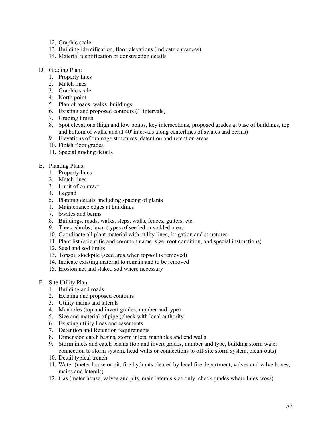- 12. Graphic scale
- 13. Building identification, floor elevations (indicate entrances)
- 14. Material identification or construction details
- D. Grading Plan:
	- 1. Property lines
	- 2. Match lines
	- 3. Graphic scale
	- 4. North point
	- 5. Plan of roads, walks, buildings
	- 6. Existing and proposed contours (1' intervals)
	- 7. Grading limits
	- 8. Spot elevations (high and low points, key intersections, proposed grades at base of buildings, top and bottom of walls, and at 40' intervals along centerlines of swales and berms)
	- 9. Elevations of drainage structures, detention and retention areas
	- 10. Finish floor grades
	- 11. Special grading details
- E. Planting Plans:
	- 1. Property lines
	- 2. Match lines
	- 3. Limit of contract
	- 4. Legend
	- 5. Planting details, including spacing of plants
	- 1. Maintenance edges at buildings
	- 7. Swales and berms
	- 8. Buildings, roads, walks, steps, walls, fences, gutters, etc.
	- 9. Trees, shrubs, lawn (types of seeded or sodded areas)
	- 10. Coordinate all plant material with utility lines, irrigation and structures
	- 11. Plant list (scientific and common name, size, root condition, and special instructions)
	- 12. Seed and sod limits
	- 13. Topsoil stockpile (seed area when topsoil is removed)
	- 14. Indicate existing material to remain and to be removed
	- 15. Erosion net and staked sod where necessary
- F. Site Utility Plan:
	- 1. Building and roads
	- 2. Existing and proposed contours
	- 3. Utility mains and laterals
	- 4. Manholes (top and invert grades, number and type)
	- 5. Size and material of pipe (check with local authority)
	- 6. Existing utility lines and easements
	- 7. Detention and Retention requirements
	- 8. Dimension catch basins, storm inlets, manholes and end walls
	- 9. Storm inlets and catch basins (top and invert grades, number and type, building storm water connection to storm system, head walls or connections to off-site storm system, clean-outs)
	- 10. Detail typical trench
	- 11. Water (meter house or pit, fire hydrants cleared by local fire department, valves and valve boxes, mains and laterals)
	- 12. Gas (meter house, valves and pits, main laterals size only, check grades where lines cross)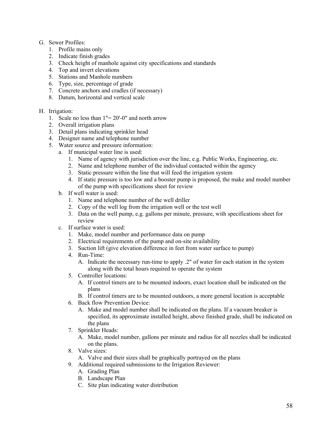# G. Sewer Profiles:

- 1. Profile mains only
- 2. Indicate finish grades
- 3. Check height of manhole against city specifications and standards
- 4. Top and invert elevations
- 5. Stations and Manhole numbers
- 6. Type, size, percentage of grade
- 7. Concrete anchors and cradles (if necessary)
- 8. Datum, horizontal and vertical scale
- H. Irrigation:
	- 1. Scale no less than 1"= 20'-0" and north arrow
	- 2. Overall irrigation plans
	- 3. Detail plans indicating sprinkler head
	- 4. Designer name and telephone number
	- 5. Water source and pressure information:
		- a. If municipal water line is used:
			- 1. Name of agency with jurisdiction over the line, e.g. Public Works, Engineering, etc.
			- 2. Name and telephone number of the individual contacted within the agency
			- 3. Static pressure within the line that will feed the irrigation system
			- 4. If static pressure is too low and a booster pump is proposed, the make and model number of the pump with specifications sheet for review
		- b. If well water is used:
			- 1. Name and telephone number of the well driller
			- 2. Copy of the well log from the irrigation well or the test well
			- 3. Data on the well pump, e.g. gallons per minute, pressure, with specifications sheet for review
		- c. If surface water is used:
			- 1. Make, model number and performance data on pump
			- 2. Electrical requirements of the pump and on-site availability
			- 3. Suction lift (give elevation difference in feet from water surface to pump)
			- 4. Run-Time:
				- A. Indicate the necessary run-time to apply .2" of water for each station in the system along with the total hours required to operate the system
			- 5. Controller locations:
				- A. If control timers are to be mounted indoors, exact location shall be indicated on the plans
				- B. If control timers are to be mounted outdoors, a more general location is acceptable
			- 6. Back flow Prevention Device:
				- A. Make and model number shall be indicated on the plans. If a vacuum breaker is specified, its approximate installed height, above finished grade, shall be indicated on the plans
			- 7. Sprinkler Heads:
				- A. Make, model number, gallons per minute and radius for all nozzles shall be indicated on the plans.
			- 8. Valve sizes:
				- A. Valve and their sizes shall be graphically portrayed on the plans
			- 9. Additional required submissions to the Irrigation Reviewer:
				- A. Grading Plan
				- B. Landscape Plan
				- C. Site plan indicating water distribution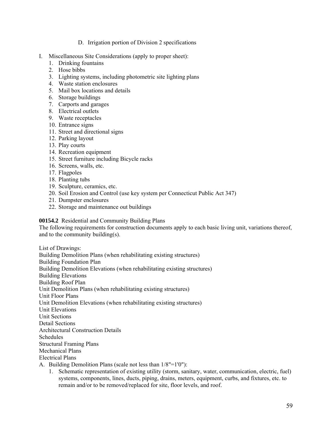- D. Irrigation portion of Division 2 specifications
- I. Miscellaneous Site Considerations (apply to proper sheet):
	- 1. Drinking fountains
	- 2. Hose bibbs
	- 3. Lighting systems, including photometric site lighting plans
	- 4. Waste station enclosures
	- 5. Mail box locations and details
	- 6. Storage buildings
	- 7. Carports and garages
	- 8. Electrical outlets
	- 9. Waste receptacles
	- 10. Entrance signs
	- 11. Street and directional signs
	- 12. Parking layout
	- 13. Play courts
	- 14. Recreation equipment
	- 15. Street furniture including Bicycle racks
	- 16. Screens, walls, etc.
	- 17. Flagpoles
	- 18. Planting tubs
	- 19. Sculpture, ceramics, etc.
	- 20. Soil Erosion and Control (use key system per Connecticut Public Act 347)
	- 21. Dumpster enclosures
	- 22. Storage and maintenance out buildings

# **00154.2** Residential and Community Building Plans

The following requirements for construction documents apply to each basic living unit, variations thereof, and to the community building(s).

List of Drawings: Building Demolition Plans (when rehabilitating existing structures) Building Foundation Plan Building Demolition Elevations (when rehabilitating existing structures) Building Elevations Building Roof Plan Unit Demolition Plans (when rehabilitating existing structures) Unit Floor Plans Unit Demolition Elevations (when rehabilitating existing structures) Unit Elevations Unit Sections Detail Sections Architectural Construction Details Schedules Structural Framing Plans Mechanical Plans Electrical Plans A. Building Demolition Plans (scale not less than 1/8"=1'0"):

1. Schematic representation of existing utility (storm, sanitary, water, communication, electric, fuel) systems, components, lines, ducts, piping, drains, meters, equipment, curbs, and fixtures, etc. to remain and/or to be removed/replaced for site, floor levels, and roof.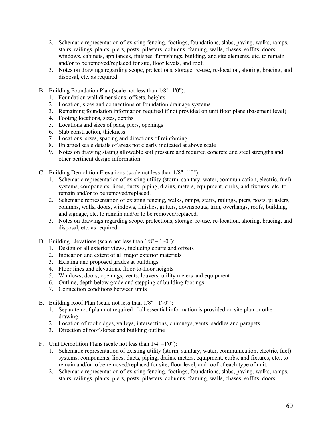- 2. Schematic representation of existing fencing, footings, foundations, slabs, paving, walks, ramps, stairs, railings, plants, piers, posts, pilasters, columns, framing, walls, chases, soffits, doors, windows, cabinets, appliances, finishes, furnishings, building, and site elements, etc. to remain and/or to be removed/replaced for site, floor levels, and roof.
- 3. Notes on drawings regarding scope, protections, storage, re-use, re-location, shoring, bracing, and disposal, etc. as required
- B. Building Foundation Plan (scale not less than 1/8"=1'0"):
	- 1. Foundation wall dimensions, offsets, heights
	- 2. Location, sizes and connections of foundation drainage systems
	- 3. Remaining foundation information required if not provided on unit floor plans (basement level)
	- 4. Footing locations, sizes, depths
	- 5. Locations and sizes of pads, piers, openings
	- 6. Slab construction, thickness
	- 7. Locations, sizes, spacing and directions of reinforcing
	- 8. Enlarged scale details of areas not clearly indicated at above scale
	- 9. Notes on drawing stating allowable soil pressure and required concrete and steel strengths and other pertinent design information
- C. Building Demolition Elevations (scale not less than 1/8"=1'0"):
	- 1. Schematic representation of existing utility (storm, sanitary, water, communication, electric, fuel) systems, components, lines, ducts, piping, drains, meters, equipment, curbs, and fixtures, etc. to remain and/or to be removed/replaced.
	- 2. Schematic representation of existing fencing, walks, ramps, stairs, railings, piers, posts, pilasters, columns, walls, doors, windows, finishes, gutters, downspouts, trim, overhangs, roofs, building, and signage, etc. to remain and/or to be removed/replaced.
	- 3. Notes on drawings regarding scope, protections, storage, re-use, re-location, shoring, bracing, and disposal, etc. as required
- D. Building Elevations (scale not less than 1/8"= 1'-0"):
	- 1. Design of all exterior views, including courts and offsets
	- 2. Indication and extent of all major exterior materials
	- 3. Existing and proposed grades at buildings
	- 4. Floor lines and elevations, floor-to-floor heights
	- 5. Windows, doors, openings, vents, louvers, utility meters and equipment
	- 6. Outline, depth below grade and stepping of building footings
	- 7. Connection conditions between units
- E. Building Roof Plan (scale not less than  $1/8$ "= 1'-0"):
	- 1. Separate roof plan not required if all essential information is provided on site plan or other drawing
	- 2. Location of roof ridges, valleys, intersections, chimneys, vents, saddles and parapets
	- 3. Direction of roof slopes and building outline
- F. Unit Demolition Plans (scale not less than 1/4"=1'0"):
	- 1. Schematic representation of existing utility (storm, sanitary, water, communication, electric, fuel) systems, components, lines, ducts, piping, drains, meters, equipment, curbs, and fixtures, etc., to remain and/or to be removed/replaced for site, floor level, and roof of each type of unit.
	- 2. Schematic representation of existing fencing, footings, foundations, slabs, paving, walks, ramps, stairs, railings, plants, piers, posts, pilasters, columns, framing, walls, chases, soffits, doors,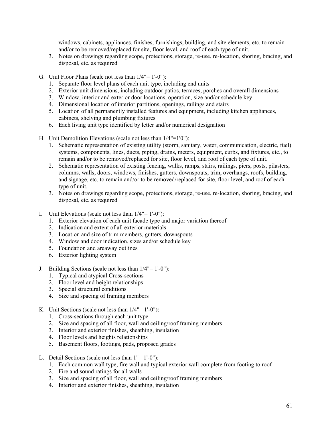windows, cabinets, appliances, finishes, furnishings, building, and site elements, etc. to remain and/or to be removed/replaced for site, floor level, and roof of each type of unit.

- 3. Notes on drawings regarding scope, protections, storage, re-use, re-location, shoring, bracing, and disposal, etc. as required
- G. Unit Floor Plans (scale not less than 1/4"= 1'-0"):
	- 1. Separate floor level plans of each unit type, including end units
	- 2. Exterior unit dimensions, including outdoor patios, terraces, porches and overall dimensions
	- 3. Window, interior and exterior door locations, operation, size and/or schedule key
	- 4. Dimensional location of interior partitions, openings, railings and stairs
	- 5. Location of all permanently installed features and equipment, including kitchen appliances, cabinets, shelving and plumbing fixtures
	- 6. Each living unit type identified by letter and/or numerical designation
- H. Unit Demolition Elevations (scale not less than 1/4"=1'0"):
	- 1. Schematic representation of existing utility (storm, sanitary, water, communication, electric, fuel) systems, components, lines, ducts, piping, drains, meters, equipment, curbs, and fixtures, etc., to remain and/or to be removed/replaced for site, floor level, and roof of each type of unit.
	- 2. Schematic representation of existing fencing, walks, ramps, stairs, railings, piers, posts, pilasters, columns, walls, doors, windows, finishes, gutters, downspouts, trim, overhangs, roofs, building, and signage, etc. to remain and/or to be removed/replaced for site, floor level, and roof of each type of unit.
	- 3. Notes on drawings regarding scope, protections, storage, re-use, re-location, shoring, bracing, and disposal, etc. as required
- I. Unit Elevations (scale not less than  $1/4" = 1'-0"$ ):
	- 1. Exterior elevation of each unit facade type and major variation thereof
	- 2. Indication and extent of all exterior materials
	- 3. Location and size of trim members, gutters, downspouts
	- 4. Window and door indication, sizes and/or schedule key
	- 5. Foundation and areaway outlines
	- 6. Exterior lighting system
- J. Building Sections (scale not less than 1/4"= 1'-0"):
	- 1. Typical and atypical Cross-sections
	- 2. Floor level and height relationships
	- 3. Special structural conditions
	- 4. Size and spacing of framing members
- K. Unit Sections (scale not less than  $1/4" = 1'-0"$ ):
	- 1. Cross-sections through each unit type
	- 2. Size and spacing of all floor, wall and ceiling/roof framing members
	- 3. Interior and exterior finishes, sheathing, insulation
	- 4. Floor levels and heights relationships
	- 5. Basement floors, footings, pads, proposed grades
- L. Detail Sections (scale not less than 1"= 1'-0"):
	- 1. Each common wall type, fire wall and typical exterior wall complete from footing to roof
	- 2. Fire and sound ratings for all walls
	- 3. Size and spacing of all floor, wall and ceiling/roof framing members
	- 4. Interior and exterior finishes, sheathing, insulation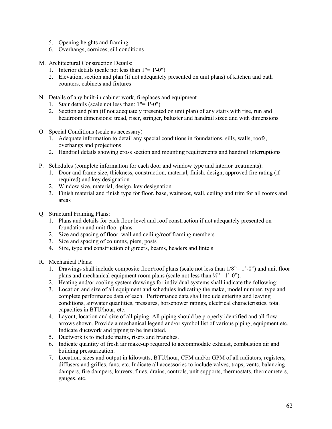- 5. Opening heights and framing
- 6. Overhangs, cornices, sill conditions
- M. Architectural Construction Details:
	- 1. Interior details (scale not less than 1"= 1'-0")
	- 2. Elevation, section and plan (if not adequately presented on unit plans) of kitchen and bath counters, cabinets and fixtures
- N. Details of any built-in cabinet work, fireplaces and equipment
	- 1. Stair details (scale not less than: 1"= 1'-0")
	- 2. Section and plan (if not adequately presented on unit plan) of any stairs with rise, run and headroom dimensions: tread, riser, stringer, baluster and handrail sized and with dimensions
- O. Special Conditions **(**scale as necessary)
	- 1. Adequate information to detail any special conditions in foundations, sills, walls, roofs, overhangs and projections
	- 2. Handrail details showing cross section and mounting requirements and handrail interruptions
- P. Schedules (complete information for each door and window type and interior treatments):
	- 1. Door and frame size, thickness, construction, material, finish, design, approved fire rating (if required) and key designation
	- 2. Window size, material, design, key designation
	- 3. Finish material and finish type for floor, base, wainscot, wall, ceiling and trim for all rooms and areas
- Q. Structural Framing Plans:
	- 1. Plans and details for each floor level and roof construction if not adequately presented on foundation and unit floor plans
	- 2. Size and spacing of floor, wall and ceiling/roof framing members
	- 3. Size and spacing of columns, piers, posts
	- 4. Size, type and construction of girders, beams, headers and lintels
- R. Mechanical Plans:
	- 1. Drawings shall include composite floor/roof plans (scale not less than 1/8"= 1'-0") and unit floor plans and mechanical equipment room plans (scale not less than  $\frac{1}{4} = 1^{\circ} - 0^{\circ}$ ).
	- 2. Heating and/or cooling system drawings for individual systems shall indicate the following:
	- 3. Location and size of all equipment and schedules indicating the make, model number, type and complete performance data of each. Performance data shall include entering and leaving conditions, air/water quantities, pressures, horsepower ratings, electrical characteristics, total capacities in BTU/hour, etc.
	- 4. Layout, location and size of all piping. All piping should be properly identified and all flow arrows shown. Provide a mechanical legend and/or symbol list of various piping, equipment etc. Indicate ductwork and piping to be insulated.
	- 5. Ductwork is to include mains, risers and branches.
	- 6. Indicate quantity of fresh air make-up required to accommodate exhaust, combustion air and building pressurization.
	- 7. Location, sizes and output in kilowatts, BTU/hour, CFM and/or GPM of all radiators, registers, diffusers and grilles, fans, etc. Indicate all accessories to include valves, traps, vents, balancing dampers, fire dampers, louvers, flues, drains, controls, unit supports, thermostats, thermometers, gauges, etc.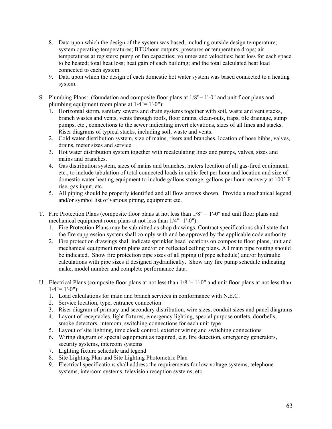- 8. Data upon which the design of the system was based, including outside design temperature; system operating temperatures; BTU/hour outputs; pressures or temperature drops; air temperatures at registers; pump or fan capacities; volumes and velocities; heat loss for each space to be heated; total heat loss; heat gain of each building; and the total calculated heat load connected to each system.
- 9. Data upon which the design of each domestic hot water system was based connected to a heating system.
- S. Plumbing Plans: (foundation and composite floor plans at 1/8"= 1'-0" and unit floor plans and plumbing equipment room plans at  $1/4" = 1'-0"$ :
	- 1. Horizontal storm, sanitary sewers and drain systems together with soil, waste and vent stacks, branch wastes and vents, vents through roofs, floor drains, clean-outs, traps, tile drainage, sump pumps, etc., connections to the sewer indicating invert elevations, sizes of all lines and stacks. Riser diagrams of typical stacks, including soil, waste and vents.
	- 2. Cold water distribution system, size of mains, risers and branches, location of hose bibbs, valves, drains, meter sizes and service.
	- 3. Hot water distribution system together with recalculating lines and pumps, valves, sizes and mains and branches.
	- 4. Gas distribution system, sizes of mains and branches, meters location of all gas-fired equipment, etc., to include tabulation of total connected loads in cubic feet per hour and location and size of domestic water heating equipment to include gallons storage, gallons per hour recovery at 100° F rise, gas input, etc.
	- 5. All piping should be properly identified and all flow arrows shown. Provide a mechanical legend and/or symbol list of various piping, equipment etc.
- T. Fire Protection Plans (composite floor plans at not less than 1/8" = 1'-0" and unit floor plans and mechanical equipment room plans at not less than 1/4"=1'-0"):
	- 1. Fire Protection Plans may be submitted as shop drawings. Contract specifications shall state that the fire suppression system shall comply with and be approved by the applicable code authority.
	- 2. Fire protection drawings shall indicate sprinkler head locations on composite floor plans, unit and mechanical equipment room plans and/or on reflected ceiling plans. All main pipe routing should be indicated. Show fire protection pipe sizes of all piping (if pipe schedule) and/or hydraulic calculations with pipe sizes if designed hydraulically. Show any fire pump schedule indicating make, model number and complete performance data.
- U. Electrical Plans (composite floor plans at not less than 1/8"= 1'-0" and unit floor plans at not less than  $1/4" = 1'-0"$ :
	- 1. Load calculations for main and branch services in conformance with N.E.C.
	- 2. Service location, type, entrance connection
	- 3. Riser diagram of primary and secondary distribution, wire sizes, conduit sizes and panel diagrams
	- 4. Layout of receptacles, light fixtures, emergency lighting, special purpose outlets, doorbells, smoke detectors, intercom, switching connections for each unit type
	- 5. Layout of site lighting, time clock control, exterior wiring and switching connections
	- 6. Wiring diagram of special equipment as required, e.g. fire detection, emergency generators, security systems, intercom systems
	- 7. Lighting fixture schedule and legend
	- 8. Site Lighting Plan and Site Lighting Photometric Plan
	- 9. Electrical specifications shall address the requirements for low voltage systems, telephone systems, intercom systems, television reception systems, etc.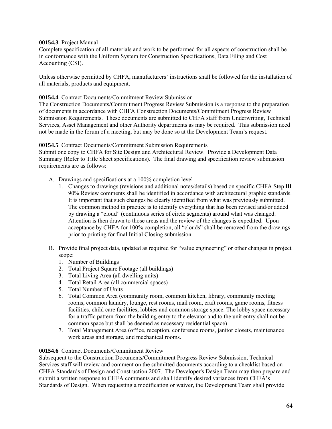# **00154.3** Project Manual

Complete specification of all materials and work to be performed for all aspects of construction shall be in conformance with the Uniform System for Construction Specifications, Data Filing and Cost Accounting (CSI).

Unless otherwise permitted by CHFA, manufacturers' instructions shall be followed for the installation of all materials, products and equipment.

#### **00154.4** Contract Documents/Commitment Review Submission

The Construction Documents/Commitment Progress Review Submission is a response to the preparation of documents in accordance with CHFA Construction Documents/Commitment Progress Review Submission Requirements. These documents are submitted to CHFA staff from Underwriting, Technical Services, Asset Management and other Authority departments as may be required. This submission need not be made in the forum of a meeting, but may be done so at the Development Team's request.

# **00154.5** Contract Documents/Commitment Submission Requirements

Submit one copy to CHFA for Site Design and Architectural Review. Provide a Development Data Summary (Refer to Title Sheet specifications). The final drawing and specification review submission requirements are as follows:

- A. Drawings and specifications at a 100% completion level
	- 1. Changes to drawings (revisions and additional notes/details) based on specific CHFA Step III 90% Review comments shall be identified in accordance with architectural graphic standards. It is important that such changes be clearly identified from what was previously submitted. The common method in practice is to identify everything that has been revised and/or added by drawing a "cloud" (continuous series of circle segments) around what was changed. Attention is then drawn to those areas and the review of the changes is expedited. Upon acceptance by CHFA for 100% completion, all "clouds" shall be removed from the drawings prior to printing for final Initial Closing submission.
- B. Provide final project data, updated as required for "value engineering" or other changes in project scope:
	- 1. Number of Buildings
	- 2. Total Project Square Footage (all buildings)
	- 3. Total Living Area (all dwelling units)
	- 4. Total Retail Area (all commercial spaces)
	- 5. Total Number of Units
	- 6. Total Common Area (community room, common kitchen, library, community meeting rooms, common laundry, lounge, rest rooms, mail room, craft rooms, game rooms, fitness facilities, child care facilities, lobbies and common storage space. The lobby space necessary for a traffic pattern from the building entry to the elevator and to the unit entry shall not be common space but shall be deemed as necessary residential space)
	- 7. Total Management Area (office, reception, conference rooms, janitor closets, maintenance work areas and storage, and mechanical rooms.

#### **00154.6** Contract Documents/Commitment Review

Subsequent to the Construction Documents/Commitment Progress Review Submission, Technical Services staff will review and comment on the submitted documents according to a checklist based on CHFA Standards of Design and Construction 2007. The Developer's Design Team may then prepare and submit a written response to CHFA comments and shall identify desired variances from CHFA's Standards of Design. When requesting a modification or waiver, the Development Team shall provide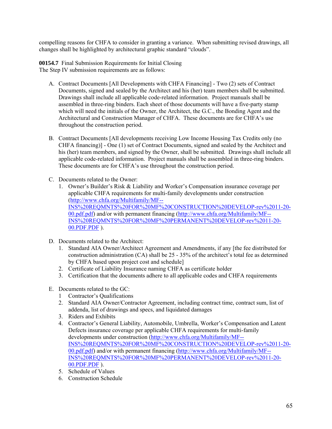compelling reasons for CHFA to consider in granting a variance. When submitting revised drawings, all changes shall be highlighted by architectural graphic standard "clouds".

**00154.7** Final Submission Requirements for Initial Closing The Step IV submission requirements are as follows:

- A. Contract Documents [All Developments with CHFA Financing] Two (2) sets of Contract Documents, signed and sealed by the Architect and his (her) team members shall be submitted. Drawings shall include all applicable code-related information. Project manuals shall be assembled in three-ring binders. Each sheet of those documents will have a five-party stamp which will need the initials of the Owner, the Architect, the G.C., the Bonding Agent and the Architectural and Construction Manager of CHFA. These documents are for CHFA's use throughout the construction period.
- B. Contract Documents [All developments receiving Low Income Housing Tax Credits only (no CHFA financing)] - One (1) set of Contract Documents, signed and sealed by the Architect and his (her) team members, and signed by the Owner, shall be submitted. Drawings shall include all applicable code-related information. Project manuals shall be assembled in three-ring binders. These documents are for CHFA's use throughout the construction period.
- C. Documents related to the Owner:
	- 1. Owner's Builder's Risk & Liability and Worker's Compensation insurance coverage per applicable CHFA requirements for multi-family developments under construction ([http://www.chfa.org/Multifamily/MF--](http://www.chfa.org/Multifamily/MF--INS REQMNTS FOR MF CONSTRUCTION DEVELOP-rev 11-20-00.pdf.pdf) [INS%20REQMNTS%20FOR%20MF%20CONSTRUCTION%20DEVELOP-rev%2011-20-](http://www.chfa.org/Multifamily/MF--INS REQMNTS FOR MF CONSTRUCTION DEVELOP-rev 11-20-00.pdf.pdf) [00.pdf.pdf\)](http://www.chfa.org/Multifamily/MF--INS REQMNTS FOR MF CONSTRUCTION DEVELOP-rev 11-20-00.pdf.pdf) and/or with permanent financing ([http://www.chfa.org/Multifamily/MF--](http://www.chfa.org/Multifamily/MF--INS REQMNTS FOR MF PERMANENT DEVELOP-rev 11-20-00.PDF.PDF) [INS%20REQMNTS%20FOR%20MF%20PERMANENT%20DEVELOP-rev%2011-20-](http://www.chfa.org/Multifamily/MF--INS REQMNTS FOR MF PERMANENT DEVELOP-rev 11-20-00.PDF.PDF) [00.PDF.PDF](http://www.chfa.org/Multifamily/MF--INS REQMNTS FOR MF PERMANENT DEVELOP-rev 11-20-00.PDF.PDF) ).
- D. Documents related to the Architect:
	- 1. Standard AIA Owner/Architect Agreement and Amendments, if any [the fee distributed for construction administration  $(CA)$  shall be 25 - 35% of the architect's total fee as determined by CHFA based upon project cost and schedule]
	- 2. Certificate of Liability Insurance naming CHFA as certificate holder
	- 3. Certification that the documents adhere to all applicable codes and CHFA requirements
- E. Documents related to the GC:
	- 1 Contractor's Qualifications
	- 2. Standard AIA Owner/Contractor Agreement, including contract time, contract sum, list of addenda, list of drawings and specs, and liquidated damages
	- 3. Riders and Exhibits
	- 4. Contractor's General Liability, Automobile, Umbrella, Worker's Compensation and Latent Defects insurance coverage per applicable CHFA requirements for multi-family developments under construction [\(http://www.chfa.org/Multifamily/MF--](http://www.chfa.org/Multifamily/MF--INS REQMNTS FOR MF CONSTRUCTION DEVELOP-rev 11-20-00.pdf.pdf) [INS%20REQMNTS%20FOR%20MF%20CONSTRUCTION%20DEVELOP-rev%2011-20-](http://www.chfa.org/Multifamily/MF--INS REQMNTS FOR MF CONSTRUCTION DEVELOP-rev 11-20-00.pdf.pdf) [00.pdf.pdf\)](http://www.chfa.org/Multifamily/MF--INS REQMNTS FOR MF CONSTRUCTION DEVELOP-rev 11-20-00.pdf.pdf) and/or with permanent financing ([http://www.chfa.org/Multifamily/MF--](http://www.chfa.org/Multifamily/MF--INS REQMNTS FOR MF PERMANENT DEVELOP-rev 11-20-00.PDF.PDF) [INS%20REQMNTS%20FOR%20MF%20PERMANENT%20DEVELOP-rev%2011-20-](http://www.chfa.org/Multifamily/MF--INS REQMNTS FOR MF PERMANENT DEVELOP-rev 11-20-00.PDF.PDF) [00.PDF.PDF](http://www.chfa.org/Multifamily/MF--INS REQMNTS FOR MF PERMANENT DEVELOP-rev 11-20-00.PDF.PDF) ).
	- 5. Schedule of Values
	- 6. Construction Schedule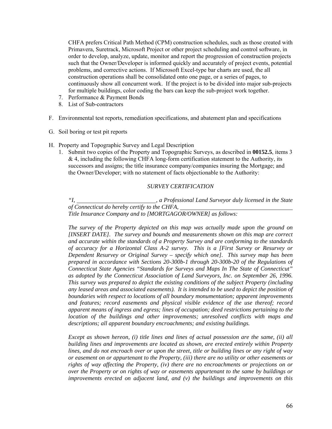CHFA prefers Critical Path Method (CPM) construction schedules, such as those created with Primavera, Suretrack, Microsoft Project or other project scheduling and control software, in order to develop, analyze, update, monitor and report the progression of construction projects such that the Owner/Developer is informed quickly and accurately of project events, potential problems, and corrective actions. If Microsoft Excel-type bar charts are used, the all construction operations shall be consolidated onto one page, or a series of pages, to continuously show all concurrent work. If the project is to be divided into major sub-projects for multiple buildings, color coding the bars can keep the sub-project work together.

- 7. Performance & Payment Bonds
- 8. List of Sub-contractors
- F. Environmental test reports, remediation specifications, and abatement plan and specifications
- G. Soil boring or test pit reports
- H. Property and Topographic Survey and Legal Description
	- 1. Submit two copies of the Property and Topographic Surveys, as described in **00152.5**, items 3 & 4, including the following CHFA long-form certification statement to the Authority, its successors and assigns; the title insurance company/companies insuring the Mortgage; and the Owner/Developer; with no statement of facts objectionable to the Authority:

# *SURVEY CERTIFICATION*

*"I, , a Professional Land Surveyor duly licensed in the State of Connecticut do hereby certify to the CHFA, Title Insurance Company and to [MORTGAGOR/OWNER] as follows:* 

*The survey of the Property depicted on this map was actually made upon the ground on [INSERT DATE]. The survey and bounds and measurements shown on this map are correct and accurate within the standards of a Property Survey and are conforming to the standards of accuracy for a Horizontal Class A-2 survey. This is a [First Survey or Resurvey or Dependent Resurvey or Original Survey – specify which one]. This survey map has been prepared in accordance with Sections 20-300b-1 through 20-300b-20 of the Regulations of Connecticut State Agencies "Standards for Surveys and Maps In The State of Connecticut" as adopted by the Connecticut Association of Land Surveyors, Inc. on September 26, 1996. This survey was prepared to depict the existing conditions of the subject Property (including any leased areas and associated easements). It is intended to be used to depict the position of boundaries with respect to locations of all boundary monumentation; apparent improvements and features; record easements and physical visible evidence of the use thereof; record apparent means of ingress and egress; lines of occupation; deed restrictions pertaining to the location of the buildings and other improvements; unresolved conflicts with maps and descriptions; all apparent boundary encroachments; and existing buildings.* 

*Except as shown hereon, (i) title lines and lines of actual possession are the same, (ii) all building lines and improvements are located as shown, are erected entirely within Property lines, and do not encroach over or upon the street, title or building lines or any right of way or easement on or appurtenant to the Property, (iii) there are no utility or other easements or rights of way affecting the Property, (iv) there are no encroachments or projections on or over the Property or on rights of way or easements appurtenant to the same by buildings or improvements erected on adjacent land, and (v) the buildings and improvements on this*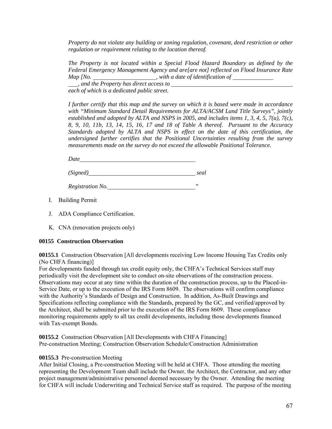*Property do not violate any building or zoning regulation, covenant, deed restriction or other regulation or requirement relating to the location thereof.* 

*The Property is not located within a Special Flood Hazard Boundary as defined by the Federal Emergency Management Agency and are[are not] reflected on Flood Insurance Rate Map [No.* \_\_\_\_\_\_\_\_\_\_\_\_\_\_\_\_\_\_\_\_, with a date of identification of \_\_\_\_\_\_\_\_\_\_\_

*, and the Property has direct access to each of which is a dedicated public street.* 

*I further certify that this map and the survey on which it is based were made in accordance with "Minimum Standard Detail Requirements for ALTA/ACSM Land Title Surveys", jointly established and adopted by ALTA and NSPS in 2005, and includes items 1, 3, 4, 5, 7(a), 7(c), 8, 9, 10, 11b, 13, 14, 15, 16, 17 and 18 of Table A thereof. Pursuant to the Accuracy Standards adopted by ALTA and NSPS in effect on the date of this certification, the undersigned further certifies that the Positional Uncertainties resulting from the survey measurements made on the survey do not exceed the allowable Positional Tolerance.* 

*Date* 

*(Signed) seal* 

*Registration No. "* 

- I. Building Permit
- J. ADA Compliance Certification.
- K. CNA (renovation projects only)

# **00155 Construction Observation**

**00155.1** Construction Observation [All developments receiving Low Income Housing Tax Credits only (No CHFA financing)]

For developments funded through tax credit equity only, the CHFA's Technical Services staff may periodically visit the development site to conduct on-site observations of the construction process. Observations may occur at any time within the duration of the construction process, up to the Placed-in-Service Date, or up to the execution of the IRS Form 8609. The observations will confirm compliance with the Authority's Standards of Design and Construction. In addition, As-Built Drawings and Specifications reflecting compliance with the Standards, prepared by the GC, and verified/approved by the Architect, shall be submitted prior to the execution of the IRS Form 8609. These compliance monitoring requirements apply to all tax credit developments, including those developments financed with Tax-exempt Bonds.

**00155.2** Construction Observation [All Developments with CHFA Financing] Pre-construction Meeting; Construction Observation Schedule/Construction Administration

# **00155.3** Pre-construction Meeting

After Initial Closing, a Pre-construction Meeting will be held at CHFA. Those attending the meeting representing the Development Team shall include the Owner, the Architect, the Contractor, and any other project management/administrative personnel deemed necessary by the Owner. Attending the meeting for CHFA will include Underwriting and Technical Service staff as required. The purpose of the meeting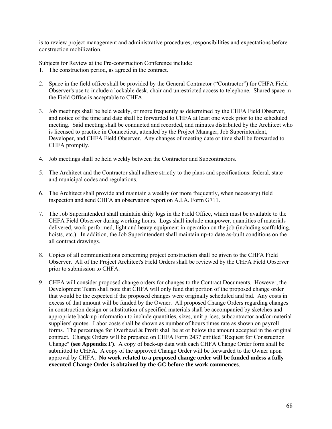is to review project management and administrative procedures, responsibilities and expectations before construction mobilization.

Subjects for Review at the Pre-construction Conference include:

- 1. The construction period, as agreed in the contract.
- 2. Space in the field office shall be provided by the General Contractor ("Contractor") for CHFA Field Observer's use to include a lockable desk, chair and unrestricted access to telephone. Shared space in the Field Office is acceptable to CHFA.
- 3. Job meetings shall be held weekly, or more frequently as determined by the CHFA Field Observer, and notice of the time and date shall be forwarded to CHFA at least one week prior to the scheduled meeting. Said meeting shall be conducted and recorded, and minutes distributed by the Architect who is licensed to practice in Connecticut, attended by the Project Manager, Job Superintendent, Developer, and CHFA Field Observer. Any changes of meeting date or time shall be forwarded to CHFA promptly.
- 4. Job meetings shall be held weekly between the Contractor and Subcontractors.
- 5. The Architect and the Contractor shall adhere strictly to the plans and specifications: federal, state and municipal codes and regulations.
- 6. The Architect shall provide and maintain a weekly (or more frequently, when necessary) field inspection and send CHFA an observation report on A.I.A. Form G711.
- 7. The Job Superintendent shall maintain daily logs in the Field Office, which must be available to the CHFA Field Observer during working hours. Logs shall include manpower, quantities of materials delivered, work performed, light and heavy equipment in operation on the job (including scaffolding, hoists, etc.). In addition, the Job Superintendent shall maintain up-to date as-built conditions on the all contract drawings.
- 8. Copies of all communications concerning project construction shall be given to the CHFA Field Observer. All of the Project Architect's Field Orders shall be reviewed by the CHFA Field Observer prior to submission to CHFA.
- 9. CHFA will consider proposed change orders for changes to the Contract Documents. However, the Development Team shall note that CHFA will only fund that portion of the proposed change order that would be the expected if the proposed changes were originally scheduled and bid. Any costs in excess of that amount will be funded by the Owner. All proposed Change Orders regarding changes in construction design or substitution of specified materials shall be accompanied by sketches and appropriate back-up information to include quantities, sizes, unit prices, subcontractor and/or material suppliers' quotes. Labor costs shall be shown as number of hours times rate as shown on payroll forms. The percentage for Overhead & Profit shall be at or below the amount accepted in the original contract. Change Orders will be prepared on CHFA Form 2437 entitled "Request for Construction Change" **(see Appendix F)**. A copy of back-up data with each CHFA Change Order form shall be submitted to CHFA. A copy of the approved Change Order will be forwarded to the Owner upon approval by CHFA. **No work related to a proposed change order will be funded unless a fullyexecuted Change Order is obtained by the GC before the work commences**.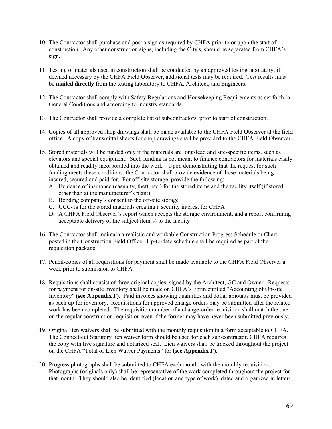- 10. The Contractor shall purchase and post a sign as required by CHFA prior to or upon the start of construction. Any other construction signs, including the City's, should be separated from CHFA's sign.
- 11. Testing of materials used in construction shall be conducted by an approved testing laboratory; if deemed necessary by the CHFA Field Observer, additional tests may be required. Test results must be **mailed directly** from the testing laboratory to CHFA, Architect, and Engineers.
- 12. The Contractor shall comply with Safety Regulations and Housekeeping Requirements as set forth in General Conditions and according to industry standards.
- 13. The Contractor shall provide a complete list of subcontractors, prior to start of construction.
- 14. Copies of all approved shop drawings shall be made available to the CHFA Field Observer at the field office. A copy of transmittal sheets for shop drawings shall be provided to the CHFA Field Observer.
- 15. Stored materials will be funded only if the materials are long-lead and site-specific items, such as elevators and special equipment. Such funding is not meant to finance contractors for materials easily obtained and readily incorporated into the work. Upon demonstrating that the request for such funding meets these conditions, the Contractor shall provide evidence of those materials being insured, secured and paid for. For off-site storage, provide the following:
	- A. Evidence of insurance (casualty, theft, etc.) for the stored items and the facility itself (if stored other than at the manufacturer's plant)
	- B. Bonding company's consent to the off-site storage
	- C. UCC-1s for the stored materials creating a security interest for CHFA
	- D. A CHFA Field Observer's report which accepts the storage environment, and a report confirming acceptable delivery of the subject item(s) to the facility
- 16. The Contractor shall maintain a realistic and workable Construction Progress Schedule or Chart posted in the Construction Field Office. Up-to-date schedule shall be required as part of the requisition package.
- 17. Pencil-copies of all requisitions for payment shall be made available to the CHFA Field Observer a week prior to submission to CHFA.
- 18. Requisitions shall consist of three original copies, signed by the Architect, GC and Owner. Requests for payment for on-site inventory shall be made on CHFA's Form entitled "Accounting of On-site Inventory" **(see Appendix F)**. Paid invoices showing quantities and dollar amounts must be provided as back up for inventory. Requisitions for approved change orders may be submitted after the related work has been completed. The requisition number of a change-order requisition shall match the one on the regular construction requisition even if the former may have never been submitted previously.
- 19. Original lien waivers shall be submitted with the monthly requisition in a form acceptable to CHFA. The Connecticut Statutory lien waiver form should be used for each sub-contractor. CHFA requires the copy with live signature and notarized seal. Lien waivers shall be tracked throughout the project on the CHFA "Total of Lien Waiver Payments" for **(see Appendix F)**.
- 20. Progress photographs shall be submitted to CHFA each month, with the monthly requisition. Photographs (originals only) shall be representative of the work completed throughout the project for that month. They should also be identified (location and type of work), dated and organized in letter-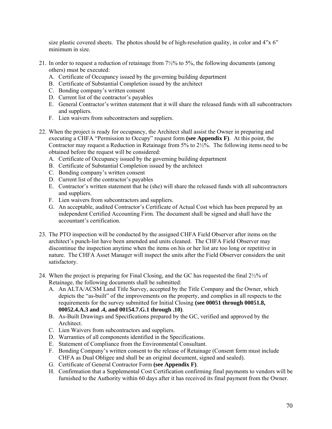size plastic covered sheets. The photos should be of high-resolution quality, in color and  $4"x 6"$ minimum in size.

- 21. In order to request a reduction of retainage from 7½% to 5%, the following documents (among others) must be executed:
	- A. Certificate of Occupancy issued by the governing building department
	- B. Certificate of Substantial Completion issued by the architect
	- C. Bonding company's written consent
	- D. Current list of the contractor's payables
	- E. General Contractor's written statement that it will share the released funds with all subcontractors and suppliers.
	- F. Lien waivers from subcontractors and suppliers.
- 22. When the project is ready for occupancy, the Architect shall assist the Owner in preparing and executing a CHFA "Permission to Occupy" request form **(see Appendix F)**. At this point, the Contractor may request a Reduction in Retainage from 5% to 2½%. The following items need to be obtained before the request will be considered:
	- A. Certificate of Occupancy issued by the governing building department
	- B. Certificate of Substantial Completion issued by the architect
	- C. Bonding company's written consent
	- D. Current list of the contractor's payables
	- E. Contractor's written statement that he (she) will share the released funds with all subcontractors and suppliers.
	- F. Lien waivers from subcontractors and suppliers.
	- G. An acceptable, audited Contractor's Certificate of Actual Cost which has been prepared by an independent Certified Accounting Firm. The document shall be signed and shall have the accountant's certification.
- 23. The PTO inspection will be conducted by the assigned CHFA Field Observer after items on the architect's punch-list have been amended and units cleaned. The CHFA Field Observer may discontinue the inspection anytime when the items on his or her list are too long or repetitive in nature. The CHFA Asset Manager will inspect the units after the Field Observer considers the unit satisfactory.
- 24. When the project is preparing for Final Closing, and the GC has requested the final 2½% of Retainage, the following documents shall be submitted:
	- A. An ALTA/ACSM Land Title Survey, accepted by the Title Company and the Owner, which depicts the "as-built" of the improvements on the property, and complies in all respects to the requirements for the survey submitted for Initial Closing **(see 00051 through 00051.8, 00052.4.A.3 and .4, and 00154.7.G.1 through .10)**.
	- B. As-Built Drawings and Specifications prepared by the GC, verified and approved by the **Architect**
	- C. Lien Waivers from subcontractors and suppliers.
	- D. Warranties of all components identified in the Specifications.
	- E. Statement of Compliance from the Environmental Consultant.
	- F. Bonding Company's written consent to the release of Retainage (Consent form must include CHFA as Dual Obligee and shall be an original document, signed and sealed).
	- G. Certificate of General Contractor Form **(see Appendix F)**.
	- H. Confirmation that a Supplemental Cost Certification confirming final payments to vendors will be furnished to the Authority within 60 days after it has received its final payment from the Owner.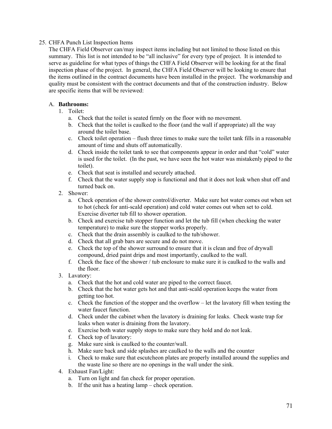# 25. CHFA Punch List Inspection Items

The CHFA Field Observer can/may inspect items including but not limited to those listed on this summary. This list is not intended to be "all inclusive" for every type of project. It is intended to serve as guideline for what types of things the CHFA Field Observer will be looking for at the final inspection phase of the project. In general, the CHFA Field Observer will be looking to ensure that the items outlined in the contract documents have been installed in the project. The workmanship and quality must be consistent with the contract documents and that of the construction industry. Below are specific items that will be reviewed:

# A. **Bathrooms:**

- 1. Toilet:
	- a. Check that the toilet is seated firmly on the floor with no movement.
	- b. Check that the toilet is caulked to the floor (and the wall if appropriate) all the way around the toilet base.
	- c. Check toilet operation flush three times to make sure the toilet tank fills in a reasonable amount of time and shuts off automatically.
	- d. Check inside the toilet tank to see that components appear in order and that "cold" water is used for the toilet. (In the past, we have seen the hot water was mistakenly piped to the toilet).
	- e. Check that seat is installed and securely attached.
	- f. Check that the water supply stop is functional and that it does not leak when shut off and turned back on.
- 2. Shower:
	- a. Check operation of the shower control/diverter. Make sure hot water comes out when set to hot (check for anti-scald operation) and cold water comes out when set to cold. Exercise diverter tub fill to shower operation.
	- b. Check and exercise tub stopper function and let the tub fill (when checking the water temperature) to make sure the stopper works properly.
	- c. Check that the drain assembly is caulked to the tub/shower.
	- d. Check that all grab bars are secure and do not move.
	- e. Check the top of the shower surround to ensure that it is clean and free of drywall compound, dried paint drips and most importantly, caulked to the wall.
	- f. Check the face of the shower / tub enclosure to make sure it is caulked to the walls and the floor.
- 3. Lavatory:
	- a. Check that the hot and cold water are piped to the correct faucet.
	- b. Check that the hot water gets hot and that anti-scald operation keeps the water from getting too hot.
	- c. Check the function of the stopper and the overflow let the lavatory fill when testing the water faucet function.
	- d. Check under the cabinet when the lavatory is draining for leaks. Check waste trap for leaks when water is draining from the lavatory.
	- e. Exercise both water supply stops to make sure they hold and do not leak.
	- f. Check top of lavatory:
	- g. Make sure sink is caulked to the counter/wall.
	- h. Make sure back and side splashes are caulked to the walls and the counter
	- i. Check to make sure that escutcheon plates are properly installed around the supplies and the waste line so there are no openings in the wall under the sink.
- 4. Exhaust Fan/Light:
	- a. Turn on light and fan check for proper operation.
	- b. If the unit has a heating lamp check operation.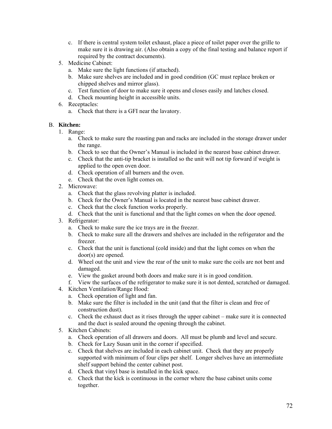- c. If there is central system toilet exhaust, place a piece of toilet paper over the grille to make sure it is drawing air. (Also obtain a copy of the final testing and balance report if required by the contract documents).
- 5. Medicine Cabinet:
	- a. Make sure the light functions (if attached).
	- b. Make sure shelves are included and in good condition (GC must replace broken or chipped shelves and mirror glass).
	- c. Test function of door to make sure it opens and closes easily and latches closed.
	- d. Check mounting height in accessible units.
- 6. Receptacles:
	- a. Check that there is a GFI near the lavatory.

# B. **Kitchen:**

- 1. Range:
	- a. Check to make sure the roasting pan and racks are included in the storage drawer under the range.
	- b. Check to see that the Owner's Manual is included in the nearest base cabinet drawer.
	- c. Check that the anti-tip bracket is installed so the unit will not tip forward if weight is applied to the open oven door.
	- d. Check operation of all burners and the oven.
	- e. Check that the oven light comes on.
- 2. Microwave:
	- a. Check that the glass revolving platter is included.
	- b. Check for the Owner's Manual is located in the nearest base cabinet drawer.
	- c. Check that the clock function works properly.
	- d. Check that the unit is functional and that the light comes on when the door opened.
- 3. Refrigerator:
	- a. Check to make sure the ice trays are in the freezer.
	- b. Check to make sure all the drawers and shelves are included in the refrigerator and the freezer.
	- c. Check that the unit is functional (cold inside) and that the light comes on when the door(s) are opened.
	- d. Wheel out the unit and view the rear of the unit to make sure the coils are not bent and damaged.
	- e. View the gasket around both doors and make sure it is in good condition.
	- f. View the surfaces of the refrigerator to make sure it is not dented, scratched or damaged.
- 4. Kitchen Ventilation/Range Hood:
	- a. Check operation of light and fan.
	- b. Make sure the filter is included in the unit (and that the filter is clean and free of construction dust).
	- c. Check the exhaust duct as it rises through the upper cabinet make sure it is connected and the duct is sealed around the opening through the cabinet.
- 5. Kitchen Cabinets:
	- a. Check operation of all drawers and doors. All must be plumb and level and secure.
	- b. Check for Lazy Susan unit in the corner if specified.
	- c. Check that shelves are included in each cabinet unit. Check that they are properly supported with minimum of four clips per shelf. Longer shelves have an intermediate shelf support behind the center cabinet post.
	- d. Check that vinyl base is installed in the kick space.
	- e. Check that the kick is continuous in the corner where the base cabinet units come together.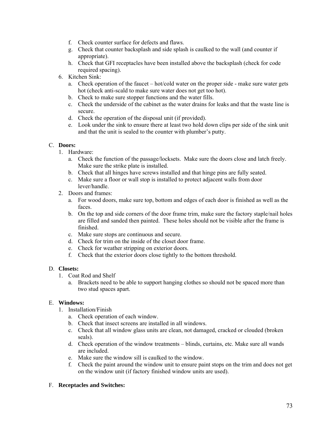- f. Check counter surface for defects and flaws.
- g. Check that counter backsplash and side splash is caulked to the wall (and counter if appropriate).
- h. Check that GFI receptacles have been installed above the backsplash (check for code required spacing).
- 6. Kitchen Sink:
	- a. Check operation of the faucet hot/cold water on the proper side make sure water gets hot (check anti-scald to make sure water does not get too hot).
	- b. Check to make sure stopper functions and the water fills.
	- c. Check the underside of the cabinet as the water drains for leaks and that the waste line is secure.
	- d. Check the operation of the disposal unit (if provided).
	- e. Look under the sink to ensure there at least two hold down clips per side of the sink unit and that the unit is sealed to the counter with plumber's putty.

## C. **Doors:**

- 1. Hardware:
	- a. Check the function of the passage/locksets. Make sure the doors close and latch freely. Make sure the strike plate is installed.
	- b. Check that all hinges have screws installed and that hinge pins are fully seated.
	- c. Make sure a floor or wall stop is installed to protect adjacent walls from door lever/handle.
- 2. Doors and frames:
	- a. For wood doors, make sure top, bottom and edges of each door is finished as well as the faces.
	- b. On the top and side corners of the door frame trim, make sure the factory staple/nail holes are filled and sanded then painted. These holes should not be visible after the frame is finished.
	- c. Make sure stops are continuous and secure.
	- d. Check for trim on the inside of the closet door frame.
	- e. Check for weather stripping on exterior doors.
	- f. Check that the exterior doors close tightly to the bottom threshold.

## D. **Closets:**

- 1. Coat Rod and Shelf
	- a. Brackets need to be able to support hanging clothes so should not be spaced more than two stud spaces apart.

## E. **Windows:**

- 1. Installation/Finish
	- a. Check operation of each window.
	- b. Check that insect screens are installed in all windows.
	- c. Check that all window glass units are clean, not damaged, cracked or clouded (broken seals).
	- d. Check operation of the window treatments blinds, curtains, etc. Make sure all wands are included.
	- e. Make sure the window sill is caulked to the window.
	- f. Check the paint around the window unit to ensure paint stops on the trim and does not get on the window unit (if factory finished window units are used).

### F. **Receptacles and Switches:**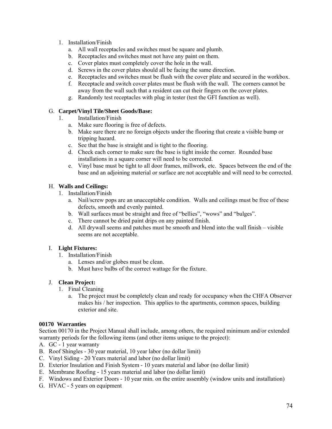- 1. Installation/Finish
	- a. All wall receptacles and switches must be square and plumb.
	- b. Receptacles and switches must not have any paint on them.
	- c. Cover plates must completely cover the hole in the wall.
	- d. Screws in the cover plates should all be facing the same direction.
	- e. Receptacles and switches must be flush with the cover plate and secured in the workbox.
	- f. Receptacle and switch cover plates must be flush with the wall. The corners cannot be away from the wall such that a resident can cut their fingers on the cover plates.
	- g. Randomly test receptacles with plug in tester (test the GFI function as well).

## G. **Carpet/Vinyl Tile/Sheet Goods/Base:**

- 1. Installation/Finish
	- a. Make sure flooring is free of defects.
	- b. Make sure there are no foreign objects under the flooring that create a visible bump or tripping hazard.
	- c. See that the base is straight and is tight to the flooring.
	- d. Check each corner to make sure the base is tight inside the corner. Rounded base installations in a square corner will need to be corrected.
	- e. Vinyl base must be tight to all door frames, millwork, etc. Spaces between the end of the base and an adjoining material or surface are not acceptable and will need to be corrected.

## H. **Walls and Ceilings:**

- 1. Installation/Finish
	- a. Nail/screw pops are an unacceptable condition. Walls and ceilings must be free of these defects, smooth and evenly painted.
	- b. Wall surfaces must be straight and free of "bellies", "wows" and "bulges".
	- c. There cannot be dried paint drips on any painted finish.
	- d. All drywall seems and patches must be smooth and blend into the wall finish visible seems are not acceptable.

### I. **Light Fixtures:**

- 1. Installation/Finish
	- a. Lenses and/or globes must be clean.
	- b. Must have bulbs of the correct wattage for the fixture.

## J. **Clean Project:**

- 1. Final Cleaning
	- a. The project must be completely clean and ready for occupancy when the CHFA Observer makes his / her inspection. This applies to the apartments, common spaces, building exterior and site.

### **00170 Warranties**

Section 00170 in the Project Manual shall include, among others, the required minimum and/or extended warranty periods for the following items (and other items unique to the project):

- A. GC 1 year warranty
- B. Roof Shingles 30 year material, 10 year labor (no dollar limit)
- C. Vinyl Siding 20 Years material and labor (no dollar limit)
- D. Exterior Insulation and Finish System 10 years material and labor (no dollar limit)
- E. Membrane Roofing 15 years material and labor (no dollar limit)
- F. Windows and Exterior Doors 10 year min. on the entire assembly (window units and installation)
- G. HVAC 5 years on equipment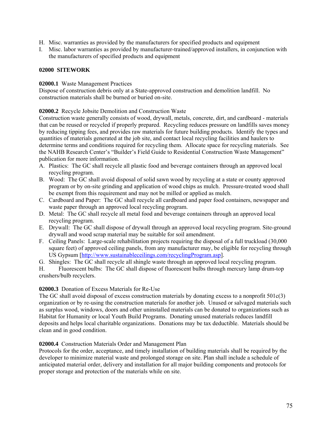- H. Misc. warranties as provided by the manufacturers for specified products and equipment
- I. Misc. labor warranties as provided by manufacturer-trained/approved installers, in conjunction with the manufacturers of specified products and equipment

## **02000 SITEWORK**

**02000.1** Waste Management Practices

Dispose of construction debris only at a State-approved construction and demolition landfill. No construction materials shall be burned or buried on-site.

**02000.2** Recycle Jobsite Demolition and Construction Waste

Construction waste generally consists of wood, drywall, metals, concrete, dirt, and cardboard - materials that can be reused or recycled if properly prepared. Recycling reduces pressure on landfills saves money by reducing tipping fees, and provides raw materials for future building products. Identify the types and quantities of materials generated at the job site, and contact local recycling facilities and haulers to determine terms and conditions required for recycling them. Allocate space for recycling materials. See the NAHB Research Center's "Builder's Field Guide to Residential Construction Waste Management" publication for more information.

- A. Plastics: The GC shall recycle all plastic food and beverage containers through an approved local recycling program.
- B. Wood: The GC shall avoid disposal of solid sawn wood by recycling at a state or county approved program or by on-site grinding and application of wood chips as mulch. Pressure-treated wood shall be exempt from this requirement and may not be milled or applied as mulch.
- C. Cardboard and Paper: The GC shall recycle all cardboard and paper food containers, newspaper and waste paper through an approved local recycling program.
- D. Metal: The GC shall recycle all metal food and beverage containers through an approved local recycling program.
- E. Drywall: The GC shall dispose of drywall through an approved local recycling program. Site-ground drywall and wood scrap material may be suitable for soil amendment.
- F. Ceiling Panels: Large-scale rehabilitation projects requiring the disposal of a full truckload (30,000 square feet) of approved ceiling panels, from any manufacturer may, be eligible for recycling through US Gypsum [\[http://www.sustainableceilings.com/recyclingProgram.asp](http://www.sustainableceilings.com/recyclingProgram.asp)].
- G. Shingles: The GC shall recycle all shingle waste through an approved local recycling program.

H. Fluorescent bulbs: The GC shall dispose of fluorescent bulbs through mercury lamp drum-top crushers/bulb recyclers.

## **02000.3** Donation of Excess Materials for Re-Use

The GC shall avoid disposal of excess construction materials by donating excess to a nonprofit 501c(3) organization or by re-using the construction materials for another job. Unused or salvaged materials such as surplus wood, windows, doors and other uninstalled materials can be donated to organizations such as Habitat for Humanity or local Youth Build Programs. Donating unused materials reduces landfill deposits and helps local charitable organizations. Donations may be tax deductible. Materials should be clean and in good condition.

### **02000.4** Construction Materials Order and Management Plan

Protocols for the order, acceptance, and timely installation of building materials shall be required by the developer to minimize material waste and prolonged storage on site. Plan shall include a schedule of anticipated material order, delivery and installation for all major building components and protocols for proper storage and protection of the materials while on site.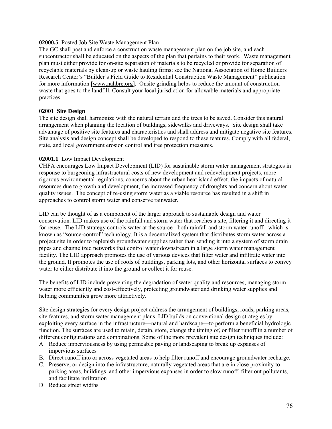### **02000.5** Posted Job Site Waste Management Plan

The GC shall post and enforce a construction waste management plan on the job site, and each subcontractor shall be educated on the aspects of the plan that pertains to their work. Waste management plan must either provide for on-site separation of materials to be recycled or provide for separation of recyclable materials by clean-up or waste hauling firms; see the National Association of Home Builders Research Center's "Builder's Field Guide to Residential Construction Waste Management" publication for more information [\[www.nahbrc.org](http://www.nahbrc.org/)]. Onsite grinding helps to reduce the amount of construction waste that goes to the landfill. Consult your local jurisdiction for allowable materials and appropriate practices.

### **02001 Site Design**

The site design shall harmonize with the natural terrain and the trees to be saved. Consider this natural arrangement when planning the location of buildings, sidewalks and driveways. Site design shall take advantage of positive site features and characteristics and shall address and mitigate negative site features. Site analysis and design concept shall be developed to respond to these features. Comply with all federal, state, and local government erosion control and tree protection measures.

### **02001.1** Low Impact Development

CHFA encourages Low Impact Development (LID) for sustainable storm water management strategies in response to burgeoning infrastructural costs of new development and redevelopment projects, more rigorous environmental regulations, concerns about the urban heat island effect, the impacts of natural resources due to growth and development, the increased frequency of droughts and concern about water quality issues. The concept of re-using storm water as a viable resource has resulted in a shift in approaches to control storm water and conserve rainwater.

LID can be thought of as a component of the larger approach to sustainable design and water conservation. LID makes use of the rainfall and storm water that reaches a site, filtering it and directing it for reuse. The LID strategy controls water at the source - both rainfall and storm water runoff - which is known as "source-control" technology. It is a decentralized system that distributes storm water across a project site in order to replenish groundwater supplies rather than sending it into a system of storm drain pipes and channelized networks that control water downstream in a large storm water management facility. The LID approach promotes the use of various devices that filter water and infiltrate water into the ground. It promotes the use of roofs of buildings, parking lots, and other horizontal surfaces to convey water to either distribute it into the ground or collect it for reuse.

The benefits of LID include preventing the degradation of water quality and resources, managing storm water more efficiently and cost-effectively, protecting groundwater and drinking water supplies and helping communities grow more attractively.

Site design strategies for every design project address the arrangement of buildings, roads, parking areas, site features, and storm water management plans. LID builds on conventional design strategies by exploiting every surface in the infrastructure—natural and hardscape—to perform a beneficial hydrologic function. The surfaces are used to retain, detain, store, change the timing of, or filter runoff in a number of different configurations and combinations. Some of the more prevalent site design techniques include:

- A. Reduce imperviousness by using permeable paving or landscaping to break up expanses of impervious surfaces
- B. Direct runoff into or across vegetated areas to help filter runoff and encourage groundwater recharge.
- C. Preserve, or design into the infrastructure, naturally vegetated areas that are in close proximity to parking areas, buildings, and other impervious expanses in order to slow runoff, filter out pollutants, and facilitate infiltration
- D. Reduce street widths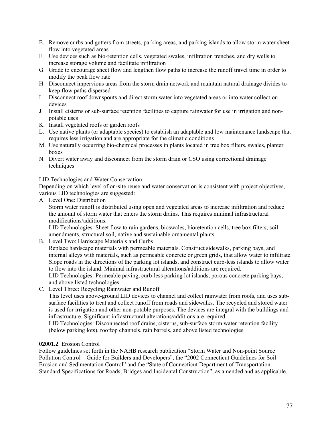- E. Remove curbs and gutters from streets, parking areas, and parking islands to allow storm water sheet flow into vegetated areas
- F. Use devices such as bio-retention cells, vegetated swales, infiltration trenches, and dry wells to increase storage volume and facilitate infiltration
- G. Grade to encourage sheet flow and lengthen flow paths to increase the runoff travel time in order to modify the peak flow rate
- H. Disconnect impervious areas from the storm drain network and maintain natural drainage divides to keep flow paths dispersed
- I. Disconnect roof downspouts and direct storm water into vegetated areas or into water collection devices
- J. Install cisterns or sub-surface retention facilities to capture rainwater for use in irrigation and nonpotable uses
- K. Install vegetated roofs or garden roofs
- L. Use native plants (or adaptable species) to establish an adaptable and low maintenance landscape that requires less irrigation and are appropriate for the climatic conditions
- M. Use naturally occurring bio-chemical processes in plants located in tree box filters, swales, planter boxes
- N. Divert water away and disconnect from the storm drain or CSO using correctional drainage techniques

LID Technologies and Water Conservation:

Depending on which level of on-site reuse and water conservation is consistent with project objectives, various LID technologies are suggested:

A. Level One: Distribution

Storm water runoff is distributed using open and vegetated areas to increase infiltration and reduce the amount of storm water that enters the storm drains. This requires minimal infrastructural modifications/additions.

LID Technologies: Sheet flow to rain gardens, bioswales, bioretention cells, tree box filters, soil amendments, structural soil, native and sustainable ornamental plants

B. Level Two: Hardscape Materials and Curbs

Replace hardscape materials with permeable materials. Construct sidewalks, parking bays, and internal alleys with materials, such as permeable concrete or green grids, that allow water to infiltrate. Slope roads in the directions of the parking lot islands, and construct curb-less islands to allow water to flow into the island. Minimal infrastructural alterations/additions are required.

LID Technologies: Permeable paving, curb-less parking lot islands, porous concrete parking bays, and above listed technologies

C. Level Three: Recycling Rainwater and Runoff

This level uses above-ground LID devices to channel and collect rainwater from roofs, and uses subsurface facilities to treat and collect runoff from roads and sidewalks. The recycled and stored water is used for irrigation and other non-potable purposes. The devices are integral with the buildings and infrastructure. Significant infrastructural alterations/additions are required.

LID Technologies: Disconnected roof drains, cisterns, sub-surface storm water retention facility (below parking lots), rooftop channels, rain barrels, and above listed technologies

## **02001.2** Erosion Control

Follow guidelines set forth in the NAHB research publication "Storm Water and Non-point Source Pollution Control – Guide for Builders and Developers", the "2002 Connecticut Guidelines for Soil Erosion and Sedimentation Control" and the "State of Connecticut Department of Transportation Standard Specifications for Roads, Bridges and Incidental Construction", as amended and as applicable.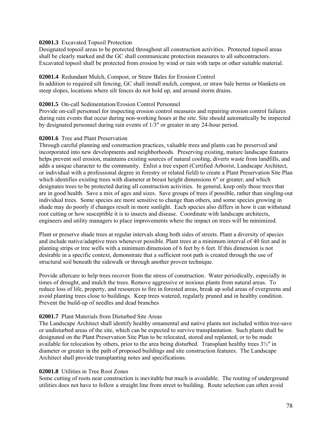### **02001.3** Excavated Topsoil Protection

Designated topsoil areas to be protected throughout all construction activities. Protected topsoil areas shall be clearly marked and the GC shall communicate protection measures to all subcontractors. Excavated topsoil shall be protected from erosion by wind or rain with tarps or other suitable material.

### **02001.4** Redundant Mulch, Compost, or Straw Bales for Erosion Control

In addition to required silt fencing, GC shall install mulch, compost, or straw bale berms or blankets on steep slopes, locations where silt fences do not hold up, and around storm drains.

### **02001.5** On-call Sedimentation/Erosion Control Personnel

Provide on-call personnel for inspecting erosion control measures and repairing erosion control failures during rain events that occur during non-working hours at the site. Site should automatically be inspected by designated personnel during rain events of 1/3" or greater in any 24-hour period.

### **02001.6** Tree and Plant Preservation

Through careful planning and construction practices, valuable trees and plants can be preserved and incorporated into new developments and neighborhoods. Preserving existing, mature landscape features helps prevent soil erosion, maintains existing sources of natural cooling, diverts waste from landfills, and adds a unique character to the community. Enlist a tree expert (Certified Arborist, Landscape Architect, or individual with a professional degree in forestry or related field) to create a Plant Preservation Site Plan which identifies existing trees with diameter at breast height dimensions 6" or greater, and which designates trees to be protected during all construction activities. In general, keep only those trees that are in good health. Save a mix of ages and sizes. Save groups of trees if possible, rather than singling-out individual trees. Some species are more sensitive to change than others, and some species growing in shade may do poorly if changes result in more sunlight. Each species also differs in how it can withstand root cutting or how susceptible it is to insects and disease. Coordinate with landscape architects, engineers and utility managers to place improvements where the impact on trees will be minimized.

Plant or preserve shade trees at regular intervals along both sides of streets. Plant a diversity of species and include native/adaptive trees whenever possible. Plant trees at a minimum interval of 40 feet and in planting strips or tree wells with a minimum dimension of 6 feet by 6 feet. If this dimension is not desirable in a specific context, demonstrate that a sufficient root path is created through the use of structural soil beneath the sidewalk or through another proven technique.

Provide aftercare to help trees recover from the stress of construction. Water periodically, especially in times of drought, and mulch the trees. Remove aggressive or noxious plants from natural areas. To reduce loss of life, property, and resources to fire in forested areas, break up solid areas of evergreens and avoid planting trees close to buildings. Keep trees watered, regularly pruned and in healthy condition. Prevent the build-up of needles and dead branches

### **02001.7** Plant Materials from Disturbed Site Areas

The Landscape Architect shall identify healthy ornamental and native plants not included within tree-save or undisturbed areas of the site, which can be expected to survive transplantation. Such plants shall be designated on the Plant Preservation Site Plan to be relocated, stored and replanted, or to be made available for relocation by others, prior to the area being disturbed. Transplant healthy trees 3½" in diameter or greater in the path of proposed buildings and site construction features. The Landscape Architect shall provide transplanting notes and specifications.

### **02001.8** Utilities in Tree Root Zones

Some cutting of roots near construction is inevitable but much is avoidable. The routing of underground utilities does not have to follow a straight line from street to building. Route selection can often avoid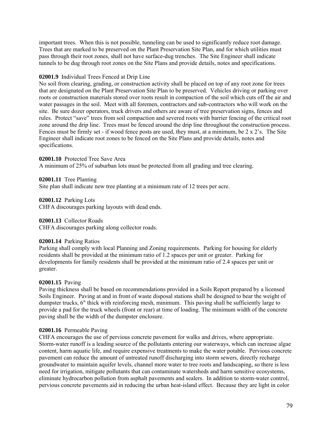important trees. When this is not possible, tunneling can be used to significantly reduce root damage. Trees that are marked to be preserved on the Plant Preservation Site Plan, and for which utilities must pass through their root zones, shall not have surface-dug trenches. The Site Engineer shall indicate tunnels to be dug through root zones on the Site Plans and provide details, notes and specifications.

### **02001.9** Individual Trees Fenced at Drip Line

No soil from clearing, grading, or construction activity shall be placed on top of any root zone for trees that are designated on the Plant Preservation Site Plan to be preserved. Vehicles driving or parking over roots or construction materials stored over roots result in compaction of the soil which cuts off the air and water passages in the soil. Meet with all foremen, contractors and sub-contractors who will work on the site. Be sure dozer operators, truck drivers and others are aware of tree preservation signs, fences and rules. Protect "save" trees from soil compaction and severed roots with barrier fencing of the critical root zone around the drip line. Trees must be fenced around the drip line throughout the construction process. Fences must be firmly set - if wood fence posts are used, they must, at a minimum, be 2 x 2's. The Site Engineer shall indicate root zones to be fenced on the Site Plans and provide details, notes and specifications.

#### **02001.10** Protected Tree Save Area

A minimum of 25% of suburban lots must be protected from all grading and tree clearing.

**02001.11** Tree Planting

Site plan shall indicate new tree planting at a minimum rate of 12 trees per acre.

**02001.12** Parking Lots CHFA discourages parking layouts with dead ends.

### **02001.13** Collector Roads

CHFA discourages parking along collector roads.

#### **02001.14** Parking Ratios

Parking shall comply with local Planning and Zoning requirements. Parking for housing for elderly residents shall be provided at the minimum ratio of 1.2 spaces per unit or greater. Parking for developments for family residents shall be provided at the minimum ratio of 2.4 spaces per unit or greater.

#### **02001.15** Paving

Paving thickness shall be based on recommendations provided in a Soils Report prepared by a licensed Soils Engineer. Paving at and in front of waste disposal stations shall be designed to bear the weight of dumpster trucks, 6" thick with reinforcing mesh, minimum. This paving shall be sufficiently large to provide a pad for the truck wheels (front or rear) at time of loading. The minimum width of the concrete paving shall be the width of the dumpster enclosure.

#### **02001.16** Permeable Paving

CHFA encourages the use of pervious concrete pavement for walks and drives, where appropriate. Storm-water runoff is a leading source of the pollutants entering our waterways, which can increase algae content, harm aquatic life, and require expensive treatments to make the water potable. Pervious concrete pavement can reduce the amount of untreated runoff discharging into storm sewers, directly recharge groundwater to maintain aquifer levels, channel more water to tree roots and landscaping, so there is less need for irrigation, mitigate pollutants that can contaminate watersheds and harm sensitive ecosystems, eliminate hydrocarbon pollution from asphalt pavements and sealers. In addition to storm-water control, pervious concrete pavements aid in reducing the urban heat-island effect. Because they are light in color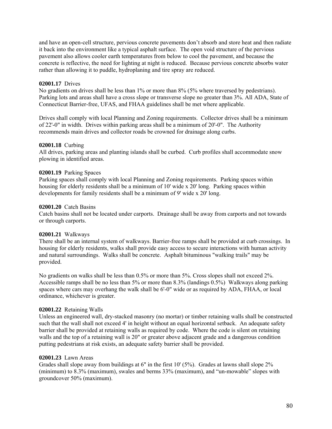and have an open-cell structure, pervious concrete pavements don't absorb and store heat and then radiate it back into the environment like a typical asphalt surface. The open void structure of the pervious pavement also allows cooler earth temperatures from below to cool the pavement, and because the concrete is reflective, the need for lighting at night is reduced. Because pervious concrete absorbs water rather than allowing it to puddle, hydroplaning and tire spray are reduced.

### **02001.17** Drives

No gradients on drives shall be less than 1% or more than 8% (5% where traversed by pedestrians). Parking lots and areas shall have a cross slope or transverse slope no greater than 3%. All ADA, State of Connecticut Barrier-free, UFAS, and FHAA guidelines shall be met where applicable.

Drives shall comply with local Planning and Zoning requirements. Collector drives shall be a minimum of 22'-0" in width. Drives within parking areas shall be a minimum of 20'-0". The Authority recommends main drives and collector roads be crowned for drainage along curbs.

## **02001.18** Curbing

All drives, parking areas and planting islands shall be curbed. Curb profiles shall accommodate snow plowing in identified areas.

## **02001.19** Parking Spaces

Parking spaces shall comply with local Planning and Zoning requirements. Parking spaces within housing for elderly residents shall be a minimum of 10' wide x 20' long. Parking spaces within developments for family residents shall be a minimum of 9' wide x 20' long.

### **02001.20** Catch Basins

Catch basins shall not be located under carports. Drainage shall be away from carports and not towards or through carports.

### **02001.21** Walkways

There shall be an internal system of walkways. Barrier-free ramps shall be provided at curb crossings. In housing for elderly residents, walks shall provide easy access to secure interactions with human activity and natural surroundings. Walks shall be concrete. Asphalt bituminous "walking trails" may be provided.

No gradients on walks shall be less than 0.5% or more than 5%. Cross slopes shall not exceed 2%. Accessible ramps shall be no less than 5% or more than 8.3% (landings 0.5%) Walkways along parking spaces where cars may overhang the walk shall be 6'-0" wide or as required by ADA, FHAA, or local ordinance, whichever is greater.

## **02001.22** Retaining Walls

Unless an engineered wall, dry-stacked masonry (no mortar) or timber retaining walls shall be constructed such that the wall shall not exceed 4' in height without an equal horizontal setback. An adequate safety barrier shall be provided at retaining walls as required by code. Where the code is silent on retaining walls and the top of a retaining wall is 20" or greater above adjacent grade and a dangerous condition putting pedestrians at risk exists, an adequate safety barrier shall be provided.

### **02001.23** Lawn Areas

Grades shall slope away from buildings at 6" in the first  $10'$  (5%). Grades at lawns shall slope  $2\%$ (minimum) to 8.3% (maximum), swales and berms 33% (maximum), and "un-mowable" slopes with groundcover 50% (maximum).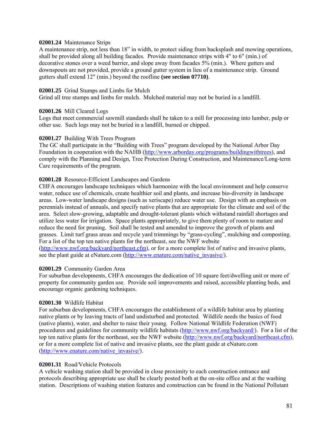### **02001.24** Maintenance Strips

A maintenance strip, not less than 18" in width, to protect siding from backsplash and mowing operations, shall be provided along all building facades. Provide maintenance strips with 4" to 6" (min.) of decorative stones over a weed barrier, and slope away from facades 5% (min.). Where gutters and downspouts are not provided, provide a ground gutter system in lieu of a maintenance strip. Ground gutters shall extend 12" (min.) beyond the roofline **(see section 07710)**.

### **02001.25** Grind Stumps and Limbs for Mulch

Grind all tree stumps and limbs for mulch. Mulched material may not be buried in a landfill.

### **02001.26** Mill Cleared Logs

Logs that meet commercial sawmill standards shall be taken to a mill for processing into lumber, pulp or other use. Such logs may not be buried in a landfill, burned or chipped.

### **02001.27** Building With Trees Program

The GC shall participate in the "Building with Trees" program developed by the National Arbor Day Foundation in cooperation with the NAHB ([http://www.arborday.org/programs/buildingwithtrees\)](http://www.arborday.org/programs/buildingwithtrees), and comply with the Planning and Design, Tree Protection During Construction, and Maintenance/Long-term Care requirements of the program.

## **02001.28** Resource-Efficient Landscapes and Gardens

CHFA encourages landscape techniques which harmonize with the local environment and help conserve water, reduce use of chemicals, create healthier soil and plants, and increase bio-diversity in landscape areas. Low-water landscape designs (such as xeriscape) reduce water use. Design with an emphasis on perennials instead of annuals, and specify native plants that are appropriate for the climate and soil of the area. Select slow-growing, adaptable and drought-tolerant plants which withstand rainfall shortages and utilize less water for irrigation. Space plants appropriately, to give them plenty of room to mature and reduce the need for pruning. Soil shall be tested and amended to improve the growth of plants and grasses. Limit turf grass areas and recycle yard trimmings by "grass-cycling", mulching and composting. For a list of the top ten native plants for the northeast, see the NWF website

([http://www.nwf.org/backyard/northeast.cfm\)](http://www.nwf.org/backyard/northeast.cfm), or for a more complete list of native and invasive plants, see the plant guide at eNature.com [\(http://www.enature.com/native\\_invasive/\)](http://www.enature.com/native_invasive/).

### **02001.29** Community Garden Area

For suburban developments, CHFA encourages the dedication of 10 square feet/dwelling unit or more of property for community garden use. Provide soil improvements and raised, accessible planting beds, and encourage organic gardening techniques.

#### **02001.30** Wildlife Habitat

For suburban developments, CHFA encourages the establishment of a wildlife habitat area by planting native plants or by leaving tracts of land undisturbed and protected. Wildlife needs the basics of food (native plants), water, and shelter to raise their young. Follow National Wildlife Federation (NWF) procedures and guidelines for community wildlife habitats ([http://www.nwf.org/backyard/\)](http://www.nwf.org/backyard/). For a list of the top ten native plants for the northeast, see the NWF website [\(http://www.nwf.org/backyard/northeast.cfm](http://www.nwf.org/backyard/northeast.cfm)), or for a more complete list of native and invasive plants, see the plant guide at eNature.com ([http://www.enature.com/native\\_invasive/\)](http://www.enature.com/native_invasive/).

#### **02001.31** Road/Vehicle Protocols

A vehicle washing station shall be provided in close proximity to each construction entrance and protocols describing appropriate use shall be clearly posted both at the on-site office and at the washing station. Descriptions of washing station features and construction can be found in the National Pollutant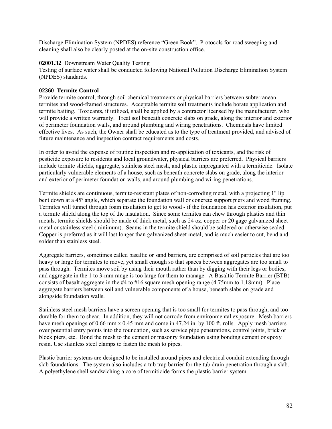Discharge Elimination System (NPDES) reference "Green Book". Protocols for road sweeping and cleaning shall also be clearly posted at the on-site construction office.

## **02001.32** Downstream Water Quality Testing

Testing of surface water shall be conducted following National Pollution Discharge Elimination System (NPDES) standards.

## **02360 Termite Control**

Provide termite control, through soil chemical treatments or physical barriers between subterranean termites and wood-framed structures. Acceptable termite soil treatments include borate application and termite baiting. Toxicants, if utilized, shall be applied by a contractor licensed by the manufacturer, who will provide a written warranty. Treat soil beneath concrete slabs on grade, along the interior and exterior of perimeter foundation walls, and around plumbing and wiring penetrations. Chemicals have limited effective lives. As such, the Owner shall be educated as to the type of treatment provided, and advised of future maintenance and inspection contract requirements and costs.

In order to avoid the expense of routine inspection and re-application of toxicants, and the risk of pesticide exposure to residents and local groundwater, physical barriers are preferred. Physical barriers include termite shields, aggregate, stainless steel mesh, and plastic impregnated with a termiticide. Isolate particularly vulnerable elements of a house, such as beneath concrete slabs on grade, along the interior and exterior of perimeter foundation walls, and around plumbing and wiring penetrations.

Termite shields are continuous, termite-resistant plates of non-corroding metal, with a projecting 1" lip bent down at a 45º angle, which separate the foundation wall or concrete support piers and wood framing. Termites will tunnel through foam insulation to get to wood - if the foundation has exterior insulation, put a termite shield along the top of the insulation. Since some termites can chew through plastics and thin metals, termite shields should be made of thick metal, such as 24 oz. copper or 20 gage galvanized sheet metal or stainless steel (minimum). Seams in the termite shield should be soldered or otherwise sealed. Copper is preferred as it will last longer than galvanized sheet metal, and is much easier to cut, bend and solder than stainless steel.

Aggregate barriers, sometimes called basaltic or sand barriers, are comprised of soil particles that are too heavy or large for termites to move, yet small enough so that spaces between aggregates are too small to pass through. Termites move soil by using their mouth rather than by digging with their legs or bodies, and aggregate in the 1 to 3-mm range is too large for them to manage. A Basaltic Termite Barrier (BTB) consists of basalt aggregate in the #4 to #16 square mesh opening range (4.75mm to 1.18mm). Place aggregate barriers between soil and vulnerable components of a house, beneath slabs on grade and alongside foundation walls.

Stainless steel mesh barriers have a screen opening that is too small for termites to pass through, and too durable for them to shear. In addition, they will not corrode from environmental exposure. Mesh barriers have mesh openings of 0.66 mm x 0.45 mm and come in 47.24 in. by 100 ft. rolls. Apply mesh barriers over potential entry points into the foundation, such as service pipe penetrations, control joints, brick or block piers, etc. Bond the mesh to the cement or masonry foundation using bonding cement or epoxy resin. Use stainless steel clamps to fasten the mesh to pipes.

Plastic barrier systems are designed to be installed around pipes and electrical conduit extending through slab foundations. The system also includes a tub trap barrier for the tub drain penetration through a slab. A polyethylene shell sandwiching a core of termiticide forms the plastic barrier system.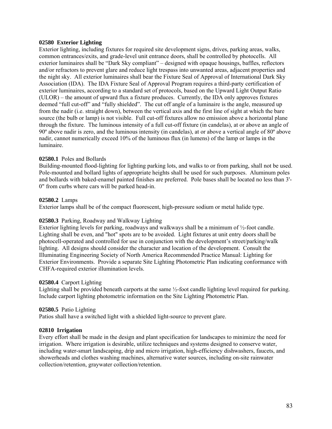### **02580 Exterior Lighting**

Exterior lighting, including fixtures for required site development signs, drives, parking areas, walks, common entrances/exits, and grade-level unit entrance doors, shall be controlled by photocells. All exterior luminaires shall be "Dark Sky compliant" – designed with opaque housings, baffles, reflectors and/or refractors to prevent glare and reduce light trespass into unwanted areas, adjacent properties and the night sky. All exterior luminaires shall bear the Fixture Seal of Approval of International Dark Sky Association (IDA). The IDA Fixture Seal of Approval Program requires a third-party certification of exterior luminaires, according to a standard set of protocols, based on the Upward Light Output Ratio (ULOR) – the amount of upward flux a fixture produces. Currently, the IDA only approves fixtures deemed "full cut-off" and "fully shielded". The cut off angle of a luminaire is the angle, measured up from the nadir (i.e. straight down), between the vertical axis and the first line of sight at which the bare source (the bulb or lamp) is not visible. Full cut-off fixtures allow no emission above a horizontal plane through the fixture. The luminous intensity of a full cut-off fixture (in candelas), at or above an angle of 90º above nadir is zero, and the luminous intensity (in candelas), at or above a vertical angle of 80º above nadir, cannot numerically exceed 10% of the luminous flux (in lumens) of the lamp or lamps in the luminaire.

### **02580.1** Poles and Bollards

Building-mounted flood-lighting for lighting parking lots, and walks to or from parking, shall not be used. Pole-mounted and bollard lights of appropriate heights shall be used for such purposes. Aluminum poles and bollards with baked-enamel painted finishes are preferred. Pole bases shall be located no less than 3'- 0" from curbs where cars will be parked head-in.

### **02580.2** Lamps

Exterior lamps shall be of the compact fluorescent, high-pressure sodium or metal halide type.

### **02580.3** Parking, Roadway and Walkway Lighting

Exterior lighting levels for parking, roadways and walkways shall be a minimum of ½-foot candle. Lighting shall be even, and "hot" spots are to be avoided. Light fixtures at unit entry doors shall be photocell-operated and controlled for use in conjunction with the development's street/parking/walk lighting. All designs should consider the character and location of the development. Consult the Illuminating Engineering Society of North America Recommended Practice Manual: Lighting for Exterior Environments. Provide a separate Site Lighting Photometric Plan indicating conformance with CHFA-required exterior illumination levels.

### **02580.4** Carport Lighting

Lighting shall be provided beneath carports at the same ½-foot candle lighting level required for parking. Include carport lighting photometric information on the Site Lighting Photometric Plan.

### **02580.5** Patio Lighting

Patios shall have a switched light with a shielded light-source to prevent glare.

### **02810 Irrigation**

Every effort shall be made in the design and plant specification for landscapes to minimize the need for irrigation. Where irrigation is desirable, utilize techniques and systems designed to conserve water, including water-smart landscaping, drip and micro irrigation, high-efficiency dishwashers, faucets, and showerheads and clothes washing machines, alternative water sources, including on-site rainwater collection/retention, graywater collection/retention.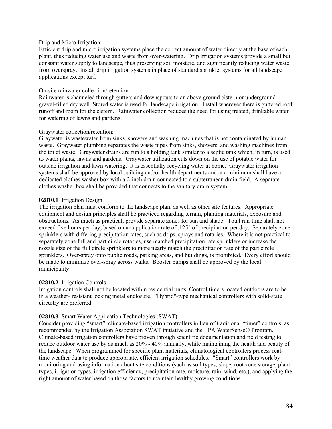### Drip and Micro Irrigation:

Efficient drip and micro irrigation systems place the correct amount of water directly at the base of each plant, thus reducing water use and waste from over-watering. Drip irrigation systems provide a small but constant water supply to landscape, thus preserving soil moisture, and significantly reducing water waste from overspray. Install drip irrigation systems in place of standard sprinkler systems for all landscape applications except turf.

### On-site rainwater collection/retention:

Rainwater is channeled through gutters and downspouts to an above ground cistern or underground gravel-filled dry well. Stored water is used for landscape irrigation. Install wherever there is guttered roof runoff and room for the cistern. Rainwater collection reduces the need for using treated, drinkable water for watering of lawns and gardens.

### Graywater collection/retention:

Graywater is wastewater from sinks, showers and washing machines that is not contaminated by human waste. Graywater plumbing separates the waste pipes from sinks, showers, and washing machines from the toilet waste. Graywater drains are run to a holding tank similar to a septic tank which, in turn, is used to water plants, lawns and gardens. Graywater utilization cuts down on the use of potable water for outside irrigation and lawn watering. It is essentially recycling water at home. Graywater irrigation systems shall be approved by local building and/or health departments and at a minimum shall have a dedicated clothes washer box with a 2-inch drain connected to a subterranean drain field. A separate clothes washer box shall be provided that connects to the sanitary drain system.

### **02810.1** Irrigation Design

The irrigation plan must conform to the landscape plan, as well as other site features. Appropriate equipment and design principles shall be practiced regarding terrain, planting materials, exposure and obstructions. As much as practical, provide separate zones for sun and shade. Total run-time shall not exceed five hours per day, based on an application rate of .125" of precipitation per day. Separately zone sprinklers with differing precipitation rates, such as drips, sprays and rotaries. Where it is not practical to separately zone full and part circle rotaries, use matched precipitation rate sprinklers or increase the nozzle size of the full circle sprinklers to more nearly match the precipitation rate of the part circle sprinklers. Over-spray onto public roads, parking areas, and buildings, is prohibited. Every effort should be made to minimize over-spray across walks. Booster pumps shall be approved by the local municipality.

#### **02810.2** Irrigation Controls

Irrigation controls shall not be located within residential units. Control timers located outdoors are to be in a weather- resistant locking metal enclosure. "Hybrid"-type mechanical controllers with solid-state circuitry are preferred.

### **02810.3** Smart Water Application Technologies (SWAT)

Consider providing "smart", climate-based irrigation controllers in lieu of traditional "timer" controls, as recommended by the Irrigation Association SWAT initiative and the EPA WaterSense® Program. Climate-based irrigation controllers have proven through scientific documentation and field testing to reduce outdoor water use by as much as 20% - 40% annually, while maintaining the health and beauty of the landscape. When programmed for specific plant materials, climatological controllers process realtime weather data to produce appropriate, efficient irrigation schedules. "Smart" controllers work by monitoring and using information about site conditions (such as soil types, slope, root zone storage, plant types, irrigation types, irrigation efficiency, precipitation rate, moisture, rain, wind, etc.), and applying the right amount of water based on those factors to maintain healthy growing conditions.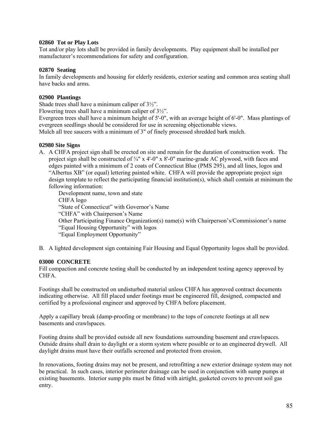### **02860 Tot or Play Lots**

Tot and/or play lots shall be provided in family developments. Play equipment shall be installed per manufacturer's recommendations for safety and configuration.

### **02870 Seating**

In family developments and housing for elderly residents, exterior seating and common area seating shall have backs and arms.

### **02900 Plantings**

Shade trees shall have a minimum caliper of 3½".

Flowering trees shall have a minimum caliper of 3½".

Evergreen trees shall have a minimum height of 5'-0", with an average height of 6'-0". Mass plantings of evergreen seedlings should be considered for use in screening objectionable views.

Mulch all tree saucers with a minimum of 3" of finely processed shredded bark mulch.

### **02980 Site Signs**

A. A CHFA project sign shall be erected on site and remain for the duration of construction work. The project sign shall be constructed of  $\frac{3}{4}$ " x 4'-0" x 8'-0" marine-grade AC plywood, with faces and edges painted with a minimum of 2 coats of Connecticut Blue (PMS 295), and all lines, logos and "Albertus XB" (or equal) lettering painted white. CHFA will provide the appropriate project sign design template to reflect the participating financial institution(s), which shall contain at minimum the following information:

Development name, town and state CHFA logo "State of Connecticut" with Governor's Name "CHFA" with Chairperson's Name Other Participating Finance Organization(s) name(s) with Chairperson's/Commissioner's name "Equal Housing Opportunity" with logos "Equal Employment Opportunity"

B. A lighted development sign containing Fair Housing and Equal Opportunity logos shall be provided.

### **03000 CONCRETE**

Fill compaction and concrete testing shall be conducted by an independent testing agency approved by CHFA.

Footings shall be constructed on undisturbed material unless CHFA has approved contract documents indicating otherwise. All fill placed under footings must be engineered fill, designed, compacted and certified by a professional engineer and approved by CHFA before placement.

Apply a capillary break (damp-proofing or membrane) to the tops of concrete footings at all new basements and crawlspaces.

Footing drains shall be provided outside all new foundations surrounding basement and crawlspaces. Outside drains shall drain to daylight or a storm system where possible or to an engineered drywell. All daylight drains must have their outfalls screened and protected from erosion.

In renovations, footing drains may not be present, and retrofitting a new exterior drainage system may not be practical. In such cases, interior perimeter drainage can be used in conjunction with sump pumps at existing basements. Interior sump pits must be fitted with airtight, gasketed covers to prevent soil gas entry.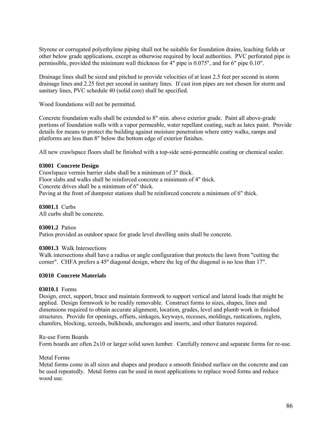Styrene or corrugated polyethylene piping shall not be suitable for foundation drains, leaching fields or other below grade applications, except as otherwise required by local authorities. PVC perforated pipe is permissible, provided the minimum wall thickness for 4" pipe is 0.075", and for 6" pipe 0.10".

Drainage lines shall be sized and pitched to provide velocities of at least 2.5 feet per second in storm drainage lines and 2.25 feet per second in sanitary lines. If cast iron pipes are not chosen for storm and sanitary lines, PVC schedule 40 (solid core) shall be specified.

Wood foundations will not be permitted.

Concrete foundation walls shall be extended to 8" min. above exterior grade. Paint all above-grade portions of foundation walls with a vapor permeable, water repellant coating, such as latex paint. Provide details for means to protect the building against moisture penetration where entry walks, ramps and platforms are less than 8" below the bottom edge of exterior finishes.

All new crawlspace floors shall be finished with a top-side semi-permeable coating or chemical sealer.

### **03001 Concrete Design**

Crawlspace vermin barrier slabs shall be a minimum of 3" thick. Floor slabs and walks shall be reinforced concrete a minimum of 4" thick. Concrete drives shall be a minimum of 6" thick. Paving at the front of dumpster stations shall be reinforced concrete a minimum of 6" thick.

**03001.1** Curbs

All curbs shall be concrete.

### **03001.2** Patios

Patios provided as outdoor space for grade level dwelling units shall be concrete.

#### **03001.3** Walk Intersections

Walk intersections shall have a radius or angle configuration that protects the lawn from "cutting the corner". CHFA prefers a 45º diagonal design, where the leg of the diagonal is no less than 17".

### **03010 Concrete Materials**

#### **03010.1** Forms

Design, erect, support, brace and maintain formwork to support vertical and lateral loads that might be applied. Design formwork to be readily removable. Construct forms to sizes, shapes, lines and dimensions required to obtain accurate alignment, location, grades, level and plumb work in finished structures. Provide for openings, offsets, sinkages, keyways, recesses, moldings, rustications, reglets, chamfers, blocking, screeds, bulkheads, anchorages and inserts, and other features required.

#### Re-use Form Boards

Form boards are often 2x10 or larger solid sawn lumber. Carefully remove and separate forms for re-use.

#### Metal Forms

Metal forms come in all sizes and shapes and produce a smooth finished surface on the concrete and can be used repeatedly.Metal forms can be used in most applications to replace wood forms and reduce wood use.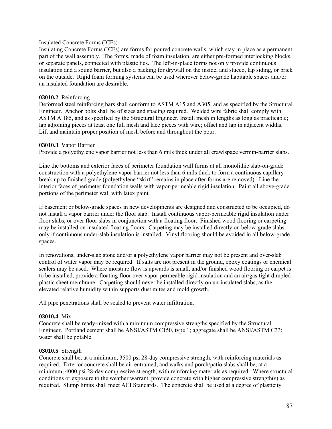### Insulated Concrete Forms (ICFs)

Insulating Concrete Forms (ICFs) are forms for poured concrete walls, which stay in place as a permanent part of the wall assembly. The forms, made of foam insulation, are either pre-formed interlocking blocks, or separate panels, connected with plastic ties. The left-in-place forms not only provide continuous insulation and a sound barrier, but also a backing for drywall on the inside, and stucco, lap siding, or brick on the outside. Rigid foam forming systems can be used wherever below-grade habitable spaces and/or an insulated foundation are desirable.

### **03010.2** Reinforcing

Deformed steel reinforcing bars shall conform to ASTM A15 and A305, and as specified by the Structural Engineer. Anchor bolts shall be of sizes and spacing required. Welded wire fabric shall comply with ASTM A 185, and as specified by the Structural Engineer. Install mesh in lengths as long as practicable; lap adjoining pieces at least one full mesh and lace pieces with wire; offset and lap in adjacent widths. Lift and maintain proper position of mesh before and throughout the pour.

### **03010.3** Vapor Barrier

Provide a polyethylene vapor barrier not less than 6 mils thick under all crawlspace vermin-barrier slabs.

Line the bottoms and exterior faces of perimeter foundation wall forms at all monolithic slab-on-grade construction with a polyethylene vapor barrier not less than 6 mils thick to form a continuous capillary break up to finished grade (polyethylene "skirt" remains in place after forms are removed). Line the interior faces of perimeter foundation walls with vapor-permeable rigid insulation. Paint all above-grade portions of the perimeter wall with latex paint.

If basement or below-grade spaces in new developments are designed and constructed to be occupied, do not install a vapor barrier under the floor slab. Install continuous vapor-permeable rigid insulation under floor slabs, or over floor slabs in conjunction with a floating floor. Finished wood flooring or carpeting may be installed on insulated floating floors. Carpeting may be installed directly on below-grade slabs only if continuous under-slab insulation is installed. Vinyl flooring should be avoided in all below-grade spaces.

In renovations, under-slab stone and/or a polyethylene vapor barrier may not be present and over-slab control of water vapor may be required. If salts are not present in the ground, epoxy coatings or chemical sealers may be used. Where moisture flow is upwards is small, and/or finished wood flooring or carpet is to be installed, provide a floating floor over vapor-permeable rigid insulation and an air/gas tight dimpled plastic sheet membrane. Carpeting should never be installed directly on un-insulated slabs, as the elevated relative humidity within supports dust mites and mold growth.

All pipe penetrations shall be sealed to prevent water infiltration.

### **03010.4** Mix

Concrete shall be ready-mixed with a minimum compressive strengths specified by the Structural Engineer. Portland cement shall be ANSI/ASTM C150, type 1; aggregate shall be ANSI/ASTM C33; water shall be potable.

### **03010.5** Strength

Concrete shall be, at a minimum, 3500 psi 28-day compressive strength, with reinforcing materials as required. Exterior concrete shall be air-entrained, and walks and porch/patio slabs shall be, at a minimum, 4000 psi 28-day compressive strength, with reinforcing materials as required. Where structural conditions or exposure to the weather warrant, provide concrete with higher compressive strength(s) as required. Slump limits shall meet ACI Standards. The concrete shall be used at a degree of plasticity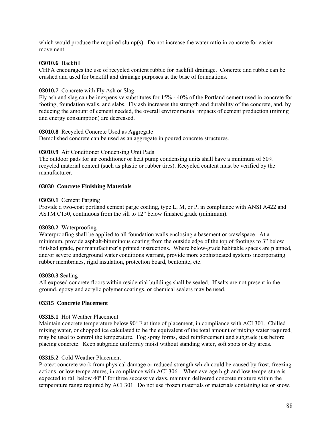which would produce the required slump(s). Do not increase the water ratio in concrete for easier movement.

### **03010.6** Backfill

CHFA encourages the use of recycled content rubble for backfill drainage. Concrete and rubble can be crushed and used for backfill and drainage purposes at the base of foundations.

### **03010.7** Concrete with Fly Ash or Slag

Fly ash and slag can be inexpensive substitutes for 15% - 40% of the Portland cement used in concrete for footing, foundation walls, and slabs. Fly ash increases the strength and durability of the concrete, and, by reducing the amount of cement needed, the overall environmental impacts of cement production (mining and energy consumption) are decreased.

### **03010.8** Recycled Concrete Used as Aggregate

Demolished concrete can be used as an aggregate in poured concrete structures.

## **03010.9** Air Conditioner Condensing Unit Pads

The outdoor pads for air conditioner or heat pump condensing units shall have a minimum of 50% recycled material content (such as plastic or rubber tires). Recycled content must be verified by the manufacturer.

## **03030 Concrete Finishing Materials**

### **03030.1** Cement Parging

Provide a two-coat portland cement parge coating, type L, M, or P, in compliance with ANSI A422 and ASTM C150, continuous from the sill to 12" below finished grade (minimum).

### **03030.2** Waterproofing

Waterproofing shall be applied to all foundation walls enclosing a basement or crawlspace. At a minimum, provide asphalt-bituminous coating from the outside edge of the top of footings to 3" below finished grade, per manufacturer's printed instructions. Where below-grade habitable spaces are planned, and/or severe underground water conditions warrant, provide more sophisticated systems incorporating rubber membranes, rigid insulation, protection board, bentonite, etc.

### **03030.3** Sealing

All exposed concrete floors within residential buildings shall be sealed. If salts are not present in the ground, epoxy and acrylic polymer coatings, or chemical sealers may be used.

### **03315 Concrete Placement**

## **03315.1** Hot Weather Placement

Maintain concrete temperature below 90º F at time of placement, in compliance with ACI 301. Chilled mixing water, or chopped ice calculated to be the equivalent of the total amount of mixing water required, may be used to control the temperature. Fog spray forms, steel reinforcement and subgrade just before placing concrete. Keep subgrade uniformly moist without standing water, soft spots or dry areas.

### **03315.2** Cold Weather Placement

Protect concrete work from physical damage or reduced strength which could be caused by frost, freezing actions, or low temperatures, in compliance with ACI 306. When average high and low tempersture is expected to fall below 40º F for three successive days, maintain delivered concrete mixture within the temperature range required by ACI 301. Do not use frozen materials or materials containing ice or snow.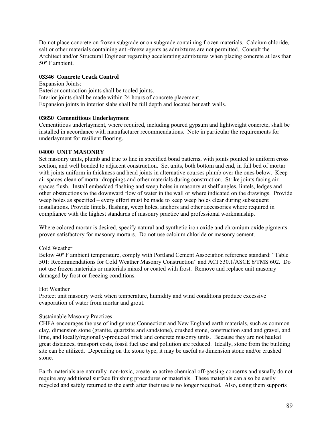Do not place concrete on frozen subgrade or on subgrade containing frozen materials. Calcium chloride, salt or other materials containing anti-freeze agents as admixtures are not permitted. Consult the Architect and/or Structural Engineer regarding accelerating admixtures when placing concrete at less than 50º F ambient.

### **03346 Concrete Crack Control**

Expansion Joints: Exterior contraction joints shall be tooled joints. Interior joints shall be made within 24 hours of concrete placement. Expansion joints in interior slabs shall be full depth and located beneath walls.

### **03650 Cementitious Underlayment**

Cementitious underlayment, where required, including poured gypsum and lightweight concrete, shall be installed in accordance with manufacturer recommendations. Note in particular the requirements for underlayment for resilient flooring.

### **04000 UNIT MASONRY**

Set masonry units, plumb and true to line in specified bond patterns, with joints pointed to uniform cross section, and well bonded to adjacent construction. Set units, both bottom and end, in full bed of mortar with joints uniform in thickness and head joints in alternative courses plumb over the ones below. Keep air spaces clean of mortar droppings and other materials during construction. Strike joints facing air spaces flush. Install embedded flashing and weep holes in masonry at shelf angles, lintels, ledges and other obstructions to the downward flow of water in the wall or where indicated on the drawings. Provide weep holes as specified – every effort must be made to keep weep holes clear during subsequent installations. Provide lintels, flashing, weep holes, anchors and other accessories where required in compliance with the highest standards of masonry practice and professional workmanship.

Where colored mortar is desired, specify natural and synthetic iron oxide and chromium oxide pigments proven satisfactory for masonry mortars. Do not use calcium chloride or masonry cement.

#### Cold Weather

Below 40º F ambient temperature, comply with Portland Cement Association reference standard: "Table 501: Recommendations for Cold Weather Masonry Construction" and ACI 530.1/ASCE 6/TMS 602. Do not use frozen materials or materials mixed or coated with frost. Remove and replace unit masonry damaged by frost or freezing conditions.

#### Hot Weather

Protect unit masonry work when temperature, humidity and wind conditions produce excessive evaporation of water from mortar and grout.

#### Sustainable Masonry Practices

CHFA encourages the use of indigenous Connecticut and New England earth materials, such as common clay, dimension stone (granite, quartzite and sandstone), crushed stone, construction sand and gravel, and lime, and locally/regionally-produced brick and concrete masonry units. Because they are not hauled great distances, transport costs, fossil fuel use and pollution are reduced. Ideally, stone from the building site can be utilized. Depending on the stone type, it may be useful as dimension stone and/or crushed stone.

Earth materials are naturally non-toxic, create no active chemical off-gassing concerns and usually do not require any additional surface finishing procedures or materials. These materials can also be easily recycled and safely returned to the earth after their use is no longer required. Also, using them supports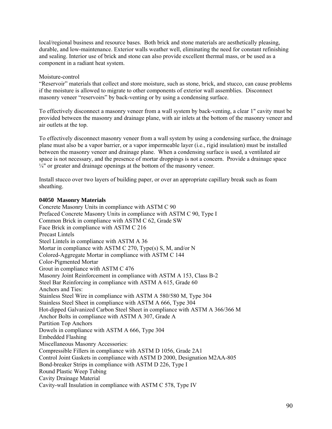local/regional business and resource bases. Both brick and stone materials are aesthetically pleasing, durable, and low-maintenance. Exterior walls weather well, eliminating the need for constant refinishing and sealing. Interior use of brick and stone can also provide excellent thermal mass, or be used as a component in a radiant heat system.

## Moisture-control

"Reservoir" materials that collect and store moisture, such as stone, brick, and stucco, can cause problems if the moisture is allowed to migrate to other components of exterior wall assemblies. Disconnect masonry veneer "reservoirs" by back-venting or by using a condensing surface.

To effectively disconnect a masonry veneer from a wall system by back-venting, a clear 1" cavity must be provided between the masonry and drainage plane, with air inlets at the bottom of the masonry veneer and air outlets at the top.

To effectively disconnect masonry veneer from a wall system by using a condensing surface, the drainage plane must also be a vapor barrier, or a vapor impermeable layer (i.e., rigid insulation) must be installed between the masonry veneer and drainage plane. When a condensing surface is used, a ventilated air space is not necessary, and the presence of mortar droppings is not a concern. Provide a drainage space  $\frac{1}{4}$ " or greater and drainage openings at the bottom of the masonry veneer.

Install stucco over two layers of building paper, or over an appropriate capillary break such as foam sheathing.

### **04050 Masonry Materials**

Concrete Masonry Units in compliance with ASTM C 90 Prefaced Concrete Masonry Units in compliance with ASTM C 90, Type I Common Brick in compliance with ASTM C 62, Grade SW Face Brick in compliance with ASTM C 216 Precast Lintels Steel Lintels in compliance with ASTM A 36 Mortar in compliance with ASTM C 270, Type(s) S, M, and/or N Colored-Aggregate Mortar in compliance with ASTM C 144 Color-Pigmented Mortar Grout in compliance with ASTM C 476 Masonry Joint Reinforcement in compliance with ASTM A 153, Class B-2 Steel Bar Reinforcing in compliance with ASTM A 615, Grade 60 Anchors and Ties: Stainless Steel Wire in compliance with ASTM A 580/580 M, Type 304 Stainless Steel Sheet in compliance with ASTM A 666, Type 304 Hot-dipped Galvanized Carbon Steel Sheet in compliance with ASTM A 366/366 M Anchor Bolts in compliance with ASTM A 307, Grade A Partition Top Anchors Dowels in compliance with ASTM A 666, Type 304 Embedded Flashing Miscellaneous Masonry Accessories: Compressible Fillers in compliance with ASTM D 1056, Grade 2A1 Control Joint Gaskets in compliance with ASTM D 2000, Designation M2AA-805 Bond-breaker Strips in compliance with ASTM D 226, Type I Round Plastic Weep Tubing Cavity Drainage Material Cavity-wall Insulation in compliance with ASTM C 578, Type IV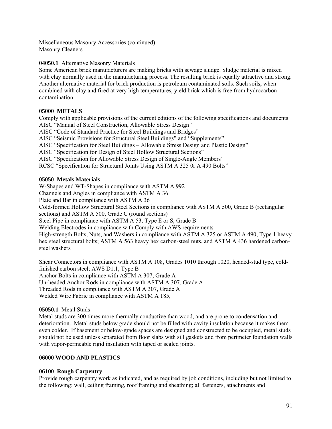Miscellaneous Masonry Accessories (continued): Masonry Cleaners

## **04050.1** Alternative Masonry Materials

Some American brick manufacturers are making bricks with sewage sludge. Sludge material is mixed with clay normally used in the manufacturing process. The resulting brick is equally attractive and strong. Another alternative material for brick production is petroleum contaminated soils. Such soils, when combined with clay and fired at very high temperatures, yield brick which is free from hydrocarbon contamination.

## **05000 METALS**

Comply with applicable provisions of the current editions of the following specifications and documents: AISC "Manual of Steel Construction, Allowable Stress Design" AISC "Code of Standard Practice for Steel Buildings and Bridges" AISC "Seismic Provisions for Structural Steel Buildings" and "Supplements" AISC "Specification for Steel Buildings – Allowable Stress Design and Plastic Design" AISC "Specification for Design of Steel Hollow Structural Sections" AISC "Specification for Allowable Stress Design of Single-Angle Members" RCSC "Specification for Structural Joints Using ASTM A 325 0r A 490 Bolts"

## **05050 Metals Materials**

W-Shapes and WT-Shapes in compliance with ASTM A 992 Channels and Angles in compliance with ASTM A 36 Plate and Bar in compliance with ASTM A 36 Cold-formed Hollow Structural Steel Sections in compliance with ASTM A 500, Grade B (rectangular sections) and ASTM A 500, Grade C (round sections) Steel Pipe in compliance with ASTM A 53, Type E or S, Grade B Welding Electrodes in compliance with Comply with AWS requirements High-strength Bolts, Nuts, and Washers in compliance with ASTM A 325 or ASTM A 490, Type 1 heavy hex steel structural bolts; ASTM A 563 heavy hex carbon-steel nuts, and ASTM A 436 hardened carbonsteel washers

Shear Connectors in compliance with ASTM A 108, Grades 1010 through 1020, headed-stud type, coldfinished carbon steel; AWS D1.1, Type B Anchor Bolts in compliance with ASTM A 307, Grade A Un-headed Anchor Rods in compliance with ASTM A 307, Grade A Threaded Rods in compliance with ASTM A 307, Grade A Welded Wire Fabric in compliance with ASTM A 185,

## **05050.1** Metal Studs

Metal studs are 300 times more thermally conductive than wood, and are prone to condensation and deterioration. Metal studs below grade should not be filled with cavity insulation because it makes them even colder. If basement or below-grade spaces are designed and constructed to be occupied, metal studs should not be used unless separated from floor slabs with sill gaskets and from perimeter foundation walls with vapor-permeable rigid insulation with taped or sealed joints.

## **06000 WOOD AND PLASTICS**

## **06100 Rough Carpentry**

Provide rough carpentry work as indicated, and as required by job conditions, including but not limited to the following: wall, ceiling framing, roof framing and sheathing; all fasteners, attachments and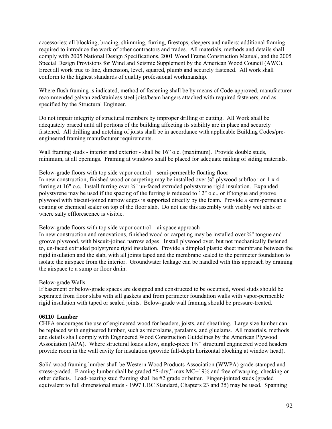accessories; all blocking, bracing, shimming, furring, firestops, sleepers and nailers; additional framing required to introduce the work of other contractors and trades. All materials, methods and details shall comply with 2005 National Design Specifications, 2001 Wood Frame Construction Manual, and the 2005 Special Design Provisions for Wind and Seismic Supplement by the American Wood Council (AWC). Erect all work true to line, dimension, level, squared, plumb and securely fastened. All work shall conform to the highest standards of quality professional workmanship.

Where flush framing is indicated, method of fastening shall be by means of Code-approved, manufacturer recommended galvanized/stainless steel joist/beam hangers attached with required fasteners, and as specified by the Structural Engineer.

Do not impair integrity of structural members by improper drilling or cutting. All Work shall be adequately braced until all portions of the building affecting its stability are in place and securely fastened. All drilling and notching of joists shall be in accordance with applicable Building Codes/preengineered framing manufacturer requirements.

Wall framing studs - interior and exterior - shall be 16" o.c. (maximum). Provide double studs, minimum, at all openings. Framing at windows shall be placed for adequate nailing of siding materials.

Below-grade floors with top side vapor control – semi-permeable floating floor In new construction, finished wood or carpeting may be installed over  $\frac{3}{4}$ " plywood subfloor on 1 x 4 furring at 16" o.c. Install furring over  $\frac{3}{4}$ " un-faced extruded polystyrene rigid insulation. Expanded polystyrene may be used if the spacing of the furring is reduced to 12" o.c., or if tongue and groove plywood with biscuit-joined narrow edges is supported directly by the foam. Provide a semi-permeable coating or chemical sealer on top of the floor slab. Do not use this assembly with visibly wet slabs or where salty efflorescence is visible.

Below-grade floors with top side vapor control – airspace approach

In new construction and renovations, finished wood or carpeting may be installed over  $\frac{3}{4}$ " tongue and groove plywood, with biscuit-joined narrow edges. Install plywood over, but not mechanically fastened to, un-faced extruded polystyrene rigid insulation. Provide a dimpled plastic sheet membrane between the rigid insulation and the slab, with all joints taped and the membrane sealed to the perimeter foundation to isolate the airspace from the interior. Groundwater leakage can be handled with this approach by draining the airspace to a sump or floor drain.

### Below-grade Walls

If basement or below-grade spaces are designed and constructed to be occupied, wood studs should be separated from floor slabs with sill gaskets and from perimeter foundation walls with vapor-permeable rigid insulation with taped or sealed joints. Below-grade wall framing should be pressure-treated.

### **06110 Lumber**

CHFA encourages the use of engineered wood for headers, joists, and sheathing. Large size lumber can be replaced with engineered lumber, such as microlams, paralams, and gluelams. All materials, methods and details shall comply with Engineered Wood Construction Guidelines by the American Plywood Association (APA). Where structural loads allow, single-piece 1¼" structural engineered wood headers provide room in the wall cavity for insulation (provide full-depth horizontal blocking at window head).

Solid wood framing lumber shall be Western Wood Products Association (WWPA) grade-stamped and stress-graded. Framing lumber shall be graded "S-dry," max MC=19% and free of warping, checking or other defects. Load-bearing stud framing shall be #2 grade or better. Finger-jointed studs (graded equivalent to full dimensional studs - 1997 UBC Standard, Chapters 23 and 35) may be used. Spanning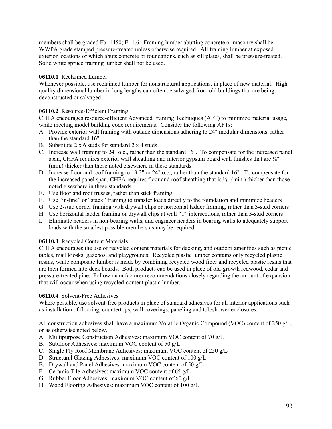members shall be graded Fb=1450; E=1.6. Framing lumber abutting concrete or masonry shall be WWPA grade stamped pressure-treated unless otherwise required. All framing lumber at exposed exterior locations or which abuts concrete or foundations, such as sill plates, shall be pressure-treated. Solid white spruce framing lumber shall not be used.

## **06110.1** Reclaimed Lumber

Whenever possible, use reclaimed lumber for nonstructural applications, in place of new material.High quality dimensional lumber in long lengths can often be salvaged from old buildings that are being deconstructed or salvaged.

## 06110.2 Resource-Efficient Framing

CHFA encourages resource-efficient Advanced Framing Techniques (AFT) to minimize material usage, while meeting model building code requirements. Consider the following AFTs:

- A. Provide exterior wall framing with outside dimensions adhering to 24" modular dimensions, rather than the standard 16"
- B. Substitute 2 x 6 studs for standard 2 x 4 studs
- C. Increase wall framing to 24" o.c., rather than the standard 16". To compensate for the increased panel span, CHFA requires exterior wall sheathing and interior gypsum board wall finishes that are ⅛" (min.) thicker than those noted elsewhere in these standards
- D. Increase floor and roof framing to 19.2" or 24" o.c., rather than the standard 16". To compensate for the increased panel span, CHFA requires floor and roof sheathing that is ⅛" (min.) thicker than those noted elsewhere in these standards
- E. Use floor and roof trusses, rather than stick framing
- F. Use "in-line" or "stack" framing to transfer loads directly to the foundation and minimize headers
- G. Use 2-stud corner framing with drywall clips or horizontal ladder framing, rather than 3-stud corners
- H. Use horizontal ladder framing or drywall clips at wall "T" intersections, rather than 3-stud corners
- I. Eliminate headers in non-bearing walls, and engineer headers in bearing walls to adequately support loads with the smallest possible members as may be required

## **06110.3** Recycled Content Materials

CHFA encourages the use of recycled content materials for decking, and outdoor amenities such as picnic tables, mail kiosks, gazebos, and playgrounds.Recycled plastic lumber contains only recycled plastic resins, while composite lumber is made by combining recycled wood fiber and recycled plastic resins that are then formed into deck boards. Both products can be used in place of old-growth redwood, cedar and pressure-treated pine. Follow manufacturer recommendations closely regarding the amount of expansion that will occur when using recycled-content plastic lumber.

## **06110.4** Solvent-Free Adhesives

Where possible, use solvent-free products in place of standard adhesives for all interior applications such as installation of flooring, countertops, wall coverings, paneling and tub/shower enclosures.

All construction adhesives shall have a maximum Volatile Organic Compound (VOC) content of 250 g/L, or as otherwise noted below.

- A. Multipurpose Construction Adhesives: maximum VOC content of 70 g/L
- B. Subfloor Adhesives: maximum VOC content of 50 g/L
- C. Single Ply Roof Membrane Adhesives: maximum VOC content of 250 g/L
- D. Structural Glazing Adhesives: maximum VOC content of 100 g/L
- E. Drywall and Panel Adhesives: maximum VOC content of 50 g/L
- F. Ceramic Tile Adhesives: maximum VOC content of 65 g/L
- G. Rubber Floor Adhesives: maximum VOC content of 60 g/L
- H. Wood Flooring Adhesives: maximum VOC content of 100 g/L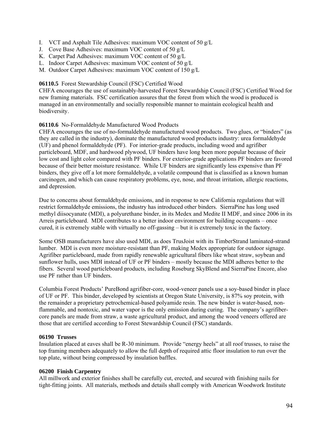- I. VCT and Asphalt Tile Adhesives: maximum VOC content of 50 g/L
- J. Cove Base Adhesives: maximum VOC content of 50 g/L
- K. Carpet Pad Adhesives: maximum VOC content of 50 g/L
- L. Indoor Carpet Adhesives: maximum VOC content of 50 g/L
- M. Outdoor Carpet Adhesives: maximum VOC content of 150 g/L

## **06110.5** Forest Stewardship Council (FSC) Certified Wood

CHFA encourages the use of sustainably-harvested Forest Stewardship Council (FSC) Certified Wood for new framing materials. FSC certification assures that the forest from which the wood is produced is managed in an environmentally and socially responsible manner to maintain ecological health and biodiversity.

## **06110.6** No-Formaldehyde Manufactured Wood Products

CHFA encourages the use of no-formaldehyde manufactured wood products. Two glues, or "binders" (as they are called in the industry), dominate the manufactured wood products industry: urea formaldehyde (UF) and phenol formaldehyde (PF). For interior-grade products, including wood and agrifiber particleboard, MDF, and hardwood plywood, UF binders have long been more popular because of their low cost and light color compared with PF binders. For exterior-grade applications PF binders are favored because of their better moisture resistance. While UF binders are significantly less expensive than PF binders, they give off a lot more formaldehyde, a volatile compound that is classified as a known human carcinogen, and which can cause respiratory problems, eye, nose, and throat irritation, allergic reactions, and depression.

Due to concerns about formaldehyde emissions, and in response to new California regulations that will restrict formaldehyde emissions, the industry has introduced other binders. SierraPine has long used methyl diisocyanate (MDI), a polyurethane binder, in its Medex and Medite II MDF, and since 2006 in its Arreis particleboard. MDI contributes to a better indoor environment for building occupants – once cured, it is extremely stable with virtually no off-gassing – but it is extremely toxic in the factory.

Some OSB manufacturers have also used MDI, as does TrusJoist with its TimberStrand laminated-strand lumber. MDI is even more moisture-resistant than PF, making Medex appropriate for outdoor signage. Agrifiber particleboard, made from rapidly renewable agricultural fibers like wheat straw, soybean and sunflower hulls, uses MDI instead of UF or PF binders – mostly because the MDI adheres better to the fibers. Several wood particleboard products, including Roseburg SkyBlend and SierraPine Encore, also use PF rather than UF binders.

Columbia Forest Products' PureBond agrifiber-core, wood-veneer panels use a soy-based binder in place of UF or PF. This binder, developed by scientists at Oregon State University, is 87% soy protein, with the remainder a proprietary petrochemical-based polyamide resin. The new binder is water-based, nonflammable, and nontoxic, and water vapor is the only emission during curing. The company's agrifibercore panels are made from straw, a waste agricultural product, and among the wood veneers offered are those that are certified according to Forest Stewardship Council (FSC) standards.

### **06190 Trusses**

Insulation placed at eaves shall be R-30 minimum. Provide "energy heels" at all roof trusses, to raise the top framing members adequately to allow the full depth of required attic floor insulation to run over the top plate, without being compressed by insulation baffles.

### **06200 Finish Carpentry**

All millwork and exterior finishes shall be carefully cut, erected, and secured with finishing nails for tight-fitting joints. All materials, methods and details shall comply with American Woodwork Institute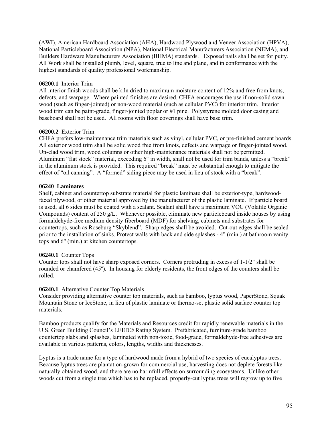(AWI), American Hardboard Association (AHA), Hardwood Plywood and Veneer Association (HPVA), National Particleboard Association (NPA), National Electrical Manufacturers Association (NEMA), and Builders Hardware Manufacturers Association (BHMA) standards. Exposed nails shall be set for putty. All Work shall be installed plumb, level, square, true to line and plane, and in conformance with the highest standards of quality professional workmanship.

## **06200.1** Interior Trim

All interior finish woods shall be kiln dried to maximum moisture content of 12% and free from knots, defects, and warpage. Where painted finishes are desired, CHFA encourages the use if non-solid sawn wood (such as finger-jointed) or non-wood material (such as cellular PVC) for interior trim. Interior wood trim can be paint-grade, finger-jointed poplar or #1 pine. Polystyrene molded door casing and baseboard shall not be used. All rooms with floor coverings shall have base trim.

## **06200.2** Exterior Trim

CHFA prefers low-maintenance trim materials such as vinyl, cellular PVC, or pre-finished cement boards. All exterior wood trim shall be solid wood free from knots, defects and warpage or finger-jointed wood. Un-clad wood trim, wood columns or other high-maintenance materials shall not be permitted. Aluminum "flat stock" material, exceeding 6" in width, shall not be used for trim bands, unless a "break" in the aluminum stock is provided. This required "break" must be substantial enough to mitigate the effect of "oil canning". A "formed" siding piece may be used in lieu of stock with a "break".

## **06240 Laminates**

Shelf, cabinet and countertop substrate material for plastic laminate shall be exterior-type, hardwoodfaced plywood, or other material approved by the manufacturer of the plastic laminate. If particle board is used, all 6 sides must be coated with a sealant. Sealant shall have a maximum VOC (Volatile Organic Compounds) content of 250 g/L. Whenever possible, eliminate new particleboard inside houses by using formaldehyde-free medium density fiberboard (MDF) for shelving, cabinets and substrates for countertops, such as Roseburg "Skyblend". Sharp edges shall be avoided. Cut-out edges shall be sealed prior to the installation of sinks. Protect walls with back and side splashes - 4" (min.) at bathroom vanity tops and 6" (min.) at kitchen countertops.

## **06240.1** Counter Tops

Counter tops shall not have sharp exposed corners. Corners protruding in excess of 1-1/2" shall be rounded or chamfered (45°). In housing for elderly residents, the front edges of the counters shall be rolled.

### **06240.1** Alternative Counter Top Materials

Consider providing alternative counter top materials, such as bamboo, lyptus wood, PaperStone, Squak Mountain Stone or IceStone, in lieu of plastic laminate or thermo-set plastic solid surface counter top materials.

Bamboo products qualify for the Materials and Resources credit for rapidly renewable materials in the U.S. Green Building Council's LEED® Rating System. Prefabricated, furniture-grade bamboo countertop slabs and splashes, laminated with non-toxic, food-grade, formaldehyde-free adhesives are available in various patterns, colors, lengths, widths and thicknesses.

Lyptus is a trade name for a type of hardwood made from a hybrid of two species of eucalyptus trees. Because lyptus trees are plantation-grown for commercial use, harvesting does not deplete forests like naturally obtained wood, and there are no harmfull effects on surrounding ecosystems. Unlike other woods cut from a single tree which has to be replaced, properly-cut lyptus trees will regrow up to five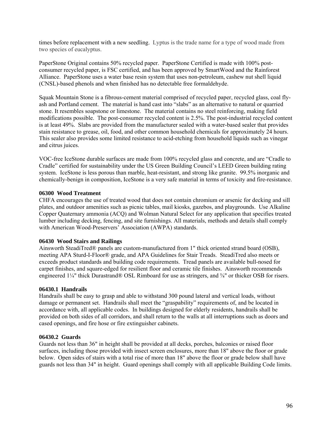times before replacement with a new seedling. Lyptus is the trade name for a type of wood made from two species of eucalyptus.

PaperStone Original contains 50% recycled paper. PaperStone Certified is made with 100% postconsumer recycled paper, is FSC certified, and has been approved by SmartWood and the Rainforest Alliance. PaperStone uses a water base resin system that uses non-petroleum, cashew nut shell liquid (CNSL)-based phenols and when finished has no detectable free formaldehyde.

Squak Mountain Stone is a fibrous-cement material comprised of recycled paper, recycled glass, coal flyash and Portland cement. The material is hand cast into "slabs" as an alternative to natural or quarried stone. It resembles soapstone or limestone. The material contains no steel reinforcing, making field modifications possible. The post-consumer recycled content is 2.5%. The post-industrial recycled content is at least 49%. Slabs are provided from the manufacturer sealed with a water-based sealer that provides stain resistance to grease, oil, food, and other common household chemicals for approximately 24 hours. This sealer also provides some limited resistance to acid-etching from household liquids such as vinegar and citrus juices.

VOC-free IceStone durable surfaces are made from 100% recycled glass and concrete, and are "Cradle to Cradle" certified for sustainability under the US Green Building Council's LEED Green building rating system. IceStone is less porous than marble, heat-resistant, and strong like granite. 99.5% inorganic and chemically-benign in composition, IceStone is a very safe material in terms of toxicity and fire-resistance.

### **06300 Wood Treatment**

CHFA encourages the use of treated wood that does not contain chromium or arsenic for decking and sill plates, and outdoor amenities such as picnic tables, mail kiosks, gazebos, and playgrounds. Use Alkaline Copper Quaternary ammonia (ACQ) and Wolman Natural Select for any application that specifies treated lumber including decking, fencing, and site furnishings. All materials, methods and details shall comply with American Wood-Preservers' Association (AWPA) standards.

#### **06430 Wood Stairs and Railings**

Ainsworth SteadiTred® panels are custom-manufactured from 1" thick oriented strand board (OSB), meeting APA Sturd-I-Floor® grade, and APA Guidelines for Stair Treads. SteadiTred also meets or exceeds product standards and building code requirements. Tread panels are available bull-nosed for carpet finishes, and square-edged for resilient floor and ceramic tile finishes. Ainsworth recommends engineered 1¼" thick Durastrand® OSL Rimboard for use as stringers, and <sup>5</sup>/<sub>8</sub>" or thicker OSB for risers.

#### **06430.1 Handrails**

Handrails shall be easy to grasp and able to withstand 300 pound lateral and vertical loads, without damage or permanent set. Handrails shall meet the "graspability" requirements of, and be located in accordance with, all applicable codes. In buildings designed for elderly residents, handrails shall be provided on both sides of all corridors, and shall return to the walls at all interruptions such as doors and cased openings, and fire hose or fire extinguisher cabinets.

#### **06430.2 Guards**

Guards not less than 36" in height shall be provided at all decks, porches, balconies or raised floor surfaces, including those provided with insect screen enclosures, more than 18" above the floor or grade below. Open sides of stairs with a total rise of more than 18" above the floor or grade below shall have guards not less than 34" in height. Guard openings shall comply with all applicable Building Code limits.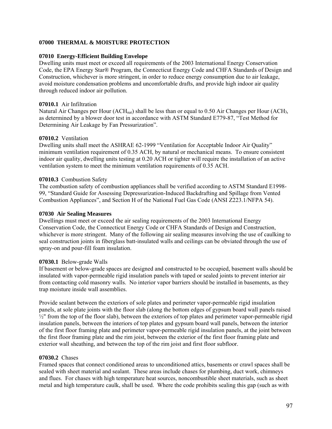## **07000 THERMAL & MOISTURE PROTECTION**

### **07010 Energy-Efficient Building Envelope**

Dwelling units must meet or exceed all requirements of the 2003 International Energy Conservation Code, the EPA Energy Star® Program, the Connecticut Energy Code and CHFA Standards of Design and Construction, whichever is more stringent, in order to reduce energy consumption due to air leakage, avoid moisture condensation problems and uncomfortable drafts, and provide high indoor air quality through reduced indoor air pollution.

## **07010.1** Air Infiltration

Natural Air Changes per Hour (ACH<sub>nat</sub>) shall be less than or equal to 0.50 Air Changes per Hour (ACH), as determined by a blower door test in accordance with ASTM Standard E779-87, "Test Method for Determining Air Leakage by Fan Pressurization".

### **07010.2** Ventilation

Dwelling units shall meet the ASHRAE 62-1999 "Ventilation for Acceptable Indoor Air Quality" minimum ventilation requirement of 0.35 ACH, by natural or mechanical means. To ensure consistent indoor air quality, dwelling units testing at 0.20 ACH or tighter will require the installation of an active ventilation system to meet the minimum ventilation requirements of 0.35 ACH.

## **07010.3** Combustion Safety

The combustion safety of combustion appliances shall be verified according to ASTM Standard E1998- 99, "Standard Guide for Assessing Depressurization-Induced Backdrafting and Spillage from Vented Combustion Appliances", and Section H of the National Fuel Gas Code (ANSI Z223.1/NFPA 54).

## **07030 Air Sealing Measures**

Dwellings must meet or exceed the air sealing requirements of the 2003 International Energy Conservation Code, the Connecticut Energy Code or CHFA Standards of Design and Construction, whichever is more stringent. Many of the following air sealing measures involving the use of caulking to seal construction joints in fiberglass batt-insulated walls and ceilings can be obviated through the use of spray-on and pour-fill foam insulation.

### **07030.1** Below-grade Walls

If basement or below-grade spaces are designed and constructed to be occupied, basement walls should be insulated with vapor-permeable rigid insulation panels with taped or sealed joints to prevent interior air from contacting cold masonry walls. No interior vapor barriers should be installed in basements, as they trap moisture inside wall assemblies.

Provide sealant between the exteriors of sole plates and perimeter vapor-permeable rigid insulation panels, at sole plate joints with the floor slab (along the bottom edges of gypsum board wall panels raised  $\frac{1}{2}$ " from the top of the floor slab), between the exteriors of top plates and perimeter vapor-permeable rigid insulation panels, between the interiors of top plates and gypsum board wall panels, between the interior of the first floor framing plate and perimeter vapor-permeable rigid insulation panels, at the joint between the first floor framing plate and the rim joist, between the exterior of the first floor framing plate and exterior wall sheathing, and between the top of the rim joist and first floor subfloor.

## **07030.2** Chases

Framed spaces that connect conditioned areas to unconditioned attics, basements or crawl spaces shall be sealed with sheet material and sealant. These areas include chases for plumbing, duct work, chimneys and flues. For chases with high temperature heat sources, noncombustible sheet materials, such as sheet metal and high temperature caulk, shall be used. Where the code prohibits sealing this gap (such as with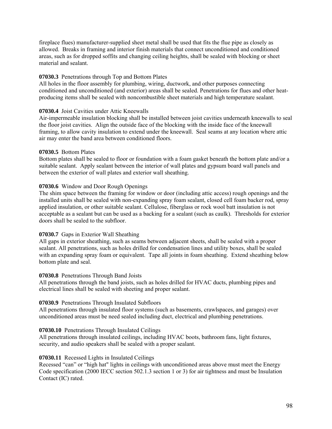fireplace flues) manufacturer-supplied sheet metal shall be used that fits the flue pipe as closely as allowed. Breaks in framing and interior finish materials that connect unconditioned and conditioned areas, such as for dropped soffits and changing ceiling heights, shall be sealed with blocking or sheet material and sealant.

### **07030.3** Penetrations through Top and Bottom Plates

All holes in the floor assembly for plumbing, wiring, ductwork, and other purposes connecting conditioned and unconditioned (and exterior) areas shall be sealed. Penetrations for flues and other heatproducing items shall be sealed with noncombustible sheet materials and high temperature sealant.

## **07030.4** Joist Cavities under Attic Kneewalls

Air-impermeable insulation blocking shall be installed between joist cavities underneath kneewalls to seal the floor joist cavities. Align the outside face of the blocking with the inside face of the kneewall framing, to allow cavity insulation to extend under the kneewall. Seal seams at any location where attic air may enter the band area between conditioned floors.

## **07030.5** Bottom Plates

Bottom plates shall be sealed to floor or foundation with a foam gasket beneath the bottom plate and/or a suitable sealant. Apply sealant between the interior of wall plates and gypsum board wall panels and between the exterior of wall plates and exterior wall sheathing.

## **07030.6** Window and Door Rough Openings

The shim space between the framing for window or door (including attic access) rough openings and the installed units shall be sealed with non-expanding spray foam sealant, closed cell foam backer rod, spray applied insulation, or other suitable sealant. Cellulose, fiberglass or rock wool batt insulation is not acceptable as a sealant but can be used as a backing for a sealant (such as caulk). Thresholds for exterior doors shall be sealed to the subfloor.

### **07030.7** Gaps in Exterior Wall Sheathing

All gaps in exterior sheathing, such as seams between adjacent sheets, shall be sealed with a proper sealant. All penetrations, such as holes drilled for condensation lines and utility boxes, shall be sealed with an expanding spray foam or equivalent. Tape all joints in foam sheathing. Extend sheathing below bottom plate and seal.

### **07030.8** Penetrations Through Band Joists

All penetrations through the band joists, such as holes drilled for HVAC ducts, plumbing pipes and electrical lines shall be sealed with sheeting and proper sealant.

### **07030.9** Penetrations Through Insulated Subfloors

All penetrations through insulated floor systems (such as basements, crawlspaces, and garages) over unconditioned areas must be need sealed including duct, electrical and plumbing penetrations.

### **07030.10** Penetrations Through Insulated Ceilings

All penetrations through insulated ceilings, including HVAC boots, bathroom fans, light fixtures, security, and audio speakers shall be sealed with a proper sealant.

### **07030.11** Recessed Lights in Insulated Ceilings

Recessed "can" or "high hat" lights in ceilings with unconditioned areas above must meet the Energy Code specification (2000 IECC section 502.1.3 section 1 or 3) for air tightness and must be Insulation Contact (IC) rated.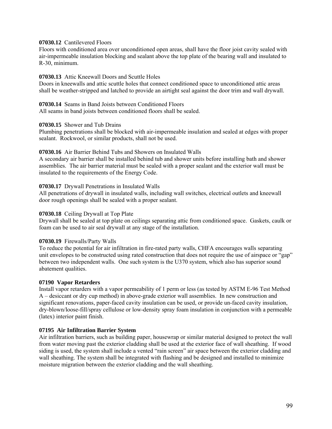### **07030.12** Cantilevered Floors

Floors with conditioned area over unconditioned open areas, shall have the floor joist cavity sealed with air-impermeable insulation blocking and sealant above the top plate of the bearing wall and insulated to R-30, minimum.

### **07030.13** Attic Kneewall Doors and Scuttle Holes

Doors in kneewalls and attic scuttle holes that connect conditioned space to unconditioned attic areas shall be weather-stripped and latched to provide an airtight seal against the door trim and wall drywall.

# **07030.14** Seams in Band Joists between Conditioned Floors

All seams in band joists between conditioned floors shall be sealed.

### **07030.15** Shower and Tub Drains

Plumbing penetrations shall be blocked with air-impermeable insulation and sealed at edges with proper sealant. Rockwool, or similar products, shall not be used.

## **07030.16** Air Barrier Behind Tubs and Showers on Insulated Walls

A secondary air barrier shall be installed behind tub and shower units before installing bath and shower assemblies. The air barrier material must be sealed with a proper sealant and the exterior wall must be insulated to the requirements of the Energy Code.

### **07030.17** Drywall Penetrations in Insulated Walls

All penetrations of drywall in insulated walls, including wall switches, electrical outlets and kneewall door rough openings shall be sealed with a proper sealant.

### **07030.18** Ceiling Drywall at Top Plate

Drywall shall be sealed at top plate on ceilings separating attic from conditioned space. Gaskets, caulk or foam can be used to air seal drywall at any stage of the installation.

### **07030.19** Firewalls/Party Walls

To reduce the potential for air infiltration in fire-rated party walls, CHFA encourages walls separating unit envelopes to be constructed using rated construction that does not require the use of airspace or "gap" between two independent walls. One such system is the U370 system, which also has superior sound abatement qualities.

#### **07190 Vapor Retarders**

Install vapor retarders with a vapor permeability of 1 perm or less (as tested by ASTM E-96 Test Method A – desiccant or dry cup method) in above-grade exterior wall assemblies. In new construction and significant renovations, paper-faced cavity insulation can be used, or provide un-faced cavity insulation, dry-blown/loose-fill/spray cellulose or low-density spray foam insulation in conjunction with a permeable (latex) interior paint finish.

## **07195 Air Infiltration Barrier System**

Air infiltration barriers, such as building paper, housewrap or similar material designed to protect the wall from water moving past the exterior cladding shall be used at the exterior face of wall sheathing. If wood siding is used, the system shall include a vented "rain screen" air space between the exterior cladding and wall sheathing. The system shall be integrated with flashing and be designed and installed to minimize moisture migration between the exterior cladding and the wall sheathing.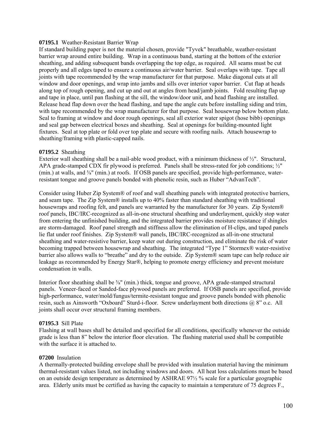### **07195.1** Weather-Resistant Barrier Wrap

If standard building paper is not the material chosen, provide "Tyvek" breathable, weather-resistant barrier wrap around entire building. Wrap in a continuous band, starting at the bottom of the exterior sheathing, and adding subsequent bands overlapping the top edge, as required. All seams must be cut properly and all edges taped to ensure a continuous air/water barrier. Seal overlaps with tape. Tape all joints with tape recommended by the wrap manufacturer for that purpose. Make diagonal cuts at all window and door openings, and wrap into jambs and sills over interior vapor barrier. Cut flap at heads along top of rough opening, and cut up and out at angles from head/jamb joints. Fold resulting flap up and tape in place, until pan flashing at the sill, the window/door unit, and head flashing are installed. Release head flap down over the head flashing, and tape the angle cuts before installing siding and trim, with tape recommended by the wrap manufacturer for that purpose. Seal housewrap below bottom plate. Seal to framing at window and door rough openings, seal all exterior water spigot (hose bibb) openings and seal gap between electrical boxes and sheathing. Seal at openings for building-mounted light fixtures. Seal at top plate or fold over top plate and secure with roofing nails. Attach housewrap to sheathing/framing with plastic-capped nails.

### **07195.2** Sheathing

Exterior wall sheathing shall be a nail-able wood product, with a minimum thickness of  $\frac{1}{2}$ ". Structural, APA grade-stamped CDX fir plywood is preferred. Panels shall be stress-rated for job conditions; ½" (min.) at walls, and ⅝" (min.) at roofs. If OSB panels are specified, provide high-performance, waterresistant tongue and groove panels bonded with phenolic resin, such as Huber "AdvanTech".

Consider using Huber Zip System® of roof and wall sheathing panels with integrated protective barriers, and seam tape. The Zip System® installs up to 40% faster than standard sheathing with traditional housewraps and roofing felt, and panels are warranted by the manufacturer for 30 years. Zip System® roof panels, IBC/IRC-recognized as all-in-one structural sheathing and underlayment, quickly stop water from entering the unfinished building, and the integrated barrier provides moisture resistance if shingles are storm-damaged. Roof panel strength and stiffness allow the elimination of H-clips, and taped panels lie flat under roof finishes. Zip System® wall panels, IBC/IRC-recognized as all-in-one structural sheathing and water-resistive barrier, keep water out during construction, and eliminate the risk of water becoming trapped between housewrap and sheathing. The integrated "Type 1" Stormex® water-resistive barrier also allows walls to "breathe" and dry to the outside. Zip System® seam tape can help reduce air leakage as recommended by Energy Star®, helping to promote energy efficiency and prevent moisture condensation in walls.

Interior floor sheathing shall be  $\frac{5}{8}$ " (min.) thick, tongue and groove, APA grade-stamped structural panels. Veneer-faced or Sanded-face plywood panels are preferred. If OSB panels are specified, provide high-performance, water/mold/fungus/termite-resistant tongue and groove panels bonded with phenolic resin, such as Ainsworth "Oxboard" Sturd-i-floor. Screw underlayment both directions @ 8" o.c. All joints shall occur over structural framing members.

### **07195.3** Sill Plate

Flashing at wall bases shall be detailed and specified for all conditions, specifically whenever the outside grade is less than 8" below the interior floor elevation. The flashing material used shall be compatible with the surface it is attached to.

### **07200** Insulation

A thermally-protected building envelope shall be provided with insulation material having the minimum thermal-resistant values listed, not including windows and doors. All heat loss calculations must be based on an outside design temperature as determined by ASHRAE 97½ % scale for a particular geographic area. Elderly units must be certified as having the capacity to maintain a temperature of 75 degrees F.,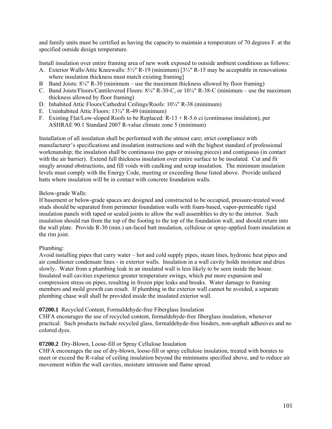and family units must be certified as having the capacity to maintain a temperature of 70 degrees F. at the specified outside design temperature.

Install insulation over entire framing area of new work exposed to outside ambient conditions as follows:

- A. Exterior Walls/Attic Kneewalls: 5½" R-19 (minimum) [3½" R-15 may be acceptable in renovations where insulation thickness must match existing framing]
- B Band Joists:  $8\frac{1}{4}$ " R-30 (minimum use the maximum thickness allowed by floor framing)
- C. Band Joists/Floors/Cantilevered Floors: 8¼" R-30-C, or 10¼" R-38-C (minimum use the maximum thickness allowed by floor framing)
- D. Inhabited Attic Floors/Cathedral Ceilings/Roofs: 10¼" R-38 (minimum)
- E. Uninhabited Attic Floors: 13¾" R-49 (minimum)
- F. Existing Flat/Low-sloped Roofs to be Replaced:  $R-13 + R-5.6$  ci (continuous insulation), per ASHRAE 90.1 Standard 2007 R-value climate zone 5 (minimum)

Installation of all insulation shall be performed with the utmost care; strict compliance with manufacturer's specifications and insulation instructions and with the highest standard of professional workmanship; the insulation shall be continuous (no gaps or missing pieces) and contiguous (in contact with the air barrier). Extend full thickness insulation over entire surface to be insulated. Cut and fit snugly around obstructions, and fill voids with caulking and scrap insulation. The minimum insulation levels must comply with the Energy Code, meeting or exceeding those listed above. Provide unfaced batts where insulation will be in contact with concrete foundation walls.

### Below-grade Walls:

If basement or below-grade spaces are designed and constructed to be occupied, pressure-treated wood studs should be separated from perimeter foundation walls with foam-based, vapor-permeable rigid insulation panels with taped or sealed joints to allow the wall assemblies to dry to the interior. Such insulation should run from the top of the footing to the top of the foundation wall, and should return into the wall plate. Provide R-30 (min.) un-faced batt insulation, cellulose or spray-applied foam insulation at the rim joist.

### Plumbing:

Avoid installing pipes that carry water – hot and cold supply pipes, steam lines, hydronic heat pipes and air conditioner condensate lines - in exterior walls. Insulation in a wall cavity holds moisture and dries slowly. Water from a plumbing leak in an insulated wall is less likely to be seen inside the house. Insulated wall cavities experience greater temperature swings, which put more expansion and compression stress on pipes, resulting in frozen pipe leaks and breaks. Water damage to framing members and mold growth can result. If plumbing in the exterior wall cannot be avoided, a separate plumbing chase wall shall be provided inside the insulated exterior wall.

### **07200.1** Recycled Content, Formaldehyde-free Fiberglass Insulation

CHFA encourages the use of recycled content, formaldehyde-free fiberglass insulation, whenever practical. Such products include recycled glass, formaldehyde-free binders, non-asphalt adhesives and no colored dyes.

### **07200.2** Dry-Blown, Loose-fill or Spray Cellulose Insulation

CHFA encourages the use of dry-blown, loose-fill or spray cellulose insulation, treated with borates to meet or exceed the R-value of ceiling insulation beyond the minimums specified above, and to reduce air movement within the wall cavities, moisture intrusion and flame spread.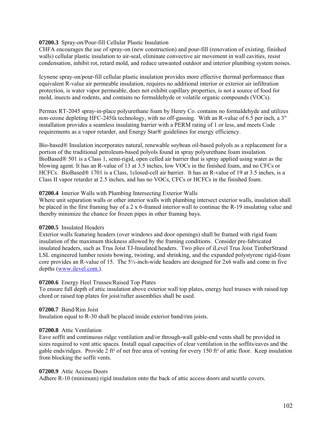### **07200.3** Spray-on/Pour-fill Cellular Plastic Insulation

CHFA encourages the use of spray-on (new construction) and pour-fill (renovation of existing, finished walls) cellular plastic insulation to air-seal, eliminate convective air movement in wall cavities, resist condensation, inhibit rot, retard mold, and reduce unwanted outdoor and interior plumbing system noises.

Icynene spray-on/pour-fill cellular plastic insulation provides more effective thermal performance than equivalent R-value air permeable insulation, requires no additional interior or exterior air infiltration protection, is water vapor permeable, does not exhibit capillary properties, is not a source of food for mold, insects and rodents, and contains no formaldehyde or volatile organic compounds (VOCs).

Permax RT-2045 spray-in-place polyurethane foam by Henry Co. contains no formaldehyde and utilizes non-ozone depleting HFC-245fa technology, with no off-gassing. With an R-value of 6.5 per inch, a 3" installation provides a seamless insulating barrier with a PERM rating of 1 or less, and meets Code requirements as a vapor retarder, and Energy Star® guidelines for energy efficiency.

Bio-based® Insulation incorporates natural, renewable soybean oil-based polyols as a replacement for a portion of the traditional petroleum-based polyols found in spray polyurethane foam insulation. BioBased® 501 is a Class 1, semi-rigid, open celled air barrier that is spray applied using water as the blowing agent. It has an R-value of 13 at 3.5 inches, low VOCs in the finished foam, and no CFCs or HCFCs. BioBased® 1701 is a Class, 1closed-cell air barrier. It has an R-value of 19 at 3.5 inches, is a Class II vapor retarder at 2.5 inches, and has no VOCs, CFCs or HCFCs in the finished foam.

#### **07200.4** Interior Walls with Plumbing Intersecting Exterior Walls

Where unit separation walls or other interior walls with plumbing intersect exterior walls, insulation shall be placed in the first framing bay of a 2 x 6-framed interior wall to continue the R-19 insulating value and thereby minimize the chance for frozen pipes in other framing bays.

#### **07200.5** Insulated Headers

Exterior walls featuring headers (over windows and door openings) shall be framed with rigid foam insulation of the maximum thickness allowed by the framing conditions. Consider pre-fabricated insulated headers, such as Trus Joist TJ-Insulated headers. Two plies of iLevel Trus Joist TimberStrand LSL engineered lumber resists bowing, twisting, and shrinking, and the expanded polystyrene rigid-foam core provides an R-value of 15. The  $5\frac{1}{2}$ -inch-wide headers are designed for 2x6 walls and come in five depths [\(www.ilevel.com.\)](http://www.ilevel.com/).

#### **07200.6** Energy Heel Trusses/Raised Top Plates

To ensure full depth of attic insulation above exterior wall top plates, energy heel trusses with raised top chord or raised top plates for joist/rafter assemblies shall be used.

### **07200.7** Band/Rim Joist

Insulation equal to R-30 shall be placed inside exterior band/rim joists.

### **07200.8** Attic Ventilation

Eave soffit and continuous ridge ventilation and/or through-wall gable-end vents shall be provided in sizes required to vent attic spaces. Install equal capacities of clear ventilation in the soffits/eaves and the gable ends/ridges. Provide 2 ft<sup>2</sup> of net free area of venting for every 150 ft<sup>2</sup> of attic floor. Keep insulation from blocking the soffit vents.

#### **07200.9** Attic Access Doors

Adhere R-10 (minimum) rigid insulation onto the back of attic access doors and scuttle covers.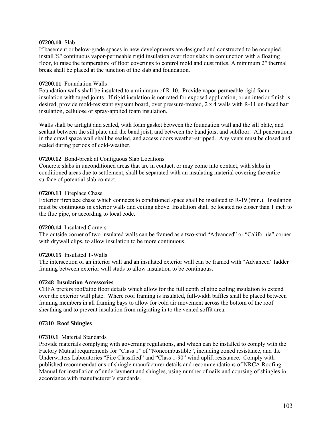### **07200.10** Slab

If basement or below-grade spaces in new developments are designed and constructed to be occupied, install ¾" continuous vapor-permeable rigid insulation over floor slabs in conjunction with a floating floor, to raise the temperature of floor coverings to control mold and dust mites. A minimum 2" thermal break shall be placed at the junction of the slab and foundation.

### **07200.11** Foundation Walls

Foundation walls shall be insulated to a minimum of R-10. Provide vapor-permeable rigid foam insulation with taped joints. If rigid insulation is not rated for exposed application, or an interior finish is desired, provide mold-resistant gypsum board, over pressure-treated, 2 x 4 walls with R-11 un-faced batt insulation, cellulose or spray-applied foam insulation.

Walls shall be airtight and sealed, with foam gasket between the foundation wall and the sill plate, and sealant between the sill plate and the band joist, and between the band joist and subfloor. All penetrations in the crawl space wall shall be sealed, and access doors weather-stripped. Any vents must be closed and sealed during periods of cold-weather.

### **07200.12** Bond-break at Contiguous Slab Locations

Concrete slabs in unconditioned areas that are in contact, or may come into contact, with slabs in conditioned areas due to settlement, shall be separated with an insulating material covering the entire surface of potential slab contact.

### **07200.13** Fireplace Chase

Exterior fireplace chase which connects to conditioned space shall be insulated to R-19 (min.). Insulation must be continuous in exterior walls and ceiling above. Insulation shall be located no closer than 1 inch to the flue pipe, or according to local code.

### **07200.14** Insulated Corners

The outside corner of two insulated walls can be framed as a two-stud "Advanced" or "California" corner with drywall clips, to allow insulation to be more continuous.

### **07200.15** Insulated T-Walls

The intersection of an interior wall and an insulated exterior wall can be framed with "Advanced" ladder framing between exterior wall studs to allow insulation to be continuous.

#### **07248 Insulation Accessories**

CHFA prefers roof/attic floor details which allow for the full depth of attic ceiling insulation to extend over the exterior wall plate. Where roof framing is insulated, full-width baffles shall be placed between framing members in all framing bays to allow for cold air movement across the bottom of the roof sheathing and to prevent insulation from migrating in to the vented soffit area.

#### **07310 Roof Shingles**

### **07310.1** Material Standards

Provide materials complying with governing regulations, and which can be installed to comply with the Factory Mutual requirements for "Class 1" of "Noncombustible", including zoned resistance, and the Underwriters Laboratories "Fire Classified" and "Class 1-90" wind uplift resistance. Comply with published recommendations of shingle manufacturer details and recommendations of NRCA Roofing Manual for installation of underlayment and shingles, using number of nails and coursing of shingles in accordance with manufacturer's standards.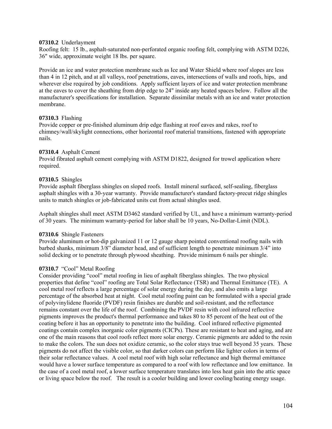### **07310.2** Underlayment

Roofing felt: 15 lb., asphalt-saturated non-perforated organic roofing felt, complying with ASTM D226, 36" wide, approximate weight 18 lbs. per square.

Provide an ice and water protection membrane such as Ice and Water Shield where roof slopes are less than 4 in 12 pitch, and at all valleys, roof penetrations, eaves, intersections of walls and roofs, hips, and wherever else required by job conditions. Apply sufficient layers of ice and water protection membrane at the eaves to cover the sheathing from drip edge to 24" inside any heated spaces below. Follow all the manufacturer's specifications for installation. Separate dissimilar metals with an ice and water protection membrane.

### **07310.3** Flashing

Provide copper or pre-finished aluminum drip edge flashing at roof eaves and rakes, roof to chimney/wall/skylight connections, other horizontal roof material transitions, fastened with appropriate nails.

### **07310.4** Asphalt Cement

Provid fibrated asphalt cement complying with ASTM D1822, designed for trowel application where required.

### **07310.5** Shingles

Provide asphalt fiberglass shingles on sloped roofs. Install mineral surfaced, self-sealing, fiberglass asphalt shingles with a 30-year warranty. Provide manufacturer's standard factory-precut ridge shingles units to match shingles or job-fabricated units cut from actual shingles used.

Asphalt shingles shall meet ASTM D3462 standard verified by UL, and have a minimum warranty-period of 30 years. The minimum warranty-period for labor shall be 10 years, No-Dollar-Limit (NDL).

#### **07310.6** Shingle Fasteners

Provide aluminum or hot-dip galvanized 11 or 12 gauge sharp pointed conventional roofing nails with barbed shanks, minimum 3/8" diameter head, and of sufficient length to penetrate minimum 3/4" into solid decking or to penetrate through plywood sheathing. Provide minimum 6 nails per shingle.

### **07310.7** "Cool" Metal Roofing

Consider providing "cool" metal roofing in lieu of asphalt fiberglass shingles. The two physical properties that define "cool" roofing are Total Solar Reflectance (TSR) and Thermal Emittance (TE). A cool metal roof reflects a large percentage of solar energy during the day, and also emits a large percentage of the absorbed heat at night. Cool metal roofing paint can be formulated with a special grade of polyvinylidene fluoride (PVDF) resin finishes are durable and soil-resistant, and the reflectance remains constant over the life of the roof. Combining the PVDF resin with cool infrared reflective pigments improves the product's thermal performance and takes 80 to 85 percent of the heat out of the coating before it has an opportunity to penetrate into the building. Cool infrared reflective pigmented coatings contain complex inorganic color pigments (CICPs). These are resistant to heat and aging, and are one of the main reasons that cool roofs reflect more solar energy. Ceramic pigments are added to the resin to make the colors. The sun does not oxidize ceramic, so the color stays true well beyond 35 years. These pigments do not affect the visible color, so that darker colors can perform like lighter colors in terms of their solar reflectance values. A cool metal roof with high solar reflectance and high thermal emittance would have a lower surface temperature as compared to a roof with low reflectance and low emittance. In the case of a cool metal roof, a lower surface temperature translates into less heat gain into the attic space or living space below the roof. The result is a cooler building and lower cooling/heating energy usage.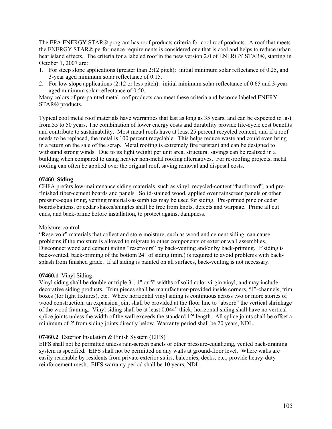The EPA ENERGY STAR® program has roof products criteria for cool roof products. A roof that meets the ENERGY STAR® performance requirements is considered one that is cool and helps to reduce urban heat island effects. The criteria for a labeled roof in the new version 2.0 of ENERGY STAR®, starting in October 1, 2007 are:

- 1. For steep slope applications (greater than 2:12 pitch): initial minimum solar reflectance of 0.25, and 3-year aged minimum solar reflectance of 0.15.
- 2. For low slope applications (2:12 or less pitch): initial minimum solar reflectance of 0.65 and 3-year aged minimum solar reflectance of 0.50.

Many colors of pre-painted metal roof products can meet these criteria and become labeled ENERY STAR® products.

Typical cool metal roof materials have warranties that last as long as 35 years, and can be expected to last from 35 to 50 years. The combination of lower energy costs and durability provide life-cycle cost benefits and contribute to sustainability. Most metal roofs have at least 25 percent recycled content, and if a roof needs to be replaced, the metal is 100 percent recyclable. This helps reduce waste and could even bring in a return on the sale of the scrap. Metal roofing is extremely fire resistant and can be designed to withstand strong winds. Due to its light weight per unit area, structural savings can be realized in a building when compared to using heavier non-metal roofing alternatives. For re-roofing projects, metal roofing can often be applied over the original roof, saving removal and disposal costs.

### **07460 Siding**

CHFA prefers low-maintenance siding materials, such as vinyl, recycled-content "hardboard", and prefinished fiber-cement boards and panels. Solid-stained wood, applied over rainscreen panels or other pressure-equalizing, venting materials/assemblies may be used for siding. Pre-primed pine or cedar boards/battens, or cedar shakes/shingles shall be free from knots, defects and warpage. Prime all cut ends, and back-prime before installation, to protect against dampness.

### Moisture-control

"Reservoir" materials that collect and store moisture, such as wood and cement siding, can cause problems if the moisture is allowed to migrate to other components of exterior wall assemblies. Disconnect wood and cement siding "reservoirs" by back-venting and/or by back-priming. If siding is back-vented, back-priming of the bottom 24" of siding (min.) is required to avoid problems with backsplash from finished grade. If all siding is painted on all surfaces, back-venting is not necessary.

### **07460.1** Vinyl Siding

Vinyl siding shall be double or triple 3", 4" or 5" widths of solid color virgin vinyl, and may include decorative siding products. Trim pieces shall be manufacturer-provided inside corners, "J"-channels, trim boxes (for light fixtures), etc. Where horizontal vinyl siding is continuous across two or more stories of wood construction, an expansion joint shall be provided at the floor line to "absorb" the vertical shrinkage of the wood framing. Vinyl siding shall be at least 0.044" thick; horizontal siding shall have no vertical splice joints unless the width of the wall exceeds the standard 12' length. All splice joints shall be offset a minimum of 2' from siding joints directly below. Warranty period shall be 20 years, NDL.

#### **07460.2** Exterior Insulation & Finish System (EIFS)

EIFS shall not be permitted unless rain-screen panels or other pressure-equalizing, vented back-draining system is specified. EIFS shall not be permitted on any walls at ground-floor level. Where walls are easily reachable by residents from private exterior stairs, balconies, decks, etc., provide heavy-duty reinforcement mesh. EIFS warranty period shall be 10 years, NDL.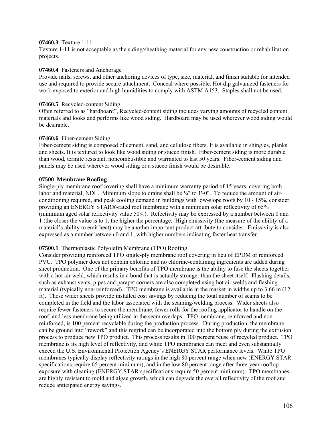### **07460.3** Texture 1-11

Texture 1-11 is not acceptable as the siding/sheathing material for any new construction or rehabilitation projects.

### **07460.4** Fasteners and Anchorage

Provide nails, screws, and other anchoring devices of type, size, material, and finish suitable for intended use and required to provide secure attachment. Conceal where possible. Hot dip galvanized fasteners for work exposed to exterior and high humidities to comply with ASTM A153. Staples shall not be used.

### **07460.5** Recycled-content Siding

Often referred to as "hardboard", Recycled-content siding includes varying amounts of recycled content materials and looks and performs like wood siding. Hardboard may be used wherever wood siding would be desirable.

### **07460.6** Fiber-cement Siding

Fiber-cement siding is composed of cement, sand, and cellulose fibers. It is available in shingles, planks and sheets. It is textured to look like wood siding or stucco finish. Fiber-cement siding is more durable than wood, termite resistant, noncombustible and warranted to last 50 years. Fiber-cement siding and panels may be used wherever wood siding or a stucco finish would be desirable.

### **07500 Membrane Roofing**

Single-ply membrane roof covering shall have a minimum warranty period of 15 years, covering both labor and material, NDL. Minimum slope to drains shall be  $\frac{1}{4}$ " to 1'-0". To reduce the amount of airconditioning required, and peak cooling demand in buildings with low-slope roofs by 10 - 15%, consider providing an ENERGY STAR®-rated roof membrane with a minimum solar reflectivity of 65% (minimum aged solar reflectivity value 50%). Refectivity may be expressed by a number between 0 and 1 (the closer the value is to 1, the higher the percentage. High emissivity (the measure of the ability of a material's ability to emit heat) may be another important product attribute to consider. Emissivity is also expressed as a number between 0 and 1, with higher numbers indicating faster heat transfer.

### **07500.1** Thermoplastic Polyolefin Membrane (TPO) Roofing

Consider providing reinforced TPO single-ply membrane roof covering in lieu of EPDM or reinforced PVC. TPO polymer does not contain chlorine and no chlorine-containing ingredients are added during sheet production. One of the primary benefits of TPO membrane is the ability to fuse the sheets together with a hot air weld, which results in a bond that is actually stronger than the sheet itself. Flashing details, such as exhaust vents, pipes and parapet corners are also completed using hot air welds and flashing material (typically non-reinforced). TPO membrane is available in the market in widths up to 3.66 m (12 ft). These wider sheets provide installed cost savings by reducing the total number of seams to be completed in the field and the labor associated with the seaming/welding process. Wider sheets also require fewer fasteners to secure the membrane, fewer rolls for the roofing applicator to handle on the roof, and less membrane being utilized in the seam overlaps. TPO membrane, reinforced and nonreinforced, is 100 percent recyclable during the production process. During production, the membrane can be ground into "rework" and this regrind can be incorporated into the bottom ply during the extrusion process to produce new TPO product. This process results in 100 percent reuse of recycled product. TPO membrane is its high level of reflectivity, and white TPO membranes can meet and even substantially exceed the U.S. Environmental Protection Agency's ENERGY STAR performance levels. White TPO membranes typically display reflectivity ratings in the high 80 percent range when new (ENERGY STAR specifications require 65 percent minimum), and in the low 80 percent range after three-year rooftop exposure with cleaning (ENERGY STAR specifications require 50 percent minimum). TPO membranes are highly resistant to mold and algae growth, which can degrade the overall reflectivity of the roof and reduce anticipated energy savings.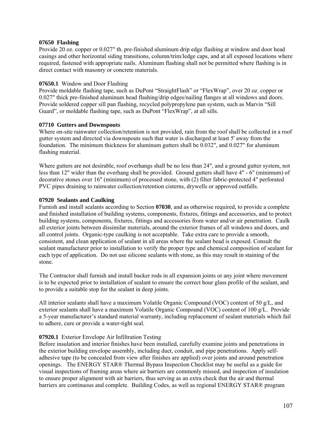### **07650 Flashing**

Provide 20 oz. copper or 0.027" th. pre-finished aluminum drip edge flashing at window and door head casings and other horizontal siding transitions, column/trim/ledge caps, and at all exposed locations where required, fastened with appropriate nails. Aluminum flashing shall not be permitted where flashing is in direct contact with masonry or concrete materials.

## **07650.1** Window and Door Flashing

Provide moldable flashing tape, such as DuPont "StraightFlash" or "FlexWrap", over 20 oz. copper or 0.027" thick pre-finished aluminum head flashing/drip edges/nailing flanges at all windows and doors. Provide soldered copper sill pan flashing, recycled polypropylene pan system, such as Marvin "Sill Guard", or moldable flashing tape, such as DuPont "FlexWrap", at all sills.

## **07710 Gutters and Downspouts**

Where on-site rainwater collection/retention is not provided, rain from the roof shall be collected in a roof gutter system and directed via downspouts such that water is discharged at least 5' away from the foundation.The minimum thickness for aluminum gutters shall be 0.032", and 0.027" for aluminum flashing material.

Where gutters are not desirable, roof overhangs shall be no less than 24", and a ground gutter system, not less than 12" wider than the overhang shall be provided. Ground gutters shall have 4" - 6" (minimum) of decorative stones over 16" (minimum) of processed stone, with (2) filter fabric-protected 4" perforated PVC pipes draining to rainwater collection/retention cisterns, drywells or approved outfalls.

## **07920 Sealants and Caulking**

Furnish and install sealants according to Section **07030**, and as otherwise required, to provide a complete and finished installation of building systems, components, fixtures, fittings and accessories, and to protect building systems, components, fixtures, fittings and accessories from water and/or air penetration. Caulk all exterior joints between dissimilar materials, around the exterior frames of all windows and doors, and all control joints. Organic-type caulking is not acceptable. Take extra care to provide a smooth, consistent, and clean application of sealant in all areas where the sealant bead is exposed. Consult the sealant manufacturer prior to installation to verify the proper type and chemical composition of sealant for each type of application. Do not use silicone sealants with stone, as this may result in staining of the stone.

The Contractor shall furnish and install backer rods in all expansion joints or any joint where movement is to be expected prior to installation of sealant to ensure the correct hour glass profile of the sealant, and to provide a suitable stop for the sealant in deep joints.

All interior sealants shall have a maximum Volatile Organic Compound (VOC) content of 50 g/L, and exterior sealants shall have a maximum Volatile Organic Compound (VOC) content of 100 g/L. Provide a 5-year manufacturer's standard material warranty, including replacement of sealant materials which fail to adhere, cure or provide a water-tight seal.

## **07920.1** Exterior Envelope Air Infiltration Testing

Before insulation and interior finishes have been installed, carefully examine joints and penetrations in the exterior building envelope assembly, including duct, conduit, and pipe penetrations. Apply selfadhesive tape (to be concealed from view after finishes are applied) over joints and around penetration openings. The ENERGY STAR® Thermal Bypass Inspection Checklist may be useful as a guide for visual inspections of framing areas where air barriers are commonly missed, and inspection of insulation to ensure proper alignment with air barriers, thus serving as an extra check that the air and thermal barriers are continuous and complete. Building Codes, as well as regional ENERGY STAR® program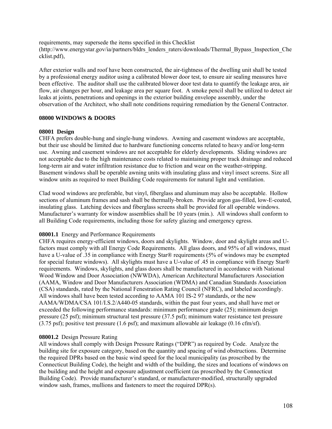requirements, may supersede the items specified in this Checklist (http://www.energystar.gov/ia/partners/bldrs\_lenders\_raters/downloads/Thermal\_Bypass\_Inspection\_Che cklist.pdf),

After exterior walls and roof have been constructed, the air-tightness of the dwelling unit shall be tested by a professional energy auditor using a calibrated blower door test, to ensure air sealing measures have been effective. The auditor shall use the calibrated blower door test data to quantify the leakage area, air flow, air changes per hour, and leakage area per square foot. A smoke pencil shall be utilized to detect air leaks at joints, penetrations and openings in the exterior building envelope assembly, under the observation of the Architect, who shall note conditions requiring remediation by the General Contractor.

### **08000 WINDOWS & DOORS**

#### **08001 Design**

CHFA prefers double-hung and single-hung windows. Awning and casement windows are acceptable, but their use should be limited due to hardware functioning concerns related to heavy and/or long-term use. Awning and casement windows are not acceptable for elderly developments. Sliding windows are not acceptable due to the high maintenance costs related to maintaining proper track drainage and reduced long-term air and water infiltration resistance due to friction and wear on the weather-stripping. Basement windows shall be operable awning units with insulating glass and vinyl insect screens. Size all window units as required to meet Building Code requirements for natural light and ventilation.

Clad wood windows are preferable, but vinyl, fiberglass and aluminum may also be acceptable. Hollow sections of aluminum frames and sash shall be thermally-broken. Provide argon gas-filled, low-E-coated, insulating glass. Latching devices and fiberglass screens shall be provided for all operable windows. Manufacturer's warranty for window assemblies shall be 10 years (min.). All windows shall conform to all Building Code requirements, including those for safety glazing and emergency egress.

### **08001.1** Energy and Performance Requirements

CHFA requires energy-efficient windows, doors and skylights. Window, door and skylight areas and Ufactors must comply with all Energy Code Requirements. All glass doors, and 95% of all windows, must have a U-value of .35 in compliance with Energy Star® requirements (5% of windows may be exempted for special feature windows). All skylights must have a U-value of .45 in compliance with Energy Star® requirements. Windows, skylights, and glass doors shall be manufactured in accordance with National Wood Window and Door Association (NWWDA), American Architectural Manufacturers Association (AAMA, Window and Door Manufacturers Association (WDMA) and Canadian Standards Association (CSA) standards, rated by the National Fenestration Rating Council (NFRC), and labeled accordingly. All windows shall have been tested according to AAMA 101 IS-2 97 standards, or the new AAMA/WDMA/CSA 101/I.S.2/A440-05 standards, within the past four years, and shall have met or exceeded the following performance standards: minimum performance grade (25); minimum design pressure (25 psf); minimum structural test pressure (37.5 psf); minimum water resistance test pressure (3.75 psf); positive test pressure (1.6 psf); and maximum allowable air leakage (0.16 cfm/sf).

#### **08001.2** Design Pressure Rating

All windows shall comply with Design Pressure Ratings ("DPR") as required by Code. Analyze the building site for exposure category, based on the quantity and spacing of wind obstructions. Determine the required DPRs based on the basic wind speed for the local municipality (as proscribed by the Connecticut Building Code), the height and width of the building, the sizes and locations of windows on the building and the height and exposure adjustment coefficient (as proscribed by the Connecticut Building Code). Provide manufacturer's standard, or manufacturer-modified, structurally upgraded window sash, frames, mullions and fasteners to meet the required DPR(s).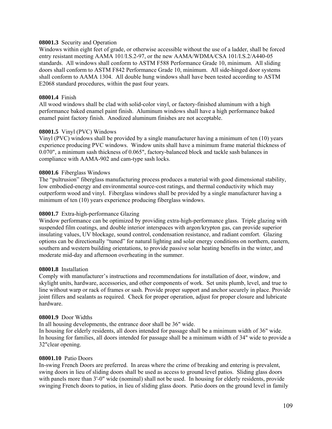#### **08001.3** Security and Operation

Windows within eight feet of grade, or otherwise accessible without the use of a ladder, shall be forced entry resistant meeting AAMA 101/I.S.2-97, or the new AAMA/WDMA/CSA 101/I.S.2/A440-05 standards. All windows shall conform to ASTM F588 Performance Grade 10, minimum. All sliding doors shall conform to ASTM F842 Performance Grade 10, minimum. All side-hinged door systems shall conform to AAMA 1304. All double hung windows shall have been tested according to ASTM E2068 standard procedures, within the past four years.

## **08001.4** Finish

All wood windows shall be clad with solid-color vinyl, or factory-finished aluminum with a high performance baked enamel paint finish. Aluminum windows shall have a high performance baked enamel paint factory finish. Anodized aluminum finishes are not acceptable.

#### **08001.5** Vinyl (PVC) Windows

Vinyl (PVC) windows shall be provided by a single manufacturer having a minimum of ten (10) years experience producing PVC windows. Window units shall have a minimum frame material thickness of 0.070", a minimum sash thickness of 0.065", factory-balanced block and tackle sash balances in compliance with AAMA-902 and cam-type sash locks.

#### **08001.6** Fiberglass Windows

The "pultrusion" fiberglass manufacturing process produces a material with good dimensional stability, low embodied-energy and environmental source-cost ratings, and thermal conductivity which may outperform wood and vinyl. Fiberglass windows shall be provided by a single manufacturer having a minimum of ten (10) years experience producing fiberglass windows.

#### **08001.7** Extra-high-performance Glazing

Window performance can be optimized by providing extra-high-performance glass. Triple glazing with suspended film coatings, and double interior interspaces with argon/krypton gas, can provide superior insulating values, UV blockage, sound control, condensation resistance, and radiant comfort. Glazing options can be directionally "tuned" for natural lighting and solar energy conditions on northern, eastern, southern and western building orientations, to provide passive solar heating benefits in the winter, and moderate mid-day and afternoon overheating in the summer.

#### **08001.8** Installation

Comply with manufacturer's instructions and recommendations for installation of door, window, and skylight units, hardware, accessories, and other components of work. Set units plumb, level, and true to line without warp or rack of frames or sash. Provide proper support and anchor securely in place. Provide joint fillers and sealants as required. Check for proper operation, adjust for proper closure and lubricate hardware.

#### **08001.9** Door Widths

In all housing developments, the entrance door shall be 36" wide.

In housing for elderly residents, all doors intended for passage shall be a minimum width of 36" wide. In housing for families, all doors intended for passage shall be a minimum width of 34" wide to provide a 32"clear opening.

## **08001.10** Patio Doors

In-swing French Doors are preferred. In areas where the crime of breaking and entering is prevalent, swing doors in lieu of sliding doors shall be used as access to ground level patios. Sliding glass doors with panels more than 3'-0" wide (nominal) shall not be used. In housing for elderly residents, provide swinging French doors to patios, in lieu of sliding glass doors. Patio doors on the ground level in family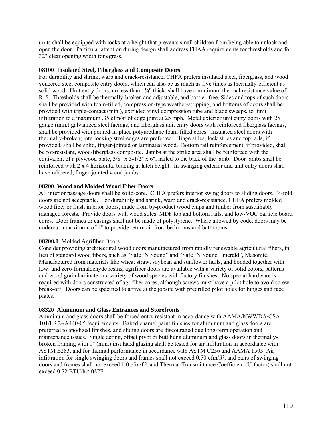units shall be equipped with locks at a height that prevents small children from being able to unlock and open the door. Particular attention during design shall address FHAA requirements for thresholds and for 32" clear opening width for egress.

## **08100 Insulated Steel, Fiberglass and Composite Doors**

For durability and shrink, warp and crack-resistance, CHFA prefers insulated steel, fiberglass, and wood veneered steel composite entry doors, which can also be as much as five times as thermally-efficient as solid wood. Unit entry doors, no less than  $1\frac{3}{4}$ " thick, shall have a minimum thermal resistance value of R-5. Thresholds shall be thermally-broken and adjustable, and barrier-free. Sides and tops of such doors shall be provided with foam-filled, compression-type weather-stripping, and bottoms of doors shall be provided with triple-contact (min.), extruded vinyl compression tube and blade sweeps, to limit infiltration to a maximum .35 cfm/sf of edge joint at 25 mph. Metal exterior unit entry doors with 25 gauge (min.) galvanized steel facings, and fiberglass unit entry doors with reinforced fiberglass facings, shall be provided with poured-in-place polyurethane foam-filled cores. Insulated steel doors with thermally-broken, interlocking steel edges are preferred. Hinge stiles, lock stiles and top rails, if provided, shall be solid, finger-jointed or laminated wood. Bottom rail reinforcement, if provided, shall be rot-resistant, wood/fiberglass composite. Jambs at the strike area shall be reinforced with the equivalent of a plywood plate, 3/8" x 3-1/2" x 6", nailed to the back of the jamb. Door jambs shall be reinforced with 2 x 4 horizontal bracing at latch height. In-swinging exterior and unit entry doors shall have rabbeted, finger-jointed wood jambs.

## **08200 Wood and Molded Wood Fiber Doors**

All interior passage doors shall be solid-core. CHFA prefers interior swing doors to sliding doors. Bi-fold doors are not acceptable. For durability and shrink, warp and crack-resistance, CHFA prefers molded wood fiber or flush interior doors, made from by-product wood chips and timber from sustainably managed forests. Provide doors with wood stiles, MDF top and bottom rails, and low-VOC particle board cores. Door frames or casings shall not be made of polystyrene. Where allowed by code, doors may be undercut a maximum of 1" to provide return air from bedrooms and bathrooms.

## **08200.1** Molded Agrifiber Doors

Consider providing architectural wood doors manufactured from rapidly renewable agricultural fibers, in lieu of standard wood fibers, such as "Safe 'N Sound" and "Safe 'N Sound Emerald", Masonite. Manufactured from materials like wheat straw, soybean and sunflower hulls, and bonded together with low- and zero-formaldehyde resins, agrifiber doors are available with a variety of solid colors, patterns and wood grain laminate or a variety of wood species with factory finishes. No special hardware is required with doors constructed of agrifiber cores, although screws must have a pilot hole to avoid screw break-off. Doors can be specified to arrive at the jobsite with predrilled pilot holes for hinges and face plates.

## **08320 Aluminum and Glass Entrances and Storefronts**

Aluminum and glass doors shall be forced entry resistant in accordance with AAMA/NWWDA/CSA 101/I.S.2-/A440-05 requirements. Baked enamel paint finishes for aluminum and glass doors are preferred to anodized finishes, and sliding doors are discouraged due long-term operation and maintenance issues. Single acting, offset pivot or butt hung aluminum and glass doors in thermallybroken framing with 1" (min.) insulated glazing shall be tested for air infiltration in accordance with ASTM E283, and for thermal performance in accordance with ASTM C236 and AAMA 1503 Air infiltration for single swinging doors and frames shall not exceed 0.50 cfm/ft², and pairs of swinging doors and frames shall not exceed 1.0 cfm/ft², and Thermal Transmittance Coefficient (U-factor) shall not exceed  $0.72$  BTU/hr/  $ft^2$ <sup>o</sup>F.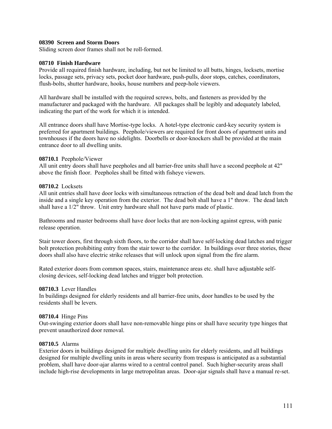#### **08390 Screen and Storm Doors**

Sliding screen door frames shall not be roll-formed.

## **08710 Finish Hardware**

Provide all required finish hardware, including, but not be limited to all butts, hinges, locksets, mortise locks, passage sets, privacy sets, pocket door hardware, push-pulls, door stops, catches, coordinators, flush-bolts, shutter hardware, hooks, house numbers and peep-hole viewers.

All hardware shall be installed with the required screws, bolts, and fasteners as provided by the manufacturer and packaged with the hardware. All packages shall be legibly and adequately labeled, indicating the part of the work for which it is intended.

All entrance doors shall have Mortise-type locks. A hotel-type electronic card-key security system is preferred for apartment buildings. Peephole/viewers are required for front doors of apartment units and townhouses if the doors have no sidelights. Doorbells or door-knockers shall be provided at the main entrance door to all dwelling units.

#### **08710.1** Peephole/Viewer

All unit entry doors shall have peepholes and all barrier-free units shall have a second peephole at 42" above the finish floor. Peepholes shall be fitted with fisheye viewers.

#### **08710.2** Locksets

All unit entries shall have door locks with simultaneous retraction of the dead bolt and dead latch from the inside and a single key operation from the exterior. The dead bolt shall have a 1" throw. The dead latch shall have a 1/2" throw. Unit entry hardware shall not have parts made of plastic.

Bathrooms and master bedrooms shall have door locks that are non-locking against egress, with panic release operation.

Stair tower doors, first through sixth floors, to the corridor shall have self-locking dead latches and trigger bolt protection prohibiting entry from the stair tower to the corridor. In buildings over three stories, these doors shall also have electric strike releases that will unlock upon signal from the fire alarm.

Rated exterior doors from common spaces, stairs, maintenance areas etc. shall have adjustable selfclosing devices, self-locking dead latches and trigger bolt protection.

#### **08710.3** Lever Handles

In buildings designed for elderly residents and all barrier-free units, door handles to be used by the residents shall be levers.

#### **08710.4** Hinge Pins

Out-swinging exterior doors shall have non-removable hinge pins or shall have security type hinges that prevent unauthorized door removal.

#### **08710.5** Alarms

Exterior doors in buildings designed for multiple dwelling units for elderly residents, and all buildings designed for multiple dwelling units in areas where security from trespass is anticipated as a substantial problem, shall have door-ajar alarms wired to a central control panel. Such higher-security areas shall include high-rise developments in large metropolitan areas. Door-ajar signals shall have a manual re-set.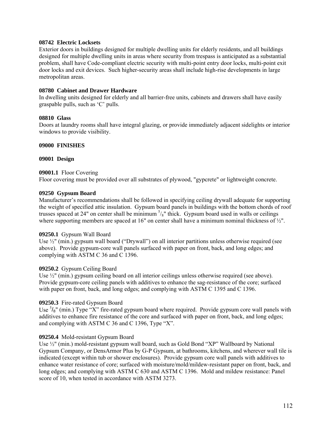## **08742 Electric Locksets**

Exterior doors in buildings designed for multiple dwelling units for elderly residents, and all buildings designed for multiple dwelling units in areas where security from trespass is anticipated as a substantial problem, shall have Code-compliant electric security with multi-point entry door locks, multi-point exit door locks and exit devices. Such higher-security areas shall include high-rise developments in large metropolitan areas.

## **08780 Cabinet and Drawer Hardware**

In dwelling units designed for elderly and all barrier-free units, cabinets and drawers shall have easily graspable pulls, such as 'C' pulls.

## **08810 Glass**

Doors at laundry rooms shall have integral glazing, or provide immediately adjacent sidelights or interior windows to provide visibility.

## **09000 FINISHES**

## **09001 Design**

## **09001.1** Floor Covering

Floor covering must be provided over all substrates of plywood, "gypcrete" or lightweight concrete.

## **09250 Gypsum Board**

Manufacturer's recommendations shall be followed in specifying ceiling drywall adequate for supporting the weight of specified attic insulation. Gypsum board panels in buildings with the bottom chords of roof trusses spaced at 24" on center shall be minimum  $\frac{s}{s}$ " thick. Gypsum board used in walls or ceilings where supporting members are spaced at 16" on center shall have a minimum nominal thickness of  $\frac{1}{2}$ ".

## **09250.1** Gypsum Wall Board

Use  $\frac{1}{2}$ " (min.) gypsum wall board ("Drywall") on all interior partitions unless otherwise required (see above). Provide gypsum-core wall panels surfaced with paper on front, back, and long edges; and complying with ASTM C 36 and C 1396.

# **09250.2** Gypsum Ceiling Board

Use  $\frac{1}{2}$ " (min.) gypsum ceiling board on all interior ceilings unless otherwise required (see above). Provide gypsum-core ceiling panels with additives to enhance the sag-resistance of the core; surfaced with paper on front, back, and long edges; and complying with ASTM C 1395 and C 1396.

# **09250.3** Fire-rated Gypsum Board

Use  ${}^{5}/_{8}$ " (min.) Type "X" fire-rated gypsum board where required. Provide gypsum core wall panels with additives to enhance fire resistance of the core and surfaced with paper on front, back, and long edges; and complying with ASTM C 36 and C 1396, Type "X".

## **09250.4** Mold-resistant Gypsum Board

Use  $\frac{1}{2}$ " (min.) mold-resistant gypsum wall board, such as Gold Bond "XP" Wallboard by National Gypsum Company, or DensArmor Plus by G-P Gypsum, at bathrooms, kitchens, and wherever wall tile is indicated (except within tub or shower enclosures). Provide gypsum core wall panels with additives to enhance water resistance of core; surfaced with moisture/mold/mildew-resistant paper on front, back, and long edges; and complying with ASTM C 630 and ASTM C 1396. Mold and mildew resistance: Panel score of 10, when tested in accordance with ASTM 3273.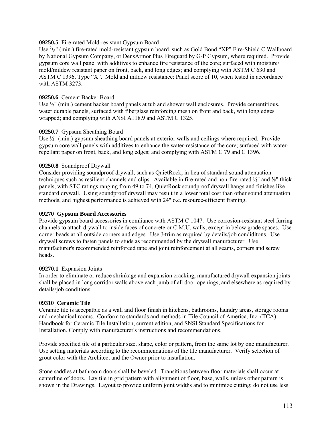## **09250.5** Fire-rated Mold-resistant Gypsum Board

Use <sup>5</sup>/<sub>8</sub>" (min.) fire-rated mold-resistant gypsum board, such as Gold Bond "XP" Fire-Shield C Wallboard by National Gypsum Company, or DensArmor Plus Fireguard by G-P Gypsum, where required. Provide gypsum core wall panel with additives to enhance fire resistance of the core; surfaced with moisture/ mold/mildew resistant paper on front, back, and long edges; and complying with ASTM C 630 and ASTM C 1396, Type "X". Mold and mildew resistance: Panel score of 10, when tested in accordance with ASTM 3273.

## **09250.6** Cement Backer Board

Use  $\frac{1}{2}$ " (min.) cement backer board panels at tub and shower wall enclosures. Provide cementitious, water durable panels, surfaced with fiberglass reinforcing mesh on front and back, with long edges wrapped; and complying with ANSI A118.9 and ASTM C 1325.

#### **09250.7** Gypsum Sheathing Board

Use ½" (min.) gypsum sheathing board panels at exterior walls and ceilings where required. Provide gypsum core wall panels with additives to enhance the water-resistance of the core; surfaced with waterrepellant paper on front, back, and long edges; and complying with ASTM C 79 and C 1396.

#### **09250.8** Soundproof Drywall

Consider providing soundproof drywall, such as QuietRock, in lieu of standard sound attenuation techniques such as resilient channels and clips. Available in fire-rated and non-fire-rated ½" and ⅝" thick panels, with STC ratings ranging from 49 to 74, QuietRock soundproof drywall hangs and finishes like standard drywall. Using soundproof drywall may result in a lower total cost than other sound attenuation methods, and highest performance is achieved with 24" o.c. resource-efficient framing.

#### **09270 Gypsum Board Accessories**

Provide gypsum board accessories in comliance with ASTM C 1047. Use corrosion-resistant steel furring channels to attach drywall to inside faces of concrete or C.M.U. walls, except in below grade spaces. Use corner beads at all outside corners and edges. Use J-trim as required by details/job condiditons. Use drywall screws to fasten panels to studs as recommended by the drywall manufacturer. Use manufacturer's recommended reinforced tape and joint reinforcement at all seams, corners and screw heads.

#### **09270.1** Expansion Joints

In order to eliminate or reduce shrinkage and expansion cracking, manufactured drywall expansion joints shall be placed in long corridor walls above each jamb of all door openings, and elsewhere as required by details/job conditions.

#### **09310 Ceramic Tile**

Ceramic tile is accepatble as a wall and floor finish in kitchens, bathrooms, laundry areas, storage rooms and mechanical rooms. Conform to standards and methods in Tile Council of America, Inc. (TCA) Handbook for Ceramic Tile Installation, current edition, and SNSI Standard Specifications for Installation. Comply with manufacturer's instructions and recommendations.

Provide specified tile of a particular size, shape, color or pattern, from the same lot by one manufacturer. Use setting materials according to the recommendations of the tile manufacturer. Verify selection of grout color with the Architect and the Owner prior to installation.

Stone saddles at bathroom doors shall be beveled. Transitions between floor materials shall occur at centerline of doors. Lay tile in grid pattern with alignment of floor, base, walls, unless other pattern is shown in the Drawings. Layout to provide uniform joint widths and to minimize cutting; do not use less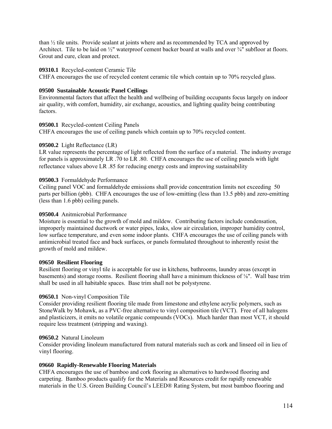than ½ tile units. Provide sealant at joints where and as recommended by TCA and approved by Architect. Tile to be laid on  $\frac{1}{2}$ " waterproof cement backer board at walls and over  $\frac{3}{4}$ " subfloor at floors. Grout and cure, clean and protect.

## **09310.1** Recycled-content Ceramic Tile

CHFA encourages the use of recycled content ceramic tile which contain up to 70% recycled glass.

## **09500 Sustainable Acoustic Panel Ceilings**

Environmental factors that affect the health and wellbeing of building occupants focus largely on indoor air quality, with comfort, humidity, air exchange, acoustics, and lighting quality being contributing factors.

## **09500.1** Recycled-content Ceiling Panels

CHFA encourages the use of ceiling panels which contain up to 70% recycled content.

#### **09500.2** Light Reflectance (LR)

LR value represents the percentage of light reflected from the surface of a material. The industry average for panels is approximately LR .70 to LR .80. CHFA encourages the use of ceiling panels with light reflectance values above LR .85 for reducing energy costs and improving sustainability

#### **09500.3** Formaldehyde Performance

Ceiling panel VOC and formaldehyde emissions shall provide concentration limits not exceeding 50 parts per billion (pbb). CHFA encourages the use of low-emitting (less than 13.5 pbb) and zero-emitting (less than 1.6 pbb) ceiling panels.

## **09500.4** Anitmicrobial Performance

Moisture is essential to the growth of mold and mildew. Contributing factors include condensation, improperly maintained ductwork or water pipes, leaks, slow air circulation, improper humidity control, low surface temperature, and even some indoor plants. CHFA encourages the use of ceiling panels with antimicrobial treated face and back surfaces, or panels formulated throughout to inherently resist the growth of mold and mildew.

#### **09650 Resilient Flooring**

Resilient flooring or vinyl tile is acceptable for use in kitchens, bathrooms, laundry areas (except in basements) and storage rooms. Resilient flooring shall have a minimum thickness of ⅛". Wall base trim shall be used in all habitable spaces. Base trim shall not be polystyrene.

## **09650.1** Non-vinyl Composition Tile

Consider providing resilient flooring tile made from limestone and ethylene acrylic polymers, such as StoneWalk by Mohawk, as a PVC-free alternative to vinyl composition tile (VCT). Free of all halogens and plasticizers, it emits no volatile organic compounds (VOCs). Much harder than most VCT, it should require less treatment (stripping and waxing).

## **09650.2** Natural Linoleum

Consider providing linoleum manufactured from natural materials such as cork and linseed oil in lieu of vinyl flooring.

## **09660 Rapidly-Renewable Flooring Materials**

CHFA encourages the use of bamboo and cork flooring as alternatives to hardwood flooring and carpeting. Bamboo products qualify for the Materials and Resources credit for rapidly renewable materials in the U.S. Green Building Council's LEED® Rating System, but most bamboo flooring and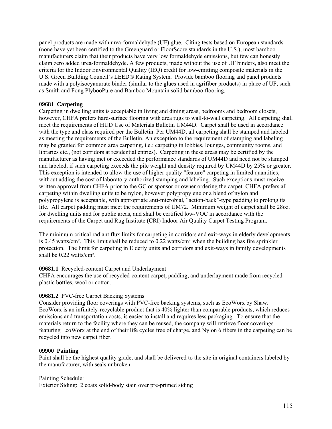panel products are made with urea-formaldehyde (UF) glue. Citing tests based on European standards (none have yet been certified to the Greenguard or FloorScore standards in the U.S.), most bamboo manufacturers claim that their products have very low formaldehyde emissions, but few can honestly claim zero added urea-formaldehyde. A few products, made without the use of UF binders, also meet the criteria for the Indoor Environmental Quality (IEQ) credit for low-emitting composite materials in the U.S. Green Building Council's LEED® Rating System. Provide bamboo flooring and panel products made with a polyisocyanurate binder (similar to the glues used in agrifiber products) in place of UF, such as Smith and Fong PlybooPure and Bamboo Mountain solid bamboo flooring.

## **09681 Carpeting**

Carpeting in dwelling units is acceptable in living and dining areas, bedrooms and bedroom closets, however, CHFA prefers hard-surface flooring with area rugs to wall-to-wall carpeting. All carpeting shall meet the requirements of HUD Use of Materials Bulletin UM44D. Carpet shall be used in accordance with the type and class required per the Bulletin. Per UM44D, all carpeting shall be stamped and labeled as meeting the requirements of the Bulletin. An exception to the requirement of stamping and labeling may be granted for common area carpeting, i.e.: carpeting in lobbies, lounges, community rooms, and libraries etc., (not corridors at residential entries). Carpeting in these areas may be certified by the manufacturer as having met or exceeded the performance standards of UM44D and need not be stamped and labeled, if such carpeting exceeds the pile weight and density required by UM44D by 25% or greater. This exception is intended to allow the use of higher quality "feature" carpeting in limited quantities, without adding the cost of laboratory-authorized stamping and labeling. Such exceptions must receive written approval from CHFA prior to the GC or sponsor or owner ordering the carpet. CHFA prefers all carpeting within dwelling units to be nylon, however polypropylene or a blend of nylon and polypropylene is acceptable, with appropriate anti-microbial, "action-back"-type padding to prolong its life. All carpet padding must meet the requirements of UM72. Minimum weight of carpet shall be 28oz. for dwelling units and for public areas, and shall be certified low-VOC in accordance with the requirements of the Carpet and Rug Institute (CRI) Indoor Air Quality Carpet Testing Program.

The minimum critical radiant flux limits for carpeting in corridors and exit-ways in elderly developments is 0.45 watts/cm². This limit shall be reduced to 0.22 watts/cm² when the building has fire sprinkler protection. The limit for carpeting in Elderly units and corridors and exit-ways in family developments shall be 0.22 watts/cm².

# **09681.1** Recycled-content Carpet and Underlayment

CHFA encourages the use of recycled-content carpet, padding, and underlayment made from recycled plastic bottles, wool or cotton.

# **09681.2** PVC-free Carpet Backing Systems

Consider providing floor coverings with PVC-free backing systems, such as EcoWorx by Shaw. EcoWorx is an infinitely-recyclable product that is 40% lighter than comparable products, which reduces emissions and transportation costs, is easier to install and requires less packaging. To ensure that the materials return to the facility where they can be reused, the company will retrieve floor coverings featuring EcoWorx at the end of their life cycles free of charge, and Nylon 6 fibers in the carpeting can be recycled into new carpet fiber.

## **09900 Painting**

Paint shall be the highest quality grade, and shall be delivered to the site in original containers labeled by the manufacturer, with seals unbroken.

Painting Schedule:

Exterior Siding: 2 coats solid-body stain over pre-primed siding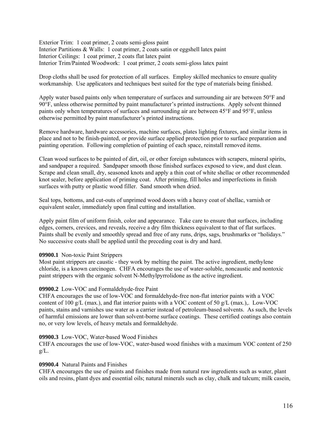Exterior Trim: 1 coat primer, 2 coats semi-gloss paint Interior Partitions & Walls: 1 coat primer, 2 coats satin or eggshell latex paint Interior Ceilings: 1 coat primer, 2 coats flat latex paint Interior Trim/Painted Woodwork: 1 coat primer, 2 coats semi-gloss latex paint

Drop cloths shall be used for protection of all surfaces. Employ skilled mechanics to ensure quality workmanship. Use applicators and techniques best suited for the type of materials being finished.

Apply water based paints only when temperature of surfaces and surrounding air are between 50°F and 90°F, unless otherwise permitted by paint manufacturer's printed instructions. Apply solvent thinned paints only when temperatures of surfaces and surrounding air are between 45°F and 95°F, unless otherwise permitted by paint manufacturer's printed instructions.

Remove hardware, hardware accessories, machine surfaces, plates lighting fixtures, and similar items in place and not to be finish-painted, or provide surface applied protection prior to surface preparation and painting operation. Following completion of painting of each space, reinstall removed items.

Clean wood surfaces to be painted of dirt, oil, or other foreign substances with scrapers, mineral spirits, and sandpaper a required. Sandpaper smooth those finished surfaces exposed to view, and dust clean. Scrape and clean small, dry, seasoned knots and apply a thin coat of white shellac or other recommended knot sealer, before application of priming coat. After priming, fill holes and imperfections in finish surfaces with putty or plastic wood filler. Sand smooth when dried.

Seal tops, bottoms, and cut-outs of unprimed wood doors with a heavy coat of shellac, varnish or equivalent sealer, immediately upon final cutting and installation.

Apply paint film of uniform finish, color and appearance. Take care to ensure that surfaces, including edges, corners, crevices, and reveals, receive a dry film thickness equivalent to that of flat surfaces. Paints shall be evenly and smoothly spread and free of any runs, drips, sags, brushmarks or "holidays." No successive coats shall be applied until the preceding coat is dry and hard.

## **09900.1** Non-toxic Paint Strippers

Most paint strippers are caustic - they work by melting the paint. The active ingredient, methylene chloride, is a known carcinogen. CHFA encourages the use of water-soluble, noncaustic and nontoxic paint strippers with the organic solvent N-Methylpyrrolidone as the active ingredient.

## **09900.2** Low-VOC and Formaldehyde-free Paint

CHFA encourages the use of low-VOC and formaldehyde-free non-flat interior paints with a VOC content of 100 g/L (max.), and flat interior paints with a VOC content of 50 g/L (max.),. Low-VOC paints, stains and varnishes use water as a carrier instead of petroleum-based solvents. As such, the levels of harmful emissions are lower than solvent-borne surface coatings. These certified coatings also contain no, or very low levels, of heavy metals and formaldehyde.

## **09900.3** Low-VOC, Water-based Wood Finishes

CHFA encourages the use of low-VOC, water-based wood finishes with a maximum VOC content of 250  $g/L$ .

## **09900.4** Natural Paints and Finishes

CHFA encourages the use of paints and finishes made from natural raw ingredients such as water, plant oils and resins, plant dyes and essential oils; natural minerals such as clay, chalk and talcum; milk casein,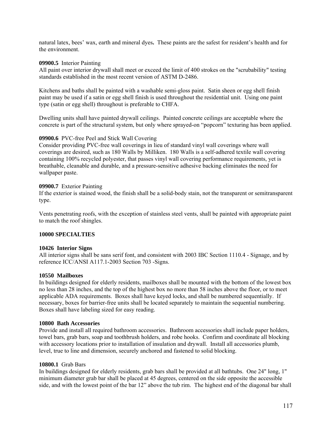natural latex, bees' wax, earth and mineral dyes**.** These paints are the safest for resident's health and for the environment.

## **09900.5** Interior Painting

All paint over interior drywall shall meet or exceed the limit of 400 strokes on the "scrubability" testing standards established in the most recent version of ASTM D-2486.

Kitchens and baths shall be painted with a washable semi-gloss paint. Satin sheen or egg shell finish paint may be used if a satin or egg shell finish is used throughout the residential unit. Using one paint type (satin or egg shell) throughout is preferable to CHFA.

Dwelling units shall have painted drywall ceilings. Painted concrete ceilings are acceptable where the concrete is part of the structural system, but only where sprayed-on "popcorn" texturing has been applied.

#### **09900.6** PVC-free Peel and Stick Wall Covering

Consider providing PVC-free wall coverings in lieu of standard vinyl wall coverings where wall coverings are desired, such as 180 Walls by Milliken. 180 Walls is a self-adhered textile wall covering containing 100% recycled polyester, that passes vinyl wall covering performance requirements, yet is breathable, cleanable and durable, and a pressure-sensitive adhesive backing eliminates the need for wallpaper paste.

#### **09900.7** Exterior Painting

If the exterior is stained wood, the finish shall be a solid-body stain, not the transparent or semitransparent type.

Vents penetrating roofs, with the exception of stainless steel vents, shall be painted with appropriate paint to match the roof shingles.

#### **10000 SPECIALTIES**

#### **10426 Interior Signs**

All interior signs shall be sans serif font, and consistent with 2003 IBC Section 1110.4 - Signage, and by reference ICC/ANSI A117.1-2003 Section 703 -Signs.

#### **10550 Mailboxes**

In buildings designed for elderly residents, mailboxes shall be mounted with the bottom of the lowest box no less than 28 inches, and the top of the highest box no more than 58 inches above the floor, or to meet applicable ADA requirements. Boxes shall have keyed locks, and shall be numbered sequentially. If necessary, boxes for barrier-free units shall be located separately to maintain the sequential numbering. Boxes shall have labeling sized for easy reading.

#### **10800 Bath Accessories**

Provide and install all required bathroom accessories. Bathroom accessories shall include paper holders, towel bars, grab bars, soap and toothbrush holders, and robe hooks. Confirm and coordinate all blocking with accessory locations prior to installation of insulation and drywall. Install all accessories plumb, level, true to line and dimension, securely anchored and fastened to solid blocking.

#### **10800.1** Grab Bars

In buildings designed for elderly residents, grab bars shall be provided at all bathtubs. One 24" long, 1" minimum diameter grab bar shall be placed at 45 degrees, centered on the side opposite the accessible side, and with the lowest point of the bar 12" above the tub rim. The highest end of the diagonal bar shall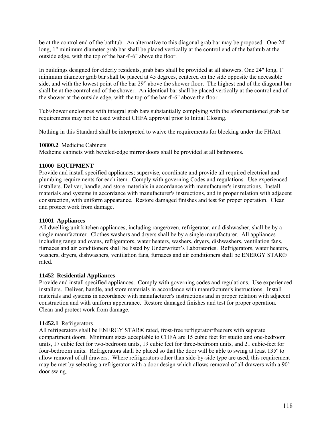be at the control end of the bathtub. An alternative to this diagonal grab bar may be proposed. One 24" long, 1" minimum diameter grab bar shall be placed vertically at the control end of the bathtub at the outside edge, with the top of the bar 4'-6" above the floor.

In buildings designed for elderly residents, grab bars shall be provided at all showers. One 24" long, 1" minimum diameter grab bar shall be placed at 45 degrees, centered on the side opposite the accessible side, and with the lowest point of the bar 29" above the shower floor. The highest end of the diagonal bar shall be at the control end of the shower. An identical bar shall be placed vertically at the control end of the shower at the outside edge, with the top of the bar 4'-6" above the floor.

Tub/shower enclosures with integral grab bars substantially complying with the aforementioned grab bar requirements may not be used without CHFA approval prior to Initial Closing.

Nothing in this Standard shall be interpreted to waive the requirements for blocking under the FHAct.

## **10800.2** Medicine Cabinets

Medicine cabinets with beveled-edge mirror doors shall be provided at all bathrooms.

## **11000 EQUIPMENT**

Provide and install specified appliances; supervise, coordinate and provide all required electrical and plumbing requirements for each item. Comply with governing Codes and regulations. Use experienced installers. Deliver, handle, and store materials in accordance with manufacturer's instructions. Install materials and systems in accordance with manufacturer's instructions, and in proper relation with adjacent construction, with uniform appearance. Restore damaged finishes and test for proper operation. Clean and protect work from damage.

# **11001 Appliances**

All dwelling unit kitchen appliances, including range/oven, refrigerator, and dishwasher, shall be by a single manufacturer. Clothes washers and dryers shall be by a single manufacturer. All appliances including range and ovens, refrigerators, water heaters, washers, dryers, dishwashers, ventilation fans, furnaces and air conditioners shall be listed by Underwriter's Laboratories. Refrigerators, water heaters, washers, dryers, dishwashers, ventilation fans, furnaces and air conditioners shall be ENERGY STAR® rated.

# **11452 Residential Appliances**

Provide and install specified appliances. Comply with governing codes and regulations. Use experienced installers. Deliver, handle, and store materials in accordance with manufacturer's instructions. Install materials and systems in accordance with manufacturer's instructions and in proper relation with adjacent construction and with uniform appearance. Restore damaged finishes and test for proper operation. Clean and protect work from damage.

# **11452.1** Refrigerators

All refrigerators shall be ENERGY STAR® rated, frost-free refrigerator/freezers with separate compartment doors. Minimum sizes acceptable to CHFA are 15 cubic feet for studio and one-bedroom units, 17 cubic feet for two-bedroom units, 19 cubic feet for three-bedroom units, and 21 cubic-feet for four-bedroom units. Refrigerators shall be placed so that the door will be able to swing at least 135º to allow removal of all drawers. Where refrigerators other than side-by-side type are used, this requirement may be met by selecting a refrigerator with a door design which allows removal of all drawers with a 90º door swing.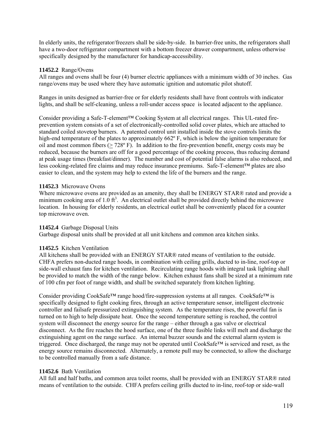In elderly units, the refrigerator/freezers shall be side-by-side. In barrier-free units, the refrigerators shall have a two-door refrigerator compartment with a bottom freezer drawer compartment, unless otherwise specifically designed by the manufacturer for handicap-accessibility.

## **11452.2** Range/Ovens

All ranges and ovens shall be four (4) burner electric appliances with a minimum width of 30 inches. Gas range/ovens may be used where they have automatic ignition and automatic pilot shutoff.

Ranges in units designed as barrier-free or for elderly residents shall have front controls with indicator lights, and shall be self-cleaning, unless a roll-under access space is located adjacent to the appliance.

Consider providing a Safe-T-element™ Cooking System at all electrical ranges. This UL-rated fireprevention system consists of a set of electronically-controlled solid cover plates, which are attached to standard coiled stovetop burners. A patented control unit installed inside the stove controls limits the high-end temperature of the plates to approximately 662<sup>o</sup> F, which is below the ignition temperature for oil and most common fibers (> 728º F). In addition to the fire-prevention benefit, energy costs may be reduced, because the burners are off for a good percentage of the cooking process, thus reducing demand at peak usage times (breakfast/dinner). The number and cost of potential false alarms is also reduced, and less cooking-related fire claims and may reduce insurance premiums. Safe-T-element™ plates are also easier to clean, and the system may help to extend the life of the burners and the range.

# **11452.3** Microwave Ovens

Where microwave ovens are provided as an amenity, they shall be ENERGY STAR® rated and provide a minimum cooking area of 1.0  $ft^3$ . An electrical outlet shall be provided directly behind the microwave location. In housing for elderly residents, an electrical outlet shall be conveniently placed for a counter top microwave oven.

## **11452.4** Garbage Disposal Units

Garbage disposal units shall be provided at all unit kitchens and common area kitchen sinks.

# **11452.5** Kitchen Ventilation

All kitchens shall be provided with an ENERGY STAR® rated means of ventilation to the outside. CHFA prefers non-ducted range hoods, in combination with ceiling grills, ducted to in-line, roof-top or side-wall exhaust fans for kitchen ventilation. Recirculating range hoods with integral task lighting shall be provided to match the width of the range below. Kitchen exhaust fans shall be sized at a minimum rate of 100 cfm per foot of range width, and shall be switched separately from kitchen lighting.

Consider providing CookSafe™ range hood/fire-suppression systems at all ranges. CookSafe™ is specifically designed to fight cooking fires, through an active temperature sensor, intelligent electronic controller and failsafe pressurized extinguishing system. As the temperature rises, the powerful fan is turned on to high to help dissipate heat. Once the second temperature setting is reached, the control system will disconnect the energy source for the range – either through a gas valve or electrical disconnect. As the fire reaches the hood surface, one of the three fusible links will melt and discharge the extinguishing agent on the range surface. An internal buzzer sounds and the external alarm system is triggered. Once discharged, the range may not be operated until CookSafe™ is serviced and reset, as the energy source remains disconnected. Alternately, a remote pull may be connected, to allow the discharge to be controlled manually from a safe distance.

## **11452.6** Bath Ventilation

All full and half baths, and common area toilet rooms, shall be provided with an ENERGY STAR® rated means of ventilation to the outside. CHFA prefers ceiling grills ducted to in-line, roof-top or side-wall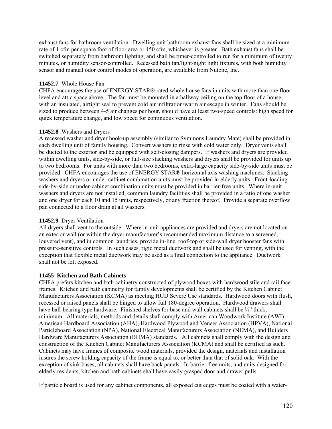exhaust fans for bathroom ventilation. Dwelling unit bathroom exhaust fans shall be sized at a minimum rate of 1 cfm per square foot of floor area or 150 cfm, whichever is greater. Bath exhaust fans shall be switched separately from bathroom lighting, and shall be timer-controlled to run for a minimum of twenty minutes, or humidity sensor-controlled. Recessed bath fan/light/night light fixtures, with both humidity sensor and manual odor control modes of operation, are available from Nutone, Inc.

## **11452.7** Whole House Fan

CHFA encourages the use of ENERGY STAR® rated whole house fans in units with more than one floor level and attic space above. The fan must be mounted in a hallway ceiling on the top floor of a house, with an insulated, airtight seal to prevent cold air infiltration/warm air escape in winter. Fans should be sized to produce between 4-5 air changes per hour, should have at least two-speed controls: high speed for quick temperature change, and low speed for continuous ventilation.

## **11452.8** Washers and Dryers

A recessed washer and dryer hook-up assembly (similar to Symmons Laundry Mate) shall be provided in each dwelling unit of family housing. Convert washers to rinse with cold water only. Dryer vents shall be ducted to the exterior and be equipped with self-closing dampers. If washers and dryers are provided within dwelling units, side-by-side, or full-size stacking washers and dryers shall be provided for units up to two bedrooms. For units with more than two bedrooms, extra-large capacity side-by-side units must be provided. CHFA encourages the use of ENERGY STAR® horizontal axis washing machines. Stacking washers and dryers or under-cabinet combination units must be provided in elderly units. Front-loading side-by-side or under-cabinet combination units must be provided in barrier-free units. Where in-unit washers and dryers are not installed, common laundry facilities shall be provided in a ratio of one washer and one dryer for each 10 and 15 units, respectively, or any fraction thereof. Provide a separate overflow pan connected to a floor drain at all washers.

# **11452.9** Dryer Ventilation

All dryers shall vent to the outside. Where in-unit appliances are provided and dryers are not located on an exterior wall (or within the dryer manufacturer's recommended maximum distance to a screened, louvered vent), and in common laundries, provide in-line, roof-top or side-wall dryer booster fans with pressure-sensitive controls. In such cases, rigid metal ductwork and shall be used for venting, with the exception that flexible metal ductwork may be used as a final connection to the appliance. Ductwork shall not be left exposed.

# **11455 Kitchen and Bath Cabinets**

CHFA prefers kitchen and bath cabinetry constructed of plywood boxes with hardwood stile and rail face frames. Kitchen and bath cabinetry for family developments shall be certified by the Kitchen Cabinet Manufacturers Association (KCMA) as meeting HUD Severe Use standards. Hardwood doors with flush, recessed or raised panels shall be hinged to allow full 180-degree operation. Hardwood drawers shall have ball-bearing type hardware. Finished shelves for base and wall cabinets shall be <sup>3</sup>/4" thick, minimum. All materials, methods and details shall comply with American Woodwork Institute (AWI), American Hardboard Association (AHA), Hardwood Plywood and Veneer Association (HPVA), National Particleboard Association (NPA), National Electrical Manufacturers Association (NEMA), and Builders Hardware Manufacturers Association (BHMA) standards. All cabinets shall comply with the design and construction of the Kitchen Cabinet Manufacturers Association (KCMA) and shall be certified as such. Cabinets may have frames of composite wood materials, provided the design, materials and installation insures the screw holding capacity of the frame is equal to, or better than that of solid oak. With the exception of sink bases, all cabinets shall have back panels.In barrier-free units, and units designed for elderly residents, kitchen and bath cabinets shall have easily grasped door and drawer pulls.

If particle board is used for any cabinet components, all exposed cut edges must be coated with a water-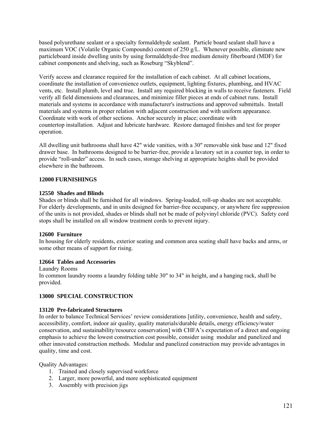based polyurethane sealant or a specialty formaldehyde sealant. Particle board sealant shall have a maximum VOC (Volatile Organic Compounds) content of 250 g/L. Whenever possible, eliminate new particleboard inside dwelling units by using formaldehyde-free medium density fiberboard (MDF) for cabinet components and shelving, such as Roseburg "Skyblend".

Verify access and clearance required for the installation of each cabinet. At all cabinet locations, coordinate the installation of convenience outlets, equipment, lighting fixtures, plumbing, and HVAC vents, etc. Install plumb, level and true. Install any required blocking in walls to receive fasteners. Field verify all field dimensions and clearances, and minimize filler pieces at ends of cabinet runs. Install materials and systems in accordance with manufacturer's instructions and approved submittals. Install materials and systems in proper relation with adjacent construction and with uniform appearance. Coordinate with work of other sections. Anchor securely in place; coordinate with countertop installation. Adjust and lubricate hardware. Restore damaged finishes and test for proper operation.

All dwelling unit bathrooms shall have 42" wide vanities, with a 30" removable sink base and 12" fixed drawer base. In bathrooms designed to be barrier-free, provide a lavatory set in a counter top, in order to provide "roll-under" access. In such cases, storage shelving at appropriate heights shall be provided elsewhere in the bathroom.

## **12000 FURNISHINGS**

## **12550 Shades and Blinds**

Shades or blinds shall be furnished for all windows. Spring-loaded, roll-up shades are not acceptable. For elderly developments, and in units designed for barrier-free occupancy, or anywhere fire suppression of the units is not provided, shades or blinds shall not be made of polyvinyl chloride (PVC). Safety cord stops shall be installed on all window treatment cords to prevent injury.

## **12600 Furniture**

In housing for elderly residents, exterior seating and common area seating shall have backs and arms, or some other means of support for rising.

## **12664 Tables and Accessories**

Laundry Rooms In common laundry rooms a laundry folding table 30" to 34" in height, and a hanging rack, shall be provided.

## **13000 SPECIAL CONSTRUCTION**

## **13120 Pre-fabricated Structures**

In order to balance Technical Services' review considerations [utility, convenience, health and safety, accessibility, comfort, indoor air quality, quality materials/durable details, energy efficiency/water conservation, and sustainability/resource conservation] with CHFA's expectation of a direct and ongoing emphasis to achieve the lowest construction cost possible, consider using modular and panelized and other innovated construction methods. Modular and panelized construction may provide advantages in quality, time and cost.

## Quality Advantages:

- 1. Trained and closely supervised workforce
- 2. Larger, more powerful, and more sophisticated equipment
- 3. Assembly with precision jigs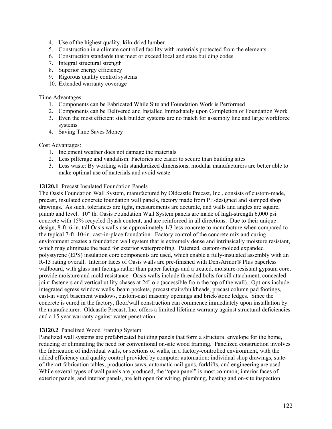- 4. Use of the highest quality, kiln-dried lumber
- 5. Construction in a climate controlled facility with materials protected from the elements
- 6. Construction standards that meet or exceed local and state building codes
- 7. Integral structural strength
- 8. Superior energy efficiency
- 9. Rigorous quality control systems
- 10. Extended warranty coverage

Time Advantages:

- 1. Components can be Fabricated While Site and Foundation Work is Performed
- 2. Components can be Delivered and Installed Immediately upon Completion of Foundation Work
- 3. Even the most efficient stick builder systems are no match for assembly line and large workforce systems
- 4. Saving Time Saves Money

## Cost Advantages:

- 1. Inclement weather does not damage the materials
- 2. Less pilferage and vandalism: Factories are easier to secure than building sites
- 3. Less waste: By working with standardized dimensions, modular manufacturers are better able to make optimal use of materials and avoid waste

# **13120.1** Precast Insulated Foundation Panels

The Oasis Foundation Wall System, manufactured by Oldcastle Precast, Inc., consists of custom-made, precast, insulated concrete foundation wall panels, factory made from PE-designed and stamped shop drawings. As such, tolerances are tight, measurements are accurate, and walls and angles are square, plumb and level. 10" th. Oasis Foundation Wall System panels are made of high-strength 6,000 psi concrete with 15% recycled flyash content, and are reinforced in all directions. Due to their unique design, 8-ft. 6-in. tall Oasis walls use approximately 1/3 less concrete to manufacture when compared to the typical 7-ft. 10-in. cast-in-place foundation. Factory control of the concrete mix and curing environment creates a foundation wall system that is extremely dense and intrinsically moisture resistant, which may eliminate the need for exterior waterproofing. Patented, custom-molded expanded polystyrene (EPS) insulation core components are used, which enable a fully-insulated assembly with an R-13 rating overall. Interior faces of Oasis walls are pre-finished with DensArmor® Plus paperless wallboard, with glass mat facings rather than paper facings and a treated, moisture-resistant gypsum core, provide moisture and mold resistance. Oasis walls include threaded bolts for sill attachment, concealed joint fasteners and vertical utility chases at 24" o.c (accessible from the top of the wall). Options include integrated egress window wells, beam pockets, precast stairs/bulkheads, precast column pad footings, cast-in vinyl basement windows, custom-cast masonry openings and brick/stone ledges. Since the concrete is cured in the factory, floor/wall construction can commence immediately upon installation by the manufacturer. Oldcastle Precast, Inc. offers a limited lifetime warranty against structural deficiencies and a 15 year warranty against water penetration.

# **13120.2** Panelized Wood Framing System

Panelized wall systems are prefabricated building panels that form a structural envelope for the home, reducing or eliminating the need for conventional on-site wood framing. Panelized construction involves the fabrication of individual walls, or sections of walls, in a factory-controlled environment, with the added efficiency and quality control provided by computer automation: individual shop drawings, stateof-the-art fabrication tables, production saws, automatic nail guns, forklifts, and engineering are used. While several types of wall panels are produced, the "open panel" is most common; interior faces of exterior panels, and interior panels, are left open for wiring, plumbing, heating and on-site inspection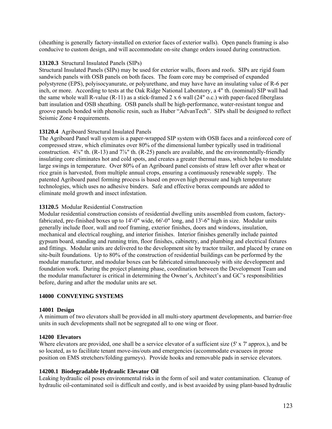(sheathing is generally factory-installed on exterior faces of exterior walls). Open panels framing is also conducive to custom design, and will accommodate on-site change orders issued during construction.

# **13120.3** Structural Insulated Panels (SIPs)

Structural Insulated Panels (SIPs) may be used for exterior walls, floors and roofs. SIPs are rigid foam sandwich panels with OSB panels on both faces. The foam core may be comprised of expanded polystyrene (EPS), polyisocyanurate, or polyurethane, and may have have an insulating value of R-6 per inch, or more. According to tests at the Oak Ridge National Laboratory, a 4" th. (nominal) SIP wall had the same whole wall R-value (R-11) as a stick-framed 2 x 6 wall (24" o.c.) with paper-faced fiberglass batt insulation and OSB sheathing. OSB panels shall be high-performance, water-resistant tongue and groove panels bonded with phenolic resin, such as Huber "AdvanTech". SIPs shall be designed to reflect Seismic Zone 4 requirements.

# **13120.4** Agriboard Structural Insulated Panels

The Agriboard Panel wall system is a paper-wrapped SIP system with OSB faces and a reinforced core of compressed straw, which eliminates over 80% of the dimensional lumber typically used in traditional construction. 4⅜" th. (R-13) and 7⅞" th. (R-25) panels are available, and the environmentally-friendly insulating core eliminates hot and cold spots, and creates a greater thermal mass, which helps to modulate large swings in temperature. Over 80% of an Agriboard panel consists of straw left over after wheat or rice grain is harvested, from multiple annual crops, ensuring a continuously renewable supply. The patented Agriboard panel forming process is based on proven high pressure and high temperature technologies, which uses no adhesive binders. Safe and effective borax compounds are added to eliminate mold growth and insect infestation.

# **13120.5** Modular Residential Construction

Modular residential construction consists of residential dwelling units assembled from custom, factoryfabricated, pre-finished boxes up to 14'-0" wide, 66'-0" long, and 13'-6" high in size. Modular units generally include floor, wall and roof framing, exterior finishes, doors and windows, insulation, mechanical and electrical roughing, and interior finishes. Interior finishes generally include painted gypsum board, standing and running trim, floor finishes, cabinetry, and plumbing and electrical fixtures and fittings. Modular units are delivered to the development site by tractor trailer, and placed by crane on site-built foundations. Up to 80% of the construction of residential buildings can be performed by the modular manufacturer, and modular boxes can be fabricated simultaneously with site development and foundation work. During the project planning phase, coordination between the Development Team and the modular manufacturer is critical in determining the Owner's, Architect's and GC's responsibilities before, during and after the modular units are set.

## **14000 CONVEYING SYSTEMS**

## **14001 Design**

A minimum of two elevators shall be provided in all multi-story apartment developments, and barrier-free units in such developments shall not be segregated all to one wing or floor.

## **14200 Elevators**

Where elevators are provided, one shall be a service elevator of a sufficient size (5' x 7' approx.), and be so located, as to facilitate tenant move-ins/outs and emergencies (accommodate evacuees in prone position on EMS stretchers/folding gurneys). Provide hooks and removable pads in service elevators.

# **14200.1 Biodegradable Hydraulic Elevator Oil**

Leaking hydraulic oil poses environmental risks in the form of soil and water contamination. Cleanup of hydraulic oil-contaminated soil is difficult and costly, and is best avaoided by using plant-based hydraulic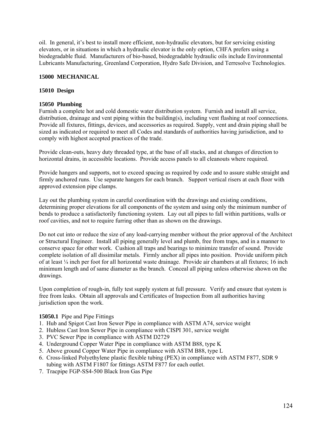oil. In general, it's best to install more efficient, non-hydraulic elevators, but for servicing existing elevators, or in situations in which a hydraulic elevator is the only option, CHFA prefers using a biodegradable fluid. Manufacturers of bio-based, biodegradable hydraulic oils include Environmental Lubricants Manufacturing, Greenland Corporation, Hydro Safe Division, and Terresolve Technologies.

## **15000 MECHANICAL**

## **15010 Design**

# **15050 Plumbing**

Furnish a complete hot and cold domestic water distribution system. Furnish and install all service, distribution, drainage and vent piping within the building(s), including vent flashing at roof connections. Provide all fixtures, fittings, devices, and accessories as required. Supply, vent and drain piping shall be sized as indicated or required to meet all Codes and standards of authorities having jurisdiction, and to comply with highest accepted practices of the trade.

Provide clean-outs, heavy duty threaded type, at the base of all stacks, and at changes of direction to horizontal drains, in accessible locations. Provide access panels to all cleanouts where required.

Provide hangers and supports, not to exceed spacing as required by code and to assure stable straight and firmly anchored runs. Use separate hangers for each branch. Support vertical risers at each floor with approved extension pipe clamps.

Lay out the plumbing system in careful coordination with the drawings and existing conditions, determining proper elevations for all components of the system and using only the minimum number of bends to produce a satisfactorily functioning system. Lay out all pipes to fall within partitions, walls or roof cavities, and not to require furring other than as shown on the drawings.

Do not cut into or reduce the size of any load-carrying member without the prior approval of the Architect or Structural Engineer. Install all piping generally level and plumb, free from traps, and in a manner to conserve space for other work. Cushion all traps and bearings to minimize transfer of sound. Provide complete isolation of all dissimilar metals. Firmly anchor all pipes into position. Provide uniform pitch of at least ¼ inch per foot for all horizontal waste drainage. Provide air chambers at all fixtures; 16 inch minimum length and of same diameter as the branch. Conceal all piping unless otherwise shown on the drawings.

Upon completion of rough-in, fully test supply system at full pressure. Verify and ensure that system is free from leaks. Obtain all approvals and Certificates of Inspection from all authorities having jurisdiction upon the work.

## **15050.1** Pipe and Pipe Fittings

- 1. Hub and Spigot Cast Iron Sewer Pipe in compliance with ASTM A74, service weight
- 2. Hubless Cast Iron Sewer Pipe in compliance with CISPI 301, service weight
- 3. PVC Sewer Pipe in compliance with ASTM D2729
- 4. Underground Copper Water Pipe in compliance with ASTM B88, type K
- 5. Above ground Copper Water Pipe in compliance with ASTM B88, type L
- 6. Cross-linked Polyethylene plastic flexible tubing (PEX) in compliance with ASTM F877, SDR 9 tubing with ASTM F1807 for fittings ASTM F877 for each outlet.
- 7. Tracpipe FGP-SS4-500 Black Iron Gas Pipe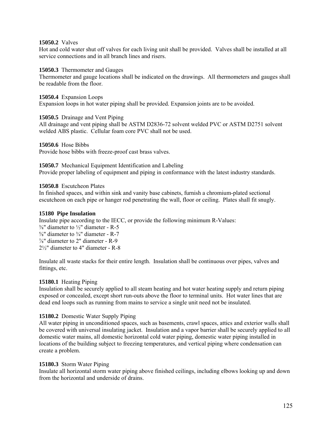## **15050.2** Valves

Hot and cold water shut off valves for each living unit shall be provided. Valves shall be installed at all service connections and in all branch lines and risers.

#### **15050.3** Thermometer and Gauges

Thermometer and gauge locations shall be indicated on the drawings. All thermometers and gauges shall be readable from the floor.

**15050.4** Expansion Loops Expansion loops in hot water piping shall be provided. Expansion joints are to be avoided.

#### **15050.5** Drainage and Vent Piping

All drainage and vent piping shall be ASTM D2836-72 solvent welded PVC or ASTM D2751 solvent welded ABS plastic. Cellular foam core PVC shall not be used.

**15050.6** Hose Bibbs

Provide hose bibbs with freeze-proof cast brass valves.

**15050.7** Mechanical Equipment Identification and Labeling Provide proper labeling of equipment and piping in conformance with the latest industry standards.

#### **15050.8** Escutcheon Plates

In finished spaces, and within sink and vanity base cabinets, furnish a chromium-plated sectional escutcheon on each pipe or hanger rod penetrating the wall, floor or ceiling. Plates shall fit snugly.

## **15180 Pipe Insulation**

Insulate pipe according to the IECC, or provide the following minimum R-Values:

 $\frac{3}{8}$ " diameter to  $\frac{1}{2}$ " diameter - R-5  $\frac{5}{8}$ " diameter to  $\frac{3}{4}$ " diameter - R-7 ⅞" diameter to 2" diameter - R-9 2½" diameter to 4" diameter - R-8

Insulate all waste stacks for their entire length. Insulation shall be continuous over pipes, valves and fittings, etc.

## **15180.1** Heating Piping

Insulation shall be securely applied to all steam heating and hot water heating supply and return piping exposed or concealed, except short run-outs above the floor to terminal units. Hot water lines that are dead end loops such as running from mains to service a single unit need not be insulated.

## **15180.2** Domestic Water Supply Piping

All water piping in unconditioned spaces, such as basements, crawl spaces, attics and exterior walls shall be covered with universal insulating jacket. Insulation and a vapor barrier shall be securely applied to all domestic water mains, all domestic horizontal cold water piping, domestic water piping installed in locations of the building subject to freezing temperatures, and vertical piping where condensation can create a problem.

## **15180.3** Storm Water Piping

Insulate all horizontal storm water piping above finished ceilings, including elbows looking up and down from the horizontal and underside of drains.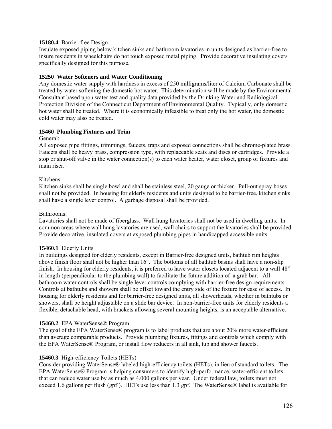## **15180.4** Barrier-free Design

Insulate exposed piping below kitchen sinks and bathroom lavatories in units designed as barrier-free to insure residents in wheelchairs do not touch exposed metal piping. Provide decorative insulating covers specifically designed for this purpose.

## **15250 Water Softeners and Water Conditioning**

Any domestic water supply with hardness in excess of 250 milligrams/liter of Calcium Carbonate shall be treated by water softening the domestic hot water. This determination will be made by the Environmental Consultant based upon water test and quality data provided by the Drinking Water and Radiological Protection Division of the Connecticut Department of Environmental Quality. Typically, only domestic hot water shall be treated. Where it is economically infeasible to treat only the hot water, the domestic cold water may also be treated.

#### **15460 Plumbing Fixtures and Trim**

General:

All exposed pipe fittings, trimmings, faucets, traps and exposed connections shall be chrome-plated brass. Faucets shall be heavy brass, compression type, with replaceable seats and discs or cartridges. Provide a stop or shut-off valve in the water connection(s) to each water heater, water closet, group of fixtures and main riser.

#### Kitchens:

Kitchen sinks shall be single bowl and shall be stainless steel, 20 gauge or thicker. Pull-out spray hoses shall not be provided. In housing for elderly residents and units designed to be barrier-free, kitchen sinks shall have a single lever control.A garbage disposal shall be provided.

#### Bathrooms:

Lavatories shall not be made of fiberglass.Wall hung lavatories shall not be used in dwelling units. In common areas where wall hung lavatories are used, wall chairs to support the lavatories shall be provided. Provide decorative, insulated covers at exposed plumbing pipes in handicapped accessible units.

#### **15460.1** Elderly Units

In buildings designed for elderly residents, except in Barrier-free designed units, bathtub rim heights above finish floor shall not be higher than 16". The bottoms of all bathtub basins shall have a non-slip finish. In housing for elderly residents, it is preferred to have water closets located adjacent to a wall 48" in length (perpendicular to the plumbing wall) to facilitate the future addition of a grab bar. All bathroom water controls shall be single lever controls complying with barrier-free design requirements. Controls at bathtubs and showers shall be offset toward the entry side of the fixture for ease of access. In housing for elderly residents and for barrier-free designed units, all showerheads, whether in bathtubs or showers, shall be height adjustable on a slide bar device. In non-barrier-free units for elderly residents a flexible, detachable head, with brackets allowing several mounting heights, is an acceptable alternative.

#### **15460.2** EPA WaterSense® Program

The goal of the EPA WaterSense® program is to label products that are about 20% more water-efficient than average comparable products. Provide plumbing fixtures, fittings and controls which comply with the EPA WaterSense® Program, or install flow reducers in all sink, tub and shower faucets.

#### **15460.3** High-efficiency Toilets (HETs)

Consider providing WaterSense® labeled high-efficiency toilets (HETs), in lieu of standard toilets. The EPA WaterSense® Program is helping consumers to identify high-performance, water-efficient toilets that can reduce water use by as much as 4,000 gallons per year. Under federal law, toilets must not exceed 1.6 gallons per flush (gpf ). HETs use less than 1.3 gpf. The WaterSense® label is available for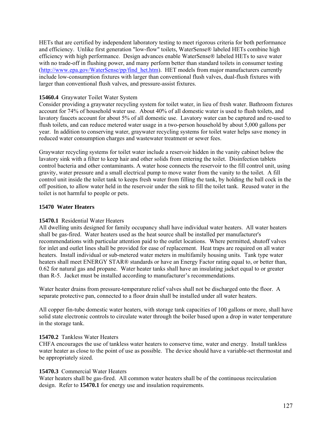HETs that are certified by independent laboratory testing to meet rigorous criteria for both performance and efficiency. Unlike first generation "low-flow" toilets, WaterSense® labeled HETs combine high efficiency with high performance. Design advances enable WaterSense® labeled HETs to save water with no trade-off in flushing power, and many perform better than standard toilets in consumer testing ([http://www.epa.gov/WaterSense/pp/find\\_het.htm](http://www.epa.gov/WaterSense/pp/find_het.htm)). HET models from major manufacturers currently include low-consumption fixtures with larger than conventional flush valves, dual-flush fixtures with larger than conventional flush valves, and pressure-assist fixtures.

# **15460.4** Graywater Toilet Water System

Consider providing a graywater recycling system for toilet water, in lieu of fresh water. Bathroom fixtures account for 74% of household water use. About 40% of all domestic water is used to flush toilets, and lavatory faucets account for about 5% of all domestic use. Lavatory water can be captured and re-used to flush toilets, and can reduce metered water usage in a two-person household by about 5,000 gallons per year. In addition to conserving water, graywater recycling systems for toilet water helps save money in reduced water consumption charges and wastewater treatment or sewer fees.

Graywater recycling systems for toilet water include a reservoir hidden in the vanity cabinet below the lavatory sink with a filter to keep hair and other solids from entering the toilet. Disinfection tablets control bacteria and other contaminants. A water hose connects the reservoir to the fill control unit, using gravity, water pressure and a small electrical pump to move water from the vanity to the toilet. A fill control unit inside the toilet tank to keeps fresh water from filling the tank, by holding the ball cock in the off position, to allow water held in the reservoir under the sink to fill the toilet tank. Reused water in the toilet is not harmful to people or pets.

## **15470 Water Heaters**

## **15470.1** Residential Water Heaters

All dwelling units designed for family occupancy shall have individual water heaters. All water heaters shall be gas-fired. Water heaters used as the heat source shall be installed per manufacturer's recommendations with particular attention paid to the outlet locations. Where permitted, shutoff valves for inlet and outlet lines shall be provided for ease of replacement. Heat traps are required on all water heaters. Install individual or sub-metered water meters in multifamily housing units. Tank type water heaters shall meet ENERGY STAR® standards or have an Energy Factor rating equal to, or better than, 0.62 for natural gas and propane. Water heater tanks shall have an insulating jacket equal to or greater than R-5. Jacket must be installed according to manufacturer's recommendations.

Water heater drains from pressure-temperature relief valves shall not be discharged onto the floor. A separate protective pan, connected to a floor drain shall be installed under all water heaters.

All copper fin-tube domestic water heaters, with storage tank capacities of 100 gallons or more, shall have solid state electronic controls to circulate water through the boiler based upon a drop in water temperature in the storage tank.

## **15470.2** Tankless Water Heaters

CHFA encourages the use of tankless water heaters to conserve time, water and energy. Install tankless water heater as close to the point of use as possible. The device should have a variable-set thermostat and be appropriately sized.

## **15470.3** Commercial Water Heaters

Water heaters shall be gas-fired. All common water heaters shall be of the continuous recirculation design. Refer to **15470.1** for energy use and insulation requirements.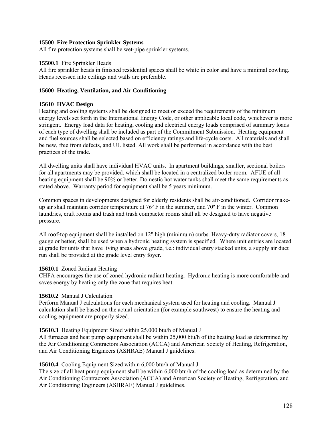## **15500 Fire Protection Sprinkler Systems**

All fire protection systems shall be wet-pipe sprinkler systems.

## **15500.1** Fire Sprinkler Heads

All fire sprinkler heads in finished residential spaces shall be white in color and have a minimal cowling. Heads recessed into ceilings and walls are preferable.

# **15600 Heating, Ventilation, and Air Conditioning**

# **15610 HVAC Design**

Heating and cooling systems shall be designed to meet or exceed the requirements of the minimum energy levels set forth in the International Energy Code, or other applicable local code, whichever is more stringent. Energy load data for heating, cooling and electrical energy loads comprised of summary loads of each type of dwelling shall be included as part of the Commitment Submission. Heating equipment and fuel sources shall be selected based on efficiency ratings and life-cycle costs. All materials and shall be new, free from defects, and UL listed. All work shall be performed in accordance with the best practices of the trade.

All dwelling units shall have individual HVAC units. In apartment buildings, smaller, sectional boilers for all apartments may be provided, which shall be located in a centralized boiler room. AFUE of all heating equipment shall be 90% or better. Domestic hot water tanks shall meet the same requirements as stated above. Warranty period for equipment shall be 5 years minimum.

Common spaces in developments designed for elderly residents shall be air-conditioned. Corridor makeup air shall maintain corridor temperature at 76º F in the summer, and 70º F in the winter. Common laundries, craft rooms and trash and trash compactor rooms shall all be designed to have negative pressure.

All roof-top equipment shall be installed on 12" high (minimum) curbs. Heavy-duty radiator covers, 18 gauge or better, shall be used when a hydronic heating system is specified. Where unit entries are located at grade for units that have living areas above grade, i.e.: individual entry stacked units, a supply air duct run shall be provided at the grade level entry foyer.

# **15610.1** Zoned Radiant Heating

CHFA encourages the use of zoned hydronic radiant heating. Hydronic heating is more comfortable and saves energy by heating only the zone that requires heat.

# **15610.2** Manual J Calculation

Perform Manual J calculations for each mechanical system used for heating and cooling. Manual J calculation shall be based on the actual orientation (for example southwest) to ensure the heating and cooling equipment are properly sized.

# **15610.3** Heating Equipment Sized within 25,000 btu/h of Manual J

All furnaces and heat pump equipment shall be within 25,000 btu/h of the heating load as determined by the Air Conditioning Contractors Association (ACCA) and American Society of Heating, Refrigeration, and Air Conditioning Engineers (ASHRAE) Manual J guidelines.

## **15610.4** Cooling Equipment Sized within 6,000 btu/h of Manual J

The size of all heat pump equipment shall be within 6,000 btu/h of the cooling load as determined by the Air Conditioning Contractors Association (ACCA) and American Society of Heating, Refrigeration, and Air Conditioning Engineers (ASHRAE) Manual J guidelines.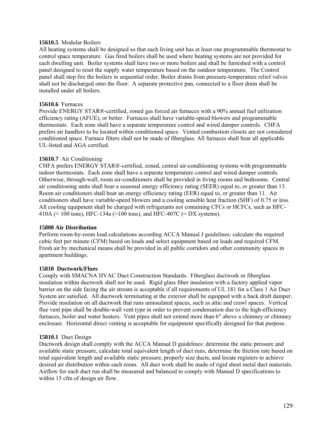## **15610.5** Modular Boilers

All heating systems shall be designed so that each living unit has at least one programmable thermostat to control space temperature. Gas fired boilers shall be used where heating systems are not provided for each dwelling unit. Boiler systems shall have two or more boilers and shall be furnished with a control panel designed to reset the supply water temperature based on the outdoor temperature. The Control panel shall step fire the boilers in sequential order. Boiler drains from pressure-temperature relief valves shall not be discharged onto the floor. A separate protective pan, connected to a floor drain shall be installed under all boilers.

## **15610.6** Furnaces

Provide ENERGY STAR®-certified, zoned gas forced air furnaces with a 90% annual fuel utilization efficiency rating (AFUE), or better. Furnaces shall have variable-speed blowers and programmable thermostats. Each zone shall have a separate temperature control and wired damper controls. CHFA prefers air handlers to be located within conditioned space. Vented combustion closets are not considered conditioned space. Furnace filters shall not be made of fiberglass. All furnaces shall bear all applicable UL-listed and AGA certified.

#### **15610.7** Air Conditioning

CHFA prefers ENERGY STAR®-certified, zoned, central air-conditioning systems with programmable indoor thermostats. Each zone shall have a separate temperature control and wired damper controls. Otherwise, through-wall, room air-conditioners shall be provided in living rooms and bedrooms. Central air conditioning units shall bear a seasonal energy efficiency rating (SEER) equal to, or greater than 13. Room air conditioners shall bear an energy efficiency rating (EER) equal to, or greater than 11. Air conditioners shall have variable-speed blowers and a cooling sensible heat fraction (SHF) of 0.75 or less. All cooling equipment shall be charged with refrigerants not containing CFCs or HCFCs, such as HFC-410A (< 100 tons), HFC-134a (>100 tons), and HFC-407C (= DX systems).

#### **15800 Air Distribution**

Perform room-by-room load calculations according ACCA Manual J guidelines: calculate the required cubic feet per minute (CFM) based on loads and select equipment based on loads and required CFM. Fresh air by mechanical means shall be provided in all public corridors and other community spaces in apartment buildings.

#### **15810 Ductwork/Flues**

Comply with SMACNA HVAC Duct Construction Standards. Fiberglass ductwork or fiberglass insulation within ductwork shall not be used. Rigid glass fiber insulation with a factory applied vapor barrier on the side facing the air stream is acceptable if all requirements of UL 181 for a Class 1 Air Duct System are satisfied. All ductwork terminating at the exterior shall be equipped with a back draft damper. Provide insulation on all ductwork that runs uninsulated spaces, such as attic and crawl spaces. Vertical flue vent pipe shall be double-wall vent type in order to prevent condensation due to the high-efficiency furnaces, boiler and water heaters. Vent pipes shall not extend more than 6" above a chimney or chimney enclosure. Horizontal direct venting is acceptable for equipment specifically designed for that purpose.

#### **15810.1** Duct Design

Ductwork design shall comply with the ACCA Manual D guidelines: determine the static pressure and available static pressure, calculate total equivalent length of duct runs, determine the friction rate based on total equivalent length and available static pressure, properly size ducts, and locate registers to achieve desired air distribution within each room. All duct work shall be made of rigid sheet metal duct materials. Airflow for each duct run shall be measured and balanced to comply with Manual D specifications to within 15 cfm of design air flow.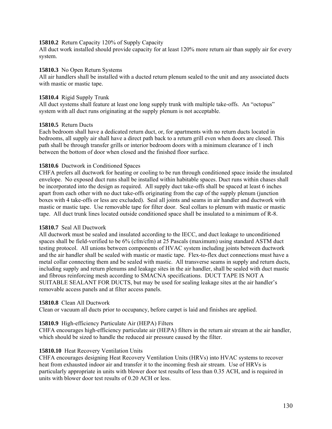## **15810.2** Return Capacity 120% of Supply Capacity

All duct work installed should provide capacity for at least 120% more return air than supply air for every system.

#### **15810.3** No Open Return Systems

All air handlers shall be installed with a ducted return plenum sealed to the unit and any associated ducts with mastic or mastic tape.

## **15810.4** Rigid Supply Trunk

All duct systems shall feature at least one long supply trunk with multiple take-offs. An "octopus" system with all duct runs originating at the supply plenum is not acceptable.

#### **15810.5** Return Ducts

Each bedroom shall have a dedicated return duct, or, for apartments with no return ducts located in bedrooms, all supply air shall have a direct path back to a return grill even when doors are closed. This path shall be through transfer grills or interior bedroom doors with a minimum clearance of 1 inch between the bottom of door when closed and the finished floor surface.

## **15810.6** Ductwork in Conditioned Spaces

CHFA prefers all ductwork for heating or cooling to be run through conditioned space inside the insulated envelope. No exposed duct runs shall be installed within habitable spaces. Duct runs within chases shall be incorporated into the design as required. All supply duct take-offs shall be spaced at least 6 inches apart from each other with no duct take-offs originating from the cap of the supply plenum (junction boxes with 4 take-offs or less are excluded). Seal all joints and seams in air handler and ductwork with mastic or mastic tape. Use removable tape for filter door. Seal collars to plenum with mastic or mastic tape. All duct trunk lines located outside conditioned space shall be insulated to a minimum of R-8.

## **15810.7** Seal All Ductwork

All ductwork must be sealed and insulated according to the IECC, and duct leakage to unconditioned spaces shall be field-verified to be 6% (cfm/cfm) at 25 Pascals (maximum) using standard ASTM duct testing protocol. All unions between components of HVAC system including joints between ductwork and the air handler shall be sealed with mastic or mastic tape. Flex-to-flex duct connections must have a metal collar connecting them and be sealed with mastic. All transverse seams in supply and return ducts, including supply and return plenums and leakage sites in the air handler, shall be sealed with duct mastic and fibrous reinforcing mesh according to SMACNA specifications. DUCT TAPE IS NOT A SUITABLE SEALANT FOR DUCTS, but may be used for sealing leakage sites at the air handler's removable access panels and at filter access panels.

## **15810.8** Clean All Ductwork

Clean or vacuum all ducts prior to occupancy, before carpet is laid and finishes are applied.

## **15810.9** High-efficiency Particulate Air (HEPA) Filters

CHFA encourages high-efficiency particulate air (HEPA) filters in the return air stream at the air handler, which should be sized to handle the reduced air pressure caused by the filter.

## **15810.10** Heat Recovery Ventilation Units

CHFA encourages designing Heat Recovery Ventilation Units (HRVs) into HVAC systems to recover heat from exhausted indoor air and transfer it to the incoming fresh air stream. Use of HRVs is particularly appropriate in units with blower door test results of less than 0.35 ACH, and is required in units with blower door test results of 0.20 ACH or less.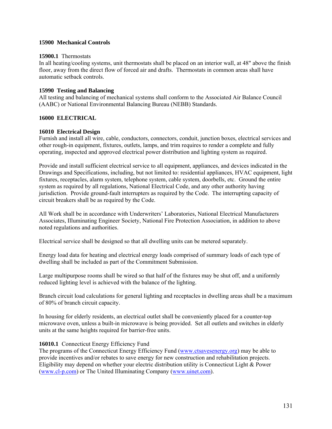## **15900 Mechanical Controls**

#### **15900.1** Thermostats

In all heating/cooling systems, unit thermostats shall be placed on an interior wall, at 48" above the finish floor, away from the direct flow of forced air and drafts. Thermostats in common areas shall have automatic setback controls.

## **15990 Testing and Balancing**

All testing and balancing of mechanical systems shall conform to the Associated Air Balance Council (AABC) or National Environmental Balancing Bureau (NEBB) Standards.

## **16000 ELECTRICAL**

#### **16010 Electrical Design**

Furnish and install all wire, cable, conductors, connectors, conduit, junction boxes, electrical services and other rough-in equipment, fixtures, outlets, lamps, and trim requires to render a complete and fully operating, inspected and approved electrical power distribution and lighting system as required.

Provide and install sufficient electrical service to all equipment, appliances, and devices indicated in the Drawings and Specifications, including, but not limited to: residential appliances, HVAC equipment, light fixtures, receptacles, alarm system, telephone system, cable system, doorbells, etc. Ground the entire system as required by all regulations, National Electrical Code, and any other authority having jurisdiction. Provide ground-fault interrupters as required by the Code. The interrupting capacity of circuit breakers shall be as required by the Code.

All Work shall be in accordance with Underwriters' Laboratories, National Electrical Manufacturers Associates, Illuminating Engineer Society, National Fire Protection Association, in addition to above noted regulations and authorities.

Electrical service shall be designed so that all dwelling units can be metered separately.

Energy load data for heating and electrical energy loads comprised of summary loads of each type of dwelling shall be included as part of the Commitment Submission.

Large multipurpose rooms shall be wired so that half of the fixtures may be shut off, and a uniformly reduced lighting level is achieved with the balance of the lighting.

Branch circuit load calculations for general lighting and receptacles in dwelling areas shall be a maximum of 80% of branch circuit capacity.

In housing for elderly residents, an electrical outlet shall be conveniently placed for a counter-top microwave oven, unless a built-in microwave is being provided. Set all outlets and switches in elderly units at the same heights required for barrier-free units.

## 16010.1 Connecticut Energy Efficiency Fund

The programs of the Connecticut Energy Efficiency Fund [\(www.ctsavesenergy.org\)](http://www.ctsavesenergy.org/) may be able to provide incentives and/or rebates to save energy for new construction and rehabilitation projects. Eligibility may depend on whether your electric distribution utility is Connecticut Light & Power ([www.cl-p.com](http://www.cl-p.com/)) or The United Illuminating Company [\(www.uinet.com\)](http://www.uinet.com/).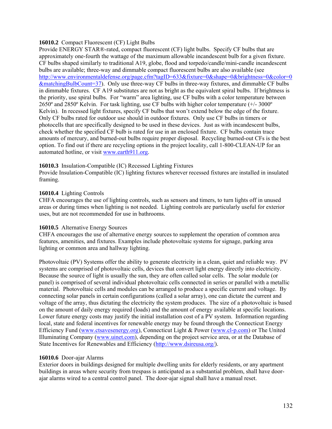## **16010.2** Compact Fluorescent (CF) Light Bulbs

Provide ENERGY STAR®-rated, compact fluorescent (CF) light bulbs. Specify CF bulbs that are approximately one-fourth the wattage of the maximum allowable incandescent bulb for a given fixture. CF bulbs shaped similarly to traditional A19, globe, flood and torpedo/candle/mini-candle incandescent bulbs are available; three-way and dimmable compact fluorescent bulbs are also available (see [http://www.environmentaldefense.org/page.cfm?tagID=633&fixture=0&shape=0&brightness=0&color=0](http://www.environmentaldefense.org/page.cfm?tagID=633&fixture=0&shape=0&brightness=0&color=0&matchingBulbCount=37) [&matchingBulbCount=37\)](http://www.environmentaldefense.org/page.cfm?tagID=633&fixture=0&shape=0&brightness=0&color=0&matchingBulbCount=37). Only use three-way CF bulbs in three-way fixtures, and dimmable CF bulbs in dimmable fixtures. CF A19 substitutes are not as bright as the equivalent spiral bulbs. If brightness is the priority, use spiral bulbs. For "warm" area lighting, use CF bulbs with a color temperature between 2650º and 2850º Kelvin. For task lighting, use CF bulbs with higher color temperature (+/- 3000º Kelvin). In recessed light fixtures, specify CF bulbs that won't extend below the edge of the fixture. Only CF bulbs rated for outdoor use should in outdoor fixtures. Only use CF bulbs in timers or photocells that are specifically designed to be used in these devices. Just as with incandescent bulbs, check whether the specified CF bulb is rated for use in an enclosed fixture. CF bulbs contain trace amounts of mercury, and burned-out bulbs require proper disposal. Recycling burned-out CFs is the best option. To find out if there are recycling options in the project locality, call 1-800-CLEAN-UP for an automated hotline, or visit www.earth911.org.

## **16010.3** Insulation-Compatible (IC) Recessed Lighting Fixtures

Provide Insulation-Compatible (IC) lighting fixtures wherever recessed fixtures are installed in insulated framing.

## **16010.4** Lighting Controls

CHFA encourages the use of lighting controls, such as sensors and timers, to turn lights off in unused areas or during times when lighting is not needed. Lighting controls are particularly useful for exterior uses, but are not recommended for use in bathrooms.

## **16010.5** Alternative Energy Sources

CHFA encourages the use of alternative energy sources to supplement the operation of common area features, amenities, and fixtures. Examples include photovoltaic systems for signage, parking area lighting or common area and hallway lighting.

Photovoltaic (PV) Systems offer the ability to generate electricity in a clean, quiet and reliable way. PV systems are comprised of photovoltaic cells, devices that convert light energy directly into electricity. Because the source of light is usually the sun, they are often called solar cells. The solar module (or panel) is comprised of several individual photovoltaic cells connected in series or parallel with a metallic material. Photovoltaic cells and modules can be arranged to produce a specific current and voltage. By connecting solar panels in certain configurations (called a solar array), one can dictate the current and voltage of the array, thus dictating the electricity the system produces. The size of a photovoltaic is based on the amount of daily energy required (loads) and the amount of energy available at specific locations. Lower future energy costs may justify the initial installation cost of a PV system. Information regarding local, state and federal incentives for renewable energy may be found through the Connecticut Energy Efficiency Fund ([www.ctsavesenergy.org](http://www.ctsavesenergy.org/)), Connecticut Light & Power ([www.cl-p.com](http://www.cl-p.com/)) or The United Illuminating Company [\(www.uinet.com\)](http://www.uinet.com/), depending on the project service area, or at the Database of State Incentives for Renewables and Efficiency [\(http://www.dsireusa.org/](http://www.dsireusa.org/)).

## **16010.6** Door-ajar Alarms

Exterior doors in buildings designed for multiple dwelling units for elderly residents, or any apartment buildings in areas where security from trespass is anticipated as a substantial problem, shall have doorajar alarms wired to a central control panel. The door-ajar signal shall have a manual reset.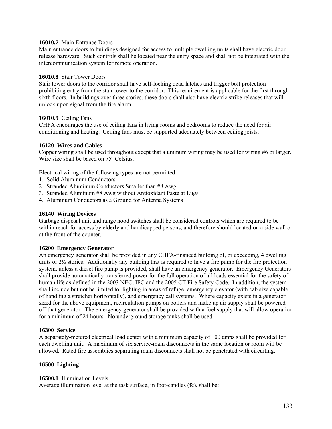## **16010.7** Main Entrance Doors

Main entrance doors to buildings designed for access to multiple dwelling units shall have electric door release hardware. Such controls shall be located near the entry space and shall not be integrated with the intercommunication system for remote operation.

#### **16010.8** Stair Tower Doors

Stair tower doors to the corridor shall have self-locking dead latches and trigger bolt protection prohibiting entry from the stair tower to the corridor. This requirement is applicable for the first through sixth floors. In buildings over three stories, these doors shall also have electric strike releases that will unlock upon signal from the fire alarm.

#### **16010.9** Ceiling Fans

CHFA encourages the use of ceiling fans in living rooms and bedrooms to reduce the need for air conditioning and heating. Ceiling fans must be supported adequately between ceiling joists.

#### **16120 Wires and Cables**

Copper wiring shall be used throughout except that aluminum wiring may be used for wiring #6 or larger. Wire size shall be based on 75º Celsius.

Electrical wiring of the following types are not permitted:

- 1. Solid Aluminum Conductors
- 2. Stranded Aluminum Conductors Smaller than #8 Awg
- 3. Stranded Aluminum #8 Awg without Antioxidant Paste at Lugs
- 4. Aluminum Conductors as a Ground for Antenna Systems

#### **16140 Wiring Devices**

Garbage disposal unit and range hood switches shall be considered controls which are required to be within reach for access by elderly and handicapped persons, and therefore should located on a side wall or at the front of the counter.

#### **16200 Emergency Generator**

An emergency generator shall be provided in any CHFA-financed building of, or exceeding, 4 dwelling units or  $2\frac{1}{2}$  stories. Additionally any building that is required to have a fire pump for the fire protection system, unless a diesel fire pump is provided, shall have an emergency generator. Emergency Generators shall provide automatically transferred power for the full operation of all loads essential for the safety of human life as defined in the 2003 NEC, IFC and the 2005 CT Fire Safety Code. In addition, the system shall include but not be limited to: lighting in areas of refuge, emergency elevator (with cab size capable of handling a stretcher horizontally), and emergency call systems. Where capacity exists in a generator sized for the above equipment, recirculation pumps on boilers and make up air supply shall be powered off that generator. The emergency generator shall be provided with a fuel supply that will allow operation for a minimum of 24 hours. No underground storage tanks shall be used.

#### **16300 Service**

A separately-metered electrical load center with a minimum capacity of 100 amps shall be provided for each dwelling unit. A maximum of six service-main disconnects in the same location or room will be allowed. Rated fire assemblies separating main disconnects shall not be penetrated with circuiting.

#### **16500 Lighting**

#### **16500.1** Illumination Levels

Average illumination level at the task surface, in foot-candles (fc), shall be: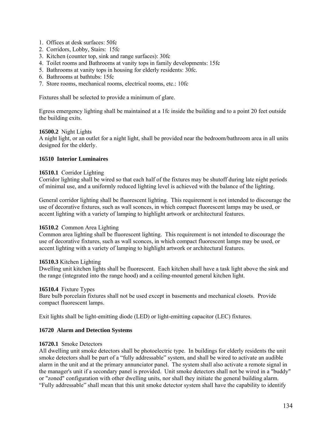- 1. Offices at desk surfaces: 50fc
- 2. Corridors, Lobby, Stairs: 15fc
- 3. Kitchen (counter top, sink and range surfaces): 30fc
- 4. Toilet rooms and Bathrooms at vanity tops in family developments: 15fc
- 5. Bathrooms at vanity tops in housing for elderly residents: 30fc.
- 6. Bathrooms at bathtubs: 15fc
- 7. Store rooms, mechanical rooms, electrical rooms, etc.: 10fc

Fixtures shall be selected to provide a minimum of glare.

Egress emergency lighting shall be maintained at a 1fc inside the building and to a point 20 feet outside the building exits.

## **16500.2** Night Lights

A night light, or an outlet for a night light, shall be provided near the bedroom/bathroom area in all units designed for the elderly.

## **16510 Interior Luminaires**

#### **16510.1** Corridor Lighting

Corridor lighting shall be wired so that each half of the fixtures may be shutoff during late night periods of minimal use, and a uniformly reduced lighting level is achieved with the balance of the lighting.

General corridor lighting shall be fluorescent lighting. This requirement is not intended to discourage the use of decorative fixtures, such as wall sconces, in which compact fluorescent lamps may be used, or accent lighting with a variety of lamping to highlight artwork or architectural features.

## **16510.2** Common Area Lighting

Common area lighting shall be fluorescent lighting. This requirement is not intended to discourage the use of decorative fixtures, such as wall sconces, in which compact fluorescent lamps may be used, or accent lighting with a variety of lamping to highlight artwork or architectural features.

#### **16510.3** Kitchen Lighting

Dwelling unit kitchen lights shall be fluorescent. Each kitchen shall have a task light above the sink and the range (integrated into the range hood) and a ceiling-mounted general kitchen light.

## **16510.4** Fixture Types

Bare bulb porcelain fixtures shall not be used except in basements and mechanical closets. Provide compact fluorescent lamps.

Exit lights shall be light-emitting diode (LED) or light-emitting capacitor (LEC) fixtures.

## **16720 Alarm and Detection Systems**

#### **16720.1** Smoke Detectors

All dwelling unit smoke detectors shall be photoelectric type. In buildings for elderly residents the unit smoke detectors shall be part of a "fully addressable" system, and shall be wired to activate an audible alarm in the unit and at the primary annunciator panel. The system shall also activate a remote signal in the manager's unit if a secondary panel is provided. Unit smoke detectors shall not be wired in a "buddy" or "zoned" configuration with other dwelling units, nor shall they initiate the general building alarm. "Fully addressable" shall mean that this unit smoke detector system shall have the capability to identify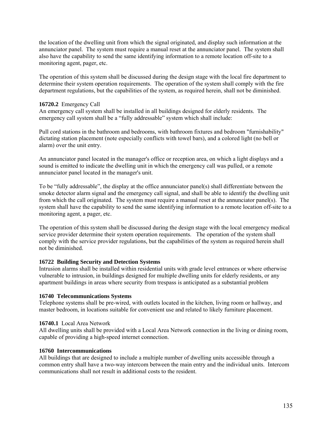the location of the dwelling unit from which the signal originated, and display such information at the annunciator panel. The system must require a manual reset at the annunciator panel. The system shall also have the capability to send the same identifying information to a remote location off-site to a monitoring agent, pager, etc.

The operation of this system shall be discussed during the design stage with the local fire department to determine their system operation requirements. The operation of the system shall comply with the fire department regulations, but the capabilities of the system, as required herein, shall not be diminished.

## **16720.2** Emergency Call

An emergency call system shall be installed in all buildings designed for elderly residents. The emergency call system shall be a "fully addressable" system which shall include:

Pull cord stations in the bathroom and bedrooms, with bathroom fixtures and bedroom "furnishability" dictating station placement (note especially conflicts with towel bars), and a colored light (no bell or alarm) over the unit entry.

An annunciator panel located in the manager's office or reception area, on which a light displays and a sound is emitted to indicate the dwelling unit in which the emergency call was pulled, or a remote annunciator panel located in the manager's unit.

To be "fully addressable", the display at the office annunciator panel(s) shall differentiate between the smoke detector alarm signal and the emergency call signal, and shall be able to identify the dwelling unit from which the call originated. The system must require a manual reset at the annunciator panel(s). The system shall have the capability to send the same identifying information to a remote location off-site to a monitoring agent, a pager, etc.

The operation of this system shall be discussed during the design stage with the local emergency medical service provider determine their system operation requirements. The operation of the system shall comply with the service provider regulations, but the capabilities of the system as required herein shall not be diminished.

## **16722 Building Security and Detection Systems**

Intrusion alarms shall be installed within residential units with grade level entrances or where otherwise vulnerable to intrusion, in buildings designed for multiple dwelling units for elderly residents, or any apartment buildings in areas where security from trespass is anticipated as a substantial problem

## **16740 Telecommunications Systems**

Telephone systems shall be pre-wired, with outlets located in the kitchen, living room or hallway, and master bedroom, in locations suitable for convenient use and related to likely furniture placement.

## **16740.1** Local Area Network

All dwelling units shall be provided with a Local Area Network connection in the living or dining room, capable of providing a high-speed internet connection.

## **16760 Intercommunications**

All buildings that are designed to include a multiple number of dwelling units accessible through a common entry shall have a two-way intercom between the main entry and the individual units. Intercom communications shall not result in additional costs to the resident.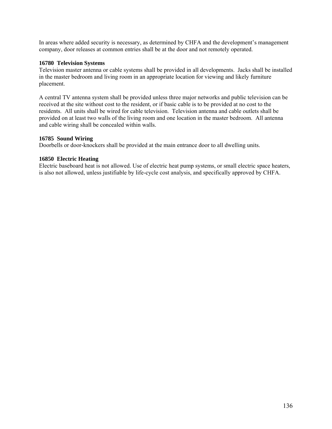In areas where added security is necessary, as determined by CHFA and the development's management company, door releases at common entries shall be at the door and not remotely operated.

## **16780 Television Systems**

Television master antenna or cable systems shall be provided in all developments. Jacks shall be installed in the master bedroom and living room in an appropriate location for viewing and likely furniture placement.

A central TV antenna system shall be provided unless three major networks and public television can be received at the site without cost to the resident, or if basic cable is to be provided at no cost to the residents. All units shall be wired for cable television. Television antenna and cable outlets shall be provided on at least two walls of the living room and one location in the master bedroom. All antenna and cable wiring shall be concealed within walls.

## **16785 Sound Wiring**

Doorbells or door-knockers shall be provided at the main entrance door to all dwelling units.

## **16850 Electric Heating**

Electric baseboard heat is not allowed. Use of electric heat pump systems, or small electric space heaters, is also not allowed, unless justifiable by life-cycle cost analysis, and specifically approved by CHFA.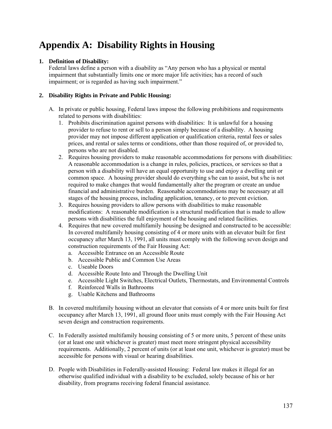# **Appendix A: Disability Rights in Housing**

# **1. Definition of Disability:**

Federal laws define a person with a disability as "Any person who has a physical or mental impairment that substantially limits one or more major life activities; has a record of such impairment; or is regarded as having such impairment."

# **2. Disability Rights in Private and Public Housing:**

- A. In private or public housing, Federal laws impose the following prohibitions and requirements related to persons with disabilities:
	- 1. Prohibits discrimination against persons with disabilities: It is unlawful for a housing provider to refuse to rent or sell to a person simply because of a disability. A housing provider may not impose different application or qualification criteria, rental fees or sales prices, and rental or sales terms or conditions, other than those required of, or provided to, persons who are not disabled.
	- 2. Requires housing providers to make reasonable accommodations for persons with disabilities: A reasonable accommodation is a change in rules, policies, practices, or services so that a person with a disability will have an equal opportunity to use and enjoy a dwelling unit or common space. A housing provider should do everything s/he can to assist, but s/he is not required to make changes that would fundamentally alter the program or create an undue financial and administrative burden. Reasonable accommodations may be necessary at all stages of the housing process, including application, tenancy, or to prevent eviction.
	- 3. Requires housing providers to allow persons with disabilities to make reasonable modifications: A reasonable modification is a structural modification that is made to allow persons with disabilities the full enjoyment of the housing and related facilities.
	- 4. Requires that new covered multifamily housing be designed and constructed to be accessible: In covered multifamily housing consisting of 4 or more units with an elevator built for first occupancy after March 13, 1991, all units must comply with the following seven design and construction requirements of the Fair Housing Act:
		- a. Accessible Entrance on an Accessible Route
		- b. Accessible Public and Common Use Areas
		- c. Useable Doors
		- d. Accessible Route Into and Through the Dwelling Unit
		- e. Accessible Light Switches, Electrical Outlets, Thermostats, and Environmental Controls
		- f. Reinforced Walls in Bathrooms
		- g. Usable Kitchens and Bathrooms
- B. In covered multifamily housing without an elevator that consists of 4 or more units built for first occupancy after March 13, 1991, all ground floor units must comply with the Fair Housing Act seven design and construction requirements.
- C. In Federally assisted multifamily housing consisting of 5 or more units, 5 percent of these units (or at least one unit whichever is greater) must meet more stringent physical accessibility requirements. Additionally, 2 percent of units (or at least one unit, whichever is greater) must be accessible for persons with visual or hearing disabilities.
- D. People with Disabilities in Federally-assisted Housing: Federal law makes it illegal for an otherwise qualified individual with a disability to be excluded, solely because of his or her disability, from programs receiving federal financial assistance.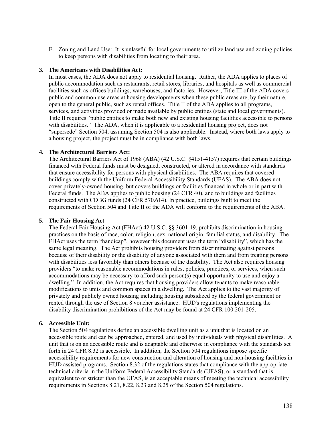E. Zoning and Land Use: It is unlawful for local governments to utilize land use and zoning policies to keep persons with disabilities from locating to their area.

## **3. The Americans with Disabilities Act:**

In most cases, the ADA does not apply to residential housing. Rather, the ADA applies to places of public accommodation such as restaurants, retail stores, libraries, and hospitals as well as commercial facilities such as offices buildings, warehouses, and factories. However, Title III of the ADA covers public and common use areas at housing developments when these public areas are, by their nature, open to the general public, such as rental offices. Title II of the ADA applies to all programs, services, and activities provided or made available by public entities (state and local governments). Title II requires "public entities to make both new and existing housing facilities accessible to persons with disabilities." The ADA, when it is applicable to a residential housing project, does not "supersede" Section 504, assuming Section 504 is also applicable. Instead, where both laws apply to a housing project, the project must be in compliance with both laws.

## **4. The Architectural Barriers Act:**

The Architectural Barriers Act of 1968 (ABA) (42 U.S.C. §4151-4157) requires that certain buildings financed with Federal funds must be designed, constructed, or altered in accordance with standards that ensure accessibility for persons with physical disabilities. The ABA requires that covered buildings comply with the Uniform Federal Accessibility Standards (UFAS). The ABA does not cover privately-owned housing, but covers buildings or facilities financed in whole or in part with Federal funds. The ABA applies to public housing (24 CFR 40), and to buildings and facilities constructed with CDBG funds (24 CFR 570.614). In practice, buildings built to meet the requirements of Section 504 and Title II of the ADA will conform to the requirements of the ABA.

## **5. The Fair Housing Act**:

The Federal Fair Housing Act (FHAct) 42 U.S.C. §§ 3601-19, prohibits discrimination in housing practices on the basis of race, color, religion, sex, national origin, familial status, and disability. The FHAct uses the term "handicap", however this document uses the term "disability", which has the same legal meaning. The Act prohibits housing providers from discriminating against persons because of their disability or the disability of anyone associated with them and from treating persons with disabilities less favorably than others because of the disability. The Act also requires housing providers "to make reasonable accommodations in rules, policies, practices, or services, when such accommodations may be necessary to afford such person(s) equal opportunity to use and enjoy a dwelling." In addition, the Act requires that housing providers allow tenants to make reasonable modifications to units and common spaces in a dwelling. The Act applies to the vast majority of privately and publicly owned housing including housing subsidized by the federal government or rented through the use of Section 8 voucher assistance. HUD's regulations implementing the disability discrimination prohibitions of the Act may be found at 24 CFR 100.201-205.

## **6. Accessible Unit:**

The Section 504 regulations define an accessible dwelling unit as a unit that is located on an accessible route and can be approached, entered, and used by individuals with physical disabilities. A unit that is on an accessible route and is adaptable and otherwise in compliance with the standards set forth in 24 CFR 8.32 is accessible. In addition, the Section 504 regulations impose specific accessibility requirements for new construction and alteration of housing and non-housing facilities in HUD assisted programs. Section 8.32 of the regulations states that compliance with the appropriate technical criteria in the Uniform Federal Accessibility Standards (UFAS), or a standard that is equivalent to or stricter than the UFAS, is an acceptable means of meeting the technical accessibility requirements in Sections 8.21, 8.22, 8.23 and 8.25 of the Section 504 regulations.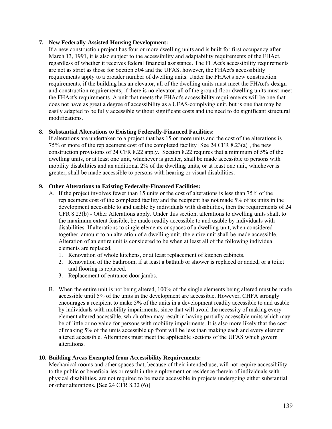## **7. New Federally-Assisted Housing Development:**

If a new construction project has four or more dwelling units and is built for first occupancy after March 13, 1991, it is also subject to the accessibility and adaptability requirements of the FHAct, regardless of whether it receives federal financial assistance. The FHAct's accessibility requirements are not as strict as those for Section 504 and the UFAS, however, the FHAct's accessibility requirements apply to a broader number of dwelling units. Under the FHAct's new construction requirements, if the building has an elevator, all of the dwelling units must meet the FHAct's design and construction requirements; if there is no elevator, all of the ground floor dwelling units must meet the FHAct's requirements. A unit that meets the FHAct's accessibility requirements will be one that does not have as great a degree of accessibility as a UFAS-complying unit, but is one that may be easily adapted to be fully accessible without significant costs and the need to do significant structural modifications.

## **8. Substantial Alterations to Existing Federally-Financed Facilities:**

If alterations are undertaken to a project that has 15 or more units and the cost of the alterations is 75% or more of the replacement cost of the completed facility [See 24 CFR 8.23(a)], the new construction provisions of 24 CFR 8.22 apply. Section 8.22 requires that a minimum of 5% of the dwelling units, or at least one unit, whichever is greater, shall be made accessible to persons with mobility disabilities and an additional 2% of the dwelling units, or at least one unit, whichever is greater, shall be made accessible to persons with hearing or visual disabilities.

## **9. Other Alterations to Existing Federally-Financed Facilities:**

- A. If the project involves fewer than 15 units or the cost of alterations is less than 75% of the replacement cost of the completed facility and the recipient has not made 5% of its units in the development accessible to and usable by individuals with disabilities, then the requirements of 24 CFR 8.23(b) - Other Alterations apply. Under this section, alterations to dwelling units shall, to the maximum extent feasible, be made readily accessible to and usable by individuals with disabilities. If alterations to single elements or spaces of a dwelling unit, when considered together, amount to an alteration of a dwelling unit, the entire unit shall be made accessible. Alteration of an entire unit is considered to be when at least all of the following individual elements are replaced.
	- 1. Renovation of whole kitchens, or at least replacement of kitchen cabinets.
	- 2. Renovation of the bathroom, if at least a bathtub or shower is replaced or added, or a toilet and flooring is replaced.
	- 3. Replacement of entrance door jambs.
- B. When the entire unit is not being altered, 100% of the single elements being altered must be made accessible until 5% of the units in the development are accessible. However, CHFA strongly encourages a recipient to make 5% of the units in a development readily accessible to and usable by individuals with mobility impairments, since that will avoid the necessity of making every element altered accessible, which often may result in having partially accessible units which may be of little or no value for persons with mobility impairments. It is also more likely that the cost of making 5% of the units accessible up front will be less than making each and every element altered accessible. Alterations must meet the applicable sections of the UFAS which govern alterations.

## **10. Building Areas Exempted from Accessibility Requirements:**

Mechanical rooms and other spaces that, because of their intended use, will not require accessibility to the public or beneficiaries or result in the employment or residence therein of individuals with physical disabilities, are not required to be made accessible in projects undergoing either substantial or other alterations. [See 24 CFR 8.32 (6)]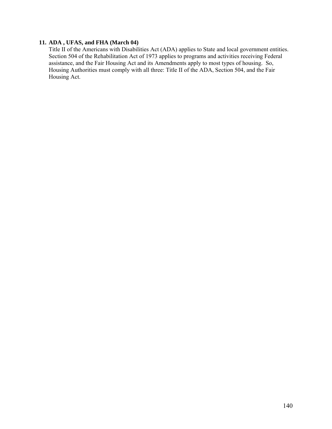# **11. ADA , UFAS, and FHA (March 04)**

Title II of the Americans with Disabilities Act (ADA) applies to State and local government entities. Section 504 of the Rehabilitation Act of 1973 applies to programs and activities receiving Federal assistance, and the Fair Housing Act and its Amendments apply to most types of housing. So, Housing Authorities must comply with all three: Title II of the ADA, Section 504, and the Fair Housing Act.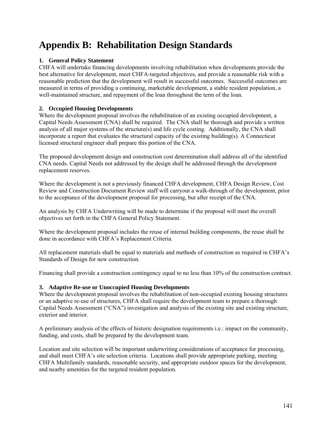# **Appendix B: Rehabilitation Design Standards**

# **1. General Policy Statement**

CHFA will undertake financing developments involving rehabilitation when developments provide the best alternative for development, meet CHFA-targeted objectives, and provide a reasonable risk with a reasonable prediction that the development will result in successful outcomes. Successful outcomes are measured in terms of providing a continuing, marketable development, a stable resident population, a well-maintained structure, and repayment of the loan throughout the term of the loan.

# **2. Occupied Housing Developments**

Where the development proposal involves the rehabilitation of an existing occupied development, a Capital Needs Assessment (CNA) shall be required. The CNA shall be thorough and provide a written analysis of all major systems of the structure(s) and life cycle costing. Additionally, the CNA shall incorporate a report that evaluates the structural capacity of the existing building(s). A Connecticut licensed structural engineer shall prepare this portion of the CNA.

The proposed development design and construction cost determination shall address all of the identified CNA needs. Capital Needs not addressed by the design shall be addressed through the development replacement reserves.

Where the development is not a previously financed CHFA development, CHFA Design Review, Cost Review and Construction Document Review staff will carryout a walk-through of the development, prior to the acceptance of the development proposal for processing, but after receipt of the CNA.

An analysis by CHFA Underwriting will be made to determine if the proposal will meet the overall objectives set forth in the CHFA General Policy Statement.

Where the development proposal includes the reuse of internal building components, the reuse shall be done in accordance with CHFA's Replacement Criteria.

All replacement materials shall be equal to materials and methods of construction as required in CHFA's Standards of Design for new construction.

Financing shall provide a construction contingency equal to no less than 10% of the construction contract.

# **3. Adaptive Re-use or Unoccupied Housing Developments**

Where the development proposal involves the rehabilitation of non-occupied existing housing structures or an adaptive re-use of structures, CHFA shall require the development team to prepare a thorough Capital Needs Assessment ("CNA") investigation and analysis of the existing site and existing structure, exterior and interior.

A preliminary analysis of the effects of historic designation requirements i.e.: impact on the community, funding, and costs, shall be prepared by the development team.

Location and site selection will be important underwriting considerations of acceptance for processing, and shall meet CHFA's site selection criteria. Locations shall provide appropriate parking, meeting CHFA Multifamily standards, reasonable security, and appropriate outdoor spaces for the development, and nearby amenities for the targeted resident population.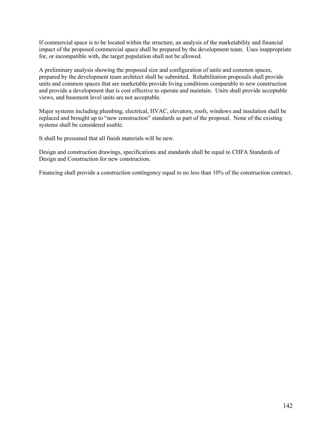If commercial space is to be located within the structure, an analysis of the marketability and financial impact of the proposed commercial space shall be prepared by the development team. Uses inappropriate for, or incompatible with, the target population shall not be allowed.

A preliminary analysis showing the proposed size and configuration of units and common spaces, prepared by the development team architect shall be submitted. Rehabilitation proposals shall provide units and common spaces that are marketable provide living conditions comparable to new construction and provide a development that is cost effective to operate and maintain. Units shall provide acceptable views, and basement level units are not acceptable.

Major systems including plumbing, electrical, HVAC, elevators, roofs, windows and insulation shall be replaced and brought up to "new construction" standards as part of the proposal. None of the existing systems shall be considered usable.

It shall be presumed that all finish materials will be new.

Design and construction drawings, specifications and standards shall be equal to CHFA Standards of Design and Construction for new construction.

Financing shall provide a construction contingency equal to no less than 10% of the construction contract.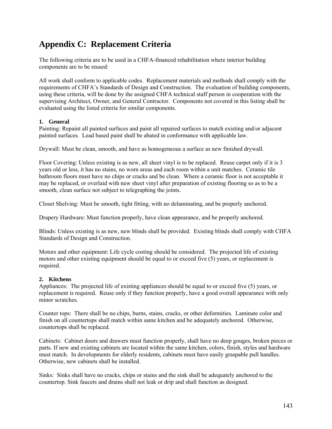# **Appendix C: Replacement Criteria**

The following criteria are to be used in a CHFA-financed rehabilitation where interior building components are to be reused:

All work shall conform to applicable codes. Replacement materials and methods shall comply with the requirements of CHFA's Standards of Design and Construction. The evaluation of building components, using these criteria, will be done by the assigned CHFA technical staff person in cooperation with the supervising Architect, Owner, and General Contractor. Components not covered in this listing shall be evaluated using the listed criteria for similar components.

# **1. General**

Painting: Repaint all painted surfaces and paint all repaired surfaces to match existing and/or adjacent painted surfaces. Lead based paint shall be abated in conformance with applicable law.

Drywall: Must be clean, smooth, and have as homogeneous a surface as new finished drywall.

Floor Covering: Unless existing is as new, all sheet vinyl is to be replaced. Reuse carpet only if it is 3 years old or less, it has no stains, no worn areas and each room within a unit matches. Ceramic tile bathroom floors must have no chips or cracks and be clean. Where a ceramic floor is not acceptable it may be replaced, or overlaid with new sheet vinyl after preparation of existing flooring so as to be a smooth, clean surface not subject to telegraphing the joints.

Closet Shelving: Must be smooth, tight fitting, with no delaminating, and be properly anchored.

Drapery Hardware: Must function properly, have clean appearance, and be properly anchored.

Blinds: Unless existing is as new, new blinds shall be provided. Existing blinds shall comply with CHFA Standards of Design and Construction.

Motors and other equipment: Life cycle costing should be considered. The projected life of existing motors and other existing equipment should be equal to or exceed five (5) years, or replacement is required.

# **2. Kitchens**

Appliances: The projected life of existing appliances should be equal to or exceed five (5) years, or replacement is required. Reuse only if they function properly, have a good overall appearance with only minor scratches.

Counter tops: There shall be no chips, burns, stains, cracks, or other deformities. Laminate color and finish on all countertops shall match within same kitchen and be adequately anchored. Otherwise, countertops shall be replaced.

Cabinets: Cabinet doors and drawers must function properly, shall have no deep gouges, broken pieces or parts. If new and existing cabinets are located within the same kitchen, colors, finish, styles and hardware must match. In developments for elderly residents, cabinets must have easily graspable pull handles. Otherwise, new cabinets shall be installed.

Sinks: Sinks shall have no cracks, chips or stains and the sink shall be adequately anchored to the countertop. Sink faucets and drains shall not leak or drip and shall function as designed.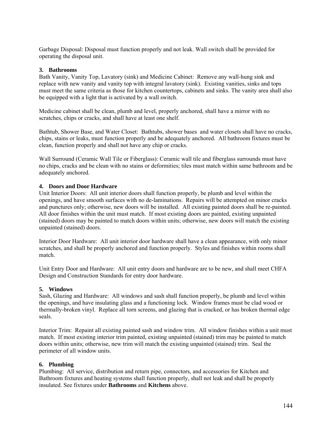Garbage Disposal: Disposal must function properly and not leak. Wall switch shall be provided for operating the disposal unit.

## **3. Bathrooms**

Bath Vanity, Vanity Top, Lavatory (sink) and Medicine Cabinet: Remove any wall-hung sink and replace with new vanity and vanity top with integral lavatory (sink). Existing vanities, sinks and tops must meet the same criteria as those for kitchen countertops, cabinets and sinks. The vanity area shall also be equipped with a light that is activated by a wall switch.

Medicine cabinet shall be clean, plumb and level, properly anchored, shall have a mirror with no scratches, chips or cracks, and shall have at least one shelf.

Bathtub, Shower Base, and Water Closet: Bathtubs, shower bases and water closets shall have no cracks, chips, stains or leaks, must function properly and be adequately anchored. All bathroom fixtures must be clean, function properly and shall not have any chip or cracks.

Wall Surround (Ceramic Wall Tile or Fiberglass): Ceramic wall tile and fiberglass surrounds must have no chips, cracks and be clean with no stains or deformities; tiles must match within same bathroom and be adequately anchored.

#### **4. Doors and Door Hardware**

Unit Interior Doors: All unit interior doors shall function properly, be plumb and level within the openings, and have smooth surfaces with no de-laminations. Repairs will be attempted on minor cracks and punctures only; otherwise, new doors will be installed. All existing painted doors shall be re-painted. All door finishes within the unit must match. If most existing doors are painted, existing unpainted (stained) doors may be painted to match doors within units; otherwise, new doors will match the existing unpainted (stained) doors.

Interior Door Hardware: All unit interior door hardware shall have a clean appearance, with only minor scratches, and shall be properly anchored and function properly. Styles and finishes within rooms shall match.

Unit Entry Door and Hardware: All unit entry doors and hardware are to be new, and shall meet CHFA Design and Construction Standards for entry door hardware.

#### **5. Windows**

Sash, Glazing and Hardware: All windows and sash shall function properly, be plumb and level within the openings, and have insulating glass and a functioning lock. Window frames must be clad wood or thermally-broken vinyl. Replace all torn screens, and glazing that is cracked, or has broken thermal edge seals.

Interior Trim: Repaint all existing painted sash and window trim. All window finishes within a unit must match. If most existing interior trim painted, existing unpainted (stained) trim may be painted to match doors within units; otherwise, new trim will match the existing unpainted (stained) trim. Seal the perimeter of all window units.

#### **6. Plumbing**

Plumbing: All service, distribution and return pipe, connectors, and accessories for Kitchen and Bathroom fixtures and heating systems shall function properly, shall not leak and shall be properly insulated. See fixtures under **Bathrooms** and **Kitchens** above.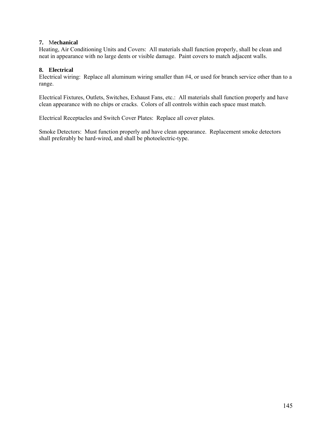#### **7.** M**echanical**

Heating, Air Conditioning Units and Covers: All materials shall function properly, shall be clean and neat in appearance with no large dents or visible damage. Paint covers to match adjacent walls.

#### **8. Electrical**

Electrical wiring: Replace all aluminum wiring smaller than #4, or used for branch service other than to a range.

Electrical Fixtures, Outlets, Switches, Exhaust Fans, etc.: All materials shall function properly and have clean appearance with no chips or cracks. Colors of all controls within each space must match.

Electrical Receptacles and Switch Cover Plates: Replace all cover plates.

Smoke Detectors: Must function properly and have clean appearance. Replacement smoke detectors shall preferably be hard-wired, and shall be photoelectric-type.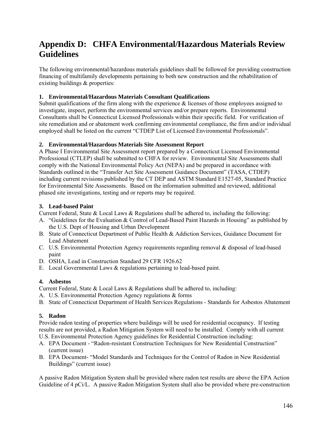# **Appendix D: CHFA Environmental/Hazardous Materials Review Guidelines**

The following environmental/hazardous materials guidelines shall be followed for providing construction financing of multifamily developments pertaining to both new construction and the rehabilitation of existing buildings & properties:

## **1. Environmental/Hazardous Materials Consultant Qualifications**

Submit qualifications of the firm along with the experience  $\&$  licenses of those employees assigned to investigate, inspect, perform the environmental services and/or prepare reports. Environmental Consultants shall be Connecticut Licensed Professionals within their specific field. For verification of site remediation and or abatement work confirming environmental compliance, the firm and/or individual employed shall be listed on the current "CTDEP List of Licensed Environmental Professionals".

## **2. Environmental/Hazardous Materials Site Assessment Report**

A Phase I Environmental Site Assessment report prepared by a Connecticut Licensed Environmental Professional (CTLEP) shall be submitted to CHFA for review. Environmental Site Assessments shall comply with the National Environmental Policy Act (NEPA) and be prepared in accordance with Standards outlined in the "Transfer Act Site Assessment Guidance Document" (TASA, CTDEP) including current revisions published by the CT DEP and ASTM Standard E1527-05, Standard Practice for Environmental Site Assessments. Based on the information submitted and reviewed, additional phased site investigations, testing and or reports may be required.

## **3. Lead-based Paint**

- Current Federal, State & Local Laws & Regulations shall be adhered to, including the following:
- A. "Guidelines for the Evaluation & Control of Lead-Based Paint Hazards in Housing" as published by the U.S. Dept of Housing and Urban Development
- B. State of Connecticut Department of Public Health & Addiction Services, Guidance Document for Lead Abatement
- C. U.S. Environmental Protection Agency requirements regarding removal & disposal of lead-based paint
- D. OSHA, Lead in Construction Standard 29 CFR 1926.62
- E. Local Governmental Laws & regulations pertaining to lead-based paint.

# **4. Asbestos**

Current Federal, State & Local Laws & Regulations shall be adhered to, including:

- A. U.S. Environmental Protection Agency regulations & forms
- B. State of Connecticut Department of Health Services Regulations Standards for Asbestos Abatement

# **5. Radon**

Provide radon testing of properties where buildings will be used for residential occupancy. If testing results are not provided, a Radon Mitigation System will need to be installed. Comply with all current U.S. Environmental Protection Agency guidelines for Residential Construction including:

- A. EPA Document "Radon-resistant Construction Techniques for New Residential Construction" (current issue)
- B. EPA Document- "Model Standards and Techniques for the Control of Radon in New Residential Buildings" (current issue)

A passive Radon Mitigation System shall be provided where radon test results are above the EPA Action Guideline of 4 pCi/L. A passive Radon Mitigation System shall also be provided where pre-construction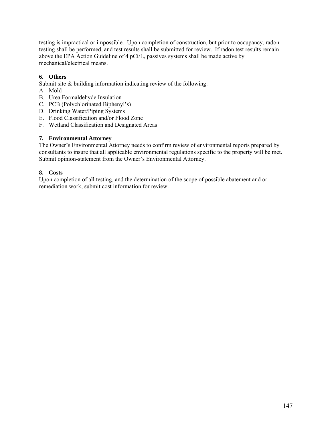testing is impractical or impossible. Upon completion of construction, but prior to occupancy, radon testing shall be performed, and test results shall be submitted for review. If radon test results remain above the EPA Action Guideline of 4 pCi/L, passives systems shall be made active by mechanical/electrical means.

### **6. Others**

Submit site & building information indicating review of the following:

- A. Mold
- B. Urea Formaldehyde Insulation
- C. PCB (Polychlorinated Biphenyl's)
- D. Drinking Water/Piping Systems
- E. Flood Classification and/or Flood Zone
- F. Wetland Classification and Designated Areas

#### **7. Environmental Attorney**

The Owner's Environmental Attorney needs to confirm review of environmental reports prepared by consultants to insure that all applicable environmental regulations specific to the property will be met. Submit opinion-statement from the Owner's Environmental Attorney.

#### **8. Costs**

Upon completion of all testing, and the determination of the scope of possible abatement and or remediation work, submit cost information for review.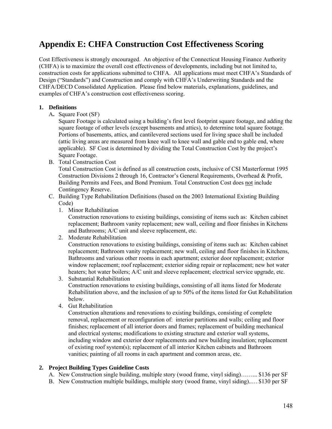# **Appendix E: CHFA Construction Cost Effectiveness Scoring**

Cost Effectiveness is strongly encouraged. An objective of the Connecticut Housing Finance Authority (CHFA) is to maximize the overall cost effectiveness of developments, including but not limited to, construction costs for applications submitted to CHFA. All applications must meet CHFA's Standards of Design ("Standards") and Construction and comply with CHFA's Underwriting Standards and the CHFA/DECD Consolidated Application. Please find below materials, explanations, guidelines, and examples of CHFA's construction cost effectiveness scoring.

#### **1. Definitions**

A**.** Square Foot (SF)

Square Footage is calculated using a building's first level footprint square footage, and adding the square footage of other levels (except basements and attics), to determine total square footage. Portions of basements, attics, and cantilevered sections used for living space shall be included (attic living areas are measured from knee wall to knee wall and gable end to gable end, where applicable). SF Cost is determined by dividing the Total Construction Cost by the project's Square Footage.

B. Total Construction Cost

Total Construction Cost is defined as all construction costs, inclusive of CSI Masterformat 1995 Construction Divisions 2 through 16, Contractor's General Requirements, Overhead & Profit, Building Permits and Fees, and Bond Premium. Total Construction Cost does not include Contingency Reserve.

- C. Building Type Rehabilitation Definitions (based on the 2003 International Existing Building Code)
	- 1. Minor Rehabilitation

Construction renovations to existing buildings, consisting of items such as: Kitchen cabinet replacement; Bathroom vanity replacement; new wall, ceiling and floor finishes in Kitchens and Bathrooms; A/C unit and sleeve replacement, etc.

2. Moderate Rehabilitation

Construction renovations to existing buildings, consisting of items such as: Kitchen cabinet replacement; Bathroom vanity replacement; new wall, ceiling and floor finishes in Kitchens, Bathrooms and various other rooms in each apartment; exterior door replacement; exterior window replacement; roof replacement; exterior siding repair or replacement; new hot water heaters; hot water boilers; A/C unit and sleeve replacement; electrical service upgrade, etc.

3. Substantial Rehabilitation Construction renovations to existing buildings, consisting of all items listed for Moderate Rehabilitation above, and the inclusion of up to 50% of the items listed for Gut Rehabilitation below.

4. Gut Rehabilitation

Construction alterations and renovations to existing buildings, consisting of complete removal, replacement or reconfiguration of: interior partitions and walls; ceiling and floor finishes; replacement of all interior doors and frames; replacement of building mechanical and electrical systems; modifications to existing structure and exterior wall systems, including window and exterior door replacements and new building insulation; replacement of existing roof system(s); replacement of all interior Kitchen cabinets and Bathroom vanities; painting of all rooms in each apartment and common areas, etc.

#### **2. Project Building Types Guideline Costs**

- A. New Construction single building, multiple story (wood frame, vinyl siding)……... \$136 per SF
- B. New Construction multiple buildings, multiple story (wood frame, vinyl siding)..… \$130 per SF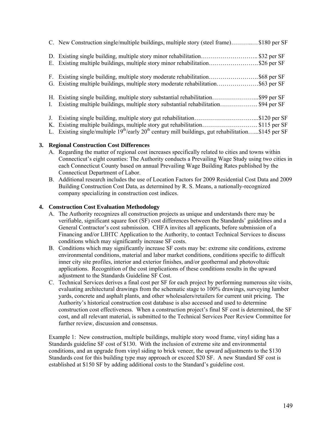| C. New Construction single/multiple buildings, multiple story (steel frame)\$180 per SF |  |
|-----------------------------------------------------------------------------------------|--|
| D. Existing single building, multiple story minor rehabilitation\$32 per SF             |  |
| E. Existing multiple buildings, multiple story minor rehabilitation\$26 per SF          |  |
| F. Existing single building, multiple story moderate rehabilitation\$68 per SF          |  |
|                                                                                         |  |
|                                                                                         |  |
| Existing multiple buildings, multiple story substantial rehabilitation \$94 per SF      |  |
| Existing single building, multiple story gut rehabilitation\$120 per SF                 |  |
| K. Existing multiple buildings, multiple story gut rehabilitation\$115 per SF           |  |

L. Existing single/multiple  $19^{th}/early$   $20^{th}$  century mill buildings, gut rehabilitation......\$145 per SF

#### **3. Regional Construction Cost Differences**

- A. Regarding the matter of regional cost increases specifically related to cities and towns within Connecticut's eight counties: The Authority conducts a Prevailing Wage Study using two cities in each Connecticut County based on annual Prevailing Wage Building Rates published by the Connecticut Department of Labor.
- B. Additional research includes the use of Location Factors for 2009 Residential Cost Data and 2009 Building Construction Cost Data, as determined by R. S. Means, a nationally-recognized company specializing in construction cost indices.

#### **4. Construction Cost Evaluation Methodology**

- A. The Authority recognizes all construction projects as unique and understands there may be verifiable, significant square foot (SF) cost differences between the Standards' guidelines and a General Contractor's cost submission. CHFA invites all applicants, before submission of a Financing and/or LIHTC Application to the Authority, to contact Technical Services to discuss conditions which may significantly increase SF costs.
- B. Conditions which may significantly increase SF costs may be: extreme site conditions, extreme environmental conditions, material and labor market conditions, conditions specific to difficult inner city site profiles, interior and exterior finishes, and/or geothermal and photovoltaic applications. Recognition of the cost implications of these conditions results in the upward adjustment to the Standards Guideline SF Cost.
- C. Technical Services derives a final cost per SF for each project by performing numerous site visits, evaluating architectural drawings from the schematic stage to 100% drawings, surveying lumber yards, concrete and asphalt plants, and other wholesalers/retailers for current unit pricing. The Authority's historical construction cost database is also accessed and used to determine construction cost effectiveness. When a construction project's final SF cost is determined, the SF cost, and all relevant material, is submitted to the Technical Services Peer Review Committee for further review, discussion and consensus.

Example 1: New construction, multiple buildings, multiple story wood frame, vinyl siding has a Standards guideline SF cost of \$130. With the inclusion of extreme site and environmental conditions, and an upgrade from vinyl siding to brick veneer, the upward adjustments to the \$130 Standards cost for this building type may approach or exceed \$20 SF. A new Standard SF cost is established at \$150 SF by adding additional costs to the Standard's guideline cost.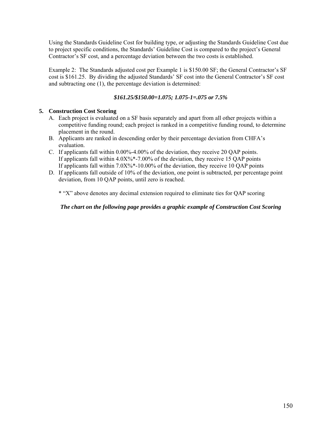Using the Standards Guideline Cost for building type, or adjusting the Standards Guideline Cost due to project specific conditions, the Standards' Guideline Cost is compared to the project's General Contractor's SF cost, and a percentage deviation between the two costs is established.

Example 2: The Standards adjusted cost per Example 1 is \$150.00 SF; the General Contractor's SF cost is \$161.25. By dividing the adjusted Standards' SF cost into the General Contractor's SF cost and subtracting one (1), the percentage deviation is determined:

### *\$161.25/\$150.00=1.075; 1.075-1=.075 or 7.5%*

#### **5. Construction Cost Scoring**

- A. Each project is evaluated on a SF basis separately and apart from all other projects within a competitive funding round; each project is ranked in a competitive funding round, to determine placement in the round.
- B. Applicants are ranked in descending order by their percentage deviation from CHFA's evaluation.
- C. If applicants fall within 0.00%-4.00% of the deviation, they receive 20 QAP points. If applicants fall within  $4.0X\%$ \*-7.00% of the deviation, they receive 15 QAP points If applicants fall within 7.0X%\*-10.00% of the deviation, they receive 10 QAP points
- D. If applicants fall outside of 10% of the deviation, one point is subtracted, per percentage point deviation, from 10 QAP points, until zero is reached.

\* "X" above denotes any decimal extension required to eliminate ties for QAP scoring

*The chart on the following page provides a graphic example of Construction Cost Scoring*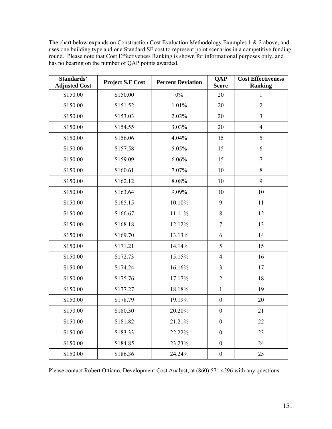The chart below expands on Construction Cost Evaluation Methodology Examples 1 & 2 above, and uses one building type and one Standard SF cost to represent point scenarios in a competitive funding round. Please note that Cost Effectiveness Ranking is shown for informational purposes only, and has no bearing on the number of QAP points awarded.

| Standards'<br><b>Adjusted Cost</b> | <b>Project S.F Cost</b> | <b>Percent Deviation</b> | <b>QAP</b><br><b>Score</b> | <b>Cost Effectiveness</b><br><b>Ranking</b> |
|------------------------------------|-------------------------|--------------------------|----------------------------|---------------------------------------------|
| \$150.00                           | \$150.00                | $0\%$                    | 20                         | $\mathbf{1}$                                |
| \$150.00                           | \$151.52                | 1.01%                    | 20                         | $\overline{2}$                              |
| \$150.00                           | \$153.03                | 2.02%                    | 20                         | $\overline{3}$                              |
| \$150.00                           | \$154.55                | 3.03%                    | 20                         | $\overline{4}$                              |
| \$150.00                           | \$156.06                | 4.04%                    | 15                         | 5                                           |
| \$150.00                           | \$157.58                | 5.05%                    | 15                         | 6                                           |
| \$150.00                           | \$159.09                | 6.06%                    | 15                         | $\overline{7}$                              |
| \$150.00                           | \$160.61                | 7.07%                    | 10                         | 8                                           |
| \$150.00                           | \$162.12                | 8.08%                    | 10                         | 9                                           |
| \$150.00                           | \$163.64                | 9.09%                    | 10                         | 10                                          |
| \$150.00                           | \$165.15                | 10.10%                   | 9                          | 11                                          |
| \$150.00                           | \$166.67                | 11.11%                   | 8                          | 12                                          |
| \$150.00                           | \$168.18                | 12.12%                   | $\overline{7}$             | 13                                          |
| \$150.00                           | \$169.70                | 13.13%                   | 6                          | 14                                          |
| \$150.00                           | \$171.21                | 14.14%                   | 5                          | 15                                          |
| \$150.00                           | \$172.73                | 15.15%                   | $\overline{4}$             | 16                                          |
| \$150.00                           | \$174.24                | 16.16%                   | $\overline{3}$             | 17                                          |
| \$150.00                           | \$175.76                | 17.17%                   | $\overline{2}$             | 18                                          |
| \$150.00                           | \$177.27                | 18.18%                   | $\mathbf{1}$               | 19                                          |
| \$150.00                           | \$178.79                | 19.19%                   | $\overline{0}$             | 20                                          |
| \$150.00                           | \$180.30                | 20.20%                   | $\mathbf{0}$               | 21                                          |
| \$150.00                           | \$181.82                | 21.21%                   | $\mathbf{0}$               | 22                                          |
| \$150.00                           | \$183.33                | 22.22%                   | $\boldsymbol{0}$           | 23                                          |
| \$150.00                           | \$184.85                | 23.23%                   | $\boldsymbol{0}$           | 24                                          |
| \$150.00                           | \$186.36                | 24.24%                   | $\boldsymbol{0}$           | 25                                          |

Please contact Robert Ottiano, Development Cost Analyst, at (860) 571 4296 with any questions.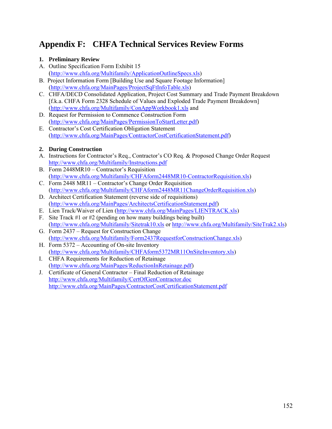# **Appendix F: CHFA Technical Services Review Forms**

## **1. Preliminary Review**

- A. Outline Specification Form Exhibit 15 ([http://www.chfa.org/Multifamily/ApplicationOutlineSpecs.xls\)](http://www.chfa.org/Multifamily/ApplicationOutlineSpecs.xls)
- B. Project Information Form [Building Use and Square Footage Information] ([http://www.chfa.org/MainPages/ProjectSqFtInfoTable.xls\)](http://www.chfa.org/MainPages/ProjectSqFtInfoTable.xls)
- C. CHFA/DECD Consolidated Application, Project Cost Summary and Trade Payment Breakdown [f.k.a. CHFA Form 2328 Schedule of Values and Exploded Trade Payment Breakdown] (<http://www.chfa.org/Multifamily/ConAppWorkbook1.xls>and
- D. Request for Permission to Commence Construction Form (<http://www.chfa.org/MainPages/PermissionToStartLetter.pdf>)
- E. Contractor's Cost Certification Obligation Statement (<http://www.chfa.org/MainPages/ContractorCostCertificationStatement.pdf>)

# **2. During Construction**

- A. Instructions for Contractor's Req., Contractor's CO Req. & Proposed Change Order Request <http://www.chfa.org/Multifamily/Instructions.pdf>
- B. Form 2448MR10 Contractor's Requisition ([http://www.chfa.org/Multifamily/CHFAform2448MR10-ContractorRequisition.xls\)](http://www.chfa.org/Multifamily/CHFAform2448MR10-ContractorRequisition.xls)
- C. Form 2448 MR11 Contractor's Change Order Requisition ([http://www.chfa.org/Multifamily/CHFAform2448MR11ChangeOrderRequisition.xls\)](http://www.chfa.org/Multifamily/CHFAform2448MR11ChangeOrderRequisition.xls)
- D. Architect Certification Statement (reverse side of requisitions) (<http://www.chfa.org/MainPages/ArchitectsCertificationStatement.pdf>)
- E. Lien Track/Waiver of Lien [\(http://www.chfa.org/MainPages/LIENTRACK.xls](http://www.chfa.org/MainPages/LIENTRACK.xls))
- F. Site Track #1 or #2 (pending on how many buildings being built) (<http://www.chfa.org/Multifamily/Sitetrak10.xls>or <http://www.chfa.org/Multifamily/SiteTrak2.xls>)
- G. Form 2437 Request for Construction Change (<http://www.chfa.org/Multifamily/Form2437RequestforConstructionChange.xls>)
- H. Form 5372 Accounting of On-site Inventory ([http://www.chfa.org/Multifamily/CHFAform5372MR11OnSiteInventory.xls\)](http://www.chfa.org/Multifamily/CHFAform5372MR11OnSiteInventory.xls)
- I. CHFA Requirements for Reduction of Retainage ([http://www.chfa.org/MainPages/ReductionInRetainage.pdf\)](http://www.chfa.org/MainPages/ReductionInRetainage.pdf)
- J. Certificate of General Contractor Final Reduction of Retainage <http://www.chfa.org/Multifamily/CertOfGenContractor.doc> <http://www.chfa.org/MainPages/ContractorCostCertificationStatement.pdf>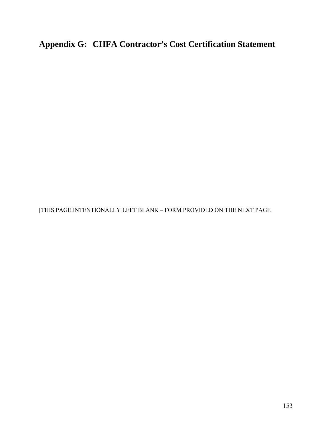**Appendix G: CHFA Contractor's Cost Certification Statement** 

[THIS PAGE INTENTIONALLY LEFT BLANK – FORM PROVIDED ON THE NEXT PAGE